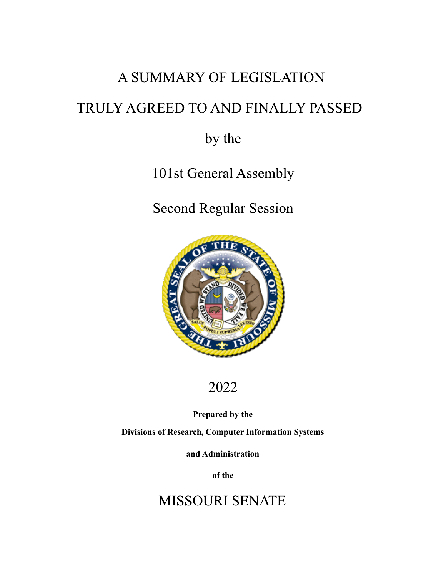# A SUMMARY OF LEGISLATION TRULY AGREED TO AND FINALLY PASSED

## by the

101st General Assembly

**Second Regular Session** 





**Prepared by the**

**Divisions of Research, Computer Information Systems**

**and Administration**

**of the**

MISSOURI SENATE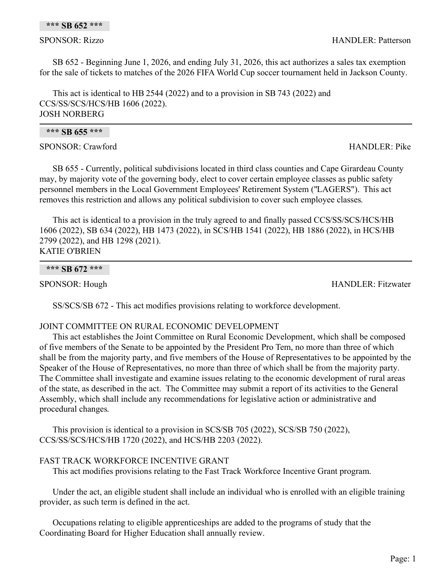SB 652 - Beginning June 1, 2026, and ending July 31, 2026, this act authorizes a sales tax exemption for the sale of tickets to matches of the 2026 FIFA World Cup soccer tournament held in Jackson County.

This act is identical to HB 2544 (2022) and to a provision in SB 743 (2022) and CCS/SS/SCS/HCS/HB 1606 (2022). JOSH NORBERG

### **\*\*\* SB 655 \*\*\***

SPONSOR: Crawford **HANDLER**: Pike

SB 655 - Currently, political subdivisions located in third class counties and Cape Girardeau County may, by majority vote of the governing body, elect to cover certain employee classes as public safety personnel members in the Local Government Employees' Retirement System ("LAGERS"). This act removes this restriction and allows any political subdivision to cover such employee classes.

This act is identical to a provision in the truly agreed to and finally passed CCS/SS/SCS/HCS/HB 1606 (2022), SB 634 (2022), HB 1473 (2022), in SCS/HB 1541 (2022), HB 1886 (2022), in HCS/HB 2799 (2022), and HB 1298 (2021). KATIE O'BRIEN

**\*\*\* SB 672 \*\*\***

SPONSOR: Hough HANDLER: Fitzwater

SS/SCS/SB 672 - This act modifies provisions relating to workforce development.

### JOINT COMMITTEE ON RURAL ECONOMIC DEVELOPMENT

This act establishes the Joint Committee on Rural Economic Development, which shall be composed of five members of the Senate to be appointed by the President Pro Tem, no more than three of which shall be from the majority party, and five members of the House of Representatives to be appointed by the Speaker of the House of Representatives, no more than three of which shall be from the majority party. The Committee shall investigate and examine issues relating to the economic development of rural areas of the state, as described in the act. The Committee may submit a report of its activities to the General Assembly, which shall include any recommendations for legislative action or administrative and procedural changes.

This provision is identical to a provision in SCS/SB 705 (2022), SCS/SB 750 (2022), CCS/SS/SCS/HCS/HB 1720 (2022), and HCS/HB 2203 (2022).

### FAST TRACK WORKFORCE INCENTIVE GRANT

This act modifies provisions relating to the Fast Track Workforce Incentive Grant program.

Under the act, an eligible student shall include an individual who is enrolled with an eligible training provider, as such term is defined in the act.

Occupations relating to eligible apprenticeships are added to the programs of study that the Coordinating Board for Higher Education shall annually review.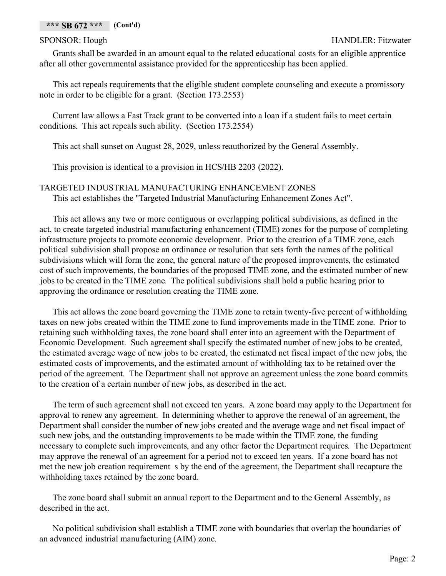### SPONSOR: Hough HANDLER: Fitzwater

Grants shall be awarded in an amount equal to the related educational costs for an eligible apprentice after all other governmental assistance provided for the apprenticeship has been applied.

This act repeals requirements that the eligible student complete counseling and execute a promissory note in order to be eligible for a grant. (Section 173.2553)

Current law allows a Fast Track grant to be converted into a loan if a student fails to meet certain conditions. This act repeals such ability. (Section 173.2554)

This act shall sunset on August 28, 2029, unless reauthorized by the General Assembly.

This provision is identical to a provision in HCS/HB 2203 (2022).

### TARGETED INDUSTRIAL MANUFACTURING ENHANCEMENT ZONES

This act establishes the "Targeted Industrial Manufacturing Enhancement Zones Act".

This act allows any two or more contiguous or overlapping political subdivisions, as defined in the act, to create targeted industrial manufacturing enhancement (TIME) zones for the purpose of completing infrastructure projects to promote economic development. Prior to the creation of a TIME zone, each political subdivision shall propose an ordinance or resolution that sets forth the names of the political subdivisions which will form the zone, the general nature of the proposed improvements, the estimated cost of such improvements, the boundaries of the proposed TIME zone, and the estimated number of new jobs to be created in the TIME zone. The political subdivisions shall hold a public hearing prior to approving the ordinance or resolution creating the TIME zone.

This act allows the zone board governing the TIME zone to retain twenty-five percent of withholding taxes on new jobs created within the TIME zone to fund improvements made in the TIME zone. Prior to retaining such withholding taxes, the zone board shall enter into an agreement with the Department of Economic Development. Such agreement shall specify the estimated number of new jobs to be created, the estimated average wage of new jobs to be created, the estimated net fiscal impact of the new jobs, the estimated costs of improvements, and the estimated amount of withholding tax to be retained over the period of the agreement. The Department shall not approve an agreement unless the zone board commits to the creation of a certain number of new jobs, as described in the act.

The term of such agreement shall not exceed ten years. A zone board may apply to the Department for approval to renew any agreement. In determining whether to approve the renewal of an agreement, the Department shall consider the number of new jobs created and the average wage and net fiscal impact of such new jobs, and the outstanding improvements to be made within the TIME zone, the funding necessary to complete such improvements, and any other factor the Department requires. The Department may approve the renewal of an agreement for a period not to exceed ten years. If a zone board has not met the new job creation requirement s by the end of the agreement, the Department shall recapture the withholding taxes retained by the zone board.

The zone board shall submit an annual report to the Department and to the General Assembly, as described in the act.

No political subdivision shall establish a TIME zone with boundaries that overlap the boundaries of an advanced industrial manufacturing (AIM) zone.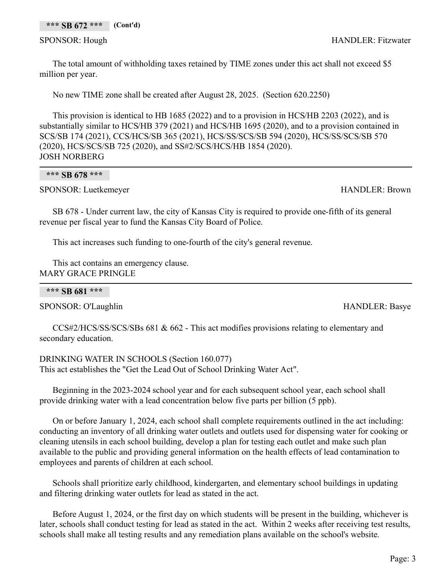**\*\*\* SB 672 \*\*\* (Cont'd)**

The total amount of withholding taxes retained by TIME zones under this act shall not exceed \$5 million per year.

No new TIME zone shall be created after August 28, 2025. (Section 620.2250)

This provision is identical to HB 1685 (2022) and to a provision in HCS/HB 2203 (2022), and is substantially similar to HCS/HB 379 (2021) and HCS/HB 1695 (2020), and to a provision contained in SCS/SB 174 (2021), CCS/HCS/SB 365 (2021), HCS/SS/SCS/SB 594 (2020), HCS/SS/SCS/SB 570 (2020), HCS/SCS/SB 725 (2020), and SS#2/SCS/HCS/HB 1854 (2020). JOSH NORBERG

**\*\*\* SB 678 \*\*\***

SPONSOR: Luetkemeyer HANDLER: Brown

SB 678 - Under current law, the city of Kansas City is required to provide one-fifth of its general revenue per fiscal year to fund the Kansas City Board of Police.

This act increases such funding to one-fourth of the city's general revenue.

This act contains an emergency clause. MARY GRACE PRINGLE

| *** SB 681 *** |  |
|----------------|--|
|----------------|--|

SPONSOR: O'Laughlin **HANDLER: Basye** 

CCS#2/HCS/SS/SCS/SBs 681 & 662 - This act modifies provisions relating to elementary and secondary education.

DRINKING WATER IN SCHOOLS (Section 160.077) This act establishes the "Get the Lead Out of School Drinking Water Act".

Beginning in the 2023-2024 school year and for each subsequent school year, each school shall provide drinking water with a lead concentration below five parts per billion (5 ppb).

On or before January 1, 2024, each school shall complete requirements outlined in the act including: conducting an inventory of all drinking water outlets and outlets used for dispensing water for cooking or cleaning utensils in each school building, develop a plan for testing each outlet and make such plan available to the public and providing general information on the health effects of lead contamination to employees and parents of children at each school.

Schools shall prioritize early childhood, kindergarten, and elementary school buildings in updating and filtering drinking water outlets for lead as stated in the act.

Before August 1, 2024, or the first day on which students will be present in the building, whichever is later, schools shall conduct testing for lead as stated in the act. Within 2 weeks after receiving test results, schools shall make all testing results and any remediation plans available on the school's website.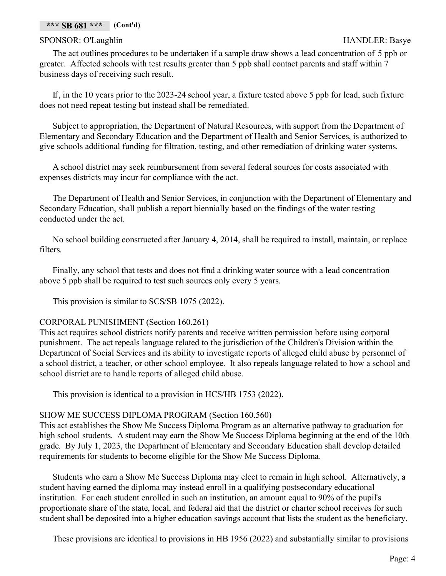The act outlines procedures to be undertaken if a sample draw shows a lead concentration of 5 ppb or greater. Affected schools with test results greater than 5 ppb shall contact parents and staff within 7 business days of receiving such result.

If, in the 10 years prior to the 2023-24 school year, a fixture tested above 5 ppb for lead, such fixture does not need repeat testing but instead shall be remediated.

Subject to appropriation, the Department of Natural Resources, with support from the Department of Elementary and Secondary Education and the Department of Health and Senior Services, is authorized to give schools additional funding for filtration, testing, and other remediation of drinking water systems.

A school district may seek reimbursement from several federal sources for costs associated with expenses districts may incur for compliance with the act.

The Department of Health and Senior Services, in conjunction with the Department of Elementary and Secondary Education, shall publish a report biennially based on the findings of the water testing conducted under the act.

No school building constructed after January 4, 2014, shall be required to install, maintain, or replace filters.

Finally, any school that tests and does not find a drinking water source with a lead concentration above 5 ppb shall be required to test such sources only every 5 years.

This provision is similar to SCS/SB 1075 (2022).

### CORPORAL PUNISHMENT (Section 160.261)

This act requires school districts notify parents and receive written permission before using corporal punishment. The act repeals language related to the jurisdiction of the Children's Division within the Department of Social Services and its ability to investigate reports of alleged child abuse by personnel of a school district, a teacher, or other school employee. It also repeals language related to how a school and school district are to handle reports of alleged child abuse.

This provision is identical to a provision in HCS/HB 1753 (2022).

### SHOW ME SUCCESS DIPLOMA PROGRAM (Section 160.560)

This act establishes the Show Me Success Diploma Program as an alternative pathway to graduation for high school students. A student may earn the Show Me Success Diploma beginning at the end of the 10th grade. By July 1, 2023, the Department of Elementary and Secondary Education shall develop detailed requirements for students to become eligible for the Show Me Success Diploma.

Students who earn a Show Me Success Diploma may elect to remain in high school. Alternatively, a student having earned the diploma may instead enroll in a qualifying postsecondary educational institution. For each student enrolled in such an institution, an amount equal to 90% of the pupil's proportionate share of the state, local, and federal aid that the district or charter school receives for such student shall be deposited into a higher education savings account that lists the student as the beneficiary.

These provisions are identical to provisions in HB 1956 (2022) and substantially similar to provisions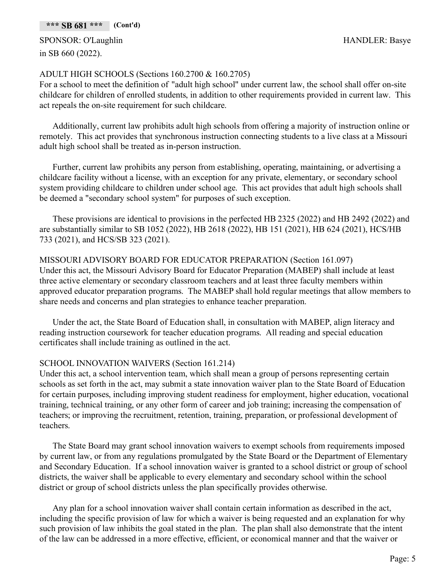SPONSOR: O'Laughlin HANDLER: Basye in SB 660 (2022).

### ADULT HIGH SCHOOLS (Sections 160.2700 & 160.2705)

For a school to meet the definition of "adult high school" under current law, the school shall offer on-site childcare for children of enrolled students, in addition to other requirements provided in current law. This act repeals the on-site requirement for such childcare.

Additionally, current law prohibits adult high schools from offering a majority of instruction online or remotely. This act provides that synchronous instruction connecting students to a live class at a Missouri adult high school shall be treated as in-person instruction.

Further, current law prohibits any person from establishing, operating, maintaining, or advertising a childcare facility without a license, with an exception for any private, elementary, or secondary school system providing childcare to children under school age. This act provides that adult high schools shall be deemed a "secondary school system" for purposes of such exception.

These provisions are identical to provisions in the perfected HB 2325 (2022) and HB 2492 (2022) and are substantially similar to SB 1052 (2022), HB 2618 (2022), HB 151 (2021), HB 624 (2021), HCS/HB 733 (2021), and HCS/SB 323 (2021).

MISSOURI ADVISORY BOARD FOR EDUCATOR PREPARATION (Section 161.097) Under this act, the Missouri Advisory Board for Educator Preparation (MABEP) shall include at least three active elementary or secondary classroom teachers and at least three faculty members within approved educator preparation programs. The MABEP shall hold regular meetings that allow members to share needs and concerns and plan strategies to enhance teacher preparation.

Under the act, the State Board of Education shall, in consultation with MABEP, align literacy and reading instruction coursework for teacher education programs. All reading and special education certificates shall include training as outlined in the act.

### SCHOOL INNOVATION WAIVERS (Section 161.214)

Under this act, a school intervention team, which shall mean a group of persons representing certain schools as set forth in the act, may submit a state innovation waiver plan to the State Board of Education for certain purposes, including improving student readiness for employment, higher education, vocational training, technical training, or any other form of career and job training; increasing the compensation of teachers; or improving the recruitment, retention, training, preparation, or professional development of teachers.

The State Board may grant school innovation waivers to exempt schools from requirements imposed by current law, or from any regulations promulgated by the State Board or the Department of Elementary and Secondary Education. If a school innovation waiver is granted to a school district or group of school districts, the waiver shall be applicable to every elementary and secondary school within the school district or group of school districts unless the plan specifically provides otherwise.

Any plan for a school innovation waiver shall contain certain information as described in the act, including the specific provision of law for which a waiver is being requested and an explanation for why such provision of law inhibits the goal stated in the plan. The plan shall also demonstrate that the intent of the law can be addressed in a more effective, efficient, or economical manner and that the waiver or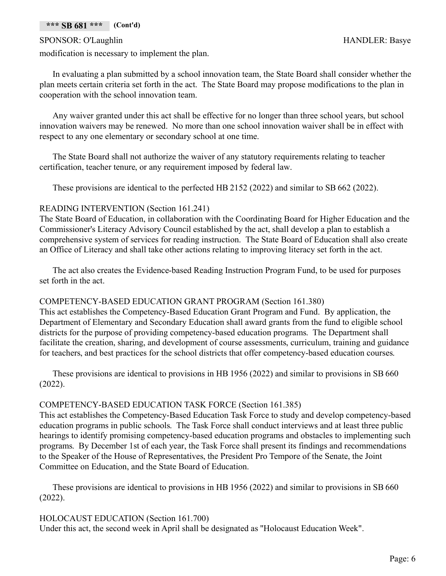### **\*\*\* SB 681 \*\*\* (Cont'd)**

### SPONSOR: O'Laughlin HANDLER: Basye

modification is necessary to implement the plan.

In evaluating a plan submitted by a school innovation team, the State Board shall consider whether the plan meets certain criteria set forth in the act. The State Board may propose modifications to the plan in cooperation with the school innovation team.

Any waiver granted under this act shall be effective for no longer than three school years, but school innovation waivers may be renewed. No more than one school innovation waiver shall be in effect with respect to any one elementary or secondary school at one time.

The State Board shall not authorize the waiver of any statutory requirements relating to teacher certification, teacher tenure, or any requirement imposed by federal law.

These provisions are identical to the perfected HB 2152 (2022) and similar to SB 662 (2022).

### READING INTERVENTION (Section 161.241)

The State Board of Education, in collaboration with the Coordinating Board for Higher Education and the Commissioner's Literacy Advisory Council established by the act, shall develop a plan to establish a comprehensive system of services for reading instruction. The State Board of Education shall also create an Office of Literacy and shall take other actions relating to improving literacy set forth in the act.

The act also creates the Evidence-based Reading Instruction Program Fund, to be used for purposes set forth in the act.

### COMPETENCY-BASED EDUCATION GRANT PROGRAM (Section 161.380)

This act establishes the Competency-Based Education Grant Program and Fund. By application, the Department of Elementary and Secondary Education shall award grants from the fund to eligible school districts for the purpose of providing competency-based education programs. The Department shall facilitate the creation, sharing, and development of course assessments, curriculum, training and guidance for teachers, and best practices for the school districts that offer competency-based education courses.

These provisions are identical to provisions in HB 1956 (2022) and similar to provisions in SB 660 (2022).

### COMPETENCY-BASED EDUCATION TASK FORCE (Section 161.385)

This act establishes the Competency-Based Education Task Force to study and develop competency-based education programs in public schools. The Task Force shall conduct interviews and at least three public hearings to identify promising competency-based education programs and obstacles to implementing such programs. By December 1st of each year, the Task Force shall present its findings and recommendations to the Speaker of the House of Representatives, the President Pro Tempore of the Senate, the Joint Committee on Education, and the State Board of Education.

These provisions are identical to provisions in HB 1956 (2022) and similar to provisions in SB 660 (2022).

### HOLOCAUST EDUCATION (Section 161.700)

Under this act, the second week in April shall be designated as "Holocaust Education Week".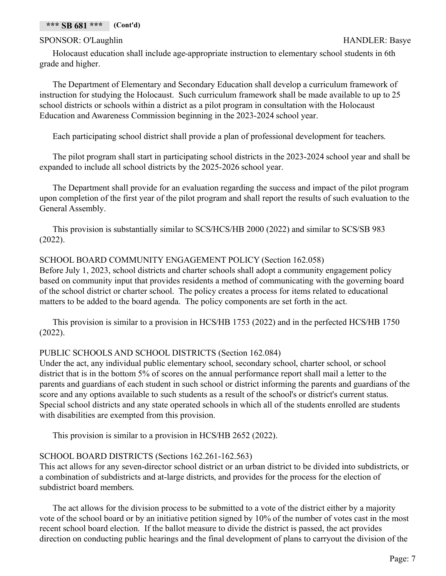Holocaust education shall include age-appropriate instruction to elementary school students in 6th grade and higher.

The Department of Elementary and Secondary Education shall develop a curriculum framework of instruction for studying the Holocaust. Such curriculum framework shall be made available to up to 25 school districts or schools within a district as a pilot program in consultation with the Holocaust Education and Awareness Commission beginning in the 2023-2024 school year.

Each participating school district shall provide a plan of professional development for teachers.

The pilot program shall start in participating school districts in the 2023-2024 school year and shall be expanded to include all school districts by the 2025-2026 school year.

The Department shall provide for an evaluation regarding the success and impact of the pilot program upon completion of the first year of the pilot program and shall report the results of such evaluation to the General Assembly.

This provision is substantially similar to SCS/HCS/HB 2000 (2022) and similar to SCS/SB 983 (2022).

### SCHOOL BOARD COMMUNITY ENGAGEMENT POLICY (Section 162.058)

Before July 1, 2023, school districts and charter schools shall adopt a community engagement policy based on community input that provides residents a method of communicating with the governing board of the school district or charter school. The policy creates a process for items related to educational matters to be added to the board agenda. The policy components are set forth in the act.

This provision is similar to a provision in HCS/HB 1753 (2022) and in the perfected HCS/HB 1750 (2022).

### PUBLIC SCHOOLS AND SCHOOL DISTRICTS (Section 162.084)

Under the act, any individual public elementary school, secondary school, charter school, or school district that is in the bottom 5% of scores on the annual performance report shall mail a letter to the parents and guardians of each student in such school or district informing the parents and guardians of the score and any options available to such students as a result of the school's or district's current status. Special school districts and any state operated schools in which all of the students enrolled are students with disabilities are exempted from this provision.

This provision is similar to a provision in HCS/HB 2652 (2022).

### SCHOOL BOARD DISTRICTS (Sections 162.261-162.563)

This act allows for any seven-director school district or an urban district to be divided into subdistricts, or a combination of subdistricts and at-large districts, and provides for the process for the election of subdistrict board members.

The act allows for the division process to be submitted to a vote of the district either by a majority vote of the school board or by an initiative petition signed by 10% of the number of votes cast in the most recent school board election. If the ballot measure to divide the district is passed, the act provides direction on conducting public hearings and the final development of plans to carryout the division of the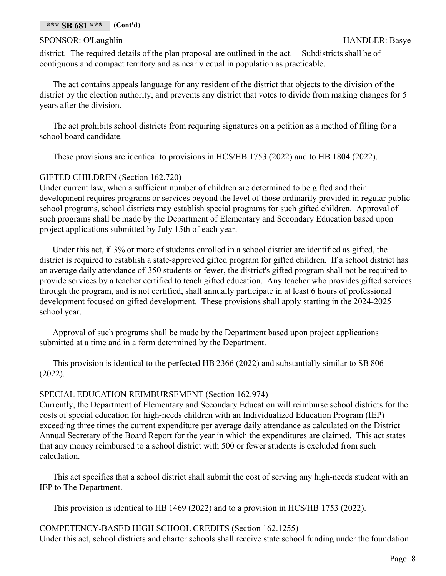district. The required details of the plan proposal are outlined in the act. Subdistricts shall be of contiguous and compact territory and as nearly equal in population as practicable.

The act contains appeals language for any resident of the district that objects to the division of the district by the election authority, and prevents any district that votes to divide from making changes for 5 years after the division.

The act prohibits school districts from requiring signatures on a petition as a method of filing for a school board candidate.

These provisions are identical to provisions in HCS/HB 1753 (2022) and to HB 1804 (2022).

### GIFTED CHILDREN (Section 162.720)

Under current law, when a sufficient number of children are determined to be gifted and their development requires programs or services beyond the level of those ordinarily provided in regular public school programs, school districts may establish special programs for such gifted children. Approval of such programs shall be made by the Department of Elementary and Secondary Education based upon project applications submitted by July 15th of each year.

Under this act, if 3% or more of students enrolled in a school district are identified as gifted, the district is required to establish a state-approved gifted program for gifted children. If a school district has an average daily attendance of 350 students or fewer, the district's gifted program shall not be required to provide services by a teacher certified to teach gifted education. Any teacher who provides gifted services through the program, and is not certified, shall annually participate in at least 6 hours of professional development focused on gifted development. These provisions shall apply starting in the 2024-2025 school year.

Approval of such programs shall be made by the Department based upon project applications submitted at a time and in a form determined by the Department.

This provision is identical to the perfected HB 2366 (2022) and substantially similar to SB 806 (2022).

### SPECIAL EDUCATION REIMBURSEMENT (Section 162.974)

Currently, the Department of Elementary and Secondary Education will reimburse school districts for the costs of special education for high-needs children with an Individualized Education Program (IEP) exceeding three times the current expenditure per average daily attendance as calculated on the District Annual Secretary of the Board Report for the year in which the expenditures are claimed. This act states that any money reimbursed to a school district with 500 or fewer students is excluded from such calculation.

This act specifies that a school district shall submit the cost of serving any high-needs student with an IEP to The Department.

This provision is identical to HB 1469 (2022) and to a provision in HCS/HB 1753 (2022).

### COMPETENCY-BASED HIGH SCHOOL CREDITS (Section 162.1255)

Under this act, school districts and charter schools shall receive state school funding under the foundation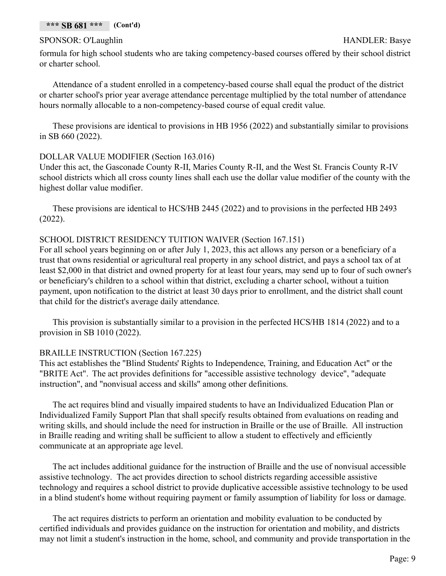formula for high school students who are taking competency-based courses offered by their school district or charter school.

Attendance of a student enrolled in a competency-based course shall equal the product of the district or charter school's prior year average attendance percentage multiplied by the total number of attendance hours normally allocable to a non-competency-based course of equal credit value.

These provisions are identical to provisions in HB 1956 (2022) and substantially similar to provisions in SB 660 (2022).

### DOLLAR VALUE MODIFIER (Section 163.016)

Under this act, the Gasconade County R-II, Maries County R-II, and the West St. Francis County R-IV school districts which all cross county lines shall each use the dollar value modifier of the county with the highest dollar value modifier.

These provisions are identical to HCS/HB 2445 (2022) and to provisions in the perfected HB 2493 (2022).

### SCHOOL DISTRICT RESIDENCY TUITION WAIVER (Section 167.151)

For all school years beginning on or after July 1, 2023, this act allows any person or a beneficiary of a trust that owns residential or agricultural real property in any school district, and pays a school tax of at least \$2,000 in that district and owned property for at least four years, may send up to four of such owner's or beneficiary's children to a school within that district, excluding a charter school, without a tuition payment, upon notification to the district at least 30 days prior to enrollment, and the district shall count that child for the district's average daily attendance.

This provision is substantially similar to a provision in the perfected HCS/HB 1814 (2022) and to a provision in SB 1010 (2022).

### BRAILLE INSTRUCTION (Section 167.225)

This act establishes the "Blind Students' Rights to Independence, Training, and Education Act" or the "BRITE Act". The act provides definitions for "accessible assistive technology device", "adequate instruction", and "nonvisual access and skills" among other definitions.

The act requires blind and visually impaired students to have an Individualized Education Plan or Individualized Family Support Plan that shall specify results obtained from evaluations on reading and writing skills, and should include the need for instruction in Braille or the use of Braille. All instruction in Braille reading and writing shall be sufficient to allow a student to effectively and efficiently communicate at an appropriate age level.

The act includes additional guidance for the instruction of Braille and the use of nonvisual accessible assistive technology. The act provides direction to school districts regarding accessible assistive technology and requires a school district to provide duplicative accessible assistive technology to be used in a blind student's home without requiring payment or family assumption of liability for loss or damage.

The act requires districts to perform an orientation and mobility evaluation to be conducted by certified individuals and provides guidance on the instruction for orientation and mobility, and districts may not limit a student's instruction in the home, school, and community and provide transportation in the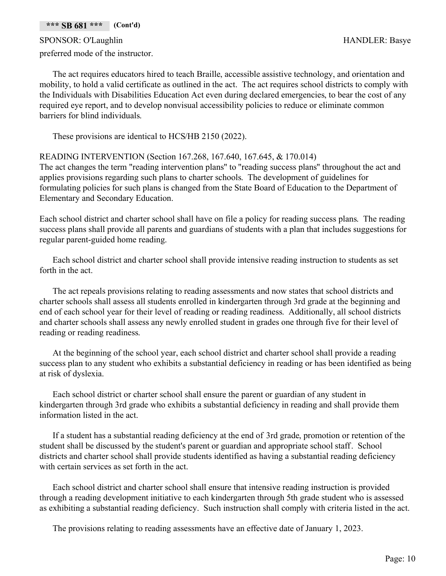### **\*\*\* SB 681 \*\*\* (Cont'd)**

SPONSOR: O'Laughlin HANDLER: Basye preferred mode of the instructor.

The act requires educators hired to teach Braille, accessible assistive technology, and orientation and mobility, to hold a valid certificate as outlined in the act. The act requires school districts to comply with the Individuals with Disabilities Education Act even during declared emergencies, to bear the cost of any required eye report, and to develop nonvisual accessibility policies to reduce or eliminate common barriers for blind individuals.

These provisions are identical to HCS/HB 2150 (2022).

### READING INTERVENTION (Section 167.268, 167.640, 167.645, & 170.014)

The act changes the term "reading intervention plans" to "reading success plans" throughout the act and applies provisions regarding such plans to charter schools. The development of guidelines for formulating policies for such plans is changed from the State Board of Education to the Department of Elementary and Secondary Education.

Each school district and charter school shall have on file a policy for reading success plans. The reading success plans shall provide all parents and guardians of students with a plan that includes suggestions for regular parent-guided home reading.

Each school district and charter school shall provide intensive reading instruction to students as set forth in the act.

The act repeals provisions relating to reading assessments and now states that school districts and charter schools shall assess all students enrolled in kindergarten through 3rd grade at the beginning and end of each school year for their level of reading or reading readiness. Additionally, all school districts and charter schools shall assess any newly enrolled student in grades one through five for their level of reading or reading readiness.

At the beginning of the school year, each school district and charter school shall provide a reading success plan to any student who exhibits a substantial deficiency in reading or has been identified as being at risk of dyslexia.

Each school district or charter school shall ensure the parent or guardian of any student in kindergarten through 3rd grade who exhibits a substantial deficiency in reading and shall provide them information listed in the act.

If a student has a substantial reading deficiency at the end of 3rd grade, promotion or retention of the student shall be discussed by the student's parent or guardian and appropriate school staff. School districts and charter school shall provide students identified as having a substantial reading deficiency with certain services as set forth in the act.

Each school district and charter school shall ensure that intensive reading instruction is provided through a reading development initiative to each kindergarten through 5th grade student who is assessed as exhibiting a substantial reading deficiency. Such instruction shall comply with criteria listed in the act.

The provisions relating to reading assessments have an effective date of January 1, 2023.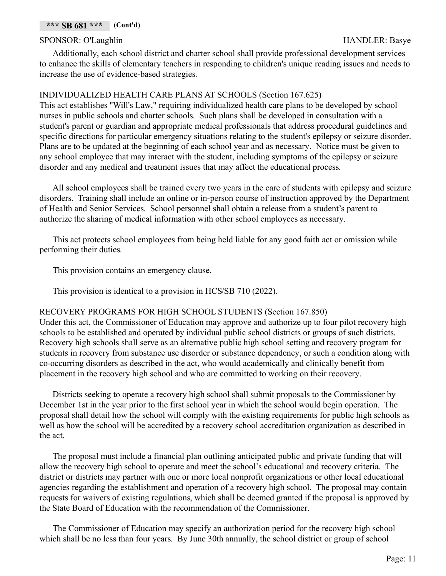Additionally, each school district and charter school shall provide professional development services to enhance the skills of elementary teachers in responding to children's unique reading issues and needs to increase the use of evidence-based strategies.

### INDIVIDUALIZED HEALTH CARE PLANS AT SCHOOLS (Section 167.625)

This act establishes "Will's Law," requiring individualized health care plans to be developed by school nurses in public schools and charter schools. Such plans shall be developed in consultation with a student's parent or guardian and appropriate medical professionals that address procedural guidelines and specific directions for particular emergency situations relating to the student's epilepsy or seizure disorder. Plans are to be updated at the beginning of each school year and as necessary. Notice must be given to any school employee that may interact with the student, including symptoms of the epilepsy or seizure disorder and any medical and treatment issues that may affect the educational process.

All school employees shall be trained every two years in the care of students with epilepsy and seizure disorders. Training shall include an online or in-person course of instruction approved by the Department of Health and Senior Services. School personnel shall obtain a release from a student's parent to authorize the sharing of medical information with other school employees as necessary.

This act protects school employees from being held liable for any good faith act or omission while performing their duties.

This provision contains an emergency clause.

This provision is identical to a provision in HCS/SB 710 (2022).

### RECOVERY PROGRAMS FOR HIGH SCHOOL STUDENTS (Section 167.850)

Under this act, the Commissioner of Education may approve and authorize up to four pilot recovery high schools to be established and operated by individual public school districts or groups of such districts. Recovery high schools shall serve as an alternative public high school setting and recovery program for students in recovery from substance use disorder or substance dependency, or such a condition along with co-occurring disorders as described in the act, who would academically and clinically benefit from placement in the recovery high school and who are committed to working on their recovery.

Districts seeking to operate a recovery high school shall submit proposals to the Commissioner by December 1st in the year prior to the first school year in which the school would begin operation. The proposal shall detail how the school will comply with the existing requirements for public high schools as well as how the school will be accredited by a recovery school accreditation organization as described in the act.

The proposal must include a financial plan outlining anticipated public and private funding that will allow the recovery high school to operate and meet the school's educational and recovery criteria. The district or districts may partner with one or more local nonprofit organizations or other local educational agencies regarding the establishment and operation of a recovery high school. The proposal may contain requests for waivers of existing regulations, which shall be deemed granted if the proposal is approved by the State Board of Education with the recommendation of the Commissioner.

The Commissioner of Education may specify an authorization period for the recovery high school which shall be no less than four years. By June 30th annually, the school district or group of school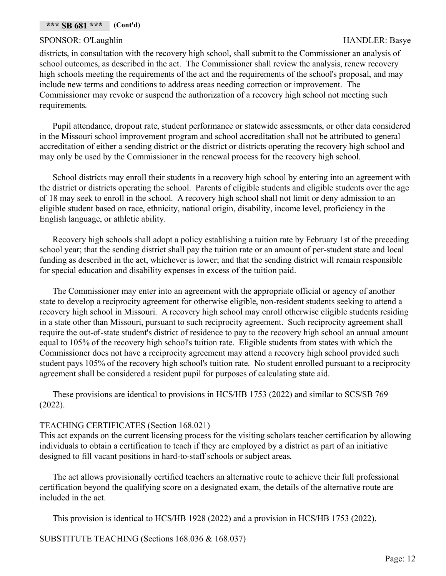districts, in consultation with the recovery high school, shall submit to the Commissioner an analysis of school outcomes, as described in the act. The Commissioner shall review the analysis, renew recovery high schools meeting the requirements of the act and the requirements of the school's proposal, and may include new terms and conditions to address areas needing correction or improvement. The Commissioner may revoke or suspend the authorization of a recovery high school not meeting such requirements.

Pupil attendance, dropout rate, student performance or statewide assessments, or other data considered in the Missouri school improvement program and school accreditation shall not be attributed to general accreditation of either a sending district or the district or districts operating the recovery high school and may only be used by the Commissioner in the renewal process for the recovery high school.

School districts may enroll their students in a recovery high school by entering into an agreement with the district or districts operating the school. Parents of eligible students and eligible students over the age of 18 may seek to enroll in the school. A recovery high school shall not limit or deny admission to an eligible student based on race, ethnicity, national origin, disability, income level, proficiency in the English language, or athletic ability.

Recovery high schools shall adopt a policy establishing a tuition rate by February 1st of the preceding school year; that the sending district shall pay the tuition rate or an amount of per-student state and local funding as described in the act, whichever is lower; and that the sending district will remain responsible for special education and disability expenses in excess of the tuition paid.

The Commissioner may enter into an agreement with the appropriate official or agency of another state to develop a reciprocity agreement for otherwise eligible, non-resident students seeking to attend a recovery high school in Missouri. A recovery high school may enroll otherwise eligible students residing in a state other than Missouri, pursuant to such reciprocity agreement. Such reciprocity agreement shall require the out-of-state student's district of residence to pay to the recovery high school an annual amount equal to 105% of the recovery high school's tuition rate. Eligible students from states with which the Commissioner does not have a reciprocity agreement may attend a recovery high school provided such student pays 105% of the recovery high school's tuition rate. No student enrolled pursuant to a reciprocity agreement shall be considered a resident pupil for purposes of calculating state aid.

These provisions are identical to provisions in HCS/HB 1753 (2022) and similar to SCS/SB 769 (2022).

### TEACHING CERTIFICATES (Section 168.021)

This act expands on the current licensing process for the visiting scholars teacher certification by allowing individuals to obtain a certification to teach if they are employed by a district as part of an initiative designed to fill vacant positions in hard-to-staff schools or subject areas.

The act allows provisionally certified teachers an alternative route to achieve their full professional certification beyond the qualifying score on a designated exam, the details of the alternative route are included in the act.

This provision is identical to HCS/HB 1928 (2022) and a provision in HCS/HB 1753 (2022).

SUBSTITUTE TEACHING (Sections 168.036 & 168.037)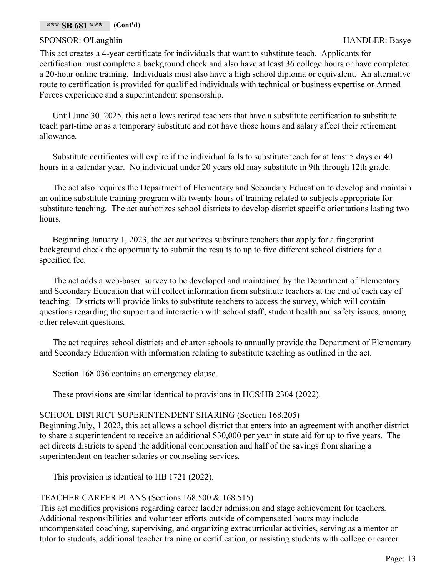This act creates a 4-year certificate for individuals that want to substitute teach. Applicants for certification must complete a background check and also have at least 36 college hours or have completed a 20-hour online training. Individuals must also have a high school diploma or equivalent. An alternative route to certification is provided for qualified individuals with technical or business expertise or Armed Forces experience and a superintendent sponsorship.

Until June 30, 2025, this act allows retired teachers that have a substitute certification to substitute teach part-time or as a temporary substitute and not have those hours and salary affect their retirement allowance.

Substitute certificates will expire if the individual fails to substitute teach for at least 5 days or 40 hours in a calendar year. No individual under 20 years old may substitute in 9th through 12th grade.

The act also requires the Department of Elementary and Secondary Education to develop and maintain an online substitute training program with twenty hours of training related to subjects appropriate for substitute teaching. The act authorizes school districts to develop district specific orientations lasting two hours.

Beginning January 1, 2023, the act authorizes substitute teachers that apply for a fingerprint background check the opportunity to submit the results to up to five different school districts for a specified fee.

The act adds a web-based survey to be developed and maintained by the Department of Elementary and Secondary Education that will collect information from substitute teachers at the end of each day of teaching. Districts will provide links to substitute teachers to access the survey, which will contain questions regarding the support and interaction with school staff, student health and safety issues, among other relevant questions.

The act requires school districts and charter schools to annually provide the Department of Elementary and Secondary Education with information relating to substitute teaching as outlined in the act.

Section 168.036 contains an emergency clause.

These provisions are similar identical to provisions in HCS/HB 2304 (2022).

### SCHOOL DISTRICT SUPERINTENDENT SHARING (Section 168.205)

Beginning July, 1 2023, this act allows a school district that enters into an agreement with another district to share a superintendent to receive an additional \$30,000 per year in state aid for up to five years. The act directs districts to spend the additional compensation and half of the savings from sharing a superintendent on teacher salaries or counseling services.

This provision is identical to HB 1721 (2022).

### TEACHER CAREER PLANS (Sections 168.500 & 168.515)

This act modifies provisions regarding career ladder admission and stage achievement for teachers. Additional responsibilities and volunteer efforts outside of compensated hours may include uncompensated coaching, supervising, and organizing extracurricular activities, serving as a mentor or tutor to students, additional teacher training or certification, or assisting students with college or career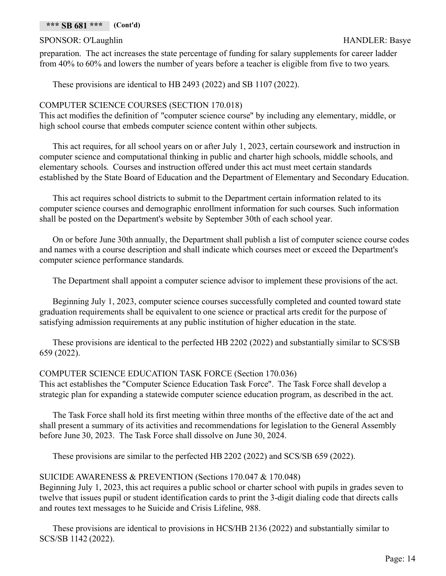### **\*\*\* SB 681 \*\*\* (Cont'd)**

### SPONSOR: O'Laughlin HANDLER: Basye

preparation. The act increases the state percentage of funding for salary supplements for career ladder from 40% to 60% and lowers the number of years before a teacher is eligible from five to two years.

These provisions are identical to HB 2493 (2022) and SB 1107 (2022).

### COMPUTER SCIENCE COURSES (SECTION 170.018)

This act modifies the definition of "computer science course" by including any elementary, middle, or high school course that embeds computer science content within other subjects.

This act requires, for all school years on or after July 1, 2023, certain coursework and instruction in computer science and computational thinking in public and charter high schools, middle schools, and elementary schools. Courses and instruction offered under this act must meet certain standards established by the State Board of Education and the Department of Elementary and Secondary Education.

This act requires school districts to submit to the Department certain information related to its computer science courses and demographic enrollment information for such courses. Such information shall be posted on the Department's website by September 30th of each school year.

On or before June 30th annually, the Department shall publish a list of computer science course codes and names with a course description and shall indicate which courses meet or exceed the Department's computer science performance standards.

The Department shall appoint a computer science advisor to implement these provisions of the act.

Beginning July 1, 2023, computer science courses successfully completed and counted toward state graduation requirements shall be equivalent to one science or practical arts credit for the purpose of satisfying admission requirements at any public institution of higher education in the state.

These provisions are identical to the perfected HB 2202 (2022) and substantially similar to SCS/SB 659 (2022).

### COMPUTER SCIENCE EDUCATION TASK FORCE (Section 170.036)

This act establishes the "Computer Science Education Task Force". The Task Force shall develop a strategic plan for expanding a statewide computer science education program, as described in the act.

The Task Force shall hold its first meeting within three months of the effective date of the act and shall present a summary of its activities and recommendations for legislation to the General Assembly before June 30, 2023. The Task Force shall dissolve on June 30, 2024.

These provisions are similar to the perfected HB 2202 (2022) and SCS/SB 659 (2022).

### SUICIDE AWARENESS & PREVENTION (Sections 170.047 & 170.048)

Beginning July 1, 2023, this act requires a public school or charter school with pupils in grades seven to twelve that issues pupil or student identification cards to print the 3-digit dialing code that directs calls and routes text messages to he Suicide and Crisis Lifeline, 988.

These provisions are identical to provisions in HCS/HB 2136 (2022) and substantially similar to SCS/SB 1142 (2022).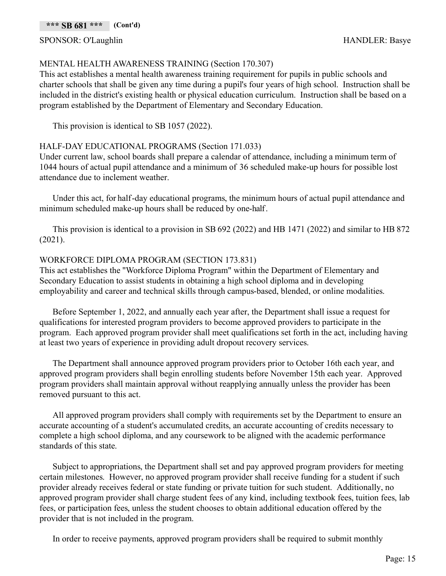### **\*\*\* SB 681 \*\*\* (Cont'd)**

### SPONSOR: O'Laughlin HANDLER: Basye

### MENTAL HEALTH AWARENESS TRAINING (Section 170.307)

This act establishes a mental health awareness training requirement for pupils in public schools and charter schools that shall be given any time during a pupil's four years of high school. Instruction shall be included in the district's existing health or physical education curriculum. Instruction shall be based on a program established by the Department of Elementary and Secondary Education.

This provision is identical to SB 1057 (2022).

### HALF-DAY EDUCATIONAL PROGRAMS (Section 171.033)

Under current law, school boards shall prepare a calendar of attendance, including a minimum term of 1044 hours of actual pupil attendance and a minimum of 36 scheduled make-up hours for possible lost attendance due to inclement weather.

Under this act, for half-day educational programs, the minimum hours of actual pupil attendance and minimum scheduled make-up hours shall be reduced by one-half.

This provision is identical to a provision in SB 692 (2022) and HB 1471 (2022) and similar to HB 872 (2021).

### WORKFORCE DIPLOMA PROGRAM (SECTION 173.831)

This act establishes the "Workforce Diploma Program" within the Department of Elementary and Secondary Education to assist students in obtaining a high school diploma and in developing employability and career and technical skills through campus-based, blended, or online modalities.

Before September 1, 2022, and annually each year after, the Department shall issue a request for qualifications for interested program providers to become approved providers to participate in the program. Each approved program provider shall meet qualifications set forth in the act, including having at least two years of experience in providing adult dropout recovery services.

The Department shall announce approved program providers prior to October 16th each year, and approved program providers shall begin enrolling students before November 15th each year. Approved program providers shall maintain approval without reapplying annually unless the provider has been removed pursuant to this act.

All approved program providers shall comply with requirements set by the Department to ensure an accurate accounting of a student's accumulated credits, an accurate accounting of credits necessary to complete a high school diploma, and any coursework to be aligned with the academic performance standards of this state.

Subject to appropriations, the Department shall set and pay approved program providers for meeting certain milestones. However, no approved program provider shall receive funding for a student if such provider already receives federal or state funding or private tuition for such student. Additionally, no approved program provider shall charge student fees of any kind, including textbook fees, tuition fees, lab fees, or participation fees, unless the student chooses to obtain additional education offered by the provider that is not included in the program.

In order to receive payments, approved program providers shall be required to submit monthly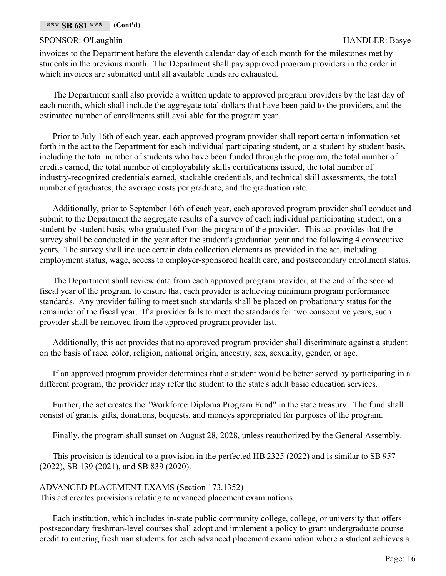invoices to the Department before the eleventh calendar day of each month for the milestones met by students in the previous month. The Department shall pay approved program providers in the order in which invoices are submitted until all available funds are exhausted.

The Department shall also provide a written update to approved program providers by the last day of each month, which shall include the aggregate total dollars that have been paid to the providers, and the estimated number of enrollments still available for the program year.

Prior to July 16th of each year, each approved program provider shall report certain information set forth in the act to the Department for each individual participating student, on a student-by-student basis, including the total number of students who have been funded through the program, the total number of credits earned, the total number of employability skills certifications issued, the total number of industry-recognized credentials earned, stackable credentials, and technical skill assessments, the total number of graduates, the average costs per graduate, and the graduation rate.

Additionally, prior to September 16th of each year, each approved program provider shall conduct and submit to the Department the aggregate results of a survey of each individual participating student, on a student-by-student basis, who graduated from the program of the provider. This act provides that the survey shall be conducted in the year after the student's graduation year and the following 4 consecutive years. The survey shall include certain data collection elements as provided in the act, including employment status, wage, access to employer-sponsored health care, and postsecondary enrollment status.

The Department shall review data from each approved program provider, at the end of the second fiscal year of the program, to ensure that each provider is achieving minimum program performance standards. Any provider failing to meet such standards shall be placed on probationary status for the remainder of the fiscal year. If a provider fails to meet the standards for two consecutive years, such provider shall be removed from the approved program provider list.

Additionally, this act provides that no approved program provider shall discriminate against a student on the basis of race, color, religion, national origin, ancestry, sex, sexuality, gender, or age.

If an approved program provider determines that a student would be better served by participating in a different program, the provider may refer the student to the state's adult basic education services.

Further, the act creates the "Workforce Diploma Program Fund" in the state treasury. The fund shall consist of grants, gifts, donations, bequests, and moneys appropriated for purposes of the program.

Finally, the program shall sunset on August 28, 2028, unless reauthorized by the General Assembly.

This provision is identical to a provision in the perfected HB 2325 (2022) and is similar to SB 957 (2022), SB 139 (2021), and SB 839 (2020).

### ADVANCED PLACEMENT EXAMS (Section 173.1352)

This act creates provisions relating to advanced placement examinations.

Each institution, which includes in-state public community college, college, or university that offers postsecondary freshman-level courses shall adopt and implement a policy to grant undergraduate course credit to entering freshman students for each advanced placement examination where a student achieves a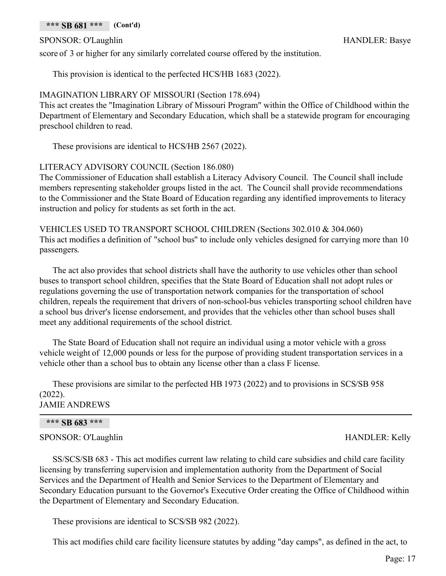### **\*\*\* SB 681 \*\*\* (Cont'd)**

SPONSOR: O'Laughlin HANDLER: Basye

score of 3 or higher for any similarly correlated course offered by the institution.

This provision is identical to the perfected HCS/HB 1683 (2022).

### IMAGINATION LIBRARY OF MISSOURI (Section 178.694)

This act creates the "Imagination Library of Missouri Program" within the Office of Childhood within the Department of Elementary and Secondary Education, which shall be a statewide program for encouraging preschool children to read.

These provisions are identical to HCS/HB 2567 (2022).

### LITERACY ADVISORY COUNCIL (Section 186.080)

The Commissioner of Education shall establish a Literacy Advisory Council. The Council shall include members representing stakeholder groups listed in the act. The Council shall provide recommendations to the Commissioner and the State Board of Education regarding any identified improvements to literacy instruction and policy for students as set forth in the act.

VEHICLES USED TO TRANSPORT SCHOOL CHILDREN (Sections 302.010 & 304.060) This act modifies a definition of "school bus" to include only vehicles designed for carrying more than 10 passengers.

The act also provides that school districts shall have the authority to use vehicles other than school buses to transport school children, specifies that the State Board of Education shall not adopt rules or regulations governing the use of transportation network companies for the transportation of school children, repeals the requirement that drivers of non-school-bus vehicles transporting school children have a school bus driver's license endorsement, and provides that the vehicles other than school buses shall meet any additional requirements of the school district.

The State Board of Education shall not require an individual using a motor vehicle with a gross vehicle weight of 12,000 pounds or less for the purpose of providing student transportation services in a vehicle other than a school bus to obtain any license other than a class F license.

These provisions are similar to the perfected HB 1973 (2022) and to provisions in SCS/SB 958 (2022). JAMIE ANDREWS

**\*\*\* SB 683 \*\*\***

SPONSOR: O'Laughlin HANDLER: Kelly

SS/SCS/SB 683 - This act modifies current law relating to child care subsidies and child care facility licensing by transferring supervision and implementation authority from the Department of Social Services and the Department of Health and Senior Services to the Department of Elementary and Secondary Education pursuant to the Governor's Executive Order creating the Office of Childhood within the Department of Elementary and Secondary Education.

These provisions are identical to SCS/SB 982 (2022).

This act modifies child care facility licensure statutes by adding "day camps", as defined in the act, to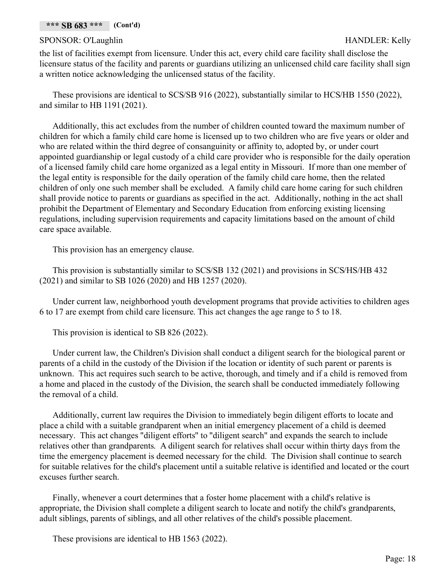### SPONSOR: O'Laughlin HANDLER: Kelly

the list of facilities exempt from licensure. Under this act, every child care facility shall disclose the licensure status of the facility and parents or guardians utilizing an unlicensed child care facility shall sign a written notice acknowledging the unlicensed status of the facility.

These provisions are identical to SCS/SB 916 (2022), substantially similar to HCS/HB 1550 (2022), and similar to HB 1191 (2021).

Additionally, this act excludes from the number of children counted toward the maximum number of children for which a family child care home is licensed up to two children who are five years or older and who are related within the third degree of consanguinity or affinity to, adopted by, or under court appointed guardianship or legal custody of a child care provider who is responsible for the daily operation of a licensed family child care home organized as a legal entity in Missouri. If more than one member of the legal entity is responsible for the daily operation of the family child care home, then the related children of only one such member shall be excluded. A family child care home caring for such children shall provide notice to parents or guardians as specified in the act. Additionally, nothing in the act shall prohibit the Department of Elementary and Secondary Education from enforcing existing licensing regulations, including supervision requirements and capacity limitations based on the amount of child care space available.

This provision has an emergency clause.

This provision is substantially similar to SCS/SB 132 (2021) and provisions in SCS/HS/HB 432 (2021) and similar to SB 1026 (2020) and HB 1257 (2020).

Under current law, neighborhood youth development programs that provide activities to children ages 6 to 17 are exempt from child care licensure. This act changes the age range to 5 to 18.

This provision is identical to SB 826 (2022).

Under current law, the Children's Division shall conduct a diligent search for the biological parent or parents of a child in the custody of the Division if the location or identity of such parent or parents is unknown. This act requires such search to be active, thorough, and timely and if a child is removed from a home and placed in the custody of the Division, the search shall be conducted immediately following the removal of a child.

Additionally, current law requires the Division to immediately begin diligent efforts to locate and place a child with a suitable grandparent when an initial emergency placement of a child is deemed necessary. This act changes "diligent efforts" to "diligent search" and expands the search to include relatives other than grandparents. A diligent search for relatives shall occur within thirty days from the time the emergency placement is deemed necessary for the child. The Division shall continue to search for suitable relatives for the child's placement until a suitable relative is identified and located or the court excuses further search.

Finally, whenever a court determines that a foster home placement with a child's relative is appropriate, the Division shall complete a diligent search to locate and notify the child's grandparents, adult siblings, parents of siblings, and all other relatives of the child's possible placement.

These provisions are identical to HB 1563 (2022).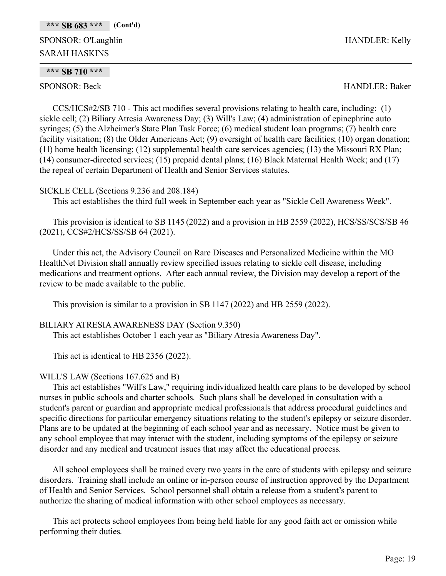### **\*\*\* SB 683 \*\*\* (Cont'd)**

### SPONSOR: O'Laughlin HANDLER: Kelly SARAH HASKINS

### **\*\*\* SB 710 \*\*\***

SPONSOR: Beck HANDLER: Baker

CCS/HCS#2/SB 710 - This act modifies several provisions relating to health care, including: (1) sickle cell; (2) Biliary Atresia Awareness Day; (3) Will's Law; (4) administration of epinephrine auto syringes; (5) the Alzheimer's State Plan Task Force; (6) medical student loan programs; (7) health care facility visitation; (8) the Older Americans Act; (9) oversight of health care facilities; (10) organ donation; (11) home health licensing; (12) supplemental health care services agencies; (13) the Missouri RX Plan; (14) consumer-directed services; (15) prepaid dental plans; (16) Black Maternal Health Week; and (17) the repeal of certain Department of Health and Senior Services statutes.

### SICKLE CELL (Sections 9.236 and 208.184)

This act establishes the third full week in September each year as "Sickle Cell Awareness Week".

This provision is identical to SB 1145 (2022) and a provision in HB 2559 (2022), HCS/SS/SCS/SB 46 (2021), CCS#2/HCS/SS/SB 64 (2021).

Under this act, the Advisory Council on Rare Diseases and Personalized Medicine within the MO HealthNet Division shall annually review specified issues relating to sickle cell disease, including medications and treatment options. After each annual review, the Division may develop a report of the review to be made available to the public.

This provision is similar to a provision in SB 1147 (2022) and HB 2559 (2022).

### BILIARY ATRESIA AWARENESS DAY (Section 9.350)

This act establishes October 1 each year as "Biliary Atresia Awareness Day".

This act is identical to HB 2356 (2022).

### WILL'S LAW (Sections 167.625 and B)

This act establishes "Will's Law," requiring individualized health care plans to be developed by school nurses in public schools and charter schools. Such plans shall be developed in consultation with a student's parent or guardian and appropriate medical professionals that address procedural guidelines and specific directions for particular emergency situations relating to the student's epilepsy or seizure disorder. Plans are to be updated at the beginning of each school year and as necessary. Notice must be given to any school employee that may interact with the student, including symptoms of the epilepsy or seizure disorder and any medical and treatment issues that may affect the educational process.

All school employees shall be trained every two years in the care of students with epilepsy and seizure disorders. Training shall include an online or in-person course of instruction approved by the Department of Health and Senior Services. School personnel shall obtain a release from a student's parent to authorize the sharing of medical information with other school employees as necessary.

This act protects school employees from being held liable for any good faith act or omission while performing their duties.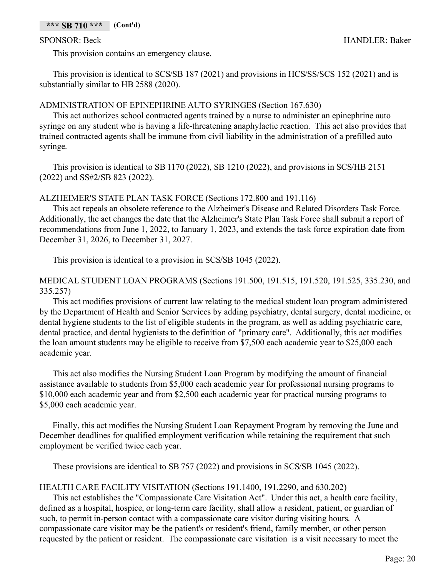This provision contains an emergency clause.

This provision is identical to SCS/SB 187 (2021) and provisions in HCS/SS/SCS 152 (2021) and is substantially similar to HB 2588 (2020).

### ADMINISTRATION OF EPINEPHRINE AUTO SYRINGES (Section 167.630)

This act authorizes school contracted agents trained by a nurse to administer an epinephrine auto syringe on any student who is having a life-threatening anaphylactic reaction. This act also provides that trained contracted agents shall be immune from civil liability in the administration of a prefilled auto syringe.

This provision is identical to SB 1170 (2022), SB 1210 (2022), and provisions in SCS/HB 2151 (2022) and SS#2/SB 823 (2022).

### ALZHEIMER'S STATE PLAN TASK FORCE (Sections 172.800 and 191.116)

This act repeals an obsolete reference to the Alzheimer's Disease and Related Disorders Task Force. Additionally, the act changes the date that the Alzheimer's State Plan Task Force shall submit a report of recommendations from June 1, 2022, to January 1, 2023, and extends the task force expiration date from December 31, 2026, to December 31, 2027.

This provision is identical to a provision in SCS/SB 1045 (2022).

### MEDICAL STUDENT LOAN PROGRAMS (Sections 191.500, 191.515, 191.520, 191.525, 335.230, and 335.257)

This act modifies provisions of current law relating to the medical student loan program administered by the Department of Health and Senior Services by adding psychiatry, dental surgery, dental medicine, or dental hygiene students to the list of eligible students in the program, as well as adding psychiatric care, dental practice, and dental hygienists to the definition of "primary care". Additionally, this act modifies the loan amount students may be eligible to receive from \$7,500 each academic year to \$25,000 each academic year.

This act also modifies the Nursing Student Loan Program by modifying the amount of financial assistance available to students from \$5,000 each academic year for professional nursing programs to \$10,000 each academic year and from \$2,500 each academic year for practical nursing programs to \$5,000 each academic year.

Finally, this act modifies the Nursing Student Loan Repayment Program by removing the June and December deadlines for qualified employment verification while retaining the requirement that such employment be verified twice each year.

These provisions are identical to SB 757 (2022) and provisions in SCS/SB 1045 (2022).

### HEALTH CARE FACILITY VISITATION (Sections 191.1400, 191.2290, and 630.202)

This act establishes the "Compassionate Care Visitation Act". Under this act, a health care facility, defined as a hospital, hospice, or long-term care facility, shall allow a resident, patient, or guardian of such, to permit in-person contact with a compassionate care visitor during visiting hours. A compassionate care visitor may be the patient's or resident's friend, family member, or other person requested by the patient or resident. The compassionate care visitation is a visit necessary to meet the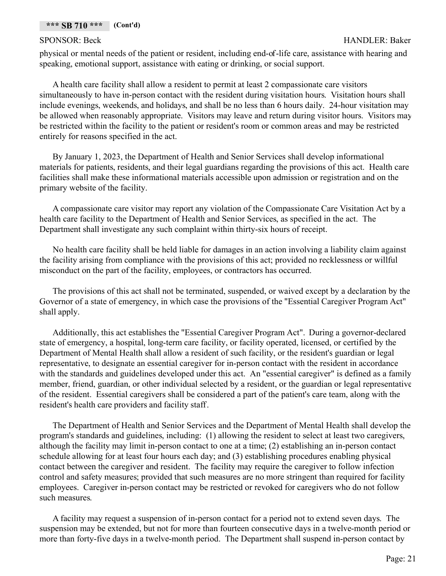physical or mental needs of the patient or resident, including end-of-life care, assistance with hearing and speaking, emotional support, assistance with eating or drinking, or social support.

A health care facility shall allow a resident to permit at least 2 compassionate care visitors simultaneously to have in-person contact with the resident during visitation hours. Visitation hours shall include evenings, weekends, and holidays, and shall be no less than 6 hours daily. 24-hour visitation may be allowed when reasonably appropriate. Visitors may leave and return during visitor hours. Visitors may be restricted within the facility to the patient or resident's room or common areas and may be restricted entirely for reasons specified in the act.

By January 1, 2023, the Department of Health and Senior Services shall develop informational materials for patients, residents, and their legal guardians regarding the provisions of this act. Health care facilities shall make these informational materials accessible upon admission or registration and on the primary website of the facility.

A compassionate care visitor may report any violation of the Compassionate Care Visitation Act by a health care facility to the Department of Health and Senior Services, as specified in the act. The Department shall investigate any such complaint within thirty-six hours of receipt.

No health care facility shall be held liable for damages in an action involving a liability claim against the facility arising from compliance with the provisions of this act; provided no recklessness or willful misconduct on the part of the facility, employees, or contractors has occurred.

The provisions of this act shall not be terminated, suspended, or waived except by a declaration by the Governor of a state of emergency, in which case the provisions of the "Essential Caregiver Program Act" shall apply.

Additionally, this act establishes the "Essential Caregiver Program Act". During a governor-declared state of emergency, a hospital, long-term care facility, or facility operated, licensed, or certified by the Department of Mental Health shall allow a resident of such facility, or the resident's guardian or legal representative, to designate an essential caregiver for in-person contact with the resident in accordance with the standards and guidelines developed under this act. An "essential caregiver" is defined as a family member, friend, guardian, or other individual selected by a resident, or the guardian or legal representative of the resident. Essential caregivers shall be considered a part of the patient's care team, along with the resident's health care providers and facility staff.

The Department of Health and Senior Services and the Department of Mental Health shall develop the program's standards and guidelines, including: (1) allowing the resident to select at least two caregivers, although the facility may limit in-person contact to one at a time; (2) establishing an in-person contact schedule allowing for at least four hours each day; and (3) establishing procedures enabling physical contact between the caregiver and resident. The facility may require the caregiver to follow infection control and safety measures; provided that such measures are no more stringent than required for facility employees. Caregiver in-person contact may be restricted or revoked for caregivers who do not follow such measures.

A facility may request a suspension of in-person contact for a period not to extend seven days. The suspension may be extended, but not for more than fourteen consecutive days in a twelve-month period or more than forty-five days in a twelve-month period. The Department shall suspend in-person contact by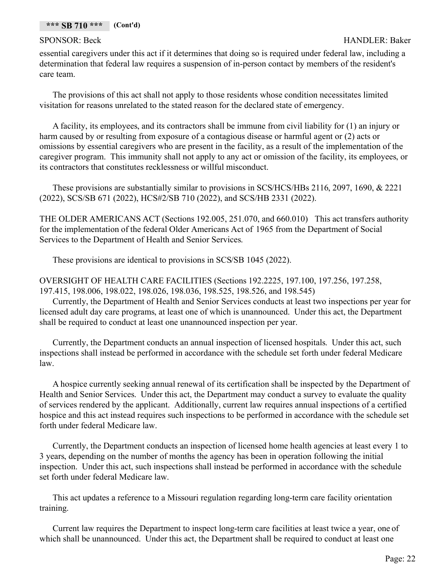essential caregivers under this act if it determines that doing so is required under federal law, including a determination that federal law requires a suspension of in-person contact by members of the resident's care team.

The provisions of this act shall not apply to those residents whose condition necessitates limited visitation for reasons unrelated to the stated reason for the declared state of emergency.

A facility, its employees, and its contractors shall be immune from civil liability for (1) an injury or harm caused by or resulting from exposure of a contagious disease or harmful agent or (2) acts or omissions by essential caregivers who are present in the facility, as a result of the implementation of the caregiver program. This immunity shall not apply to any act or omission of the facility, its employees, or its contractors that constitutes recklessness or willful misconduct.

These provisions are substantially similar to provisions in SCS/HCS/HBs 2116, 2097, 1690, & 2221 (2022), SCS/SB 671 (2022), HCS#2/SB 710 (2022), and SCS/HB 2331 (2022).

THE OLDER AMERICANS ACT (Sections 192.005, 251.070, and 660.010) This act transfers authority for the implementation of the federal Older Americans Act of 1965 from the Department of Social Services to the Department of Health and Senior Services.

These provisions are identical to provisions in SCS/SB 1045 (2022).

### OVERSIGHT OF HEALTH CARE FACILITIES (Sections 192.2225, 197.100, 197.256, 197.258, 197.415, 198.006, 198.022, 198.026, 198.036, 198.525, 198.526, and 198.545)

Currently, the Department of Health and Senior Services conducts at least two inspections per year for licensed adult day care programs, at least one of which is unannounced. Under this act, the Department shall be required to conduct at least one unannounced inspection per year.

Currently, the Department conducts an annual inspection of licensed hospitals. Under this act, such inspections shall instead be performed in accordance with the schedule set forth under federal Medicare law.

A hospice currently seeking annual renewal of its certification shall be inspected by the Department of Health and Senior Services. Under this act, the Department may conduct a survey to evaluate the quality of services rendered by the applicant. Additionally, current law requires annual inspections of a certified hospice and this act instead requires such inspections to be performed in accordance with the schedule set forth under federal Medicare law.

Currently, the Department conducts an inspection of licensed home health agencies at least every 1 to 3 years, depending on the number of months the agency has been in operation following the initial inspection. Under this act, such inspections shall instead be performed in accordance with the schedule set forth under federal Medicare law.

This act updates a reference to a Missouri regulation regarding long-term care facility orientation training.

Current law requires the Department to inspect long-term care facilities at least twice a year, one of which shall be unannounced. Under this act, the Department shall be required to conduct at least one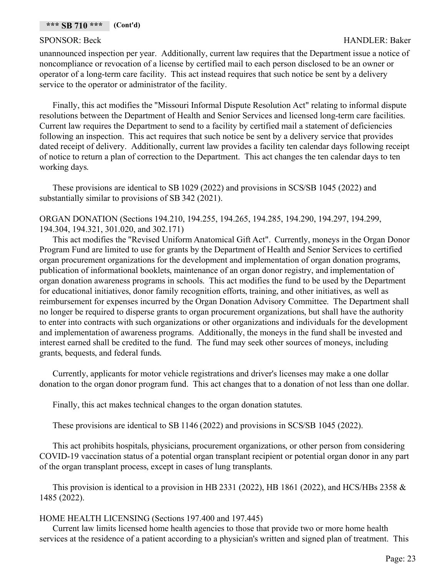unannounced inspection per year. Additionally, current law requires that the Department issue a notice of noncompliance or revocation of a license by certified mail to each person disclosed to be an owner or operator of a long-term care facility. This act instead requires that such notice be sent by a delivery service to the operator or administrator of the facility.

Finally, this act modifies the "Missouri Informal Dispute Resolution Act" relating to informal dispute resolutions between the Department of Health and Senior Services and licensed long-term care facilities. Current law requires the Department to send to a facility by certified mail a statement of deficiencies following an inspection. This act requires that such notice be sent by a delivery service that provides dated receipt of delivery. Additionally, current law provides a facility ten calendar days following receipt of notice to return a plan of correction to the Department. This act changes the ten calendar days to ten working days.

These provisions are identical to SB 1029 (2022) and provisions in SCS/SB 1045 (2022) and substantially similar to provisions of SB 342 (2021).

ORGAN DONATION (Sections 194.210, 194.255, 194.265, 194.285, 194.290, 194.297, 194.299, 194.304, 194.321, 301.020, and 302.171)

This act modifies the "Revised Uniform Anatomical Gift Act". Currently, moneys in the Organ Donor Program Fund are limited to use for grants by the Department of Health and Senior Services to certified organ procurement organizations for the development and implementation of organ donation programs, publication of informational booklets, maintenance of an organ donor registry, and implementation of organ donation awareness programs in schools. This act modifies the fund to be used by the Department for educational initiatives, donor family recognition efforts, training, and other initiatives, as well as reimbursement for expenses incurred by the Organ Donation Advisory Committee. The Department shall no longer be required to disperse grants to organ procurement organizations, but shall have the authority to enter into contracts with such organizations or other organizations and individuals for the development and implementation of awareness programs. Additionally, the moneys in the fund shall be invested and interest earned shall be credited to the fund. The fund may seek other sources of moneys, including grants, bequests, and federal funds.

Currently, applicants for motor vehicle registrations and driver's licenses may make a one dollar donation to the organ donor program fund. This act changes that to a donation of not less than one dollar.

Finally, this act makes technical changes to the organ donation statutes.

These provisions are identical to SB 1146 (2022) and provisions in SCS/SB 1045 (2022).

This act prohibits hospitals, physicians, procurement organizations, or other person from considering COVID-19 vaccination status of a potential organ transplant recipient or potential organ donor in any part of the organ transplant process, except in cases of lung transplants.

This provision is identical to a provision in HB 2331 (2022), HB 1861 (2022), and HCS/HBs 2358  $\&$ 1485 (2022).

### HOME HEALTH LICENSING (Sections 197.400 and 197.445)

Current law limits licensed home health agencies to those that provide two or more home health services at the residence of a patient according to a physician's written and signed plan of treatment. This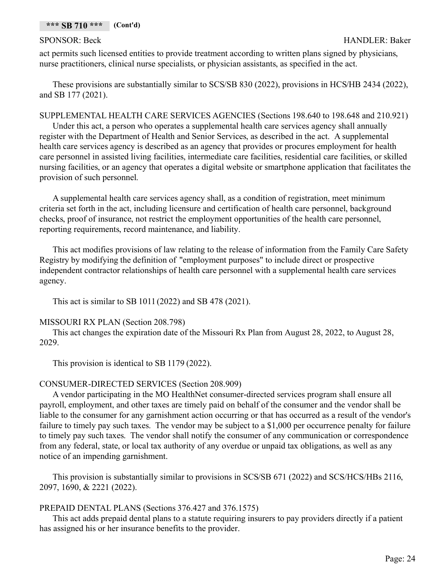act permits such licensed entities to provide treatment according to written plans signed by physicians, nurse practitioners, clinical nurse specialists, or physician assistants, as specified in the act.

These provisions are substantially similar to SCS/SB 830 (2022), provisions in HCS/HB 2434 (2022), and SB 177 (2021).

SUPPLEMENTAL HEALTH CARE SERVICES AGENCIES (Sections 198.640 to 198.648 and 210.921)

Under this act, a person who operates a supplemental health care services agency shall annually register with the Department of Health and Senior Services, as described in the act. A supplemental health care services agency is described as an agency that provides or procures employment for health care personnel in assisted living facilities, intermediate care facilities, residential care facilities, or skilled nursing facilities, or an agency that operates a digital website or smartphone application that facilitates the provision of such personnel.

A supplemental health care services agency shall, as a condition of registration, meet minimum criteria set forth in the act, including licensure and certification of health care personnel, background checks, proof of insurance, not restrict the employment opportunities of the health care personnel, reporting requirements, record maintenance, and liability.

This act modifies provisions of law relating to the release of information from the Family Care Safety Registry by modifying the definition of "employment purposes" to include direct or prospective independent contractor relationships of health care personnel with a supplemental health care services agency.

This act is similar to SB 1011 (2022) and SB 478 (2021).

### MISSOURI RX PLAN (Section 208.798)

This act changes the expiration date of the Missouri Rx Plan from August 28, 2022, to August 28, 2029.

This provision is identical to SB 1179 (2022).

### CONSUMER-DIRECTED SERVICES (Section 208.909)

A vendor participating in the MO HealthNet consumer-directed services program shall ensure all payroll, employment, and other taxes are timely paid on behalf of the consumer and the vendor shall be liable to the consumer for any garnishment action occurring or that has occurred as a result of the vendor's failure to timely pay such taxes. The vendor may be subject to a \$1,000 per occurrence penalty for failure to timely pay such taxes. The vendor shall notify the consumer of any communication or correspondence from any federal, state, or local tax authority of any overdue or unpaid tax obligations, as well as any notice of an impending garnishment.

This provision is substantially similar to provisions in SCS/SB 671 (2022) and SCS/HCS/HBs 2116, 2097, 1690, & 2221 (2022).

### PREPAID DENTAL PLANS (Sections 376.427 and 376.1575)

This act adds prepaid dental plans to a statute requiring insurers to pay providers directly if a patient has assigned his or her insurance benefits to the provider.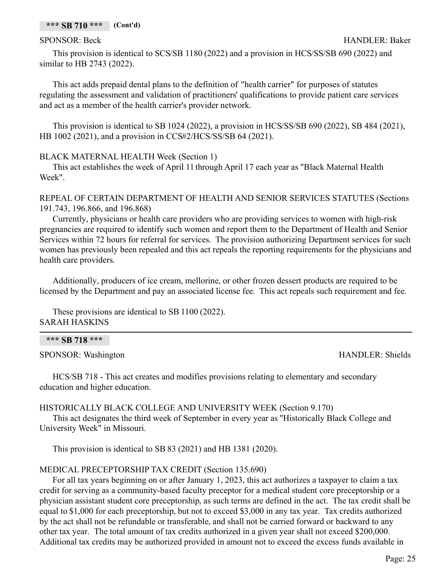### **\*\*\* SB 710 \*\*\* (Cont'd)**

This provision is identical to SCS/SB 1180 (2022) and a provision in HCS/SS/SB 690 (2022) and similar to HB 2743 (2022).

This act adds prepaid dental plans to the definition of "health carrier" for purposes of statutes regulating the assessment and validation of practitioners' qualifications to provide patient care services and act as a member of the health carrier's provider network.

This provision is identical to SB 1024 (2022), a provision in HCS/SS/SB 690 (2022), SB 484 (2021), HB 1002 (2021), and a provision in CCS#2/HCS/SS/SB 64 (2021).

### BLACK MATERNAL HEALTH Week (Section 1)

This act establishes the week of April 11 through April 17 each year as "Black Maternal Health Week".

REPEAL OF CERTAIN DEPARTMENT OF HEALTH AND SENIOR SERVICES STATUTES (Sections 191.743, 196.866, and 196.868)

Currently, physicians or health care providers who are providing services to women with high-risk pregnancies are required to identify such women and report them to the Department of Health and Senior Services within 72 hours for referral for services. The provision authorizing Department services for such women has previously been repealed and this act repeals the reporting requirements for the physicians and health care providers.

Additionally, producers of ice cream, mellorine, or other frozen dessert products are required to be licensed by the Department and pay an associated license fee. This act repeals such requirement and fee.

These provisions are identical to SB 1100 (2022). SARAH HASKINS

### **\*\*\* SB 718 \*\*\***

SPONSOR: Washington **HANDLER:** Shields

HCS/SB 718 - This act creates and modifies provisions relating to elementary and secondary education and higher education.

HISTORICALLY BLACK COLLEGE AND UNIVERSITY WEEK (Section 9.170)

This act designates the third week of September in every year as "Historically Black College and University Week" in Missouri.

This provision is identical to SB 83 (2021) and HB 1381 (2020).

### MEDICAL PRECEPTORSHIP TAX CREDIT (Section 135.690)

For all tax years beginning on or after January 1, 2023, this act authorizes a taxpayer to claim a tax credit for serving as a community-based faculty preceptor for a medical student core preceptorship or a physician assistant student core preceptorship, as such terms are defined in the act. The tax credit shall be equal to \$1,000 for each preceptorship, but not to exceed \$3,000 in any tax year. Tax credits authorized by the act shall not be refundable or transferable, and shall not be carried forward or backward to any other tax year. The total amount of tax credits authorized in a given year shall not exceed \$200,000. Additional tax credits may be authorized provided in amount not to exceed the excess funds available in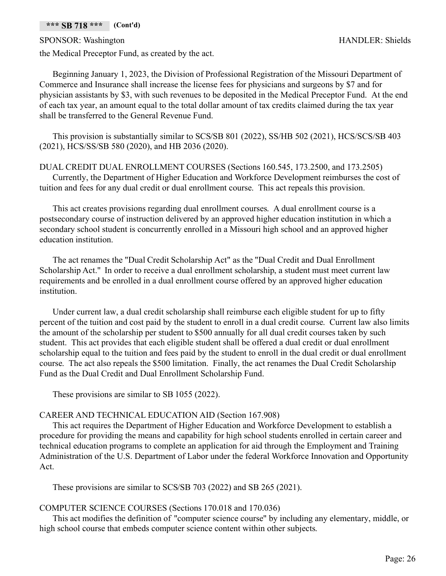### **\*\*\* SB 718 \*\*\* (Cont'd)**

### SPONSOR: Washington **HANDLER:** Shields

the Medical Preceptor Fund, as created by the act.

Beginning January 1, 2023, the Division of Professional Registration of the Missouri Department of Commerce and Insurance shall increase the license fees for physicians and surgeons by \$7 and for physician assistants by \$3, with such revenues to be deposited in the Medical Preceptor Fund. At the end of each tax year, an amount equal to the total dollar amount of tax credits claimed during the tax year shall be transferred to the General Revenue Fund.

This provision is substantially similar to SCS/SB 801 (2022), SS/HB 502 (2021), HCS/SCS/SB 403 (2021), HCS/SS/SB 580 (2020), and HB 2036 (2020).

DUAL CREDIT DUAL ENROLLMENT COURSES (Sections 160.545, 173.2500, and 173.2505) Currently, the Department of Higher Education and Workforce Development reimburses the cost of tuition and fees for any dual credit or dual enrollment course. This act repeals this provision.

This act creates provisions regarding dual enrollment courses. A dual enrollment course is a postsecondary course of instruction delivered by an approved higher education institution in which a secondary school student is concurrently enrolled in a Missouri high school and an approved higher education institution.

The act renames the "Dual Credit Scholarship Act" as the "Dual Credit and Dual Enrollment Scholarship Act." In order to receive a dual enrollment scholarship, a student must meet current law requirements and be enrolled in a dual enrollment course offered by an approved higher education institution.

Under current law, a dual credit scholarship shall reimburse each eligible student for up to fifty percent of the tuition and cost paid by the student to enroll in a dual credit course. Current law also limits the amount of the scholarship per student to \$500 annually for all dual credit courses taken by such student. This act provides that each eligible student shall be offered a dual credit or dual enrollment scholarship equal to the tuition and fees paid by the student to enroll in the dual credit or dual enrollment course. The act also repeals the \$500 limitation. Finally, the act renames the Dual Credit Scholarship Fund as the Dual Credit and Dual Enrollment Scholarship Fund.

These provisions are similar to SB 1055 (2022).

### CAREER AND TECHNICAL EDUCATION AID (Section 167.908)

This act requires the Department of Higher Education and Workforce Development to establish a procedure for providing the means and capability for high school students enrolled in certain career and technical education programs to complete an application for aid through the Employment and Training Administration of the U.S. Department of Labor under the federal Workforce Innovation and Opportunity Act.

These provisions are similar to SCS/SB 703 (2022) and SB 265 (2021).

### COMPUTER SCIENCE COURSES (Sections 170.018 and 170.036)

This act modifies the definition of "computer science course" by including any elementary, middle, or high school course that embeds computer science content within other subjects.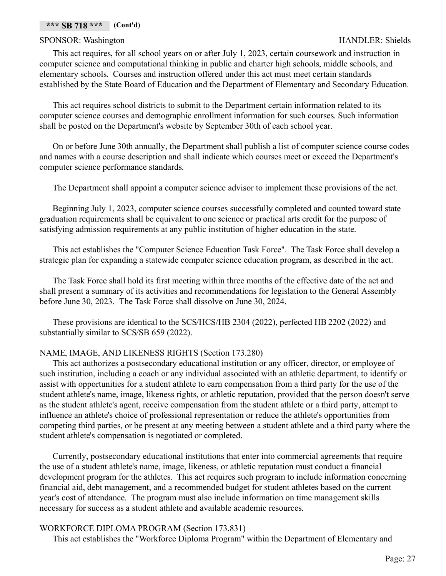### SPONSOR: Washington **HANDLER:** Shields

This act requires, for all school years on or after July 1, 2023, certain coursework and instruction in computer science and computational thinking in public and charter high schools, middle schools, and elementary schools. Courses and instruction offered under this act must meet certain standards established by the State Board of Education and the Department of Elementary and Secondary Education.

This act requires school districts to submit to the Department certain information related to its computer science courses and demographic enrollment information for such courses. Such information shall be posted on the Department's website by September 30th of each school year.

On or before June 30th annually, the Department shall publish a list of computer science course codes and names with a course description and shall indicate which courses meet or exceed the Department's computer science performance standards.

The Department shall appoint a computer science advisor to implement these provisions of the act.

Beginning July 1, 2023, computer science courses successfully completed and counted toward state graduation requirements shall be equivalent to one science or practical arts credit for the purpose of satisfying admission requirements at any public institution of higher education in the state.

This act establishes the "Computer Science Education Task Force". The Task Force shall develop a strategic plan for expanding a statewide computer science education program, as described in the act.

The Task Force shall hold its first meeting within three months of the effective date of the act and shall present a summary of its activities and recommendations for legislation to the General Assembly before June 30, 2023. The Task Force shall dissolve on June 30, 2024.

These provisions are identical to the SCS/HCS/HB 2304 (2022), perfected HB 2202 (2022) and substantially similar to SCS/SB 659 (2022).

### NAME, IMAGE, AND LIKENESS RIGHTS (Section 173.280)

This act authorizes a postsecondary educational institution or any officer, director, or employee of such institution, including a coach or any individual associated with an athletic department, to identify or assist with opportunities for a student athlete to earn compensation from a third party for the use of the student athlete's name, image, likeness rights, or athletic reputation, provided that the person doesn't serve as the student athlete's agent, receive compensation from the student athlete or a third party, attempt to influence an athlete's choice of professional representation or reduce the athlete's opportunities from competing third parties, or be present at any meeting between a student athlete and a third party where the student athlete's compensation is negotiated or completed.

Currently, postsecondary educational institutions that enter into commercial agreements that require the use of a student athlete's name, image, likeness, or athletic reputation must conduct a financial development program for the athletes. This act requires such program to include information concerning financial aid, debt management, and a recommended budget for student athletes based on the current year's cost of attendance. The program must also include information on time management skills necessary for success as a student athlete and available academic resources.

### WORKFORCE DIPLOMA PROGRAM (Section 173.831)

This act establishes the "Workforce Diploma Program" within the Department of Elementary and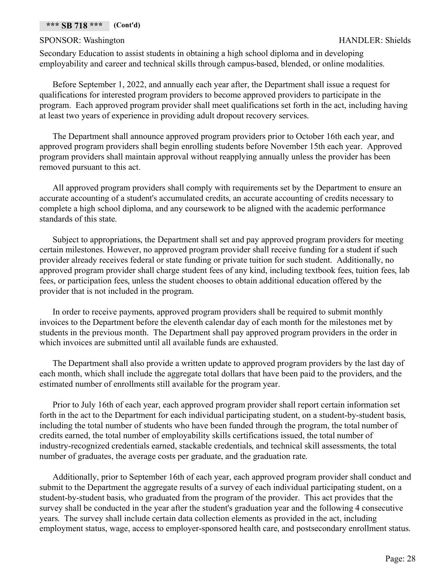### SPONSOR: Washington **HANDLER:** Shields

Secondary Education to assist students in obtaining a high school diploma and in developing employability and career and technical skills through campus-based, blended, or online modalities.

Before September 1, 2022, and annually each year after, the Department shall issue a request for qualifications for interested program providers to become approved providers to participate in the program. Each approved program provider shall meet qualifications set forth in the act, including having at least two years of experience in providing adult dropout recovery services.

The Department shall announce approved program providers prior to October 16th each year, and approved program providers shall begin enrolling students before November 15th each year. Approved program providers shall maintain approval without reapplying annually unless the provider has been removed pursuant to this act.

All approved program providers shall comply with requirements set by the Department to ensure an accurate accounting of a student's accumulated credits, an accurate accounting of credits necessary to complete a high school diploma, and any coursework to be aligned with the academic performance standards of this state.

Subject to appropriations, the Department shall set and pay approved program providers for meeting certain milestones. However, no approved program provider shall receive funding for a student if such provider already receives federal or state funding or private tuition for such student. Additionally, no approved program provider shall charge student fees of any kind, including textbook fees, tuition fees, lab fees, or participation fees, unless the student chooses to obtain additional education offered by the provider that is not included in the program.

In order to receive payments, approved program providers shall be required to submit monthly invoices to the Department before the eleventh calendar day of each month for the milestones met by students in the previous month. The Department shall pay approved program providers in the order in which invoices are submitted until all available funds are exhausted.

The Department shall also provide a written update to approved program providers by the last day of each month, which shall include the aggregate total dollars that have been paid to the providers, and the estimated number of enrollments still available for the program year.

Prior to July 16th of each year, each approved program provider shall report certain information set forth in the act to the Department for each individual participating student, on a student-by-student basis, including the total number of students who have been funded through the program, the total number of credits earned, the total number of employability skills certifications issued, the total number of industry-recognized credentials earned, stackable credentials, and technical skill assessments, the total number of graduates, the average costs per graduate, and the graduation rate.

Additionally, prior to September 16th of each year, each approved program provider shall conduct and submit to the Department the aggregate results of a survey of each individual participating student, on a student-by-student basis, who graduated from the program of the provider. This act provides that the survey shall be conducted in the year after the student's graduation year and the following 4 consecutive years. The survey shall include certain data collection elements as provided in the act, including employment status, wage, access to employer-sponsored health care, and postsecondary enrollment status.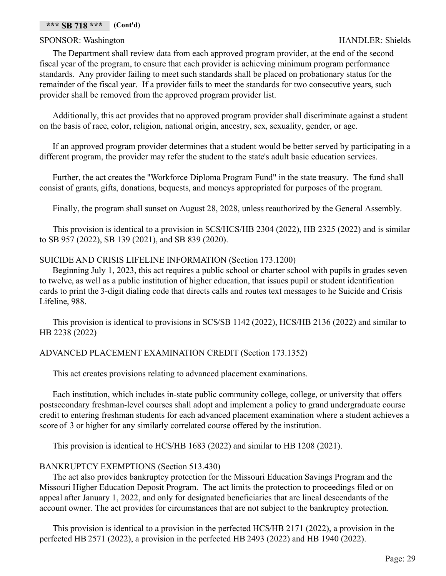### SPONSOR: Washington **HANDLER:** Shields

The Department shall review data from each approved program provider, at the end of the second fiscal year of the program, to ensure that each provider is achieving minimum program performance standards. Any provider failing to meet such standards shall be placed on probationary status for the remainder of the fiscal year. If a provider fails to meet the standards for two consecutive years, such provider shall be removed from the approved program provider list.

Additionally, this act provides that no approved program provider shall discriminate against a student on the basis of race, color, religion, national origin, ancestry, sex, sexuality, gender, or age.

If an approved program provider determines that a student would be better served by participating in a different program, the provider may refer the student to the state's adult basic education services.

Further, the act creates the "Workforce Diploma Program Fund" in the state treasury. The fund shall consist of grants, gifts, donations, bequests, and moneys appropriated for purposes of the program.

Finally, the program shall sunset on August 28, 2028, unless reauthorized by the General Assembly.

This provision is identical to a provision in SCS/HCS/HB 2304 (2022), HB 2325 (2022) and is similar to SB 957 (2022), SB 139 (2021), and SB 839 (2020).

### SUICIDE AND CRISIS LIFELINE INFORMATION (Section 173.1200)

Beginning July 1, 2023, this act requires a public school or charter school with pupils in grades seven to twelve, as well as a public institution of higher education, that issues pupil or student identification cards to print the 3-digit dialing code that directs calls and routes text messages to he Suicide and Crisis Lifeline, 988.

This provision is identical to provisions in SCS/SB 1142 (2022), HCS/HB 2136 (2022) and similar to HB 2238 (2022)

### ADVANCED PLACEMENT EXAMINATION CREDIT (Section 173.1352)

This act creates provisions relating to advanced placement examinations.

Each institution, which includes in-state public community college, college, or university that offers postsecondary freshman-level courses shall adopt and implement a policy to grand undergraduate course credit to entering freshman students for each advanced placement examination where a student achieves a score of 3 or higher for any similarly correlated course offered by the institution.

This provision is identical to HCS/HB 1683 (2022) and similar to HB 1208 (2021).

### BANKRUPTCY EXEMPTIONS (Section 513.430)

The act also provides bankruptcy protection for the Missouri Education Savings Program and the Missouri Higher Education Deposit Program. The act limits the protection to proceedings filed or on appeal after January 1, 2022, and only for designated beneficiaries that are lineal descendants of the account owner. The act provides for circumstances that are not subject to the bankruptcy protection.

This provision is identical to a provision in the perfected HCS/HB 2171 (2022), a provision in the perfected HB 2571 (2022), a provision in the perfected HB 2493 (2022) and HB 1940 (2022).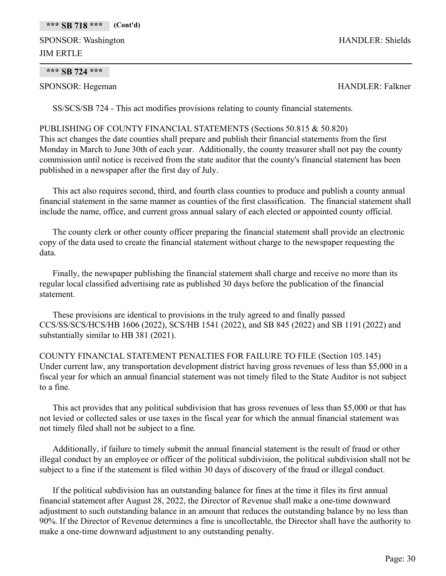### **\*\*\* SB 718 \*\*\* (Cont'd)**

SPONSOR: Washington **HANDLER:** Shields JIM ERTLE

### **\*\*\* SB 724 \*\*\***

SPONSOR: Hegeman HANDLER: Falkner

SS/SCS/SB 724 - This act modifies provisions relating to county financial statements.

### PUBLISHING OF COUNTY FINANCIAL STATEMENTS (Sections 50.815 & 50.820)

This act changes the date counties shall prepare and publish their financial statements from the first Monday in March to June 30th of each year. Additionally, the county treasurer shall not pay the county commission until notice is received from the state auditor that the county's financial statement has been published in a newspaper after the first day of July.

This act also requires second, third, and fourth class counties to produce and publish a county annual financial statement in the same manner as counties of the first classification. The financial statement shall include the name, office, and current gross annual salary of each elected or appointed county official.

The county clerk or other county officer preparing the financial statement shall provide an electronic copy of the data used to create the financial statement without charge to the newspaper requesting the data.

Finally, the newspaper publishing the financial statement shall charge and receive no more than its regular local classified advertising rate as published 30 days before the publication of the financial statement.

These provisions are identical to provisions in the truly agreed to and finally passed CCS/SS/SCS/HCS/HB 1606 (2022), SCS/HB 1541 (2022), and SB 845 (2022) and SB 1191 (2022) and substantially similar to HB 381 (2021).

COUNTY FINANCIAL STATEMENT PENALTIES FOR FAILURE TO FILE (Section 105.145) Under current law, any transportation development district having gross revenues of less than \$5,000 in a fiscal year for which an annual financial statement was not timely filed to the State Auditor is not subject to a fine.

This act provides that any political subdivision that has gross revenues of less than \$5,000 or that has not levied or collected sales or use taxes in the fiscal year for which the annual financial statement was not timely filed shall not be subject to a fine.

Additionally, if failure to timely submit the annual financial statement is the result of fraud or other illegal conduct by an employee or officer of the political subdivision, the political subdivision shall not be subject to a fine if the statement is filed within 30 days of discovery of the fraud or illegal conduct.

If the political subdivision has an outstanding balance for fines at the time it files its first annual financial statement after August 28, 2022, the Director of Revenue shall make a one-time downward adjustment to such outstanding balance in an amount that reduces the outstanding balance by no less than 90%. If the Director of Revenue determines a fine is uncollectable, the Director shall have the authority to make a one-time downward adjustment to any outstanding penalty.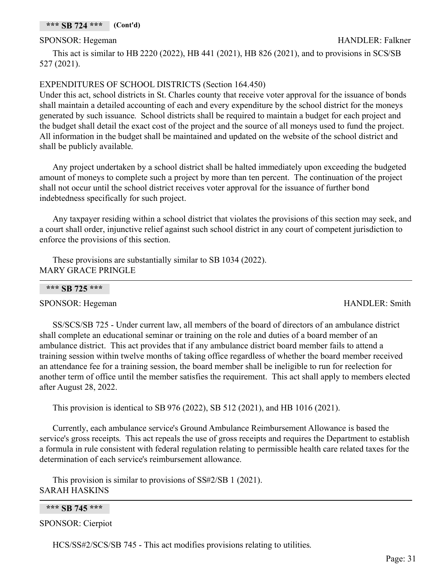### SPONSOR: Hegeman HANDLER: Falkner

This act is similar to HB 2220 (2022), HB 441 (2021), HB 826 (2021), and to provisions in SCS/SB 527 (2021).

### EXPENDITURES OF SCHOOL DISTRICTS (Section 164.450)

Under this act, school districts in St. Charles county that receive voter approval for the issuance of bonds shall maintain a detailed accounting of each and every expenditure by the school district for the moneys generated by such issuance. School districts shall be required to maintain a budget for each project and the budget shall detail the exact cost of the project and the source of all moneys used to fund the project. All information in the budget shall be maintained and updated on the website of the school district and shall be publicly available.

Any project undertaken by a school district shall be halted immediately upon exceeding the budgeted amount of moneys to complete such a project by more than ten percent. The continuation of the project shall not occur until the school district receives voter approval for the issuance of further bond indebtedness specifically for such project.

Any taxpayer residing within a school district that violates the provisions of this section may seek, and a court shall order, injunctive relief against such school district in any court of competent jurisdiction to enforce the provisions of this section.

These provisions are substantially similar to SB 1034 (2022). MARY GRACE PRINGLE

**\*\*\* SB 725 \*\*\***

SPONSOR: Hegeman HANDLER: Smith

SS/SCS/SB 725 - Under current law, all members of the board of directors of an ambulance district shall complete an educational seminar or training on the role and duties of a board member of an ambulance district. This act provides that if any ambulance district board member fails to attend a training session within twelve months of taking office regardless of whether the board member received an attendance fee for a training session, the board member shall be ineligible to run for reelection for another term of office until the member satisfies the requirement. This act shall apply to members elected after August 28, 2022.

This provision is identical to SB 976 (2022), SB 512 (2021), and HB 1016 (2021).

Currently, each ambulance service's Ground Ambulance Reimbursement Allowance is based the service's gross receipts. This act repeals the use of gross receipts and requires the Department to establish a formula in rule consistent with federal regulation relating to permissible health care related taxes for the determination of each service's reimbursement allowance.

This provision is similar to provisions of SS#2/SB 1 (2021). SARAH HASKINS

```
*** SB 745 ***
```
SPONSOR: Cierpiot

HCS/SS#2/SCS/SB 745 - This act modifies provisions relating to utilities.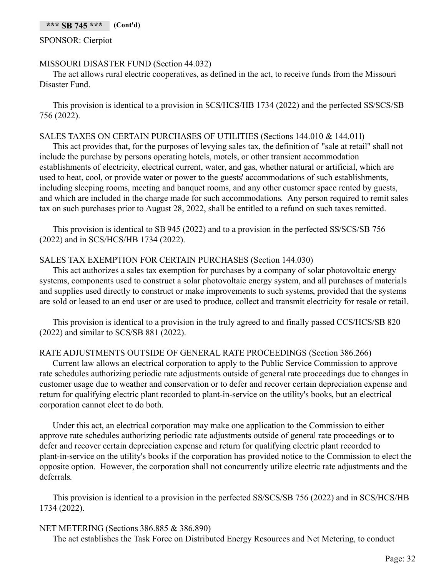### SPONSOR: Cierpiot

### MISSOURI DISASTER FUND (Section 44.032)

The act allows rural electric cooperatives, as defined in the act, to receive funds from the Missouri Disaster Fund.

This provision is identical to a provision in SCS/HCS/HB 1734 (2022) and the perfected SS/SCS/SB 756 (2022).

### SALES TAXES ON CERTAIN PURCHASES OF UTILITIES (Sections 144.010 & 144.011)

This act provides that, for the purposes of levying sales tax, the definition of "sale at retail" shall not include the purchase by persons operating hotels, motels, or other transient accommodation establishments of electricity, electrical current, water, and gas, whether natural or artificial, which are used to heat, cool, or provide water or power to the guests' accommodations of such establishments, including sleeping rooms, meeting and banquet rooms, and any other customer space rented by guests, and which are included in the charge made for such accommodations. Any person required to remit sales tax on such purchases prior to August 28, 2022, shall be entitled to a refund on such taxes remitted.

This provision is identical to SB 945 (2022) and to a provision in the perfected SS/SCS/SB 756 (2022) and in SCS/HCS/HB 1734 (2022).

### SALES TAX EXEMPTION FOR CERTAIN PURCHASES (Section 144.030)

This act authorizes a sales tax exemption for purchases by a company of solar photovoltaic energy systems, components used to construct a solar photovoltaic energy system, and all purchases of materials and supplies used directly to construct or make improvements to such systems, provided that the systems are sold or leased to an end user or are used to produce, collect and transmit electricity for resale or retail.

This provision is identical to a provision in the truly agreed to and finally passed CCS/HCS/SB 820 (2022) and similar to SCS/SB 881 (2022).

### RATE ADJUSTMENTS OUTSIDE OF GENERAL RATE PROCEEDINGS (Section 386.266)

Current law allows an electrical corporation to apply to the Public Service Commission to approve rate schedules authorizing periodic rate adjustments outside of general rate proceedings due to changes in customer usage due to weather and conservation or to defer and recover certain depreciation expense and return for qualifying electric plant recorded to plant-in-service on the utility's books, but an electrical corporation cannot elect to do both.

Under this act, an electrical corporation may make one application to the Commission to either approve rate schedules authorizing periodic rate adjustments outside of general rate proceedings or to defer and recover certain depreciation expense and return for qualifying electric plant recorded to plant-in-service on the utility's books if the corporation has provided notice to the Commission to elect the opposite option. However, the corporation shall not concurrently utilize electric rate adjustments and the deferrals.

This provision is identical to a provision in the perfected SS/SCS/SB 756 (2022) and in SCS/HCS/HB 1734 (2022).

### NET METERING (Sections 386.885 & 386.890)

The act establishes the Task Force on Distributed Energy Resources and Net Metering, to conduct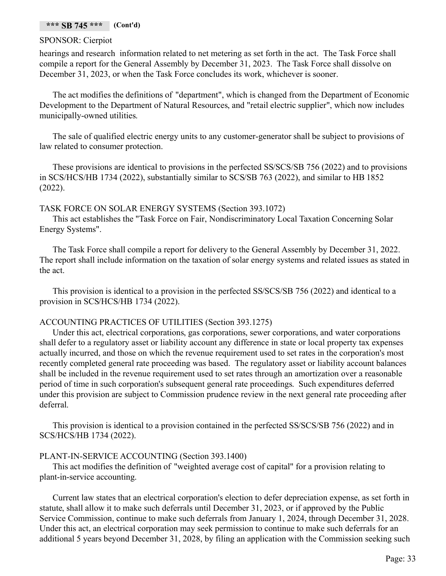### **\*\*\* SB 745 \*\*\* (Cont'd)**

### SPONSOR: Cierpiot

hearings and research information related to net metering as set forth in the act. The Task Force shall compile a report for the General Assembly by December 31, 2023. The Task Force shall dissolve on December 31, 2023, or when the Task Force concludes its work, whichever is sooner.

The act modifies the definitions of "department", which is changed from the Department of Economic Development to the Department of Natural Resources, and "retail electric supplier", which now includes municipally-owned utilities.

The sale of qualified electric energy units to any customer-generator shall be subject to provisions of law related to consumer protection.

These provisions are identical to provisions in the perfected SS/SCS/SB 756 (2022) and to provisions in SCS/HCS/HB 1734 (2022), substantially similar to SCS/SB 763 (2022), and similar to HB 1852 (2022).

### TASK FORCE ON SOLAR ENERGY SYSTEMS (Section 393.1072)

This act establishes the "Task Force on Fair, Nondiscriminatory Local Taxation Concerning Solar Energy Systems".

The Task Force shall compile a report for delivery to the General Assembly by December 31, 2022. The report shall include information on the taxation of solar energy systems and related issues as stated in the act.

This provision is identical to a provision in the perfected SS/SCS/SB 756 (2022) and identical to a provision in SCS/HCS/HB 1734 (2022).

### ACCOUNTING PRACTICES OF UTILITIES (Section 393.1275)

Under this act, electrical corporations, gas corporations, sewer corporations, and water corporations shall defer to a regulatory asset or liability account any difference in state or local property tax expenses actually incurred, and those on which the revenue requirement used to set rates in the corporation's most recently completed general rate proceeding was based. The regulatory asset or liability account balances shall be included in the revenue requirement used to set rates through an amortization over a reasonable period of time in such corporation's subsequent general rate proceedings. Such expenditures deferred under this provision are subject to Commission prudence review in the next general rate proceeding after deferral.

This provision is identical to a provision contained in the perfected SS/SCS/SB 756 (2022) and in SCS/HCS/HB 1734 (2022).

### PLANT-IN-SERVICE ACCOUNTING (Section 393.1400)

This act modifies the definition of "weighted average cost of capital" for a provision relating to plant-in-service accounting.

Current law states that an electrical corporation's election to defer depreciation expense, as set forth in statute, shall allow it to make such deferrals until December 31, 2023, or if approved by the Public Service Commission, continue to make such deferrals from January 1, 2024, through December 31, 2028. Under this act, an electrical corporation may seek permission to continue to make such deferrals for an additional 5 years beyond December 31, 2028, by filing an application with the Commission seeking such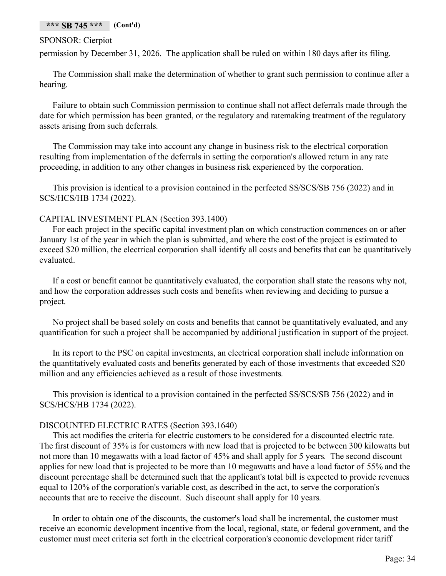### SPONSOR: Cierpiot

permission by December 31, 2026. The application shall be ruled on within 180 days after its filing.

The Commission shall make the determination of whether to grant such permission to continue after a hearing.

Failure to obtain such Commission permission to continue shall not affect deferrals made through the date for which permission has been granted, or the regulatory and ratemaking treatment of the regulatory assets arising from such deferrals.

The Commission may take into account any change in business risk to the electrical corporation resulting from implementation of the deferrals in setting the corporation's allowed return in any rate proceeding, in addition to any other changes in business risk experienced by the corporation.

This provision is identical to a provision contained in the perfected SS/SCS/SB 756 (2022) and in SCS/HCS/HB 1734 (2022).

### CAPITAL INVESTMENT PLAN (Section 393.1400)

For each project in the specific capital investment plan on which construction commences on or after January 1st of the year in which the plan is submitted, and where the cost of the project is estimated to exceed \$20 million, the electrical corporation shall identify all costs and benefits that can be quantitatively evaluated.

If a cost or benefit cannot be quantitatively evaluated, the corporation shall state the reasons why not, and how the corporation addresses such costs and benefits when reviewing and deciding to pursue a project.

No project shall be based solely on costs and benefits that cannot be quantitatively evaluated, and any quantification for such a project shall be accompanied by additional justification in support of the project.

In its report to the PSC on capital investments, an electrical corporation shall include information on the quantitatively evaluated costs and benefits generated by each of those investments that exceeded \$20 million and any efficiencies achieved as a result of those investments.

This provision is identical to a provision contained in the perfected SS/SCS/SB 756 (2022) and in SCS/HCS/HB 1734 (2022).

### DISCOUNTED ELECTRIC RATES (Section 393.1640)

This act modifies the criteria for electric customers to be considered for a discounted electric rate. The first discount of 35% is for customers with new load that is projected to be between 300 kilowatts but not more than 10 megawatts with a load factor of 45% and shall apply for 5 years. The second discount applies for new load that is projected to be more than 10 megawatts and have a load factor of 55% and the discount percentage shall be determined such that the applicant's total bill is expected to provide revenues equal to 120% of the corporation's variable cost, as described in the act, to serve the corporation's accounts that are to receive the discount. Such discount shall apply for 10 years.

In order to obtain one of the discounts, the customer's load shall be incremental, the customer must receive an economic development incentive from the local, regional, state, or federal government, and the customer must meet criteria set forth in the electrical corporation's economic development rider tariff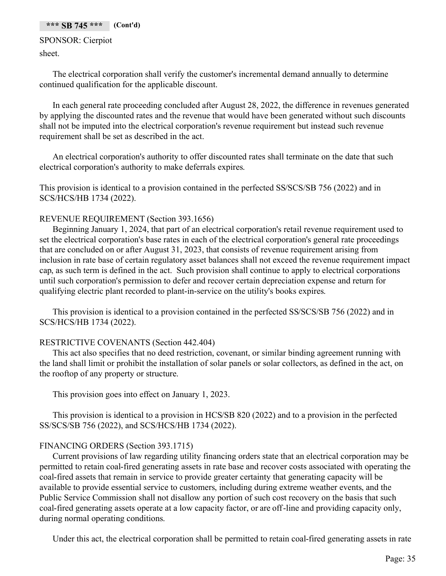### **\*\*\* SB 745 \*\*\* (Cont'd)**

SPONSOR: Cierpiot sheet.

The electrical corporation shall verify the customer's incremental demand annually to determine continued qualification for the applicable discount.

In each general rate proceeding concluded after August 28, 2022, the difference in revenues generated by applying the discounted rates and the revenue that would have been generated without such discounts shall not be imputed into the electrical corporation's revenue requirement but instead such revenue requirement shall be set as described in the act.

An electrical corporation's authority to offer discounted rates shall terminate on the date that such electrical corporation's authority to make deferrals expires.

This provision is identical to a provision contained in the perfected SS/SCS/SB 756 (2022) and in SCS/HCS/HB 1734 (2022).

### REVENUE REQUIREMENT (Section 393.1656)

Beginning January 1, 2024, that part of an electrical corporation's retail revenue requirement used to set the electrical corporation's base rates in each of the electrical corporation's general rate proceedings that are concluded on or after August 31, 2023, that consists of revenue requirement arising from inclusion in rate base of certain regulatory asset balances shall not exceed the revenue requirement impact cap, as such term is defined in the act. Such provision shall continue to apply to electrical corporations until such corporation's permission to defer and recover certain depreciation expense and return for qualifying electric plant recorded to plant-in-service on the utility's books expires.

This provision is identical to a provision contained in the perfected SS/SCS/SB 756 (2022) and in SCS/HCS/HB 1734 (2022).

### RESTRICTIVE COVENANTS (Section 442.404)

This act also specifies that no deed restriction, covenant, or similar binding agreement running with the land shall limit or prohibit the installation of solar panels or solar collectors, as defined in the act, on the rooftop of any property or structure.

This provision goes into effect on January 1, 2023.

This provision is identical to a provision in HCS/SB 820 (2022) and to a provision in the perfected SS/SCS/SB 756 (2022), and SCS/HCS/HB 1734 (2022).

### FINANCING ORDERS (Section 393.1715)

Current provisions of law regarding utility financing orders state that an electrical corporation may be permitted to retain coal-fired generating assets in rate base and recover costs associated with operating the coal-fired assets that remain in service to provide greater certainty that generating capacity will be available to provide essential service to customers, including during extreme weather events, and the Public Service Commission shall not disallow any portion of such cost recovery on the basis that such coal-fired generating assets operate at a low capacity factor, or are off-line and providing capacity only, during normal operating conditions.

Under this act, the electrical corporation shall be permitted to retain coal-fired generating assets in rate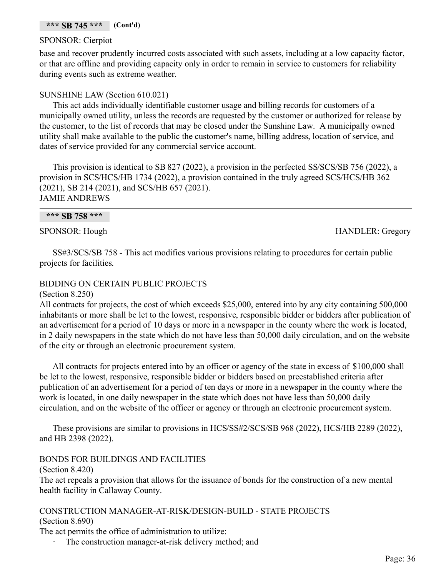### **\*\*\* SB 745 \*\*\* (Cont'd)**

### SPONSOR: Cierpiot

base and recover prudently incurred costs associated with such assets, including at a low capacity factor, or that are offline and providing capacity only in order to remain in service to customers for reliability during events such as extreme weather.

# SUNSHINE LAW (Section 610.021)

This act adds individually identifiable customer usage and billing records for customers of a municipally owned utility, unless the records are requested by the customer or authorized for release by the customer, to the list of records that may be closed under the Sunshine Law. A municipally owned utility shall make available to the public the customer's name, billing address, location of service, and dates of service provided for any commercial service account.

This provision is identical to SB 827 (2022), a provision in the perfected SS/SCS/SB 756 (2022), a provision in SCS/HCS/HB 1734 (2022), a provision contained in the truly agreed SCS/HCS/HB 362 (2021), SB 214 (2021), and SCS/HB 657 (2021). JAMIE ANDREWS

#### **\*\*\* SB 758 \*\*\***

SPONSOR: Hough HANDLER: Gregory

SS#3/SCS/SB 758 - This act modifies various provisions relating to procedures for certain public projects for facilities.

# BIDDING ON CERTAIN PUBLIC PROJECTS

(Section 8.250)

All contracts for projects, the cost of which exceeds \$25,000, entered into by any city containing 500,000 inhabitants or more shall be let to the lowest, responsive, responsible bidder or bidders after publication of an advertisement for a period of 10 days or more in a newspaper in the county where the work is located, in 2 daily newspapers in the state which do not have less than 50,000 daily circulation, and on the website of the city or through an electronic procurement system.

All contracts for projects entered into by an officer or agency of the state in excess of \$100,000 shall be let to the lowest, responsive, responsible bidder or bidders based on preestablished criteria after publication of an advertisement for a period of ten days or more in a newspaper in the county where the work is located, in one daily newspaper in the state which does not have less than 50,000 daily circulation, and on the website of the officer or agency or through an electronic procurement system.

These provisions are similar to provisions in HCS/SS#2/SCS/SB 968 (2022), HCS/HB 2289 (2022), and HB 2398 (2022).

BONDS FOR BUILDINGS AND FACILITIES

(Section 8.420)

The act repeals a provision that allows for the issuance of bonds for the construction of a new mental health facility in Callaway County.

# CONSTRUCTION MANAGER-AT-RISK/DESIGN-BUILD - STATE PROJECTS (Section 8.690)

The act permits the office of administration to utilize:

The construction manager-at-risk delivery method; and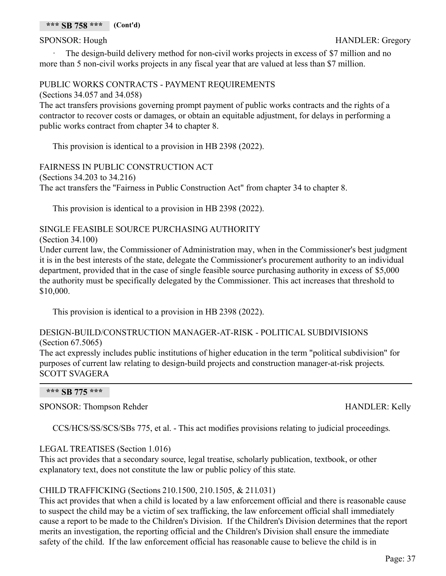The design-build delivery method for non-civil works projects in excess of \$7 million and no more than 5 non-civil works projects in any fiscal year that are valued at less than \$7 million.

# PUBLIC WORKS CONTRACTS - PAYMENT REQUIREMENTS

(Sections 34.057 and 34.058)

The act transfers provisions governing prompt payment of public works contracts and the rights of a contractor to recover costs or damages, or obtain an equitable adjustment, for delays in performing a public works contract from chapter 34 to chapter 8.

This provision is identical to a provision in HB 2398 (2022).

FAIRNESS IN PUBLIC CONSTRUCTION ACT (Sections 34.203 to 34.216) The act transfers the "Fairness in Public Construction Act" from chapter 34 to chapter 8.

This provision is identical to a provision in HB 2398 (2022).

# SINGLE FEASIBLE SOURCE PURCHASING AUTHORITY

(Section 34.100)

Under current law, the Commissioner of Administration may, when in the Commissioner's best judgment it is in the best interests of the state, delegate the Commissioner's procurement authority to an individual department, provided that in the case of single feasible source purchasing authority in excess of \$5,000 the authority must be specifically delegated by the Commissioner. This act increases that threshold to \$10,000.

This provision is identical to a provision in HB 2398 (2022).

# DESIGN-BUILD/CONSTRUCTION MANAGER-AT-RISK - POLITICAL SUBDIVISIONS (Section 67.5065)

The act expressly includes public institutions of higher education in the term "political subdivision" for purposes of current law relating to design-build projects and construction manager-at-risk projects. SCOTT SVAGERA

**\*\*\* SB 775 \*\*\***

SPONSOR: Thompson Rehder HANDLER: Kelly

CCS/HCS/SS/SCS/SBs 775, et al. - This act modifies provisions relating to judicial proceedings.

# LEGAL TREATISES (Section 1.016)

This act provides that a secondary source, legal treatise, scholarly publication, textbook, or other explanatory text, does not constitute the law or public policy of this state.

# CHILD TRAFFICKING (Sections 210.1500, 210.1505, & 211.031)

This act provides that when a child is located by a law enforcement official and there is reasonable cause to suspect the child may be a victim of sex trafficking, the law enforcement official shall immediately cause a report to be made to the Children's Division. If the Children's Division determines that the report merits an investigation, the reporting official and the Children's Division shall ensure the immediate safety of the child. If the law enforcement official has reasonable cause to believe the child is in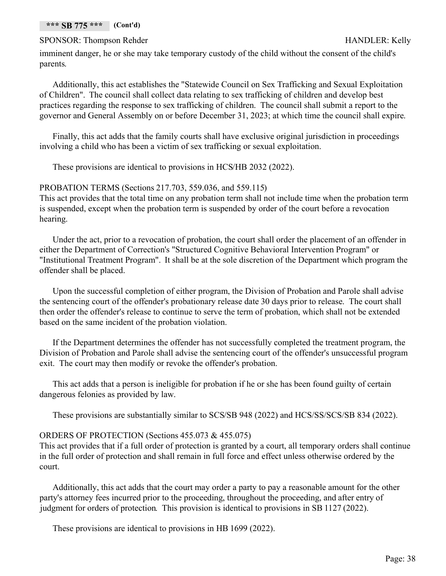# SPONSOR: Thompson Rehder **HANDLER:** Kelly

imminent danger, he or she may take temporary custody of the child without the consent of the child's parents.

Additionally, this act establishes the "Statewide Council on Sex Trafficking and Sexual Exploitation of Children". The council shall collect data relating to sex trafficking of children and develop best practices regarding the response to sex trafficking of children. The council shall submit a report to the governor and General Assembly on or before December 31, 2023; at which time the council shall expire.

Finally, this act adds that the family courts shall have exclusive original jurisdiction in proceedings involving a child who has been a victim of sex trafficking or sexual exploitation.

These provisions are identical to provisions in HCS/HB 2032 (2022).

PROBATION TERMS (Sections 217.703, 559.036, and 559.115)

This act provides that the total time on any probation term shall not include time when the probation term is suspended, except when the probation term is suspended by order of the court before a revocation hearing.

Under the act, prior to a revocation of probation, the court shall order the placement of an offender in either the Department of Correction's "Structured Cognitive Behavioral Intervention Program" or "Institutional Treatment Program". It shall be at the sole discretion of the Department which program the offender shall be placed.

Upon the successful completion of either program, the Division of Probation and Parole shall advise the sentencing court of the offender's probationary release date 30 days prior to release. The court shall then order the offender's release to continue to serve the term of probation, which shall not be extended based on the same incident of the probation violation.

If the Department determines the offender has not successfully completed the treatment program, the Division of Probation and Parole shall advise the sentencing court of the offender's unsuccessful program exit. The court may then modify or revoke the offender's probation.

This act adds that a person is ineligible for probation if he or she has been found guilty of certain dangerous felonies as provided by law.

These provisions are substantially similar to SCS/SB 948 (2022) and HCS/SS/SCS/SB 834 (2022).

# ORDERS OF PROTECTION (Sections 455.073 & 455.075)

This act provides that if a full order of protection is granted by a court, all temporary orders shall continue in the full order of protection and shall remain in full force and effect unless otherwise ordered by the court.

Additionally, this act adds that the court may order a party to pay a reasonable amount for the other party's attorney fees incurred prior to the proceeding, throughout the proceeding, and after entry of judgment for orders of protection. This provision is identical to provisions in SB 1127 (2022).

These provisions are identical to provisions in HB 1699 (2022).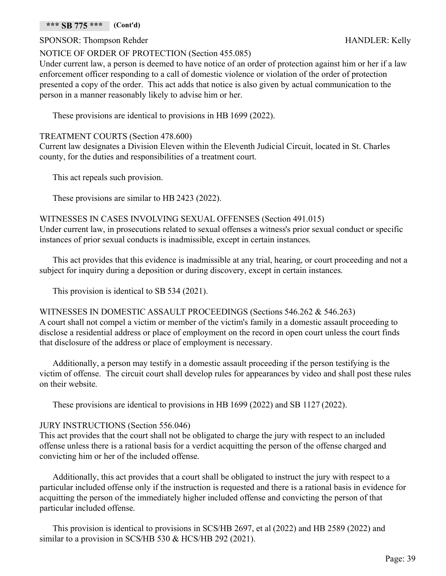### **\*\*\* SB 775 \*\*\* (Cont'd)**

# SPONSOR: Thompson Rehder **HANDLER:** Kelly

# NOTICE OF ORDER OF PROTECTION (Section 455.085)

Under current law, a person is deemed to have notice of an order of protection against him or her if a law enforcement officer responding to a call of domestic violence or violation of the order of protection presented a copy of the order. This act adds that notice is also given by actual communication to the person in a manner reasonably likely to advise him or her.

These provisions are identical to provisions in HB 1699 (2022).

# TREATMENT COURTS (Section 478.600)

Current law designates a Division Eleven within the Eleventh Judicial Circuit, located in St. Charles county, for the duties and responsibilities of a treatment court.

This act repeals such provision.

These provisions are similar to HB 2423 (2022).

# WITNESSES IN CASES INVOLVING SEXUAL OFFENSES (Section 491.015)

Under current law, in prosecutions related to sexual offenses a witness's prior sexual conduct or specific instances of prior sexual conducts is inadmissible, except in certain instances.

This act provides that this evidence is inadmissible at any trial, hearing, or court proceeding and not a subject for inquiry during a deposition or during discovery, except in certain instances.

This provision is identical to SB 534 (2021).

# WITNESSES IN DOMESTIC ASSAULT PROCEEDINGS (Sections 546.262 & 546.263)

A court shall not compel a victim or member of the victim's family in a domestic assault proceeding to disclose a residential address or place of employment on the record in open court unless the court finds that disclosure of the address or place of employment is necessary.

Additionally, a person may testify in a domestic assault proceeding if the person testifying is the victim of offense. The circuit court shall develop rules for appearances by video and shall post these rules on their website.

These provisions are identical to provisions in HB 1699 (2022) and SB 1127 (2022).

# JURY INSTRUCTIONS (Section 556.046)

This act provides that the court shall not be obligated to charge the jury with respect to an included offense unless there is a rational basis for a verdict acquitting the person of the offense charged and convicting him or her of the included offense.

Additionally, this act provides that a court shall be obligated to instruct the jury with respect to a particular included offense only if the instruction is requested and there is a rational basis in evidence for acquitting the person of the immediately higher included offense and convicting the person of that particular included offense.

This provision is identical to provisions in SCS/HB 2697, et al (2022) and HB 2589 (2022) and similar to a provision in SCS/HB 530 & HCS/HB 292 (2021).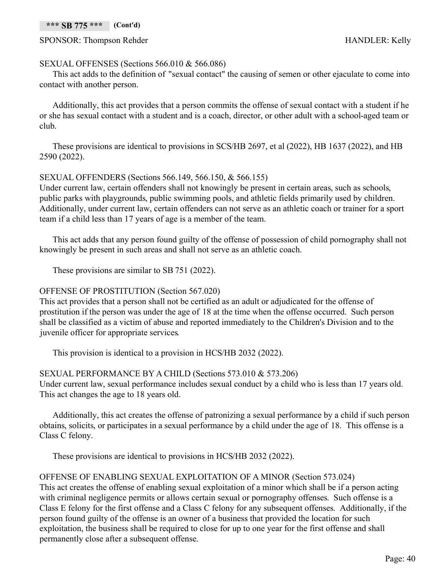# SEXUAL OFFENSES (Sections 566.010 & 566.086)

This act adds to the definition of "sexual contact" the causing of semen or other ejaculate to come into contact with another person.

Additionally, this act provides that a person commits the offense of sexual contact with a student if he or she has sexual contact with a student and is a coach, director, or other adult with a school-aged team or club.

These provisions are identical to provisions in SCS/HB 2697, et al (2022), HB 1637 (2022), and HB 2590 (2022).

# SEXUAL OFFENDERS (Sections 566.149, 566.150, & 566.155)

Under current law, certain offenders shall not knowingly be present in certain areas, such as schools, public parks with playgrounds, public swimming pools, and athletic fields primarily used by children. Additionally, under current law, certain offenders can not serve as an athletic coach or trainer for a sport team if a child less than 17 years of age is a member of the team.

This act adds that any person found guilty of the offense of possession of child pornography shall not knowingly be present in such areas and shall not serve as an athletic coach.

These provisions are similar to SB 751 (2022).

# OFFENSE OF PROSTITUTION (Section 567.020)

This act provides that a person shall not be certified as an adult or adjudicated for the offense of prostitution if the person was under the age of 18 at the time when the offense occurred. Such person shall be classified as a victim of abuse and reported immediately to the Children's Division and to the juvenile officer for appropriate services.

This provision is identical to a provision in HCS/HB 2032 (2022).

# SEXUAL PERFORMANCE BY A CHILD (Sections 573.010 & 573.206)

Under current law, sexual performance includes sexual conduct by a child who is less than 17 years old. This act changes the age to 18 years old.

Additionally, this act creates the offense of patronizing a sexual performance by a child if such person obtains, solicits, or participates in a sexual performance by a child under the age of 18. This offense is a Class C felony.

These provisions are identical to provisions in HCS/HB 2032 (2022).

# OFFENSE OF ENABLING SEXUAL EXPLOITATION OF A MINOR (Section 573.024)

This act creates the offense of enabling sexual exploitation of a minor which shall be if a person acting with criminal negligence permits or allows certain sexual or pornography offenses. Such offense is a Class E felony for the first offense and a Class C felony for any subsequent offenses. Additionally, if the person found guilty of the offense is an owner of a business that provided the location for such exploitation, the business shall be required to close for up to one year for the first offense and shall permanently close after a subsequent offense.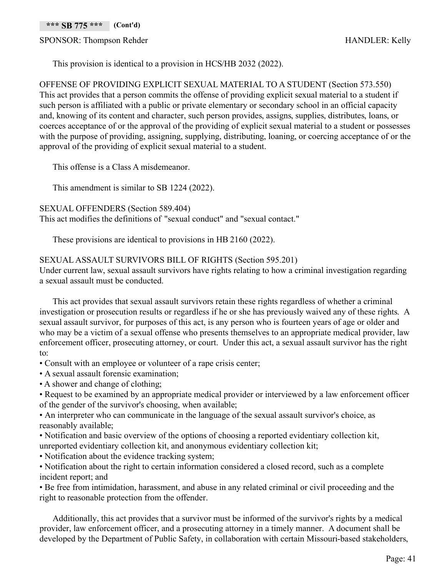**\*\*\* SB 775 \*\*\* (Cont'd)**

SPONSOR: Thompson Rehder HANDLER: Kelly

This provision is identical to a provision in HCS/HB 2032 (2022).

OFFENSE OF PROVIDING EXPLICIT SEXUAL MATERIAL TO A STUDENT (Section 573.550) This act provides that a person commits the offense of providing explicit sexual material to a student if such person is affiliated with a public or private elementary or secondary school in an official capacity and, knowing of its content and character, such person provides, assigns, supplies, distributes, loans, or coerces acceptance of or the approval of the providing of explicit sexual material to a student or possesses with the purpose of providing, assigning, supplying, distributing, loaning, or coercing acceptance of or the approval of the providing of explicit sexual material to a student.

This offense is a Class A misdemeanor.

This amendment is similar to SB 1224 (2022).

SEXUAL OFFENDERS (Section 589.404) This act modifies the definitions of "sexual conduct" and "sexual contact."

These provisions are identical to provisions in HB 2160 (2022).

SEXUAL ASSAULT SURVIVORS BILL OF RIGHTS (Section 595.201)

Under current law, sexual assault survivors have rights relating to how a criminal investigation regarding a sexual assault must be conducted.

This act provides that sexual assault survivors retain these rights regardless of whether a criminal investigation or prosecution results or regardless if he or she has previously waived any of these rights. A sexual assault survivor, for purposes of this act, is any person who is fourteen years of age or older and who may be a victim of a sexual offense who presents themselves to an appropriate medical provider, law enforcement officer, prosecuting attorney, or court. Under this act, a sexual assault survivor has the right to:

- Consult with an employee or volunteer of a rape crisis center;
- A sexual assault forensic examination;
- A shower and change of clothing;
- Request to be examined by an appropriate medical provider or interviewed by a law enforcement officer of the gender of the survivor's choosing, when available;

• An interpreter who can communicate in the language of the sexual assault survivor's choice, as reasonably available;

- Notification and basic overview of the options of choosing a reported evidentiary collection kit, unreported evidentiary collection kit, and anonymous evidentiary collection kit;
- Notification about the evidence tracking system;
- Notification about the right to certain information considered a closed record, such as a complete incident report; and

• Be free from intimidation, harassment, and abuse in any related criminal or civil proceeding and the right to reasonable protection from the offender.

Additionally, this act provides that a survivor must be informed of the survivor's rights by a medical provider, law enforcement officer, and a prosecuting attorney in a timely manner. A document shall be developed by the Department of Public Safety, in collaboration with certain Missouri-based stakeholders,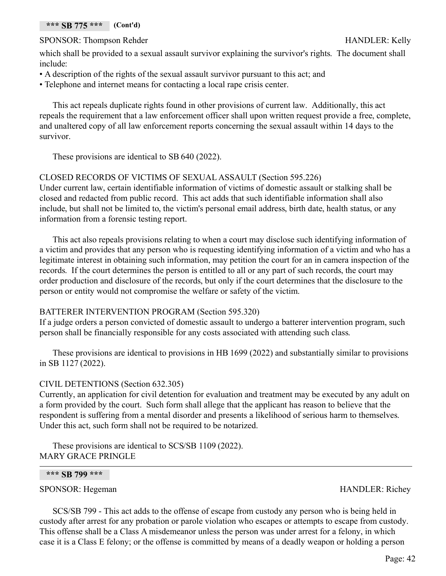# SPONSOR: Thompson Rehder **HANDLER:** Kelly

include:

which shall be provided to a sexual assault survivor explaining the survivor's rights. The document shall

- A description of the rights of the sexual assault survivor pursuant to this act; and
- Telephone and internet means for contacting a local rape crisis center.

This act repeals duplicate rights found in other provisions of current law. Additionally, this act repeals the requirement that a law enforcement officer shall upon written request provide a free, complete, and unaltered copy of all law enforcement reports concerning the sexual assault within 14 days to the survivor.

These provisions are identical to SB 640 (2022).

# CLOSED RECORDS OF VICTIMS OF SEXUAL ASSAULT (Section 595.226)

Under current law, certain identifiable information of victims of domestic assault or stalking shall be closed and redacted from public record. This act adds that such identifiable information shall also include, but shall not be limited to, the victim's personal email address, birth date, health status, or any information from a forensic testing report.

This act also repeals provisions relating to when a court may disclose such identifying information of a victim and provides that any person who is requesting identifying information of a victim and who has a legitimate interest in obtaining such information, may petition the court for an in camera inspection of the records. If the court determines the person is entitled to all or any part of such records, the court may order production and disclosure of the records, but only if the court determines that the disclosure to the person or entity would not compromise the welfare or safety of the victim.

# BATTERER INTERVENTION PROGRAM (Section 595.320)

If a judge orders a person convicted of domestic assault to undergo a batterer intervention program, such person shall be financially responsible for any costs associated with attending such class.

These provisions are identical to provisions in HB 1699 (2022) and substantially similar to provisions in SB 1127 (2022).

# CIVIL DETENTIONS (Section 632.305)

Currently, an application for civil detention for evaluation and treatment may be executed by any adult on a form provided by the court. Such form shall allege that the applicant has reason to believe that the respondent is suffering from a mental disorder and presents a likelihood of serious harm to themselves. Under this act, such form shall not be required to be notarized.

These provisions are identical to SCS/SB 1109 (2022). MARY GRACE PRINGLE

# **\*\*\* SB 799 \*\*\***

# SPONSOR: Hegeman HANDLER: Richey

SCS/SB 799 - This act adds to the offense of escape from custody any person who is being held in custody after arrest for any probation or parole violation who escapes or attempts to escape from custody. This offense shall be a Class A misdemeanor unless the person was under arrest for a felony, in which case it is a Class E felony; or the offense is committed by means of a deadly weapon or holding a person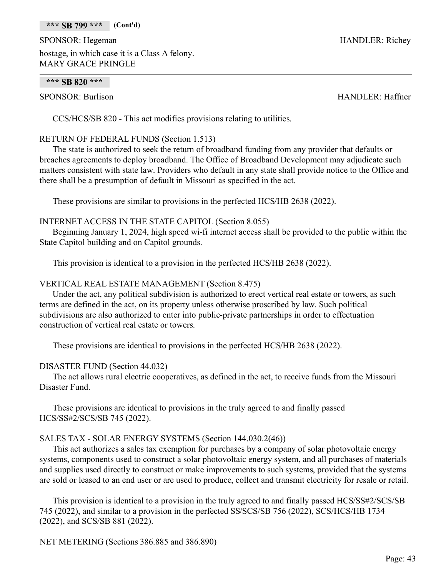#### **\*\*\* SB 799 \*\*\* (Cont'd)**

SPONSOR: Hegeman HANDLER: Richey hostage, in which case it is a Class A felony. MARY GRACE PRINGLE

## **\*\*\* SB 820 \*\*\***

SPONSOR: Burlison HANDLER: Haffner

CCS/HCS/SB 820 - This act modifies provisions relating to utilities.

### RETURN OF FEDERAL FUNDS (Section 1.513)

The state is authorized to seek the return of broadband funding from any provider that defaults or breaches agreements to deploy broadband. The Office of Broadband Development may adjudicate such matters consistent with state law. Providers who default in any state shall provide notice to the Office and there shall be a presumption of default in Missouri as specified in the act.

These provisions are similar to provisions in the perfected HCS/HB 2638 (2022).

## INTERNET ACCESS IN THE STATE CAPITOL (Section 8.055)

Beginning January 1, 2024, high speed wi-fi internet access shall be provided to the public within the State Capitol building and on Capitol grounds.

This provision is identical to a provision in the perfected HCS/HB 2638 (2022).

### VERTICAL REAL ESTATE MANAGEMENT (Section 8.475)

Under the act, any political subdivision is authorized to erect vertical real estate or towers, as such terms are defined in the act, on its property unless otherwise proscribed by law. Such political subdivisions are also authorized to enter into public-private partnerships in order to effectuation construction of vertical real estate or towers.

These provisions are identical to provisions in the perfected HCS/HB 2638 (2022).

#### DISASTER FUND (Section 44.032)

The act allows rural electric cooperatives, as defined in the act, to receive funds from the Missouri Disaster Fund.

These provisions are identical to provisions in the truly agreed to and finally passed HCS/SS#2/SCS/SB 745 (2022).

#### SALES TAX - SOLAR ENERGY SYSTEMS (Section 144.030.2(46))

This act authorizes a sales tax exemption for purchases by a company of solar photovoltaic energy systems, components used to construct a solar photovoltaic energy system, and all purchases of materials and supplies used directly to construct or make improvements to such systems, provided that the systems are sold or leased to an end user or are used to produce, collect and transmit electricity for resale or retail.

This provision is identical to a provision in the truly agreed to and finally passed HCS/SS#2/SCS/SB 745 (2022), and similar to a provision in the perfected SS/SCS/SB 756 (2022), SCS/HCS/HB 1734 (2022), and SCS/SB 881 (2022).

NET METERING (Sections 386.885 and 386.890)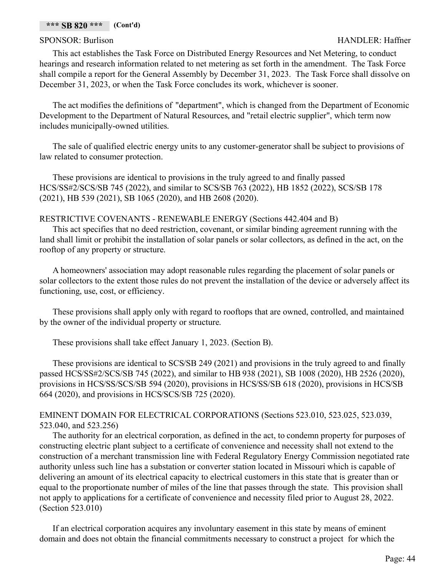## SPONSOR: Burlison HANDLER: Haffner

This act establishes the Task Force on Distributed Energy Resources and Net Metering, to conduct hearings and research information related to net metering as set forth in the amendment. The Task Force shall compile a report for the General Assembly by December 31, 2023. The Task Force shall dissolve on December 31, 2023, or when the Task Force concludes its work, whichever is sooner.

The act modifies the definitions of "department", which is changed from the Department of Economic Development to the Department of Natural Resources, and "retail electric supplier", which term now includes municipally-owned utilities.

The sale of qualified electric energy units to any customer-generator shall be subject to provisions of law related to consumer protection.

These provisions are identical to provisions in the truly agreed to and finally passed HCS/SS#2/SCS/SB 745 (2022), and similar to SCS/SB 763 (2022), HB 1852 (2022), SCS/SB 178 (2021), HB 539 (2021), SB 1065 (2020), and HB 2608 (2020).

# RESTRICTIVE COVENANTS - RENEWABLE ENERGY (Sections 442.404 and B)

This act specifies that no deed restriction, covenant, or similar binding agreement running with the land shall limit or prohibit the installation of solar panels or solar collectors, as defined in the act, on the rooftop of any property or structure.

A homeowners' association may adopt reasonable rules regarding the placement of solar panels or solar collectors to the extent those rules do not prevent the installation of the device or adversely affect its functioning, use, cost, or efficiency.

These provisions shall apply only with regard to rooftops that are owned, controlled, and maintained by the owner of the individual property or structure.

These provisions shall take effect January 1, 2023. (Section B).

These provisions are identical to SCS/SB 249 (2021) and provisions in the truly agreed to and finally passed HCS/SS#2/SCS/SB 745 (2022), and similar to HB 938 (2021), SB 1008 (2020), HB 2526 (2020), provisions in HCS/SS/SCS/SB 594 (2020), provisions in HCS/SS/SB 618 (2020), provisions in HCS/SB 664 (2020), and provisions in HCS/SCS/SB 725 (2020).

# EMINENT DOMAIN FOR ELECTRICAL CORPORATIONS (Sections 523.010, 523.025, 523.039, 523.040, and 523.256)

The authority for an electrical corporation, as defined in the act, to condemn property for purposes of constructing electric plant subject to a certificate of convenience and necessity shall not extend to the construction of a merchant transmission line with Federal Regulatory Energy Commission negotiated rate authority unless such line has a substation or converter station located in Missouri which is capable of delivering an amount of its electrical capacity to electrical customers in this state that is greater than or equal to the proportionate number of miles of the line that passes through the state. This provision shall not apply to applications for a certificate of convenience and necessity filed prior to August 28, 2022. (Section 523.010)

If an electrical corporation acquires any involuntary easement in this state by means of eminent domain and does not obtain the financial commitments necessary to construct a project for which the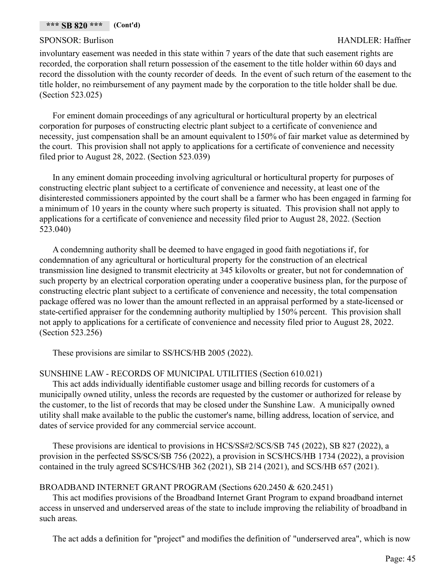# SPONSOR: Burlison HANDLER: Haffner

involuntary easement was needed in this state within 7 years of the date that such easement rights are recorded, the corporation shall return possession of the easement to the title holder within 60 days and record the dissolution with the county recorder of deeds. In the event of such return of the easement to the title holder, no reimbursement of any payment made by the corporation to the title holder shall be due. (Section 523.025)

For eminent domain proceedings of any agricultural or horticultural property by an electrical corporation for purposes of constructing electric plant subject to a certificate of convenience and necessity, just compensation shall be an amount equivalent to 150% of fair market value as determined by the court. This provision shall not apply to applications for a certificate of convenience and necessity filed prior to August 28, 2022. (Section 523.039)

In any eminent domain proceeding involving agricultural or horticultural property for purposes of constructing electric plant subject to a certificate of convenience and necessity, at least one of the disinterested commissioners appointed by the court shall be a farmer who has been engaged in farming for a minimum of 10 years in the county where such property is situated. This provision shall not apply to applications for a certificate of convenience and necessity filed prior to August 28, 2022. (Section 523.040)

A condemning authority shall be deemed to have engaged in good faith negotiations if, for condemnation of any agricultural or horticultural property for the construction of an electrical transmission line designed to transmit electricity at 345 kilovolts or greater, but not for condemnation of such property by an electrical corporation operating under a cooperative business plan, for the purpose of constructing electric plant subject to a certificate of convenience and necessity, the total compensation package offered was no lower than the amount reflected in an appraisal performed by a state-licensed or state-certified appraiser for the condemning authority multiplied by 150% percent. This provision shall not apply to applications for a certificate of convenience and necessity filed prior to August 28, 2022. (Section 523.256)

These provisions are similar to SS/HCS/HB 2005 (2022).

# SUNSHINE LAW - RECORDS OF MUNICIPAL UTILITIES (Section 610.021)

This act adds individually identifiable customer usage and billing records for customers of a municipally owned utility, unless the records are requested by the customer or authorized for release by the customer, to the list of records that may be closed under the Sunshine Law. A municipally owned utility shall make available to the public the customer's name, billing address, location of service, and dates of service provided for any commercial service account.

These provisions are identical to provisions in HCS/SS#2/SCS/SB 745 (2022), SB 827 (2022), a provision in the perfected SS/SCS/SB 756 (2022), a provision in SCS/HCS/HB 1734 (2022), a provision contained in the truly agreed SCS/HCS/HB 362 (2021), SB 214 (2021), and SCS/HB 657 (2021).

# BROADBAND INTERNET GRANT PROGRAM (Sections 620.2450 & 620.2451)

This act modifies provisions of the Broadband Internet Grant Program to expand broadband internet access in unserved and underserved areas of the state to include improving the reliability of broadband in such areas.

The act adds a definition for "project" and modifies the definition of "underserved area", which is now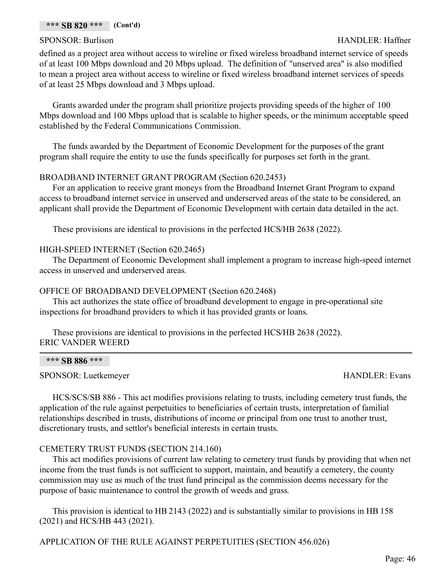#### **\*\*\* SB 820 \*\*\* (Cont'd)**

#### SPONSOR: Burlison HANDLER: Haffner

defined as a project area without access to wireline or fixed wireless broadband internet service of speeds of at least 100 Mbps download and 20 Mbps upload. The definition of "unserved area" is also modified to mean a project area without access to wireline or fixed wireless broadband internet services of speeds of at least 25 Mbps download and 3 Mbps upload.

Grants awarded under the program shall prioritize projects providing speeds of the higher of 100 Mbps download and 100 Mbps upload that is scalable to higher speeds, or the minimum acceptable speed established by the Federal Communications Commission.

The funds awarded by the Department of Economic Development for the purposes of the grant program shall require the entity to use the funds specifically for purposes set forth in the grant.

## BROADBAND INTERNET GRANT PROGRAM (Section 620.2453)

For an application to receive grant moneys from the Broadband Internet Grant Program to expand access to broadband internet service in unserved and underserved areas of the state to be considered, an applicant shall provide the Department of Economic Development with certain data detailed in the act.

These provisions are identical to provisions in the perfected HCS/HB 2638 (2022).

## HIGH-SPEED INTERNET (Section 620.2465)

The Department of Economic Development shall implement a program to increase high-speed internet access in unserved and underserved areas.

#### OFFICE OF BROADBAND DEVELOPMENT (Section 620.2468)

This act authorizes the state office of broadband development to engage in pre-operational site inspections for broadband providers to which it has provided grants or loans.

These provisions are identical to provisions in the perfected HCS/HB 2638 (2022). ERIC VANDER WEERD

#### **\*\*\* SB 886 \*\*\***

SPONSOR: Luetkemeyer HANDLER: Evans

HCS/SCS/SB 886 - This act modifies provisions relating to trusts, including cemetery trust funds, the application of the rule against perpetuities to beneficiaries of certain trusts, interpretation of familial relationships described in trusts, distributions of income or principal from one trust to another trust, discretionary trusts, and settlor's beneficial interests in certain trusts.

#### CEMETERY TRUST FUNDS (SECTION 214.160)

This act modifies provisions of current law relating to cemetery trust funds by providing that when net income from the trust funds is not sufficient to support, maintain, and beautify a cemetery, the county commission may use as much of the trust fund principal as the commission deems necessary for the purpose of basic maintenance to control the growth of weeds and grass.

This provision is identical to HB 2143 (2022) and is substantially similar to provisions in HB 158 (2021) and HCS/HB 443 (2021).

# APPLICATION OF THE RULE AGAINST PERPETUITIES (SECTION 456.026)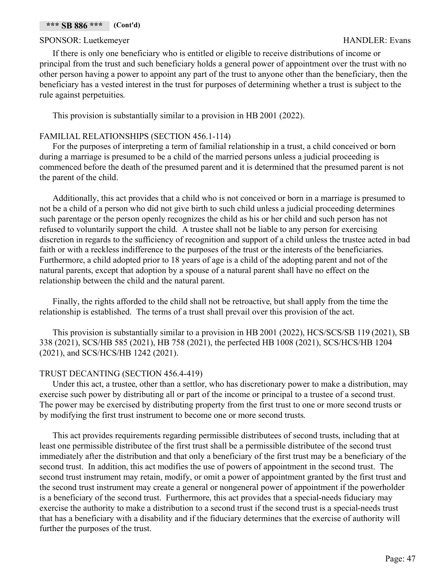### SPONSOR: Luetkemeyer HANDLER: Evans

If there is only one beneficiary who is entitled or eligible to receive distributions of income or principal from the trust and such beneficiary holds a general power of appointment over the trust with no other person having a power to appoint any part of the trust to anyone other than the beneficiary, then the beneficiary has a vested interest in the trust for purposes of determining whether a trust is subject to the rule against perpetuities.

This provision is substantially similar to a provision in HB 2001 (2022).

# FAMILIAL RELATIONSHIPS (SECTION 456.1-114)

For the purposes of interpreting a term of familial relationship in a trust, a child conceived or born during a marriage is presumed to be a child of the married persons unless a judicial proceeding is commenced before the death of the presumed parent and it is determined that the presumed parent is not the parent of the child.

Additionally, this act provides that a child who is not conceived or born in a marriage is presumed to not be a child of a person who did not give birth to such child unless a judicial proceeding determines such parentage or the person openly recognizes the child as his or her child and such person has not refused to voluntarily support the child. A trustee shall not be liable to any person for exercising discretion in regards to the sufficiency of recognition and support of a child unless the trustee acted in bad faith or with a reckless indifference to the purposes of the trust or the interests of the beneficiaries. Furthermore, a child adopted prior to 18 years of age is a child of the adopting parent and not of the natural parents, except that adoption by a spouse of a natural parent shall have no effect on the relationship between the child and the natural parent.

Finally, the rights afforded to the child shall not be retroactive, but shall apply from the time the relationship is established. The terms of a trust shall prevail over this provision of the act.

This provision is substantially similar to a provision in HB 2001 (2022), HCS/SCS/SB 119 (2021), SB 338 (2021), SCS/HB 585 (2021), HB 758 (2021), the perfected HB 1008 (2021), SCS/HCS/HB 1204 (2021), and SCS/HCS/HB 1242 (2021).

# TRUST DECANTING (SECTION 456.4-419)

Under this act, a trustee, other than a settlor, who has discretionary power to make a distribution, may exercise such power by distributing all or part of the income or principal to a trustee of a second trust. The power may be exercised by distributing property from the first trust to one or more second trusts or by modifying the first trust instrument to become one or more second trusts.

This act provides requirements regarding permissible distributees of second trusts, including that at least one permissible distributee of the first trust shall be a permissible distributee of the second trust immediately after the distribution and that only a beneficiary of the first trust may be a beneficiary of the second trust. In addition, this act modifies the use of powers of appointment in the second trust. The second trust instrument may retain, modify, or omit a power of appointment granted by the first trust and the second trust instrument may create a general or nongeneral power of appointment if the powerholder is a beneficiary of the second trust. Furthermore, this act provides that a special-needs fiduciary may exercise the authority to make a distribution to a second trust if the second trust is a special-needs trust that has a beneficiary with a disability and if the fiduciary determines that the exercise of authority will further the purposes of the trust.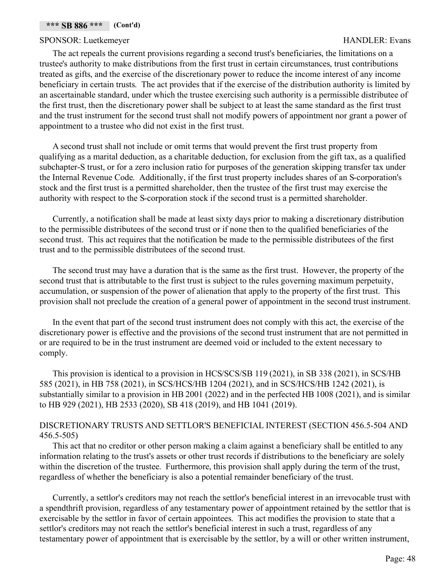#### SPONSOR: Luetkemeyer HANDLER: Evans

The act repeals the current provisions regarding a second trust's beneficiaries, the limitations on a trustee's authority to make distributions from the first trust in certain circumstances, trust contributions treated as gifts, and the exercise of the discretionary power to reduce the income interest of any income beneficiary in certain trusts. The act provides that if the exercise of the distribution authority is limited by an ascertainable standard, under which the trustee exercising such authority is a permissible distributee of the first trust, then the discretionary power shall be subject to at least the same standard as the first trust and the trust instrument for the second trust shall not modify powers of appointment nor grant a power of appointment to a trustee who did not exist in the first trust.

A second trust shall not include or omit terms that would prevent the first trust property from qualifying as a marital deduction, as a charitable deduction, for exclusion from the gift tax, as a qualified subchapter-S trust, or for a zero inclusion ratio for purposes of the generation skipping transfer tax under the Internal Revenue Code. Additionally, if the first trust property includes shares of an S-corporation's stock and the first trust is a permitted shareholder, then the trustee of the first trust may exercise the authority with respect to the S-corporation stock if the second trust is a permitted shareholder.

Currently, a notification shall be made at least sixty days prior to making a discretionary distribution to the permissible distributees of the second trust or if none then to the qualified beneficiaries of the second trust. This act requires that the notification be made to the permissible distributees of the first trust and to the permissible distributees of the second trust.

The second trust may have a duration that is the same as the first trust. However, the property of the second trust that is attributable to the first trust is subject to the rules governing maximum perpetuity, accumulation, or suspension of the power of alienation that apply to the property of the first trust. This provision shall not preclude the creation of a general power of appointment in the second trust instrument.

In the event that part of the second trust instrument does not comply with this act, the exercise of the discretionary power is effective and the provisions of the second trust instrument that are not permitted in or are required to be in the trust instrument are deemed void or included to the extent necessary to comply.

This provision is identical to a provision in HCS/SCS/SB 119 (2021), in SB 338 (2021), in SCS/HB 585 (2021), in HB 758 (2021), in SCS/HCS/HB 1204 (2021), and in SCS/HCS/HB 1242 (2021), is substantially similar to a provision in HB 2001 (2022) and in the perfected HB 1008 (2021), and is similar to HB 929 (2021), HB 2533 (2020), SB 418 (2019), and HB 1041 (2019).

# DISCRETIONARY TRUSTS AND SETTLOR'S BENEFICIAL INTEREST (SECTION 456.5-504 AND 456.5-505)

This act that no creditor or other person making a claim against a beneficiary shall be entitled to any information relating to the trust's assets or other trust records if distributions to the beneficiary are solely within the discretion of the trustee. Furthermore, this provision shall apply during the term of the trust, regardless of whether the beneficiary is also a potential remainder beneficiary of the trust.

Currently, a settlor's creditors may not reach the settlor's beneficial interest in an irrevocable trust with a spendthrift provision, regardless of any testamentary power of appointment retained by the settlor that is exercisable by the settlor in favor of certain appointees. This act modifies the provision to state that a settlor's creditors may not reach the settlor's beneficial interest in such a trust, regardless of any testamentary power of appointment that is exercisable by the settlor, by a will or other written instrument,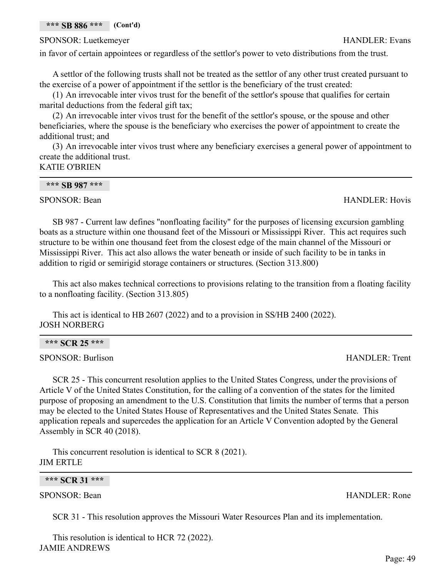in favor of certain appointees or regardless of the settlor's power to veto distributions from the trust.

A settlor of the following trusts shall not be treated as the settlor of any other trust created pursuant to the exercise of a power of appointment if the settlor is the beneficiary of the trust created:

(1) An irrevocable inter vivos trust for the benefit of the settlor's spouse that qualifies for certain marital deductions from the federal gift tax;

(2) An irrevocable inter vivos trust for the benefit of the settlor's spouse, or the spouse and other beneficiaries, where the spouse is the beneficiary who exercises the power of appointment to create the additional trust; and

(3) An irrevocable inter vivos trust where any beneficiary exercises a general power of appointment to create the additional trust. KATIE O'BRIEN

| *** SB 987 *** |
|----------------|
| SPONSOR: Bean  |

SB 987 - Current law defines "nonfloating facility" for the purposes of licensing excursion gambling boats as a structure within one thousand feet of the Missouri or Mississippi River. This act requires such structure to be within one thousand feet from the closest edge of the main channel of the Missouri or Mississippi River. This act also allows the water beneath or inside of such facility to be in tanks in addition to rigid or semirigid storage containers or structures. (Section 313.800)

This act also makes technical corrections to provisions relating to the transition from a floating facility to a nonfloating facility. (Section 313.805)

This act is identical to HB 2607 (2022) and to a provision in SS/HB 2400 (2022). JOSH NORBERG

# **\*\*\* SCR 25 \*\*\***

SPONSOR: Burlison **HANDLER:** Trent

**\*\*\* SB 886 \*\*\* (Cont'd)**

SCR 25 - This concurrent resolution applies to the United States Congress, under the provisions of Article V of the United States Constitution, for the calling of a convention of the states for the limited purpose of proposing an amendment to the U.S. Constitution that limits the number of terms that a person may be elected to the United States House of Representatives and the United States Senate. This application repeals and supercedes the application for an Article V Convention adopted by the General Assembly in SCR 40 (2018).

This concurrent resolution is identical to SCR 8 (2021). JIM ERTLE

**\*\*\* SCR 31 \*\*\***

SPONSOR: Bean HANDLER: Rone

SCR 31 - This resolution approves the Missouri Water Resources Plan and its implementation.

This resolution is identical to HCR 72 (2022). JAMIE ANDREWS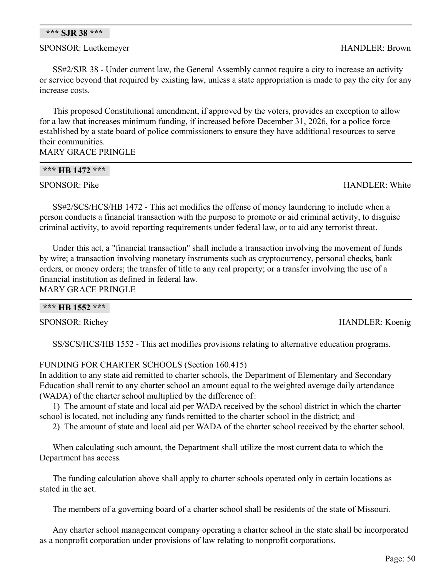SS#2/SJR 38 - Under current law, the General Assembly cannot require a city to increase an activity or service beyond that required by existing law, unless a state appropriation is made to pay the city for any increase costs.

This proposed Constitutional amendment, if approved by the voters, provides an exception to allow for a law that increases minimum funding, if increased before December 31, 2026, for a police force established by a state board of police commissioners to ensure they have additional resources to serve their communities.

MARY GRACE PRINGLE

**\*\*\* HB 1472 \*\*\***

SS#2/SCS/HCS/HB 1472 - This act modifies the offense of money laundering to include when a person conducts a financial transaction with the purpose to promote or aid criminal activity, to disguise criminal activity, to avoid reporting requirements under federal law, or to aid any terrorist threat.

Under this act, a "financial transaction" shall include a transaction involving the movement of funds by wire; a transaction involving monetary instruments such as cryptocurrency, personal checks, bank orders, or money orders; the transfer of title to any real property; or a transfer involving the use of a financial institution as defined in federal law. MARY GRACE PRINGLE

|--|--|--|

SPONSOR: Richey HANDLER: Koenig

SS/SCS/HCS/HB 1552 - This act modifies provisions relating to alternative education programs.

FUNDING FOR CHARTER SCHOOLS (Section 160.415)

In addition to any state aid remitted to charter schools, the Department of Elementary and Secondary Education shall remit to any charter school an amount equal to the weighted average daily attendance (WADA) of the charter school multiplied by the difference of:

1) The amount of state and local aid per WADA received by the school district in which the charter school is located, not including any funds remitted to the charter school in the district; and

2) The amount of state and local aid per WADA of the charter school received by the charter school.

When calculating such amount, the Department shall utilize the most current data to which the Department has access.

The funding calculation above shall apply to charter schools operated only in certain locations as stated in the act.

The members of a governing board of a charter school shall be residents of the state of Missouri.

Any charter school management company operating a charter school in the state shall be incorporated as a nonprofit corporation under provisions of law relating to nonprofit corporations.

#### **\*\*\* SJR 38 \*\*\***

## SPONSOR: Luetkemeyer HANDLER: Brown

SPONSOR: Pike HANDLER: White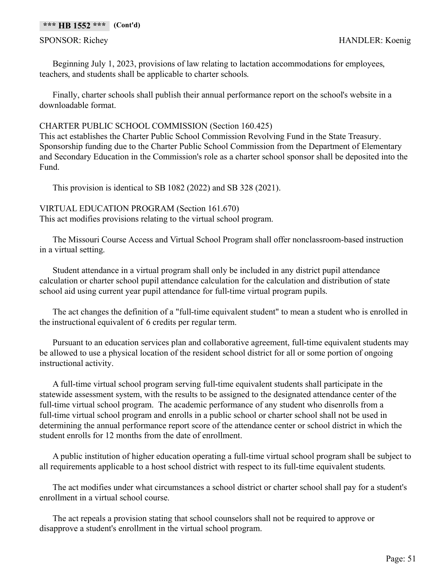#### **\*\*\* HB 1552 \*\*\* (Cont'd)**

Beginning July 1, 2023, provisions of law relating to lactation accommodations for employees, teachers, and students shall be applicable to charter schools.

Finally, charter schools shall publish their annual performance report on the school's website in a downloadable format.

## CHARTER PUBLIC SCHOOL COMMISSION (Section 160.425)

This act establishes the Charter Public School Commission Revolving Fund in the State Treasury. Sponsorship funding due to the Charter Public School Commission from the Department of Elementary and Secondary Education in the Commission's role as a charter school sponsor shall be deposited into the Fund.

This provision is identical to SB 1082 (2022) and SB 328 (2021).

## VIRTUAL EDUCATION PROGRAM (Section 161.670)

This act modifies provisions relating to the virtual school program.

The Missouri Course Access and Virtual School Program shall offer nonclassroom-based instruction in a virtual setting.

Student attendance in a virtual program shall only be included in any district pupil attendance calculation or charter school pupil attendance calculation for the calculation and distribution of state school aid using current year pupil attendance for full-time virtual program pupils.

The act changes the definition of a "full-time equivalent student" to mean a student who is enrolled in the instructional equivalent of 6 credits per regular term.

Pursuant to an education services plan and collaborative agreement, full-time equivalent students may be allowed to use a physical location of the resident school district for all or some portion of ongoing instructional activity.

A full-time virtual school program serving full-time equivalent students shall participate in the statewide assessment system, with the results to be assigned to the designated attendance center of the full-time virtual school program. The academic performance of any student who disenrolls from a full-time virtual school program and enrolls in a public school or charter school shall not be used in determining the annual performance report score of the attendance center or school district in which the student enrolls for 12 months from the date of enrollment.

A public institution of higher education operating a full-time virtual school program shall be subject to all requirements applicable to a host school district with respect to its full-time equivalent students.

The act modifies under what circumstances a school district or charter school shall pay for a student's enrollment in a virtual school course.

The act repeals a provision stating that school counselors shall not be required to approve or disapprove a student's enrollment in the virtual school program.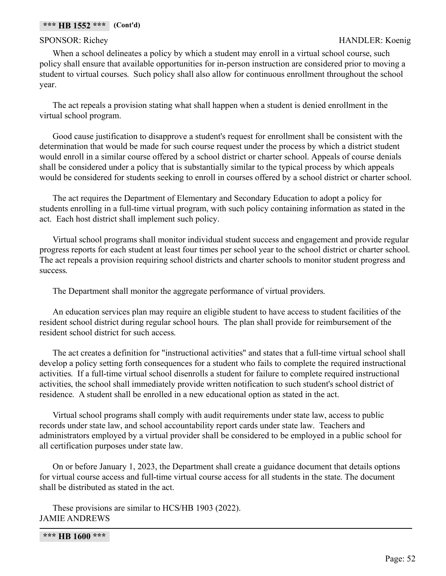# SPONSOR: Richey HANDLER: Koenig

When a school delineates a policy by which a student may enroll in a virtual school course, such policy shall ensure that available opportunities for in-person instruction are considered prior to moving a student to virtual courses. Such policy shall also allow for continuous enrollment throughout the school year.

The act repeals a provision stating what shall happen when a student is denied enrollment in the virtual school program.

Good cause justification to disapprove a student's request for enrollment shall be consistent with the determination that would be made for such course request under the process by which a district student would enroll in a similar course offered by a school district or charter school. Appeals of course denials shall be considered under a policy that is substantially similar to the typical process by which appeals would be considered for students seeking to enroll in courses offered by a school district or charter school.

The act requires the Department of Elementary and Secondary Education to adopt a policy for students enrolling in a full-time virtual program, with such policy containing information as stated in the act. Each host district shall implement such policy.

Virtual school programs shall monitor individual student success and engagement and provide regular progress reports for each student at least four times per school year to the school district or charter school. The act repeals a provision requiring school districts and charter schools to monitor student progress and success.

The Department shall monitor the aggregate performance of virtual providers.

An education services plan may require an eligible student to have access to student facilities of the resident school district during regular school hours. The plan shall provide for reimbursement of the resident school district for such access.

The act creates a definition for "instructional activities" and states that a full-time virtual school shall develop a policy setting forth consequences for a student who fails to complete the required instructional activities. If a full-time virtual school disenrolls a student for failure to complete required instructional activities, the school shall immediately provide written notification to such student's school district of residence. A student shall be enrolled in a new educational option as stated in the act.

Virtual school programs shall comply with audit requirements under state law, access to public records under state law, and school accountability report cards under state law. Teachers and administrators employed by a virtual provider shall be considered to be employed in a public school for all certification purposes under state law.

On or before January 1, 2023, the Department shall create a guidance document that details options for virtual course access and full-time virtual course access for all students in the state. The document shall be distributed as stated in the act.

These provisions are similar to HCS/HB 1903 (2022). JAMIE ANDREWS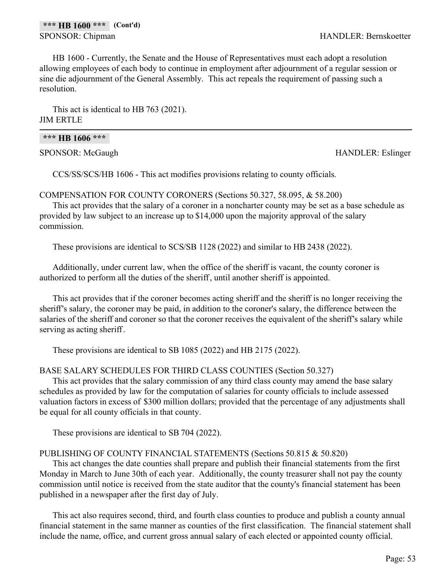HB 1600 - Currently, the Senate and the House of Representatives must each adopt a resolution allowing employees of each body to continue in employment after adjournment of a regular session or sine die adjournment of the General Assembly. This act repeals the requirement of passing such a resolution.

This act is identical to HB 763 (2021). JIM ERTLE

#### **\*\*\* HB 1606 \*\*\***

SPONSOR: McGaugh **HANDLER:** Eslinger

CCS/SS/SCS/HB 1606 - This act modifies provisions relating to county officials.

## COMPENSATION FOR COUNTY CORONERS (Sections 50.327, 58.095, & 58.200)

This act provides that the salary of a coroner in a noncharter county may be set as a base schedule as provided by law subject to an increase up to \$14,000 upon the majority approval of the salary commission.

These provisions are identical to SCS/SB 1128 (2022) and similar to HB 2438 (2022).

Additionally, under current law, when the office of the sheriff is vacant, the county coroner is authorized to perform all the duties of the sheriff, until another sheriff is appointed.

This act provides that if the coroner becomes acting sheriff and the sheriff is no longer receiving the sheriff's salary, the coroner may be paid, in addition to the coroner's salary, the difference between the salaries of the sheriff and coroner so that the coroner receives the equivalent of the sheriff's salary while serving as acting sheriff.

These provisions are identical to SB 1085 (2022) and HB 2175 (2022).

# BASE SALARY SCHEDULES FOR THIRD CLASS COUNTIES (Section 50.327)

This act provides that the salary commission of any third class county may amend the base salary schedules as provided by law for the computation of salaries for county officials to include assessed valuation factors in excess of \$300 million dollars; provided that the percentage of any adjustments shall be equal for all county officials in that county.

These provisions are identical to SB 704 (2022).

# PUBLISHING OF COUNTY FINANCIAL STATEMENTS (Sections 50.815 & 50.820)

This act changes the date counties shall prepare and publish their financial statements from the first Monday in March to June 30th of each year. Additionally, the county treasurer shall not pay the county commission until notice is received from the state auditor that the county's financial statement has been published in a newspaper after the first day of July.

This act also requires second, third, and fourth class counties to produce and publish a county annual financial statement in the same manner as counties of the first classification. The financial statement shall include the name, office, and current gross annual salary of each elected or appointed county official.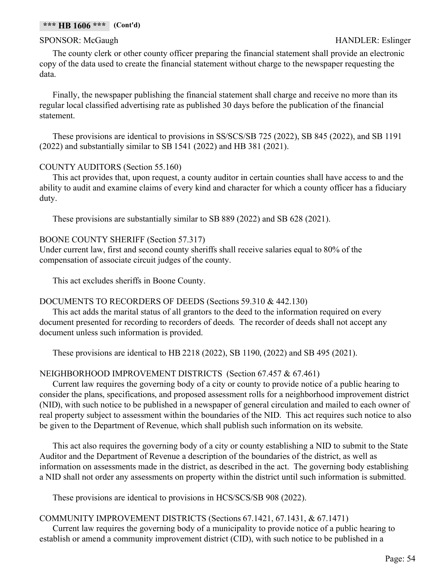The county clerk or other county officer preparing the financial statement shall provide an electronic copy of the data used to create the financial statement without charge to the newspaper requesting the data.

Finally, the newspaper publishing the financial statement shall charge and receive no more than its regular local classified advertising rate as published 30 days before the publication of the financial statement.

These provisions are identical to provisions in SS/SCS/SB 725 (2022), SB 845 (2022), and SB 1191 (2022) and substantially similar to SB 1541 (2022) and HB 381 (2021).

# COUNTY AUDITORS (Section 55.160)

This act provides that, upon request, a county auditor in certain counties shall have access to and the ability to audit and examine claims of every kind and character for which a county officer has a fiduciary duty.

These provisions are substantially similar to SB 889 (2022) and SB 628 (2021).

# BOONE COUNTY SHERIFF (Section 57.317)

Under current law, first and second county sheriffs shall receive salaries equal to 80% of the compensation of associate circuit judges of the county.

This act excludes sheriffs in Boone County.

# DOCUMENTS TO RECORDERS OF DEEDS (Sections 59.310 & 442.130)

This act adds the marital status of all grantors to the deed to the information required on every document presented for recording to recorders of deeds. The recorder of deeds shall not accept any document unless such information is provided.

These provisions are identical to HB 2218 (2022), SB 1190, (2022) and SB 495 (2021).

# NEIGHBORHOOD IMPROVEMENT DISTRICTS (Section 67.457 & 67.461)

Current law requires the governing body of a city or county to provide notice of a public hearing to consider the plans, specifications, and proposed assessment rolls for a neighborhood improvement district (NID), with such notice to be published in a newspaper of general circulation and mailed to each owner of real property subject to assessment within the boundaries of the NID. This act requires such notice to also be given to the Department of Revenue, which shall publish such information on its website.

This act also requires the governing body of a city or county establishing a NID to submit to the State Auditor and the Department of Revenue a description of the boundaries of the district, as well as information on assessments made in the district, as described in the act. The governing body establishing a NID shall not order any assessments on property within the district until such information is submitted.

These provisions are identical to provisions in HCS/SCS/SB 908 (2022).

# COMMUNITY IMPROVEMENT DISTRICTS (Sections 67.1421, 67.1431, & 67.1471)

Current law requires the governing body of a municipality to provide notice of a public hearing to establish or amend a community improvement district (CID), with such notice to be published in a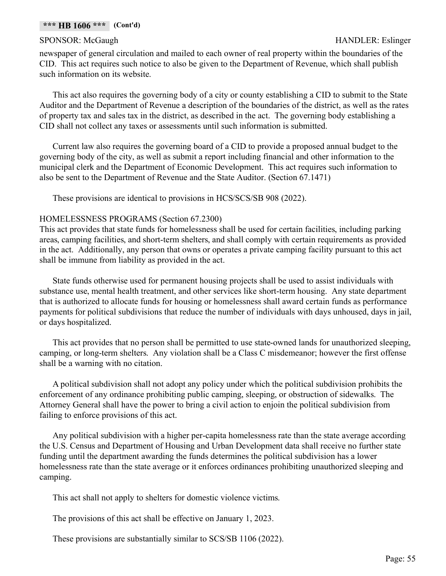newspaper of general circulation and mailed to each owner of real property within the boundaries of the CID. This act requires such notice to also be given to the Department of Revenue, which shall publish such information on its website.

This act also requires the governing body of a city or county establishing a CID to submit to the State Auditor and the Department of Revenue a description of the boundaries of the district, as well as the rates of property tax and sales tax in the district, as described in the act. The governing body establishing a CID shall not collect any taxes or assessments until such information is submitted.

Current law also requires the governing board of a CID to provide a proposed annual budget to the governing body of the city, as well as submit a report including financial and other information to the municipal clerk and the Department of Economic Development. This act requires such information to also be sent to the Department of Revenue and the State Auditor. (Section 67.1471)

These provisions are identical to provisions in HCS/SCS/SB 908 (2022).

# HOMELESSNESS PROGRAMS (Section 67.2300)

This act provides that state funds for homelessness shall be used for certain facilities, including parking areas, camping facilities, and short-term shelters, and shall comply with certain requirements as provided in the act. Additionally, any person that owns or operates a private camping facility pursuant to this act shall be immune from liability as provided in the act.

State funds otherwise used for permanent housing projects shall be used to assist individuals with substance use, mental health treatment, and other services like short-term housing. Any state department that is authorized to allocate funds for housing or homelessness shall award certain funds as performance payments for political subdivisions that reduce the number of individuals with days unhoused, days in jail, or days hospitalized.

This act provides that no person shall be permitted to use state-owned lands for unauthorized sleeping, camping, or long-term shelters. Any violation shall be a Class C misdemeanor; however the first offense shall be a warning with no citation.

A political subdivision shall not adopt any policy under which the political subdivision prohibits the enforcement of any ordinance prohibiting public camping, sleeping, or obstruction of sidewalks. The Attorney General shall have the power to bring a civil action to enjoin the political subdivision from failing to enforce provisions of this act.

Any political subdivision with a higher per-capita homelessness rate than the state average according the U.S. Census and Department of Housing and Urban Development data shall receive no further state funding until the department awarding the funds determines the political subdivision has a lower homelessness rate than the state average or it enforces ordinances prohibiting unauthorized sleeping and camping.

This act shall not apply to shelters for domestic violence victims.

The provisions of this act shall be effective on January 1, 2023.

These provisions are substantially similar to SCS/SB 1106 (2022).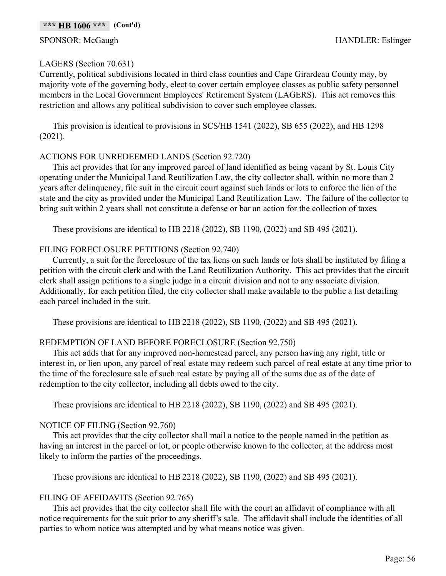# LAGERS (Section 70.631)

Currently, political subdivisions located in third class counties and Cape Girardeau County may, by majority vote of the governing body, elect to cover certain employee classes as public safety personnel members in the Local Government Employees' Retirement System (LAGERS). This act removes this restriction and allows any political subdivision to cover such employee classes.

This provision is identical to provisions in SCS/HB 1541 (2022), SB 655 (2022), and HB 1298 (2021).

# ACTIONS FOR UNREDEEMED LANDS (Section 92.720)

This act provides that for any improved parcel of land identified as being vacant by St. Louis City operating under the Municipal Land Reutilization Law, the city collector shall, within no more than 2 years after delinquency, file suit in the circuit court against such lands or lots to enforce the lien of the state and the city as provided under the Municipal Land Reutilization Law. The failure of the collector to bring suit within 2 years shall not constitute a defense or bar an action for the collection of taxes.

These provisions are identical to HB 2218 (2022), SB 1190, (2022) and SB 495 (2021).

# FILING FORECLOSURE PETITIONS (Section 92.740)

Currently, a suit for the foreclosure of the tax liens on such lands or lots shall be instituted by filing a petition with the circuit clerk and with the Land Reutilization Authority. This act provides that the circuit clerk shall assign petitions to a single judge in a circuit division and not to any associate division. Additionally, for each petition filed, the city collector shall make available to the public a list detailing each parcel included in the suit.

These provisions are identical to HB 2218 (2022), SB 1190, (2022) and SB 495 (2021).

# REDEMPTION OF LAND BEFORE FORECLOSURE (Section 92.750)

This act adds that for any improved non-homestead parcel, any person having any right, title or interest in, or lien upon, any parcel of real estate may redeem such parcel of real estate at any time prior to the time of the foreclosure sale of such real estate by paying all of the sums due as of the date of redemption to the city collector, including all debts owed to the city.

These provisions are identical to HB 2218 (2022), SB 1190, (2022) and SB 495 (2021).

# NOTICE OF FILING (Section 92.760)

This act provides that the city collector shall mail a notice to the people named in the petition as having an interest in the parcel or lot, or people otherwise known to the collector, at the address most likely to inform the parties of the proceedings.

These provisions are identical to HB 2218 (2022), SB 1190, (2022) and SB 495 (2021).

# FILING OF AFFIDAVITS (Section 92.765)

This act provides that the city collector shall file with the court an affidavit of compliance with all notice requirements for the suit prior to any sheriff's sale. The affidavit shall include the identities of all parties to whom notice was attempted and by what means notice was given.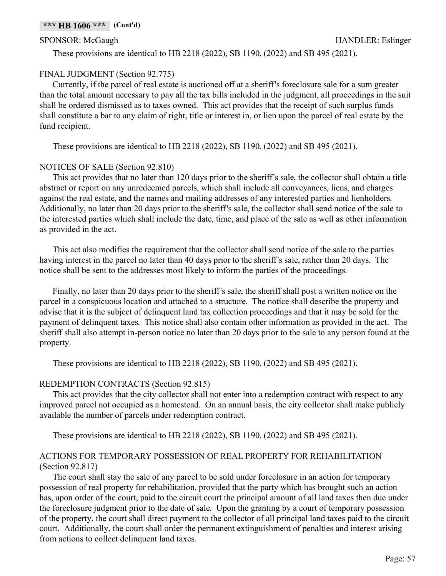These provisions are identical to HB 2218 (2022), SB 1190, (2022) and SB 495 (2021).

# FINAL JUDGMENT (Section 92.775)

Currently, if the parcel of real estate is auctioned off at a sheriff's foreclosure sale for a sum greater than the total amount necessary to pay all the tax bills included in the judgment, all proceedings in the suit shall be ordered dismissed as to taxes owned. This act provides that the receipt of such surplus funds shall constitute a bar to any claim of right, title or interest in, or lien upon the parcel of real estate by the fund recipient.

These provisions are identical to HB 2218 (2022), SB 1190, (2022) and SB 495 (2021).

# NOTICES OF SALE (Section 92.810)

This act provides that no later than 120 days prior to the sheriff's sale, the collector shall obtain a title abstract or report on any unredeemed parcels, which shall include all conveyances, liens, and charges against the real estate, and the names and mailing addresses of any interested parties and lienholders. Additionally, no later than 20 days prior to the sheriff's sale, the collector shall send notice of the sale to the interested parties which shall include the date, time, and place of the sale as well as other information as provided in the act.

This act also modifies the requirement that the collector shall send notice of the sale to the parties having interest in the parcel no later than 40 days prior to the sheriff's sale, rather than 20 days. The notice shall be sent to the addresses most likely to inform the parties of the proceedings.

Finally, no later than 20 days prior to the sheriff's sale, the sheriff shall post a written notice on the parcel in a conspicuous location and attached to a structure. The notice shall describe the property and advise that it is the subject of delinquent land tax collection proceedings and that it may be sold for the payment of delinquent taxes. This notice shall also contain other information as provided in the act. The sheriff shall also attempt in-person notice no later than 20 days prior to the sale to any person found at the property.

These provisions are identical to HB 2218 (2022), SB 1190, (2022) and SB 495 (2021).

# REDEMPTION CONTRACTS (Section 92.815)

This act provides that the city collector shall not enter into a redemption contract with respect to any improved parcel not occupied as a homestead. On an annual basis, the city collector shall make publicly available the number of parcels under redemption contract.

These provisions are identical to HB 2218 (2022), SB 1190, (2022) and SB 495 (2021).

# ACTIONS FOR TEMPORARY POSSESSION OF REAL PROPERTY FOR REHABILITATION (Section 92.817)

The court shall stay the sale of any parcel to be sold under foreclosure in an action for temporary possession of real property for rehabilitation, provided that the party which has brought such an action has, upon order of the court, paid to the circuit court the principal amount of all land taxes then due under the foreclosure judgment prior to the date of sale. Upon the granting by a court of temporary possession of the property, the court shall direct payment to the collector of all principal land taxes paid to the circuit court. Additionally, the court shall order the permanent extinguishment of penalties and interest arising from actions to collect delinquent land taxes.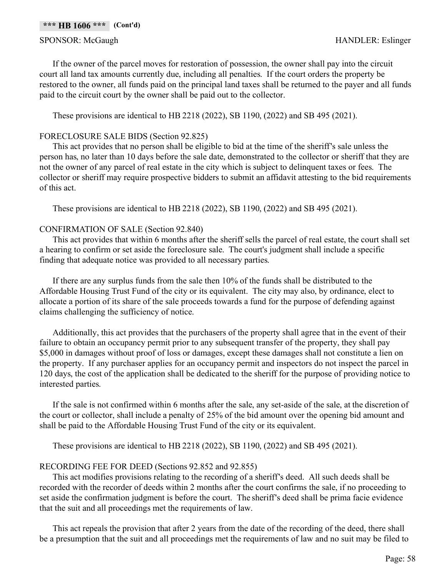If the owner of the parcel moves for restoration of possession, the owner shall pay into the circuit court all land tax amounts currently due, including all penalties. If the court orders the property be restored to the owner, all funds paid on the principal land taxes shall be returned to the payer and all funds paid to the circuit court by the owner shall be paid out to the collector.

These provisions are identical to HB 2218 (2022), SB 1190, (2022) and SB 495 (2021).

# FORECLOSURE SALE BIDS (Section 92.825)

This act provides that no person shall be eligible to bid at the time of the sheriff's sale unless the person has, no later than 10 days before the sale date, demonstrated to the collector or sheriff that they are not the owner of any parcel of real estate in the city which is subject to delinquent taxes or fees. The collector or sheriff may require prospective bidders to submit an affidavit attesting to the bid requirements of this act.

These provisions are identical to HB 2218 (2022), SB 1190, (2022) and SB 495 (2021).

# CONFIRMATION OF SALE (Section 92.840)

This act provides that within 6 months after the sheriff sells the parcel of real estate, the court shall set a hearing to confirm or set aside the foreclosure sale. The court's judgment shall include a specific finding that adequate notice was provided to all necessary parties.

If there are any surplus funds from the sale then 10% of the funds shall be distributed to the Affordable Housing Trust Fund of the city or its equivalent. The city may also, by ordinance, elect to allocate a portion of its share of the sale proceeds towards a fund for the purpose of defending against claims challenging the sufficiency of notice.

Additionally, this act provides that the purchasers of the property shall agree that in the event of their failure to obtain an occupancy permit prior to any subsequent transfer of the property, they shall pay \$5,000 in damages without proof of loss or damages, except these damages shall not constitute a lien on the property. If any purchaser applies for an occupancy permit and inspectors do not inspect the parcel in 120 days, the cost of the application shall be dedicated to the sheriff for the purpose of providing notice to interested parties.

If the sale is not confirmed within 6 months after the sale, any set-aside of the sale, at the discretion of the court or collector, shall include a penalty of 25% of the bid amount over the opening bid amount and shall be paid to the Affordable Housing Trust Fund of the city or its equivalent.

These provisions are identical to HB 2218 (2022), SB 1190, (2022) and SB 495 (2021).

# RECORDING FEE FOR DEED (Sections 92.852 and 92.855)

This act modifies provisions relating to the recording of a sheriff's deed. All such deeds shall be recorded with the recorder of deeds within 2 months after the court confirms the sale, if no proceeding to set aside the confirmation judgment is before the court. The sheriff's deed shall be prima facie evidence that the suit and all proceedings met the requirements of law.

This act repeals the provision that after 2 years from the date of the recording of the deed, there shall be a presumption that the suit and all proceedings met the requirements of law and no suit may be filed to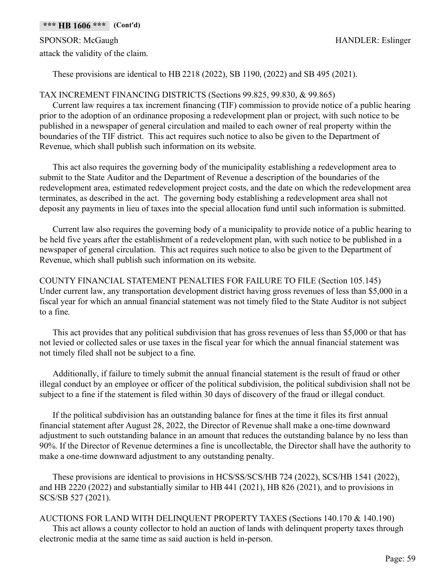## **\*\*\* HB 1606 \*\*\* (Cont'd)**

# SPONSOR: McGaugh HANDLER: Eslinger attack the validity of the claim.

These provisions are identical to HB 2218 (2022), SB 1190, (2022) and SB 495 (2021).

# TAX INCREMENT FINANCING DISTRICTS (Sections 99.825, 99.830, & 99.865)

Current law requires a tax increment financing (TIF) commission to provide notice of a public hearing prior to the adoption of an ordinance proposing a redevelopment plan or project, with such notice to be published in a newspaper of general circulation and mailed to each owner of real property within the boundaries of the TIF district. This act requires such notice to also be given to the Department of Revenue, which shall publish such information on its website.

This act also requires the governing body of the municipality establishing a redevelopment area to submit to the State Auditor and the Department of Revenue a description of the boundaries of the redevelopment area, estimated redevelopment project costs, and the date on which the redevelopment area terminates, as described in the act. The governing body establishing a redevelopment area shall not deposit any payments in lieu of taxes into the special allocation fund until such information is submitted.

Current law also requires the governing body of a municipality to provide notice of a public hearing to be held five years after the establishment of a redevelopment plan, with such notice to be published in a newspaper of general circulation. This act requires such notice to also be given to the Department of Revenue, which shall publish such information on its website.

COUNTY FINANCIAL STATEMENT PENALTIES FOR FAILURE TO FILE (Section 105.145) Under current law, any transportation development district having gross revenues of less than \$5,000 in a fiscal year for which an annual financial statement was not timely filed to the State Auditor is not subject to a fine.

This act provides that any political subdivision that has gross revenues of less than \$5,000 or that has not levied or collected sales or use taxes in the fiscal year for which the annual financial statement was not timely filed shall not be subject to a fine.

Additionally, if failure to timely submit the annual financial statement is the result of fraud or other illegal conduct by an employee or officer of the political subdivision, the political subdivision shall not be subject to a fine if the statement is filed within 30 days of discovery of the fraud or illegal conduct.

If the political subdivision has an outstanding balance for fines at the time it files its first annual financial statement after August 28, 2022, the Director of Revenue shall make a one-time downward adjustment to such outstanding balance in an amount that reduces the outstanding balance by no less than 90%. If the Director of Revenue determines a fine is uncollectable, the Director shall have the authority to make a one-time downward adjustment to any outstanding penalty.

These provisions are identical to provisions in HCS/SS/SCS/HB 724 (2022), SCS/HB 1541 (2022), and HB 2220 (2022) and substantially similar to HB 441 (2021), HB 826 (2021), and to provisions in SCS/SB 527 (2021).

AUCTIONS FOR LAND WITH DELINQUENT PROPERTY TAXES (Sections 140.170 & 140.190) This act allows a county collector to hold an auction of lands with delinquent property taxes through electronic media at the same time as said auction is held in-person.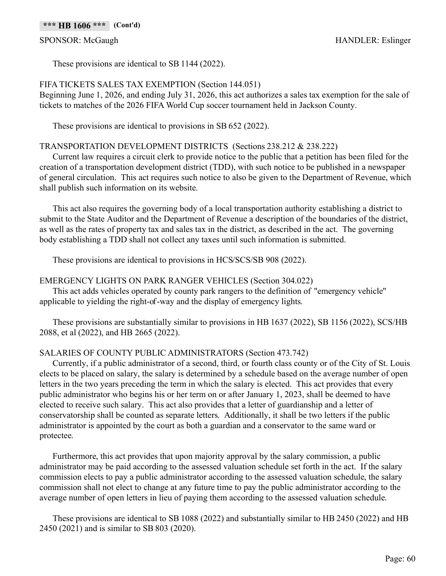### **\*\*\* HB 1606 \*\*\* (Cont'd)**

#### SPONSOR: McGaugh HANDLER: Eslinger

These provisions are identical to SB 1144 (2022).

# FIFA TICKETS SALES TAX EXEMPTION (Section 144.051)

Beginning June 1, 2026, and ending July 31, 2026, this act authorizes a sales tax exemption for the sale of tickets to matches of the 2026 FIFA World Cup soccer tournament held in Jackson County.

These provisions are identical to provisions in SB 652 (2022).

# TRANSPORTATION DEVELOPMENT DISTRICTS (Sections 238.212 & 238.222)

Current law requires a circuit clerk to provide notice to the public that a petition has been filed for the creation of a transportation development district (TDD), with such notice to be published in a newspaper of general circulation. This act requires such notice to also be given to the Department of Revenue, which shall publish such information on its website.

This act also requires the governing body of a local transportation authority establishing a district to submit to the State Auditor and the Department of Revenue a description of the boundaries of the district, as well as the rates of property tax and sales tax in the district, as described in the act. The governing body establishing a TDD shall not collect any taxes until such information is submitted.

These provisions are identical to provisions in HCS/SCS/SB 908 (2022).

# EMERGENCY LIGHTS ON PARK RANGER VEHICLES (Section 304.022)

This act adds vehicles operated by county park rangers to the definition of "emergency vehicle" applicable to yielding the right-of-way and the display of emergency lights.

These provisions are substantially similar to provisions in HB 1637 (2022), SB 1156 (2022), SCS/HB 2088, et al (2022), and HB 2665 (2022).

# SALARIES OF COUNTY PUBLIC ADMINISTRATORS (Section 473.742)

Currently, if a public administrator of a second, third, or fourth class county or of the City of St. Louis elects to be placed on salary, the salary is determined by a schedule based on the average number of open letters in the two years preceding the term in which the salary is elected. This act provides that every public administrator who begins his or her term on or after January 1, 2023, shall be deemed to have elected to receive such salary. This act also provides that a letter of guardianship and a letter of conservatorship shall be counted as separate letters. Additionally, it shall be two letters if the public administrator is appointed by the court as both a guardian and a conservator to the same ward or protectee.

Furthermore, this act provides that upon majority approval by the salary commission, a public administrator may be paid according to the assessed valuation schedule set forth in the act. If the salary commission elects to pay a public administrator according to the assessed valuation schedule, the salary commission shall not elect to change at any future time to pay the public administrator according to the average number of open letters in lieu of paying them according to the assessed valuation schedule.

These provisions are identical to SB 1088 (2022) and substantially similar to HB 2450 (2022) and HB 2450 (2021) and is similar to SB 803 (2020).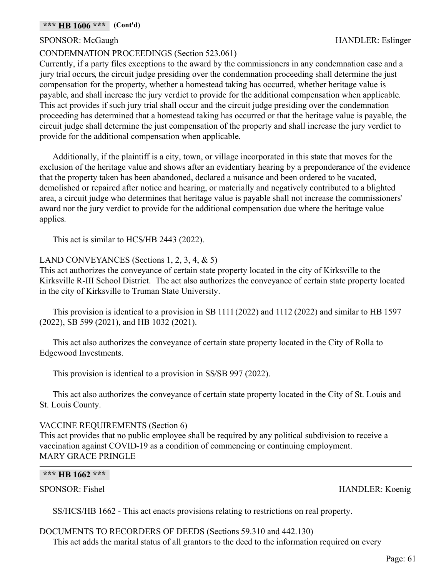### CONDEMNATION PROCEEDINGS (Section 523.061)

Currently, if a party files exceptions to the award by the commissioners in any condemnation case and a jury trial occurs, the circuit judge presiding over the condemnation proceeding shall determine the just compensation for the property, whether a homestead taking has occurred, whether heritage value is payable, and shall increase the jury verdict to provide for the additional compensation when applicable. This act provides if such jury trial shall occur and the circuit judge presiding over the condemnation

proceeding has determined that a homestead taking has occurred or that the heritage value is payable, the circuit judge shall determine the just compensation of the property and shall increase the jury verdict to provide for the additional compensation when applicable.

Additionally, if the plaintiff is a city, town, or village incorporated in this state that moves for the exclusion of the heritage value and shows after an evidentiary hearing by a preponderance of the evidence that the property taken has been abandoned, declared a nuisance and been ordered to be vacated, demolished or repaired after notice and hearing, or materially and negatively contributed to a blighted area, a circuit judge who determines that heritage value is payable shall not increase the commissioners' award nor the jury verdict to provide for the additional compensation due where the heritage value applies.

This act is similar to HCS/HB 2443 (2022).

# LAND CONVEYANCES (Sections 1, 2, 3, 4, & 5)

This act authorizes the conveyance of certain state property located in the city of Kirksville to the Kirksville R-III School District. The act also authorizes the conveyance of certain state property located in the city of Kirksville to Truman State University.

This provision is identical to a provision in SB 1111 (2022) and 1112 (2022) and similar to HB 1597 (2022), SB 599 (2021), and HB 1032 (2021).

This act also authorizes the conveyance of certain state property located in the City of Rolla to Edgewood Investments.

This provision is identical to a provision in SS/SB 997 (2022).

This act also authorizes the conveyance of certain state property located in the City of St. Louis and St. Louis County.

#### VACCINE REQUIREMENTS (Section 6)

This act provides that no public employee shall be required by any political subdivision to receive a vaccination against COVID-19 as a condition of commencing or continuing employment. MARY GRACE PRINGLE

## **\*\*\* HB 1662 \*\*\***

SPONSOR: Fishel HANDLER: Koenig

SS/HCS/HB 1662 - This act enacts provisions relating to restrictions on real property.

# DOCUMENTS TO RECORDERS OF DEEDS (Sections 59.310 and 442.130)

This act adds the marital status of all grantors to the deed to the information required on every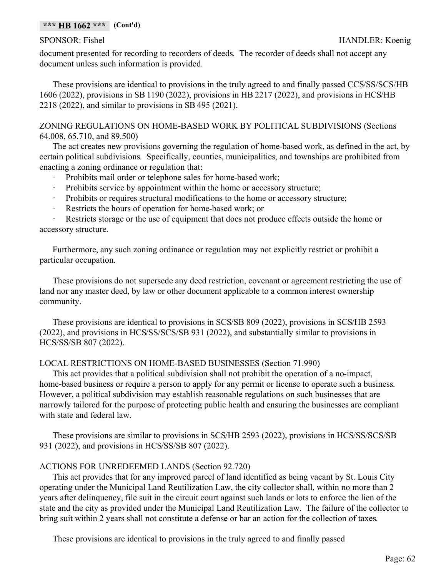### **\*\*\* HB 1662 \*\*\* (Cont'd)**

document presented for recording to recorders of deeds. The recorder of deeds shall not accept any document unless such information is provided.

These provisions are identical to provisions in the truly agreed to and finally passed CCS/SS/SCS/HB 1606 (2022), provisions in SB 1190 (2022), provisions in HB 2217 (2022), and provisions in HCS/HB 2218 (2022), and similar to provisions in SB 495 (2021).

ZONING REGULATIONS ON HOME-BASED WORK BY POLITICAL SUBDIVISIONS (Sections 64.008, 65.710, and 89.500)

The act creates new provisions governing the regulation of home-based work, as defined in the act, by certain political subdivisions. Specifically, counties, municipalities, and townships are prohibited from enacting a zoning ordinance or regulation that:

- Prohibits mail order or telephone sales for home-based work;
- Prohibits service by appointment within the home or accessory structure;
- · Prohibits or requires structural modifications to the home or accessory structure;
- Restricts the hours of operation for home-based work; or

Restricts storage or the use of equipment that does not produce effects outside the home or accessory structure.

Furthermore, any such zoning ordinance or regulation may not explicitly restrict or prohibit a particular occupation.

These provisions do not supersede any deed restriction, covenant or agreement restricting the use of land nor any master deed, by law or other document applicable to a common interest ownership community.

These provisions are identical to provisions in SCS/SB 809 (2022), provisions in SCS/HB 2593 (2022), and provisions in HCS/SS/SCS/SB 931 (2022), and substantially similar to provisions in HCS/SS/SB 807 (2022).

# LOCAL RESTRICTIONS ON HOME-BASED BUSINESSES (Section 71.990)

This act provides that a political subdivision shall not prohibit the operation of a no-impact, home-based business or require a person to apply for any permit or license to operate such a business. However, a political subdivision may establish reasonable regulations on such businesses that are narrowly tailored for the purpose of protecting public health and ensuring the businesses are compliant with state and federal law.

These provisions are similar to provisions in SCS/HB 2593 (2022), provisions in HCS/SS/SCS/SB 931 (2022), and provisions in HCS/SS/SB 807 (2022).

# ACTIONS FOR UNREDEEMED LANDS (Section 92.720)

This act provides that for any improved parcel of land identified as being vacant by St. Louis City operating under the Municipal Land Reutilization Law, the city collector shall, within no more than 2 years after delinquency, file suit in the circuit court against such lands or lots to enforce the lien of the state and the city as provided under the Municipal Land Reutilization Law. The failure of the collector to bring suit within 2 years shall not constitute a defense or bar an action for the collection of taxes.

These provisions are identical to provisions in the truly agreed to and finally passed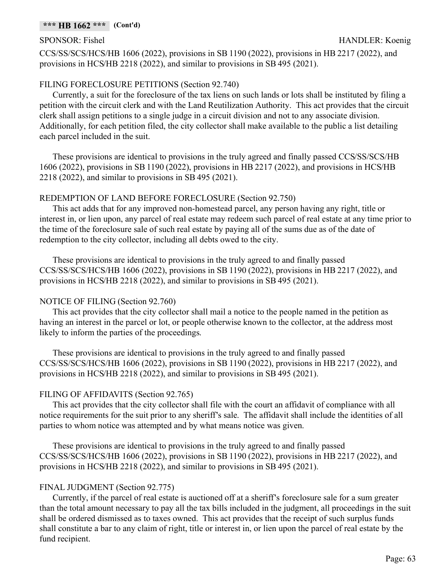### **\*\*\* HB 1662 \*\*\* (Cont'd)**

CCS/SS/SCS/HCS/HB 1606 (2022), provisions in SB 1190 (2022), provisions in HB 2217 (2022), and provisions in HCS/HB 2218 (2022), and similar to provisions in SB 495 (2021).

# FILING FORECLOSURE PETITIONS (Section 92.740)

Currently, a suit for the foreclosure of the tax liens on such lands or lots shall be instituted by filing a petition with the circuit clerk and with the Land Reutilization Authority. This act provides that the circuit clerk shall assign petitions to a single judge in a circuit division and not to any associate division. Additionally, for each petition filed, the city collector shall make available to the public a list detailing each parcel included in the suit.

These provisions are identical to provisions in the truly agreed and finally passed CCS/SS/SCS/HB 1606 (2022), provisions in SB 1190 (2022), provisions in HB 2217 (2022), and provisions in HCS/HB 2218 (2022), and similar to provisions in SB 495 (2021).

## REDEMPTION OF LAND BEFORE FORECLOSURE (Section 92.750)

This act adds that for any improved non-homestead parcel, any person having any right, title or interest in, or lien upon, any parcel of real estate may redeem such parcel of real estate at any time prior to the time of the foreclosure sale of such real estate by paying all of the sums due as of the date of redemption to the city collector, including all debts owed to the city.

These provisions are identical to provisions in the truly agreed to and finally passed CCS/SS/SCS/HCS/HB 1606 (2022), provisions in SB 1190 (2022), provisions in HB 2217 (2022), and provisions in HCS/HB 2218 (2022), and similar to provisions in SB 495 (2021).

# NOTICE OF FILING (Section 92.760)

This act provides that the city collector shall mail a notice to the people named in the petition as having an interest in the parcel or lot, or people otherwise known to the collector, at the address most likely to inform the parties of the proceedings.

These provisions are identical to provisions in the truly agreed to and finally passed CCS/SS/SCS/HCS/HB 1606 (2022), provisions in SB 1190 (2022), provisions in HB 2217 (2022), and provisions in HCS/HB 2218 (2022), and similar to provisions in SB 495 (2021).

# FILING OF AFFIDAVITS (Section 92.765)

This act provides that the city collector shall file with the court an affidavit of compliance with all notice requirements for the suit prior to any sheriff's sale. The affidavit shall include the identities of all parties to whom notice was attempted and by what means notice was given.

These provisions are identical to provisions in the truly agreed to and finally passed CCS/SS/SCS/HCS/HB 1606 (2022), provisions in SB 1190 (2022), provisions in HB 2217 (2022), and provisions in HCS/HB 2218 (2022), and similar to provisions in SB 495 (2021).

# FINAL JUDGMENT (Section 92.775)

Currently, if the parcel of real estate is auctioned off at a sheriff's foreclosure sale for a sum greater than the total amount necessary to pay all the tax bills included in the judgment, all proceedings in the suit shall be ordered dismissed as to taxes owned. This act provides that the receipt of such surplus funds shall constitute a bar to any claim of right, title or interest in, or lien upon the parcel of real estate by the fund recipient.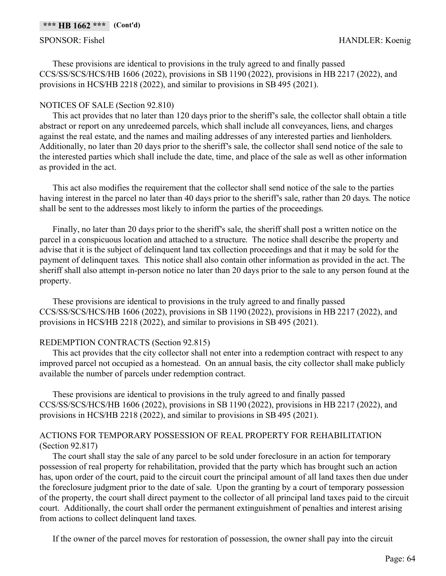These provisions are identical to provisions in the truly agreed to and finally passed CCS/SS/SCS/HCS/HB 1606 (2022), provisions in SB 1190 (2022), provisions in HB 2217 (2022), and provisions in HCS/HB 2218 (2022), and similar to provisions in SB 495 (2021).

# NOTICES OF SALE (Section 92.810)

This act provides that no later than 120 days prior to the sheriff's sale, the collector shall obtain a title abstract or report on any unredeemed parcels, which shall include all conveyances, liens, and charges against the real estate, and the names and mailing addresses of any interested parties and lienholders. Additionally, no later than 20 days prior to the sheriff's sale, the collector shall send notice of the sale to the interested parties which shall include the date, time, and place of the sale as well as other information as provided in the act.

This act also modifies the requirement that the collector shall send notice of the sale to the parties having interest in the parcel no later than 40 days prior to the sheriff's sale, rather than 20 days. The notice shall be sent to the addresses most likely to inform the parties of the proceedings.

Finally, no later than 20 days prior to the sheriff's sale, the sheriff shall post a written notice on the parcel in a conspicuous location and attached to a structure. The notice shall describe the property and advise that it is the subject of delinquent land tax collection proceedings and that it may be sold for the payment of delinquent taxes. This notice shall also contain other information as provided in the act. The sheriff shall also attempt in-person notice no later than 20 days prior to the sale to any person found at the property.

These provisions are identical to provisions in the truly agreed to and finally passed CCS/SS/SCS/HCS/HB 1606 (2022), provisions in SB 1190 (2022), provisions in HB 2217 (2022), and provisions in HCS/HB 2218 (2022), and similar to provisions in SB 495 (2021).

# REDEMPTION CONTRACTS (Section 92.815)

This act provides that the city collector shall not enter into a redemption contract with respect to any improved parcel not occupied as a homestead. On an annual basis, the city collector shall make publicly available the number of parcels under redemption contract.

These provisions are identical to provisions in the truly agreed to and finally passed CCS/SS/SCS/HCS/HB 1606 (2022), provisions in SB 1190 (2022), provisions in HB 2217 (2022), and provisions in HCS/HB 2218 (2022), and similar to provisions in SB 495 (2021).

# ACTIONS FOR TEMPORARY POSSESSION OF REAL PROPERTY FOR REHABILITATION (Section 92.817)

The court shall stay the sale of any parcel to be sold under foreclosure in an action for temporary possession of real property for rehabilitation, provided that the party which has brought such an action has, upon order of the court, paid to the circuit court the principal amount of all land taxes then due under the foreclosure judgment prior to the date of sale. Upon the granting by a court of temporary possession of the property, the court shall direct payment to the collector of all principal land taxes paid to the circuit court. Additionally, the court shall order the permanent extinguishment of penalties and interest arising from actions to collect delinquent land taxes.

If the owner of the parcel moves for restoration of possession, the owner shall pay into the circuit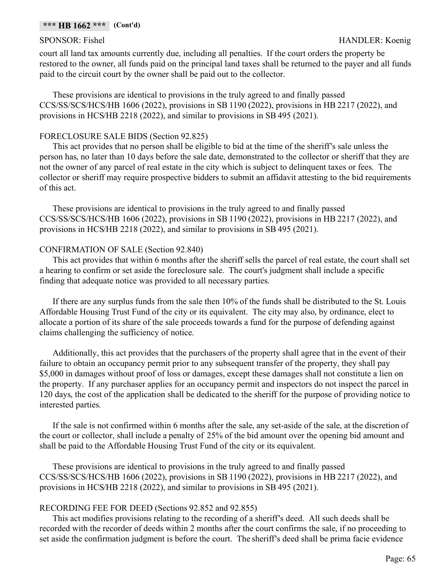court all land tax amounts currently due, including all penalties. If the court orders the property be restored to the owner, all funds paid on the principal land taxes shall be returned to the payer and all funds paid to the circuit court by the owner shall be paid out to the collector.

These provisions are identical to provisions in the truly agreed to and finally passed CCS/SS/SCS/HCS/HB 1606 (2022), provisions in SB 1190 (2022), provisions in HB 2217 (2022), and provisions in HCS/HB 2218 (2022), and similar to provisions in SB 495 (2021).

## FORECLOSURE SALE BIDS (Section 92.825)

This act provides that no person shall be eligible to bid at the time of the sheriff's sale unless the person has, no later than 10 days before the sale date, demonstrated to the collector or sheriff that they are not the owner of any parcel of real estate in the city which is subject to delinquent taxes or fees. The collector or sheriff may require prospective bidders to submit an affidavit attesting to the bid requirements of this act.

These provisions are identical to provisions in the truly agreed to and finally passed CCS/SS/SCS/HCS/HB 1606 (2022), provisions in SB 1190 (2022), provisions in HB 2217 (2022), and provisions in HCS/HB 2218 (2022), and similar to provisions in SB 495 (2021).

# CONFIRMATION OF SALE (Section 92.840)

This act provides that within 6 months after the sheriff sells the parcel of real estate, the court shall set a hearing to confirm or set aside the foreclosure sale. The court's judgment shall include a specific finding that adequate notice was provided to all necessary parties.

If there are any surplus funds from the sale then 10% of the funds shall be distributed to the St. Louis Affordable Housing Trust Fund of the city or its equivalent. The city may also, by ordinance, elect to allocate a portion of its share of the sale proceeds towards a fund for the purpose of defending against claims challenging the sufficiency of notice.

Additionally, this act provides that the purchasers of the property shall agree that in the event of their failure to obtain an occupancy permit prior to any subsequent transfer of the property, they shall pay \$5,000 in damages without proof of loss or damages, except these damages shall not constitute a lien on the property. If any purchaser applies for an occupancy permit and inspectors do not inspect the parcel in 120 days, the cost of the application shall be dedicated to the sheriff for the purpose of providing notice to interested parties.

If the sale is not confirmed within 6 months after the sale, any set-aside of the sale, at the discretion of the court or collector, shall include a penalty of 25% of the bid amount over the opening bid amount and shall be paid to the Affordable Housing Trust Fund of the city or its equivalent.

These provisions are identical to provisions in the truly agreed to and finally passed CCS/SS/SCS/HCS/HB 1606 (2022), provisions in SB 1190 (2022), provisions in HB 2217 (2022), and provisions in HCS/HB 2218 (2022), and similar to provisions in SB 495 (2021).

# RECORDING FEE FOR DEED (Sections 92.852 and 92.855)

This act modifies provisions relating to the recording of a sheriff's deed. All such deeds shall be recorded with the recorder of deeds within 2 months after the court confirms the sale, if no proceeding to set aside the confirmation judgment is before the court. The sheriff's deed shall be prima facie evidence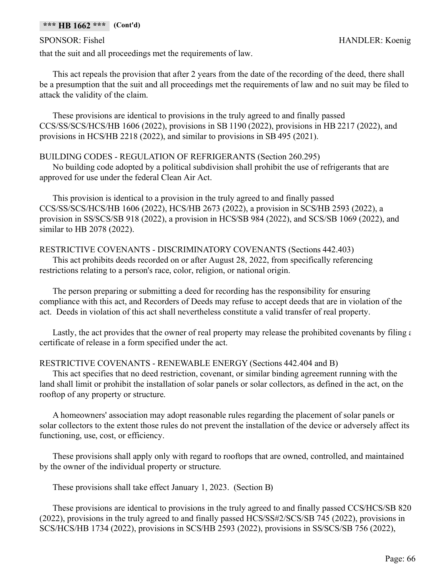## **\*\*\* HB 1662 \*\*\* (Cont'd)**

#### SPONSOR: Fishel HANDLER: Koenig

that the suit and all proceedings met the requirements of law.

This act repeals the provision that after 2 years from the date of the recording of the deed, there shall be a presumption that the suit and all proceedings met the requirements of law and no suit may be filed to attack the validity of the claim.

These provisions are identical to provisions in the truly agreed to and finally passed CCS/SS/SCS/HCS/HB 1606 (2022), provisions in SB 1190 (2022), provisions in HB 2217 (2022), and provisions in HCS/HB 2218 (2022), and similar to provisions in SB 495 (2021).

# BUILDING CODES - REGULATION OF REFRIGERANTS (Section 260.295)

No building code adopted by a political subdivision shall prohibit the use of refrigerants that are approved for use under the federal Clean Air Act.

This provision is identical to a provision in the truly agreed to and finally passed CCS/SS/SCS/HCS/HB 1606 (2022), HCS/HB 2673 (2022), a provision in SCS/HB 2593 (2022), a provision in SS/SCS/SB 918 (2022), a provision in HCS/SB 984 (2022), and SCS/SB 1069 (2022), and similar to HB 2078 (2022).

# RESTRICTIVE COVENANTS - DISCRIMINATORY COVENANTS (Sections 442.403)

This act prohibits deeds recorded on or after August 28, 2022, from specifically referencing restrictions relating to a person's race, color, religion, or national origin.

The person preparing or submitting a deed for recording has the responsibility for ensuring compliance with this act, and Recorders of Deeds may refuse to accept deeds that are in violation of the act. Deeds in violation of this act shall nevertheless constitute a valid transfer of real property.

Lastly, the act provides that the owner of real property may release the prohibited covenants by filing  $\epsilon$ certificate of release in a form specified under the act.

# RESTRICTIVE COVENANTS - RENEWABLE ENERGY (Sections 442.404 and B)

This act specifies that no deed restriction, covenant, or similar binding agreement running with the land shall limit or prohibit the installation of solar panels or solar collectors, as defined in the act, on the rooftop of any property or structure.

A homeowners' association may adopt reasonable rules regarding the placement of solar panels or solar collectors to the extent those rules do not prevent the installation of the device or adversely affect its functioning, use, cost, or efficiency.

These provisions shall apply only with regard to rooftops that are owned, controlled, and maintained by the owner of the individual property or structure.

These provisions shall take effect January 1, 2023. (Section B)

These provisions are identical to provisions in the truly agreed to and finally passed CCS/HCS/SB 820 (2022), provisions in the truly agreed to and finally passed HCS/SS#2/SCS/SB 745 (2022), provisions in SCS/HCS/HB 1734 (2022), provisions in SCS/HB 2593 (2022), provisions in SS/SCS/SB 756 (2022),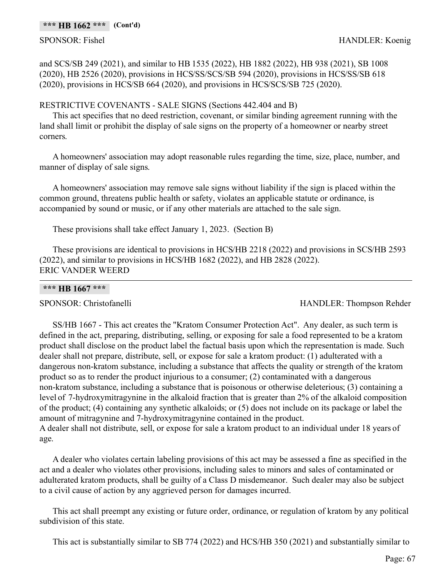and SCS/SB 249 (2021), and similar to HB 1535 (2022), HB 1882 (2022), HB 938 (2021), SB 1008 (2020), HB 2526 (2020), provisions in HCS/SS/SCS/SB 594 (2020), provisions in HCS/SS/SB 618 (2020), provisions in HCS/SB 664 (2020), and provisions in HCS/SCS/SB 725 (2020).

# RESTRICTIVE COVENANTS - SALE SIGNS (Sections 442.404 and B)

This act specifies that no deed restriction, covenant, or similar binding agreement running with the land shall limit or prohibit the display of sale signs on the property of a homeowner or nearby street corners.

A homeowners' association may adopt reasonable rules regarding the time, size, place, number, and manner of display of sale signs.

A homeowners' association may remove sale signs without liability if the sign is placed within the common ground, threatens public health or safety, violates an applicable statute or ordinance, is accompanied by sound or music, or if any other materials are attached to the sale sign.

These provisions shall take effect January 1, 2023. (Section B)

These provisions are identical to provisions in HCS/HB 2218 (2022) and provisions in SCS/HB 2593 (2022), and similar to provisions in HCS/HB 1682 (2022), and HB 2828 (2022). ERIC VANDER WEERD

#### **\*\*\* HB 1667 \*\*\***

SPONSOR: Christofanelli **SPONSOR: Christofanelli HANDLER: Thompson Rehder** 

SS/HB 1667 - This act creates the "Kratom Consumer Protection Act". Any dealer, as such term is defined in the act, preparing, distributing, selling, or exposing for sale a food represented to be a kratom product shall disclose on the product label the factual basis upon which the representation is made. Such dealer shall not prepare, distribute, sell, or expose for sale a kratom product: (1) adulterated with a dangerous non-kratom substance, including a substance that affects the quality or strength of the kratom product so as to render the product injurious to a consumer; (2) contaminated with a dangerous non-kratom substance, including a substance that is poisonous or otherwise deleterious; (3) containing a level of 7-hydroxymitragynine in the alkaloid fraction that is greater than 2% of the alkaloid composition of the product; (4) containing any synthetic alkaloids; or (5) does not include on its package or label the amount of mitragynine and 7-hydroxymitragynine contained in the product. A dealer shall not distribute, sell, or expose for sale a kratom product to an individual under 18 years of age.

A dealer who violates certain labeling provisions of this act may be assessed a fine as specified in the act and a dealer who violates other provisions, including sales to minors and sales of contaminated or adulterated kratom products, shall be guilty of a Class D misdemeanor. Such dealer may also be subject to a civil cause of action by any aggrieved person for damages incurred.

This act shall preempt any existing or future order, ordinance, or regulation of kratom by any political subdivision of this state.

This act is substantially similar to SB 774 (2022) and HCS/HB 350 (2021) and substantially similar to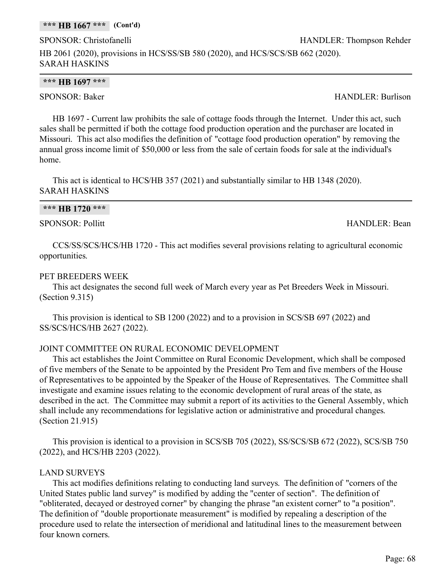# **\*\*\* HB 1667 \*\*\* (Cont'd)**

SPONSOR: Christofanelli **Exercise SPONSOR: Christofanelli** HANDLER: Thompson Rehder HB 2061 (2020), provisions in HCS/SS/SB 580 (2020), and HCS/SCS/SB 662 (2020). SARAH HASKINS

# **\*\*\* HB 1697 \*\*\***

# SPONSOR: Baker HANDLER: Burlison

HB 1697 - Current law prohibits the sale of cottage foods through the Internet. Under this act, such sales shall be permitted if both the cottage food production operation and the purchaser are located in Missouri. This act also modifies the definition of "cottage food production operation" by removing the annual gross income limit of \$50,000 or less from the sale of certain foods for sale at the individual's home.

This act is identical to HCS/HB 357 (2021) and substantially similar to HB 1348 (2020). SARAH HASKINS

|--|--|--|--|

SPONSOR: Pollitt HANDLER: Bean

CCS/SS/SCS/HCS/HB 1720 - This act modifies several provisions relating to agricultural economic opportunities.

# PET BREEDERS WEEK

This act designates the second full week of March every year as Pet Breeders Week in Missouri. (Section 9.315)

This provision is identical to SB 1200 (2022) and to a provision in SCS/SB 697 (2022) and SS/SCS/HCS/HB 2627 (2022).

# JOINT COMMITTEE ON RURAL ECONOMIC DEVELOPMENT

This act establishes the Joint Committee on Rural Economic Development, which shall be composed of five members of the Senate to be appointed by the President Pro Tem and five members of the House of Representatives to be appointed by the Speaker of the House of Representatives. The Committee shall investigate and examine issues relating to the economic development of rural areas of the state, as described in the act. The Committee may submit a report of its activities to the General Assembly, which shall include any recommendations for legislative action or administrative and procedural changes. (Section 21.915)

This provision is identical to a provision in SCS/SB 705 (2022), SS/SCS/SB 672 (2022), SCS/SB 750 (2022), and HCS/HB 2203 (2022).

# LAND SURVEYS

This act modifies definitions relating to conducting land surveys. The definition of "corners of the United States public land survey" is modified by adding the "center of section". The definition of "obliterated, decayed or destroyed corner" by changing the phrase "an existent corner" to "a position". The definition of "double proportionate measurement" is modified by repealing a description of the procedure used to relate the intersection of meridional and latitudinal lines to the measurement between four known corners.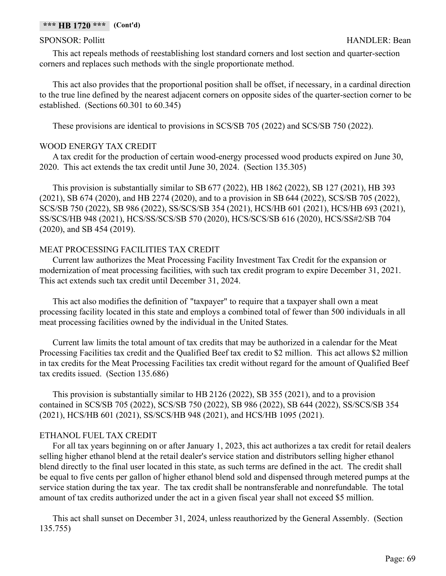#### SPONSOR: Pollitt HANDLER: Bean

This act repeals methods of reestablishing lost standard corners and lost section and quarter-section corners and replaces such methods with the single proportionate method.

This act also provides that the proportional position shall be offset, if necessary, in a cardinal direction to the true line defined by the nearest adjacent corners on opposite sides of the quarter-section corner to be established. (Sections 60.301 to 60.345)

These provisions are identical to provisions in SCS/SB 705 (2022) and SCS/SB 750 (2022).

# WOOD ENERGY TAX CREDIT

A tax credit for the production of certain wood-energy processed wood products expired on June 30, 2020. This act extends the tax credit until June 30, 2024. (Section 135.305)

This provision is substantially similar to SB 677 (2022), HB 1862 (2022), SB 127 (2021), HB 393 (2021), SB 674 (2020), and HB 2274 (2020), and to a provision in SB 644 (2022), SCS/SB 705 (2022), SCS/SB 750 (2022), SB 986 (2022), SS/SCS/SB 354 (2021), HCS/HB 601 (2021), HCS/HB 693 (2021), SS/SCS/HB 948 (2021), HCS/SS/SCS/SB 570 (2020), HCS/SCS/SB 616 (2020), HCS/SS#2/SB 704 (2020), and SB 454 (2019).

# MEAT PROCESSING FACILITIES TAX CREDIT

Current law authorizes the Meat Processing Facility Investment Tax Credit for the expansion or modernization of meat processing facilities, with such tax credit program to expire December 31, 2021. This act extends such tax credit until December 31, 2024.

This act also modifies the definition of "taxpayer" to require that a taxpayer shall own a meat processing facility located in this state and employs a combined total of fewer than 500 individuals in all meat processing facilities owned by the individual in the United States.

Current law limits the total amount of tax credits that may be authorized in a calendar for the Meat Processing Facilities tax credit and the Qualified Beef tax credit to \$2 million. This act allows \$2 million in tax credits for the Meat Processing Facilities tax credit without regard for the amount of Qualified Beef tax credits issued. (Section 135.686)

This provision is substantially similar to HB 2126 (2022), SB 355 (2021), and to a provision contained in SCS/SB 705 (2022), SCS/SB 750 (2022), SB 986 (2022), SB 644 (2022), SS/SCS/SB 354 (2021), HCS/HB 601 (2021), SS/SCS/HB 948 (2021), and HCS/HB 1095 (2021).

# ETHANOL FUEL TAX CREDIT

For all tax years beginning on or after January 1, 2023, this act authorizes a tax credit for retail dealers selling higher ethanol blend at the retail dealer's service station and distributors selling higher ethanol blend directly to the final user located in this state, as such terms are defined in the act. The credit shall be equal to five cents per gallon of higher ethanol blend sold and dispensed through metered pumps at the service station during the tax year. The tax credit shall be nontransferable and nonrefundable. The total amount of tax credits authorized under the act in a given fiscal year shall not exceed \$5 million.

This act shall sunset on December 31, 2024, unless reauthorized by the General Assembly. (Section 135.755)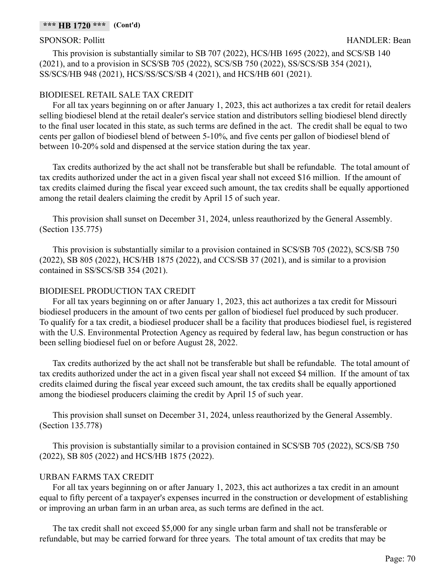This provision is substantially similar to SB 707 (2022), HCS/HB 1695 (2022), and SCS/SB 140 (2021), and to a provision in SCS/SB 705 (2022), SCS/SB 750 (2022), SS/SCS/SB 354 (2021), SS/SCS/HB 948 (2021), HCS/SS/SCS/SB 4 (2021), and HCS/HB 601 (2021).

# BIODIESEL RETAIL SALE TAX CREDIT

For all tax years beginning on or after January 1, 2023, this act authorizes a tax credit for retail dealers selling biodiesel blend at the retail dealer's service station and distributors selling biodiesel blend directly to the final user located in this state, as such terms are defined in the act. The credit shall be equal to two cents per gallon of biodiesel blend of between 5-10%, and five cents per gallon of biodiesel blend of between 10-20% sold and dispensed at the service station during the tax year.

Tax credits authorized by the act shall not be transferable but shall be refundable. The total amount of tax credits authorized under the act in a given fiscal year shall not exceed \$16 million. If the amount of tax credits claimed during the fiscal year exceed such amount, the tax credits shall be equally apportioned among the retail dealers claiming the credit by April 15 of such year.

This provision shall sunset on December 31, 2024, unless reauthorized by the General Assembly. (Section 135.775)

This provision is substantially similar to a provision contained in SCS/SB 705 (2022), SCS/SB 750 (2022), SB 805 (2022), HCS/HB 1875 (2022), and CCS/SB 37 (2021), and is similar to a provision contained in SS/SCS/SB 354 (2021).

# BIODIESEL PRODUCTION TAX CREDIT

For all tax years beginning on or after January 1, 2023, this act authorizes a tax credit for Missouri biodiesel producers in the amount of two cents per gallon of biodiesel fuel produced by such producer. To qualify for a tax credit, a biodiesel producer shall be a facility that produces biodiesel fuel, is registered with the U.S. Environmental Protection Agency as required by federal law, has begun construction or has been selling biodiesel fuel on or before August 28, 2022.

Tax credits authorized by the act shall not be transferable but shall be refundable. The total amount of tax credits authorized under the act in a given fiscal year shall not exceed \$4 million. If the amount of tax credits claimed during the fiscal year exceed such amount, the tax credits shall be equally apportioned among the biodiesel producers claiming the credit by April 15 of such year.

This provision shall sunset on December 31, 2024, unless reauthorized by the General Assembly. (Section 135.778)

This provision is substantially similar to a provision contained in SCS/SB 705 (2022), SCS/SB 750 (2022), SB 805 (2022) and HCS/HB 1875 (2022).

# URBAN FARMS TAX CREDIT

For all tax years beginning on or after January 1, 2023, this act authorizes a tax credit in an amount equal to fifty percent of a taxpayer's expenses incurred in the construction or development of establishing or improving an urban farm in an urban area, as such terms are defined in the act.

The tax credit shall not exceed \$5,000 for any single urban farm and shall not be transferable or refundable, but may be carried forward for three years. The total amount of tax credits that may be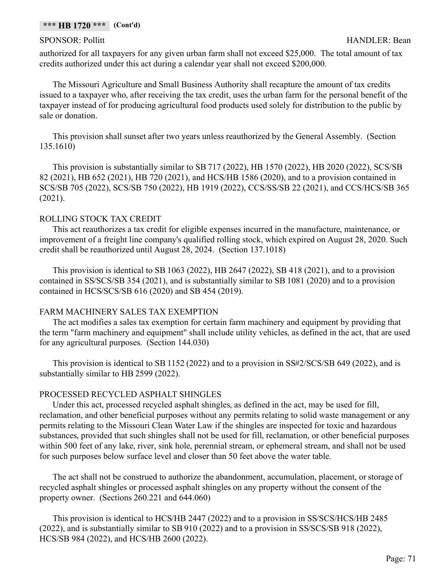### **\*\*\* HB 1720 \*\*\* (Cont'd)**

#### SPONSOR: Pollitt HANDLER: Bean

authorized for all taxpayers for any given urban farm shall not exceed \$25,000. The total amount of tax credits authorized under this act during a calendar year shall not exceed \$200,000.

The Missouri Agriculture and Small Business Authority shall recapture the amount of tax credits issued to a taxpayer who, after receiving the tax credit, uses the urban farm for the personal benefit of the taxpayer instead of for producing agricultural food products used solely for distribution to the public by sale or donation.

This provision shall sunset after two years unless reauthorized by the General Assembly. (Section 135.1610)

This provision is substantially similar to SB 717 (2022), HB 1570 (2022), HB 2020 (2022), SCS/SB 82 (2021), HB 652 (2021), HB 720 (2021), and HCS/HB 1586 (2020), and to a provision contained in SCS/SB 705 (2022), SCS/SB 750 (2022), HB 1919 (2022), CCS/SS/SB 22 (2021), and CCS/HCS/SB 365 (2021).

## ROLLING STOCK TAX CREDIT

This act reauthorizes a tax credit for eligible expenses incurred in the manufacture, maintenance, or improvement of a freight line company's qualified rolling stock, which expired on August 28, 2020. Such credit shall be reauthorized until August 28, 2024. (Section 137.1018)

This provision is identical to SB 1063 (2022), HB 2647 (2022), SB 418 (2021), and to a provision contained in SS/SCS/SB 354 (2021), and is substantially similar to SB 1081 (2020) and to a provision contained in HCS/SCS/SB 616 (2020) and SB 454 (2019).

# FARM MACHINERY SALES TAX EXEMPTION

The act modifies a sales tax exemption for certain farm machinery and equipment by providing that the term "farm machinery and equipment" shall include utility vehicles, as defined in the act, that are used for any agricultural purposes. (Section 144.030)

This provision is identical to SB 1152 (2022) and to a provision in SS#2/SCS/SB 649 (2022), and is substantially similar to HB 2599 (2022).

# PROCESSED RECYCLED ASPHALT SHINGLES

Under this act, processed recycled asphalt shingles, as defined in the act, may be used for fill, reclamation, and other beneficial purposes without any permits relating to solid waste management or any permits relating to the Missouri Clean Water Law if the shingles are inspected for toxic and hazardous substances, provided that such shingles shall not be used for fill, reclamation, or other beneficial purposes within 500 feet of any lake, river, sink hole, perennial stream, or ephemeral stream, and shall not be used for such purposes below surface level and closer than 50 feet above the water table.

The act shall not be construed to authorize the abandonment, accumulation, placement, or storage of recycled asphalt shingles or processed asphalt shingles on any property without the consent of the property owner. (Sections 260.221 and 644.060)

This provision is identical to HCS/HB 2447 (2022) and to a provision in SS/SCS/HCS/HB 2485 (2022), and is substantially similar to SB 910 (2022) and to a provision in SS/SCS/SB 918 (2022), HCS/SB 984 (2022), and HCS/HB 2600 (2022).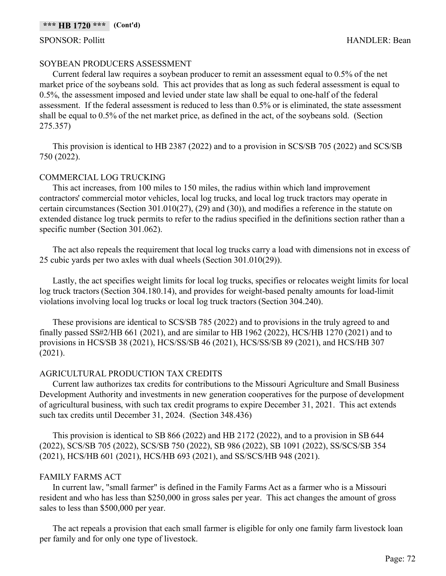### SPONSOR: Pollitt HANDLER: Bean

## SOYBEAN PRODUCERS ASSESSMENT

Current federal law requires a soybean producer to remit an assessment equal to 0.5% of the net market price of the soybeans sold. This act provides that as long as such federal assessment is equal to 0.5%, the assessment imposed and levied under state law shall be equal to one-half of the federal assessment. If the federal assessment is reduced to less than 0.5% or is eliminated, the state assessment shall be equal to 0.5% of the net market price, as defined in the act, of the soybeans sold. (Section 275.357)

This provision is identical to HB 2387 (2022) and to a provision in SCS/SB 705 (2022) and SCS/SB 750 (2022).

## COMMERCIAL LOG TRUCKING

This act increases, from 100 miles to 150 miles, the radius within which land improvement contractors' commercial motor vehicles, local log trucks, and local log truck tractors may operate in certain circumstances (Section 301.010(27), (29) and (30)), and modifies a reference in the statute on extended distance log truck permits to refer to the radius specified in the definitions section rather than a specific number (Section 301.062).

The act also repeals the requirement that local log trucks carry a load with dimensions not in excess of 25 cubic yards per two axles with dual wheels (Section 301.010(29)).

Lastly, the act specifies weight limits for local log trucks, specifies or relocates weight limits for local log truck tractors (Section 304.180.14), and provides for weight-based penalty amounts for load-limit violations involving local log trucks or local log truck tractors (Section 304.240).

These provisions are identical to SCS/SB 785 (2022) and to provisions in the truly agreed to and finally passed SS#2/HB 661 (2021), and are similar to HB 1962 (2022), HCS/HB 1270 (2021) and to provisions in HCS/SB 38 (2021), HCS/SS/SB 46 (2021), HCS/SS/SB 89 (2021), and HCS/HB 307 (2021).

## AGRICULTURAL PRODUCTION TAX CREDITS

Current law authorizes tax credits for contributions to the Missouri Agriculture and Small Business Development Authority and investments in new generation cooperatives for the purpose of development of agricultural business, with such tax credit programs to expire December 31, 2021. This act extends such tax credits until December 31, 2024. (Section 348.436)

This provision is identical to SB 866 (2022) and HB 2172 (2022), and to a provision in SB 644 (2022), SCS/SB 705 (2022), SCS/SB 750 (2022), SB 986 (2022), SB 1091 (2022), SS/SCS/SB 354 (2021), HCS/HB 601 (2021), HCS/HB 693 (2021), and SS/SCS/HB 948 (2021).

## FAMILY FARMS ACT

In current law, "small farmer" is defined in the Family Farms Act as a farmer who is a Missouri resident and who has less than \$250,000 in gross sales per year. This act changes the amount of gross sales to less than \$500,000 per year.

The act repeals a provision that each small farmer is eligible for only one family farm livestock loan per family and for only one type of livestock.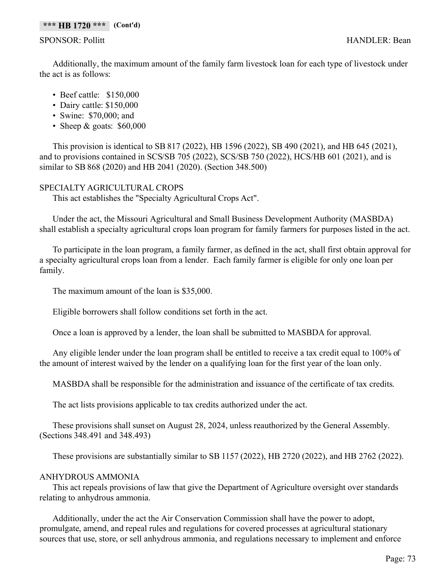### SPONSOR: Pollitt HANDLER: Bean

Additionally, the maximum amount of the family farm livestock loan for each type of livestock under the act is as follows:

- Beef cattle: \$150,000
- Dairy cattle: \$150,000
- Swine: \$70,000; and
- Sheep & goats: \$60,000

This provision is identical to SB 817 (2022), HB 1596 (2022), SB 490 (2021), and HB 645 (2021), and to provisions contained in SCS/SB 705 (2022), SCS/SB 750 (2022), HCS/HB 601 (2021), and is similar to SB 868 (2020) and HB 2041 (2020). (Section 348.500)

## SPECIALTY AGRICULTURAL CROPS

This act establishes the "Specialty Agricultural Crops Act".

Under the act, the Missouri Agricultural and Small Business Development Authority (MASBDA) shall establish a specialty agricultural crops loan program for family farmers for purposes listed in the act.

To participate in the loan program, a family farmer, as defined in the act, shall first obtain approval for a specialty agricultural crops loan from a lender. Each family farmer is eligible for only one loan per family.

The maximum amount of the loan is \$35,000.

Eligible borrowers shall follow conditions set forth in the act.

Once a loan is approved by a lender, the loan shall be submitted to MASBDA for approval.

Any eligible lender under the loan program shall be entitled to receive a tax credit equal to 100% of the amount of interest waived by the lender on a qualifying loan for the first year of the loan only.

MASBDA shall be responsible for the administration and issuance of the certificate of tax credits.

The act lists provisions applicable to tax credits authorized under the act.

These provisions shall sunset on August 28, 2024, unless reauthorized by the General Assembly. (Sections 348.491 and 348.493)

These provisions are substantially similar to SB 1157 (2022), HB 2720 (2022), and HB 2762 (2022).

## ANHYDROUS AMMONIA

This act repeals provisions of law that give the Department of Agriculture oversight over standards relating to anhydrous ammonia.

Additionally, under the act the Air Conservation Commission shall have the power to adopt, promulgate, amend, and repeal rules and regulations for covered processes at agricultural stationary sources that use, store, or sell anhydrous ammonia, and regulations necessary to implement and enforce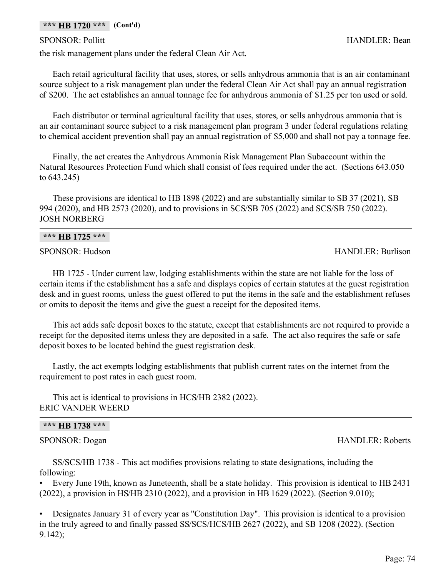the risk management plans under the federal Clean Air Act.

Each retail agricultural facility that uses, stores, or sells anhydrous ammonia that is an air contaminant source subject to a risk management plan under the federal Clean Air Act shall pay an annual registration of \$200. The act establishes an annual tonnage fee for anhydrous ammonia of \$1.25 per ton used or sold.

Each distributor or terminal agricultural facility that uses, stores, or sells anhydrous ammonia that is an air contaminant source subject to a risk management plan program 3 under federal regulations relating to chemical accident prevention shall pay an annual registration of \$5,000 and shall not pay a tonnage fee.

Finally, the act creates the Anhydrous Ammonia Risk Management Plan Subaccount within the Natural Resources Protection Fund which shall consist of fees required under the act. (Sections 643.050 to 643.245)

These provisions are identical to HB 1898 (2022) and are substantially similar to SB 37 (2021), SB 994 (2020), and HB 2573 (2020), and to provisions in SCS/SB 705 (2022) and SCS/SB 750 (2022). JOSH NORBERG

### **\*\*\* HB 1725 \*\*\***

SPONSOR: Hudson HANDLER: Burlison

HB 1725 - Under current law, lodging establishments within the state are not liable for the loss of certain items if the establishment has a safe and displays copies of certain statutes at the guest registration desk and in guest rooms, unless the guest offered to put the items in the safe and the establishment refuses or omits to deposit the items and give the guest a receipt for the deposited items.

This act adds safe deposit boxes to the statute, except that establishments are not required to provide a receipt for the deposited items unless they are deposited in a safe. The act also requires the safe or safe deposit boxes to be located behind the guest registration desk.

Lastly, the act exempts lodging establishments that publish current rates on the internet from the requirement to post rates in each guest room.

This act is identical to provisions in HCS/HB 2382 (2022). ERIC VANDER WEERD

### **\*\*\* HB 1738 \*\*\***

SPONSOR: Dogan HANDLER: Roberts

SS/SCS/HB 1738 - This act modifies provisions relating to state designations, including the following:

• Every June 19th, known as Juneteenth, shall be a state holiday. This provision is identical to HB 2431 (2022), a provision in HS/HB 2310 (2022), and a provision in HB 1629 (2022). (Section 9.010);

• Designates January 31 of every year as "Constitution Day". This provision is identical to a provision in the truly agreed to and finally passed SS/SCS/HCS/HB 2627 (2022), and SB 1208 (2022). (Section 9.142);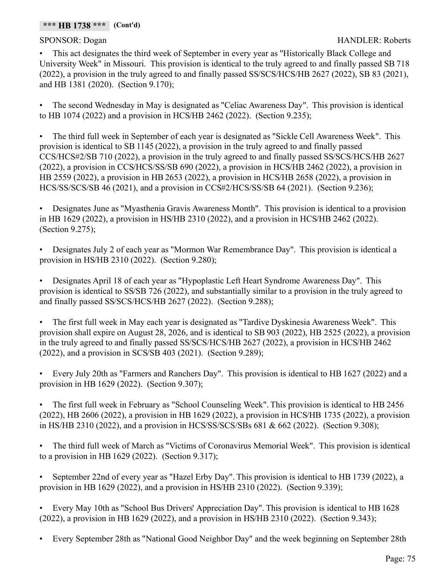• This act designates the third week of September in every year as "Historically Black College and University Week" in Missouri. This provision is identical to the truly agreed to and finally passed SB 718 (2022), a provision in the truly agreed to and finally passed SS/SCS/HCS/HB 2627 (2022), SB 83 (2021), and HB 1381 (2020). (Section 9.170);

• The second Wednesday in May is designated as "Celiac Awareness Day". This provision is identical to HB 1074 (2022) and a provision in HCS/HB 2462 (2022). (Section 9.235);

• The third full week in September of each year is designated as "Sickle Cell Awareness Week". This provision is identical to SB 1145 (2022), a provision in the truly agreed to and finally passed CCS/HCS#2/SB 710 (2022), a provision in the truly agreed to and finally passed SS/SCS/HCS/HB 2627 (2022), a provision in CCS/HCS/SS/SB 690 (2022), a provision in HCS/HB 2462 (2022), a provision in HB 2559 (2022), a provision in HB 2653 (2022), a provision in HCS/HB 2658 (2022), a provision in HCS/SS/SCS/SB 46 (2021), and a provision in CCS#2/HCS/SS/SB 64 (2021). (Section 9.236);

• Designates June as "Myasthenia Gravis Awareness Month". This provision is identical to a provision in HB 1629 (2022), a provision in HS/HB 2310 (2022), and a provision in HCS/HB 2462 (2022). (Section 9.275);

• Designates July 2 of each year as "Mormon War Remembrance Day". This provision is identical a provision in HS/HB 2310 (2022). (Section 9.280);

• Designates April 18 of each year as "Hypoplastic Left Heart Syndrome Awareness Day". This provision is identical to SS/SB 726 (2022), and substantially similar to a provision in the truly agreed to and finally passed SS/SCS/HCS/HB 2627 (2022). (Section 9.288);

• The first full week in May each year is designated as "Tardive Dyskinesia Awareness Week". This provision shall expire on August 28, 2026, and is identical to SB 903 (2022), HB 2525 (2022), a provision in the truly agreed to and finally passed SS/SCS/HCS/HB 2627 (2022), a provision in HCS/HB 2462 (2022), and a provision in SCS/SB 403 (2021). (Section 9.289);

• Every July 20th as "Farmers and Ranchers Day". This provision is identical to HB 1627 (2022) and a provision in HB 1629 (2022). (Section 9.307);

• The first full week in February as "School Counseling Week". This provision is identical to HB 2456 (2022), HB 2606 (2022), a provision in HB 1629 (2022), a provision in HCS/HB 1735 (2022), a provision in HS/HB 2310 (2022), and a provision in HCS/SS/SCS/SBs 681 & 662 (2022). (Section 9.308);

• The third full week of March as "Victims of Coronavirus Memorial Week". This provision is identical to a provision in HB 1629 (2022). (Section 9.317);

• September 22nd of every year as "Hazel Erby Day". This provision is identical to HB 1739 (2022), a provision in HB 1629 (2022), and a provision in HS/HB 2310 (2022). (Section 9.339);

• Every May 10th as "School Bus Drivers' Appreciation Day". This provision is identical to HB 1628 (2022), a provision in HB 1629 (2022), and a provision in HS/HB 2310 (2022). (Section 9.343);

• Every September 28th as "National Good Neighbor Day" and the week beginning on September 28th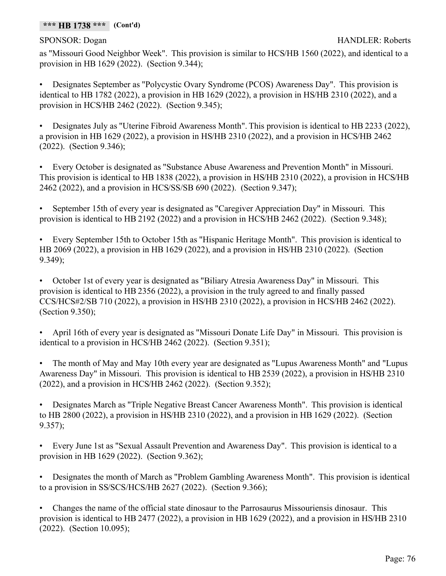## SPONSOR: Dogan HANDLER: Roberts

as "Missouri Good Neighbor Week". This provision is similar to HCS/HB 1560 (2022), and identical to a provision in HB 1629 (2022). (Section 9.344);

• Designates September as "Polycystic Ovary Syndrome (PCOS) Awareness Day". This provision is identical to HB 1782 (2022), a provision in HB 1629 (2022), a provision in HS/HB 2310 (2022), and a provision in HCS/HB 2462 (2022). (Section 9.345);

• Designates July as "Uterine Fibroid Awareness Month". This provision is identical to HB 2233 (2022), a provision in HB 1629 (2022), a provision in HS/HB 2310 (2022), and a provision in HCS/HB 2462 (2022). (Section 9.346);

• Every October is designated as "Substance Abuse Awareness and Prevention Month" in Missouri. This provision is identical to HB 1838 (2022), a provision in HS/HB 2310 (2022), a provision in HCS/HB 2462 (2022), and a provision in HCS/SS/SB 690 (2022). (Section 9.347);

• September 15th of every year is designated as "Caregiver Appreciation Day" in Missouri. This provision is identical to HB 2192 (2022) and a provision in HCS/HB 2462 (2022). (Section 9.348);

• Every September 15th to October 15th as "Hispanic Heritage Month". This provision is identical to HB 2069 (2022), a provision in HB 1629 (2022), and a provision in HS/HB 2310 (2022). (Section 9.349);

• October 1st of every year is designated as "Biliary Atresia Awareness Day" in Missouri. This provision is identical to HB 2356 (2022), a provision in the truly agreed to and finally passed CCS/HCS#2/SB 710 (2022), a provision in HS/HB 2310 (2022), a provision in HCS/HB 2462 (2022). (Section 9.350);

• April 16th of every year is designated as "Missouri Donate Life Day" in Missouri. This provision is identical to a provision in HCS/HB 2462 (2022). (Section 9.351);

• The month of May and May 10th every year are designated as "Lupus Awareness Month" and "Lupus Awareness Day" in Missouri. This provision is identical to HB 2539 (2022), a provision in HS/HB 2310 (2022), and a provision in HCS/HB 2462 (2022). (Section 9.352);

• Designates March as "Triple Negative Breast Cancer Awareness Month". This provision is identical to HB 2800 (2022), a provision in HS/HB 2310 (2022), and a provision in HB 1629 (2022). (Section 9.357);

• Every June 1st as "Sexual Assault Prevention and Awareness Day". This provision is identical to a provision in HB 1629 (2022). (Section 9.362);

• Designates the month of March as "Problem Gambling Awareness Month". This provision is identical to a provision in SS/SCS/HCS/HB 2627 (2022). (Section 9.366);

• Changes the name of the official state dinosaur to the Parrosaurus Missouriensis dinosaur. This provision is identical to HB 2477 (2022), a provision in HB 1629 (2022), and a provision in HS/HB 2310 (2022). (Section 10.095);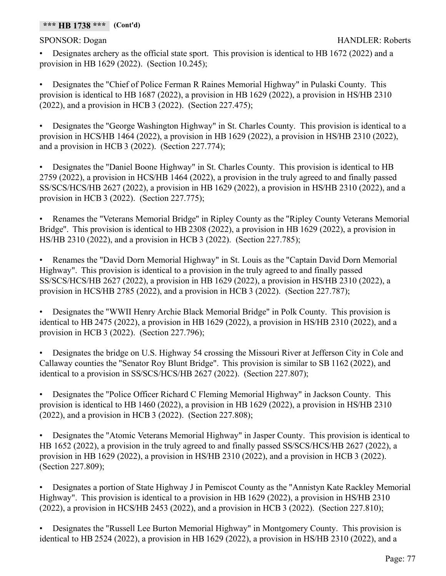• Designates archery as the official state sport. This provision is identical to HB 1672 (2022) and a provision in HB 1629 (2022). (Section 10.245);

• Designates the "Chief of Police Ferman R Raines Memorial Highway" in Pulaski County. This provision is identical to HB 1687 (2022), a provision in HB 1629 (2022), a provision in HS/HB 2310 (2022), and a provision in HCB 3 (2022). (Section 227.475);

• Designates the "George Washington Highway" in St. Charles County. This provision is identical to a provision in HCS/HB 1464 (2022), a provision in HB 1629 (2022), a provision in HS/HB 2310 (2022), and a provision in HCB 3 (2022). (Section 227.774);

• Designates the "Daniel Boone Highway" in St. Charles County. This provision is identical to HB 2759 (2022), a provision in HCS/HB 1464 (2022), a provision in the truly agreed to and finally passed SS/SCS/HCS/HB 2627 (2022), a provision in HB 1629 (2022), a provision in HS/HB 2310 (2022), and a provision in HCB 3 (2022). (Section 227.775);

• Renames the "Veterans Memorial Bridge" in Ripley County as the "Ripley County Veterans Memorial Bridge". This provision is identical to HB 2308 (2022), a provision in HB 1629 (2022), a provision in HS/HB 2310 (2022), and a provision in HCB 3 (2022). (Section 227.785);

• Renames the "David Dorn Memorial Highway" in St. Louis as the "Captain David Dorn Memorial Highway". This provision is identical to a provision in the truly agreed to and finally passed SS/SCS/HCS/HB 2627 (2022), a provision in HB 1629 (2022), a provision in HS/HB 2310 (2022), a provision in HCS/HB 2785 (2022), and a provision in HCB 3 (2022). (Section 227.787);

• Designates the "WWII Henry Archie Black Memorial Bridge" in Polk County. This provision is identical to HB 2475 (2022), a provision in HB 1629 (2022), a provision in HS/HB 2310 (2022), and a provision in HCB 3 (2022). (Section 227.796);

• Designates the bridge on U.S. Highway 54 crossing the Missouri River at Jefferson City in Cole and Callaway counties the "Senator Roy Blunt Bridge". This provision is similar to SB 1162 (2022), and identical to a provision in SS/SCS/HCS/HB 2627 (2022). (Section 227.807);

• Designates the "Police Officer Richard C Fleming Memorial Highway" in Jackson County. This provision is identical to HB 1460 (2022), a provision in HB 1629 (2022), a provision in HS/HB 2310 (2022), and a provision in HCB 3 (2022). (Section 227.808);

• Designates the "Atomic Veterans Memorial Highway" in Jasper County. This provision is identical to HB 1652 (2022), a provision in the truly agreed to and finally passed SS/SCS/HCS/HB 2627 (2022), a provision in HB 1629 (2022), a provision in HS/HB 2310 (2022), and a provision in HCB 3 (2022). (Section 227.809);

• Designates a portion of State Highway J in Pemiscot County as the "Annistyn Kate Rackley Memorial Highway". This provision is identical to a provision in HB 1629 (2022), a provision in HS/HB 2310 (2022), a provision in HCS/HB 2453 (2022), and a provision in HCB 3 (2022). (Section 227.810);

• Designates the "Russell Lee Burton Memorial Highway" in Montgomery County. This provision is identical to HB 2524 (2022), a provision in HB 1629 (2022), a provision in HS/HB 2310 (2022), and a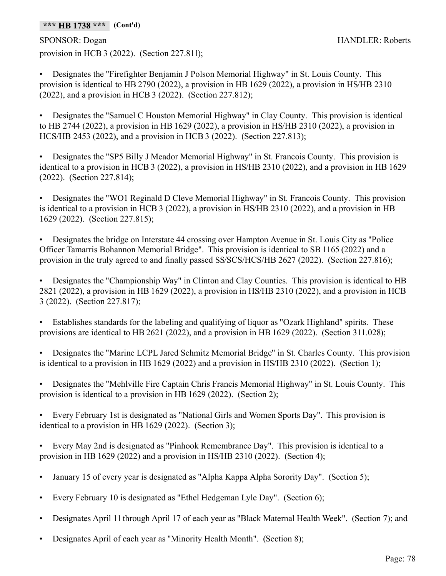provision in HCB 3 (2022). (Section 227.811);

• Designates the "Firefighter Benjamin J Polson Memorial Highway" in St. Louis County. This provision is identical to HB 2790 (2022), a provision in HB 1629 (2022), a provision in HS/HB 2310 (2022), and a provision in HCB 3 (2022). (Section 227.812);

• Designates the "Samuel C Houston Memorial Highway" in Clay County. This provision is identical to HB 2744 (2022), a provision in HB 1629 (2022), a provision in HS/HB 2310 (2022), a provision in HCS/HB 2453 (2022), and a provision in HCB 3 (2022). (Section 227.813);

• Designates the "SP5 Billy J Meador Memorial Highway" in St. Francois County. This provision is identical to a provision in HCB 3 (2022), a provision in HS/HB 2310 (2022), and a provision in HB 1629 (2022). (Section 227.814);

• Designates the "WO1 Reginald D Cleve Memorial Highway" in St. Francois County. This provision is identical to a provision in HCB 3 (2022), a provision in HS/HB 2310 (2022), and a provision in HB 1629 (2022). (Section 227.815);

• Designates the bridge on Interstate 44 crossing over Hampton Avenue in St. Louis City as "Police Officer Tamarris Bohannon Memorial Bridge". This provision is identical to SB 1165 (2022) and a provision in the truly agreed to and finally passed SS/SCS/HCS/HB 2627 (2022). (Section 227.816);

• Designates the "Championship Way" in Clinton and Clay Counties. This provision is identical to HB 2821 (2022), a provision in HB 1629 (2022), a provision in HS/HB 2310 (2022), and a provision in HCB 3 (2022). (Section 227.817);

• Establishes standards for the labeling and qualifying of liquor as "Ozark Highland" spirits. These provisions are identical to HB 2621 (2022), and a provision in HB 1629 (2022). (Section 311.028);

• Designates the "Marine LCPL Jared Schmitz Memorial Bridge" in St. Charles County. This provision is identical to a provision in HB 1629 (2022) and a provision in HS/HB 2310 (2022). (Section 1);

• Designates the "Mehlville Fire Captain Chris Francis Memorial Highway" in St. Louis County. This provision is identical to a provision in HB 1629 (2022). (Section 2);

• Every February 1st is designated as "National Girls and Women Sports Day". This provision is identical to a provision in HB 1629 (2022). (Section 3);

• Every May 2nd is designated as "Pinhook Remembrance Day". This provision is identical to a provision in HB 1629 (2022) and a provision in HS/HB 2310 (2022). (Section 4);

- January 15 of every year is designated as "Alpha Kappa Alpha Sorority Day". (Section 5);
- Every February 10 is designated as "Ethel Hedgeman Lyle Day". (Section 6);
- Designates April 11 through April 17 of each year as "Black Maternal Health Week". (Section 7); and
- Designates April of each year as "Minority Health Month". (Section 8);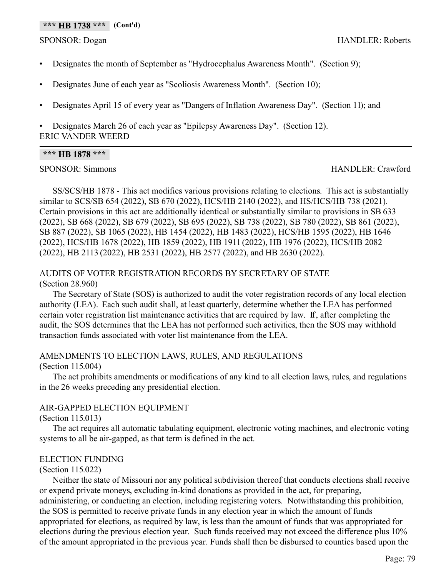- Designates the month of September as "Hydrocephalus Awareness Month". (Section 9);
- Designates June of each year as "Scoliosis Awareness Month". (Section 10);
- Designates April 15 of every year as "Dangers of Inflation Awareness Day". (Section 11); and

• Designates March 26 of each year as "Epilepsy Awareness Day". (Section 12). ERIC VANDER WEERD

### **\*\*\* HB 1878 \*\*\***

## SPONSOR: Simmons HANDLER: Crawford

SS/SCS/HB 1878 - This act modifies various provisions relating to elections. This act is substantially similar to SCS/SB 654 (2022), SB 670 (2022), HCS/HB 2140 (2022), and HS/HCS/HB 738 (2021). Certain provisions in this act are additionally identical or substantially similar to provisions in SB 633 (2022), SB 668 (2022), SB 679 (2022), SB 695 (2022), SB 738 (2022), SB 780 (2022), SB 861 (2022), SB 887 (2022), SB 1065 (2022), HB 1454 (2022), HB 1483 (2022), HCS/HB 1595 (2022), HB 1646 (2022), HCS/HB 1678 (2022), HB 1859 (2022), HB 1911 (2022), HB 1976 (2022), HCS/HB 2082 (2022), HB 2113 (2022), HB 2531 (2022), HB 2577 (2022), and HB 2630 (2022).

## AUDITS OF VOTER REGISTRATION RECORDS BY SECRETARY OF STATE (Section 28.960)

The Secretary of State (SOS) is authorized to audit the voter registration records of any local election authority (LEA). Each such audit shall, at least quarterly, determine whether the LEA has performed certain voter registration list maintenance activities that are required by law. If, after completing the audit, the SOS determines that the LEA has not performed such activities, then the SOS may withhold transaction funds associated with voter list maintenance from the LEA.

## AMENDMENTS TO ELECTION LAWS, RULES, AND REGULATIONS (Section 115.004)

The act prohibits amendments or modifications of any kind to all election laws, rules, and regulations in the 26 weeks preceding any presidential election.

## AIR-GAPPED ELECTION EQUIPMENT

## (Section 115.013)

The act requires all automatic tabulating equipment, electronic voting machines, and electronic voting systems to all be air-gapped, as that term is defined in the act.

## ELECTION FUNDING

## (Section 115.022)

Neither the state of Missouri nor any political subdivision thereof that conducts elections shall receive or expend private moneys, excluding in-kind donations as provided in the act, for preparing, administering, or conducting an election, including registering voters. Notwithstanding this prohibition, the SOS is permitted to receive private funds in any election year in which the amount of funds appropriated for elections, as required by law, is less than the amount of funds that was appropriated for elections during the previous election year. Such funds received may not exceed the difference plus 10% of the amount appropriated in the previous year. Funds shall then be disbursed to counties based upon the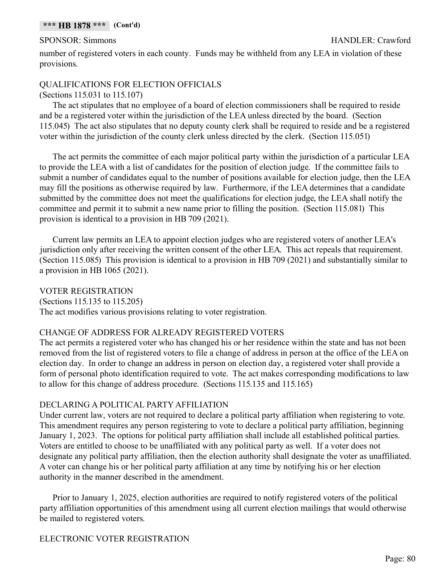number of registered voters in each county. Funds may be withheld from any LEA in violation of these provisions.

## QUALIFICATIONS FOR ELECTION OFFICIALS

## (Sections 115.031 to 115.107)

The act stipulates that no employee of a board of election commissioners shall be required to reside and be a registered voter within the jurisdiction of the LEA unless directed by the board. (Section 115.045) The act also stipulates that no deputy county clerk shall be required to reside and be a registered voter within the jurisdiction of the county clerk unless directed by the clerk. (Section 115.051)

The act permits the committee of each major political party within the jurisdiction of a particular LEA to provide the LEA with a list of candidates for the position of election judge. If the committee fails to submit a number of candidates equal to the number of positions available for election judge, then the LEA may fill the positions as otherwise required by law. Furthermore, if the LEA determines that a candidate submitted by the committee does not meet the qualifications for election judge, the LEA shall notify the committee and permit it to submit a new name prior to filling the position. (Section 115.081) This provision is identical to a provision in HB 709 (2021).

Current law permits an LEA to appoint election judges who are registered voters of another LEA's jurisdiction only after receiving the written consent of the other LEA. This act repeals that requirement. (Section 115.085) This provision is identical to a provision in HB 709 (2021) and substantially similar to a provision in HB 1065 (2021).

## VOTER REGISTRATION

(Sections 115.135 to 115.205)

The act modifies various provisions relating to voter registration.

## CHANGE OF ADDRESS FOR ALREADY REGISTERED VOTERS

The act permits a registered voter who has changed his or her residence within the state and has not been removed from the list of registered voters to file a change of address in person at the office of the LEA on election day. In order to change an address in person on election day, a registered voter shall provide a form of personal photo identification required to vote. The act makes corresponding modifications to law to allow for this change of address procedure. (Sections 115.135 and 115.165)

## DECLARING A POLITICAL PARTY AFFILIATION

Under current law, voters are not required to declare a political party affiliation when registering to vote. This amendment requires any person registering to vote to declare a political party affiliation, beginning January 1, 2023. The options for political party affiliation shall include all established political parties. Voters are entitled to choose to be unaffiliated with any political party as well. If a voter does not designate any political party affiliation, then the election authority shall designate the voter as unaffiliated. A voter can change his or her political party affiliation at any time by notifying his or her election authority in the manner described in the amendment.

Prior to January 1, 2025, election authorities are required to notify registered voters of the political party affiliation opportunities of this amendment using all current election mailings that would otherwise be mailed to registered voters.

## ELECTRONIC VOTER REGISTRATION

## SPONSOR: Simmons HANDLER: Crawford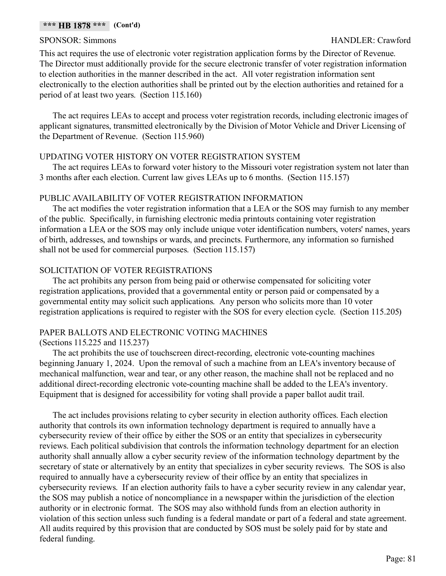## SPONSOR: Simmons HANDLER: Crawford

This act requires the use of electronic voter registration application forms by the Director of Revenue. The Director must additionally provide for the secure electronic transfer of voter registration information to election authorities in the manner described in the act. All voter registration information sent electronically to the election authorities shall be printed out by the election authorities and retained for a period of at least two years. (Section 115.160)

The act requires LEAs to accept and process voter registration records, including electronic images of applicant signatures, transmitted electronically by the Division of Motor Vehicle and Driver Licensing of the Department of Revenue. (Section 115.960)

## UPDATING VOTER HISTORY ON VOTER REGISTRATION SYSTEM

The act requires LEAs to forward voter history to the Missouri voter registration system not later than 3 months after each election. Current law gives LEAs up to 6 months. (Section 115.157)

## PUBLIC AVAILABILITY OF VOTER REGISTRATION INFORMATION

The act modifies the voter registration information that a LEA or the SOS may furnish to any member of the public. Specifically, in furnishing electronic media printouts containing voter registration information a LEA or the SOS may only include unique voter identification numbers, voters' names, years of birth, addresses, and townships or wards, and precincts. Furthermore, any information so furnished shall not be used for commercial purposes. (Section 115.157)

## SOLICITATION OF VOTER REGISTRATIONS

The act prohibits any person from being paid or otherwise compensated for soliciting voter registration applications, provided that a governmental entity or person paid or compensated by a governmental entity may solicit such applications. Any person who solicits more than 10 voter registration applications is required to register with the SOS for every election cycle. (Section 115.205)

## PAPER BALLOTS AND ELECTRONIC VOTING MACHINES

## (Sections 115.225 and 115.237)

The act prohibits the use of touchscreen direct-recording, electronic vote-counting machines beginning January 1, 2024. Upon the removal of such a machine from an LEA's inventory because of mechanical malfunction, wear and tear, or any other reason, the machine shall not be replaced and no additional direct-recording electronic vote-counting machine shall be added to the LEA's inventory. Equipment that is designed for accessibility for voting shall provide a paper ballot audit trail.

The act includes provisions relating to cyber security in election authority offices. Each election authority that controls its own information technology department is required to annually have a cybersecurity review of their office by either the SOS or an entity that specializes in cybersecurity reviews. Each political subdivision that controls the information technology department for an election authority shall annually allow a cyber security review of the information technology department by the secretary of state or alternatively by an entity that specializes in cyber security reviews. The SOS is also required to annually have a cybersecurity review of their office by an entity that specializes in cybersecurity reviews. If an election authority fails to have a cyber security review in any calendar year, the SOS may publish a notice of noncompliance in a newspaper within the jurisdiction of the election authority or in electronic format. The SOS may also withhold funds from an election authority in violation of this section unless such funding is a federal mandate or part of a federal and state agreement. All audits required by this provision that are conducted by SOS must be solely paid for by state and federal funding.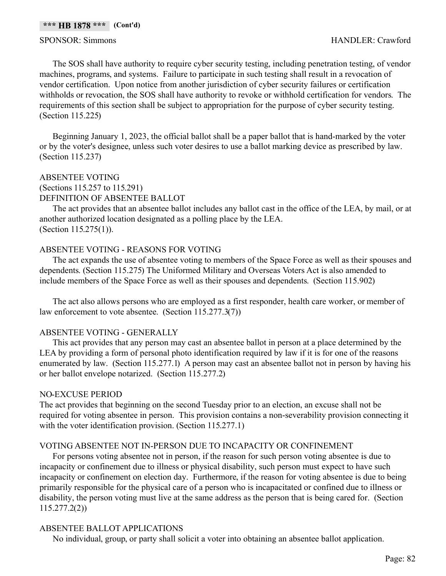The SOS shall have authority to require cyber security testing, including penetration testing, of vendor machines, programs, and systems. Failure to participate in such testing shall result in a revocation of vendor certification. Upon notice from another jurisdiction of cyber security failures or certification withholds or revocation, the SOS shall have authority to revoke or withhold certification for vendors. The requirements of this section shall be subject to appropriation for the purpose of cyber security testing. (Section 115.225)

Beginning January 1, 2023, the official ballot shall be a paper ballot that is hand-marked by the voter or by the voter's designee, unless such voter desires to use a ballot marking device as prescribed by law. (Section 115.237)

## ABSENTEE VOTING

# (Sections 115.257 to 115.291)

## DEFINITION OF ABSENTEE BALLOT

The act provides that an absentee ballot includes any ballot cast in the office of the LEA, by mail, or at another authorized location designated as a polling place by the LEA. (Section 115.275(1)).

## ABSENTEE VOTING - REASONS FOR VOTING

The act expands the use of absentee voting to members of the Space Force as well as their spouses and dependents. (Section 115.275) The Uniformed Military and Overseas Voters Act is also amended to include members of the Space Force as well as their spouses and dependents. (Section 115.902)

The act also allows persons who are employed as a first responder, health care worker, or member of law enforcement to vote absentee. (Section 115.277.3(7))

## ABSENTEE VOTING - GENERALLY

This act provides that any person may cast an absentee ballot in person at a place determined by the LEA by providing a form of personal photo identification required by law if it is for one of the reasons enumerated by law. (Section 115.277.1) A person may cast an absentee ballot not in person by having his or her ballot envelope notarized. (Section 115.277.2)

## NO-EXCUSE PERIOD

The act provides that beginning on the second Tuesday prior to an election, an excuse shall not be required for voting absentee in person. This provision contains a non-severability provision connecting it with the voter identification provision. (Section 115.277.1)

## VOTING ABSENTEE NOT IN-PERSON DUE TO INCAPACITY OR CONFINEMENT

For persons voting absentee not in person, if the reason for such person voting absentee is due to incapacity or confinement due to illness or physical disability, such person must expect to have such incapacity or confinement on election day. Furthermore, if the reason for voting absentee is due to being primarily responsible for the physical care of a person who is incapacitated or confined due to illness or disability, the person voting must live at the same address as the person that is being cared for. (Section 115.277.2(2))

## ABSENTEE BALLOT APPLICATIONS

No individual, group, or party shall solicit a voter into obtaining an absentee ballot application.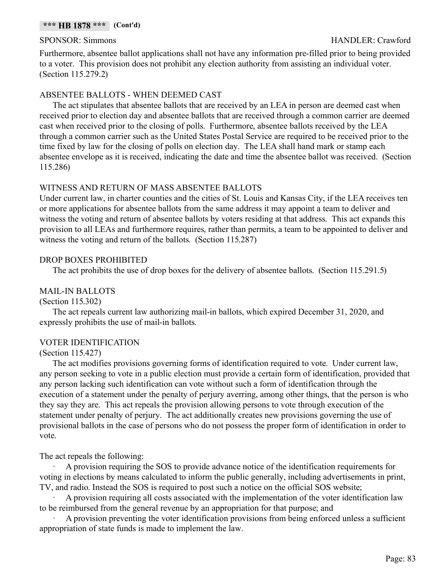## SPONSOR: Simmons HANDLER: Crawford

Furthermore, absentee ballot applications shall not have any information pre-filled prior to being provided to a voter. This provision does not prohibit any election authority from assisting an individual voter. (Section 115.279.2)

## ABSENTEE BALLOTS - WHEN DEEMED CAST

The act stipulates that absentee ballots that are received by an LEA in person are deemed cast when received prior to election day and absentee ballots that are received through a common carrier are deemed cast when received prior to the closing of polls. Furthermore, absentee ballots received by the LEA through a common carrier such as the United States Postal Service are required to be received prior to the time fixed by law for the closing of polls on election day. The LEA shall hand mark or stamp each absentee envelope as it is received, indicating the date and time the absentee ballot was received. (Section 115.286)

## WITNESS AND RETURN OF MASS ABSENTEE BALLOTS

Under current law, in charter counties and the cities of St. Louis and Kansas City, if the LEA receives ten or more applications for absentee ballots from the same address it may appoint a team to deliver and witness the voting and return of absentee ballots by voters residing at that address. This act expands this provision to all LEAs and furthermore requires, rather than permits, a team to be appointed to deliver and witness the voting and return of the ballots. (Section 115.287)

## DROP BOXES PROHIBITED

The act prohibits the use of drop boxes for the delivery of absentee ballots. (Section 115.291.5)

## MAIL-IN BALLOTS

(Section 115.302)

The act repeals current law authorizing mail-in ballots, which expired December 31, 2020, and expressly prohibits the use of mail-in ballots.

## VOTER IDENTIFICATION

(Section 115.427)

The act modifies provisions governing forms of identification required to vote. Under current law, any person seeking to vote in a public election must provide a certain form of identification, provided that any person lacking such identification can vote without such a form of identification through the execution of a statement under the penalty of perjury averring, among other things, that the person is who they say they are. This act repeals the provision allowing persons to vote through execution of the statement under penalty of perjury. The act additionally creates new provisions governing the use of provisional ballots in the case of persons who do not possess the proper form of identification in order to vote.

The act repeals the following:

· A provision requiring the SOS to provide advance notice of the identification requirements for voting in elections by means calculated to inform the public generally, including advertisements in print, TV, and radio. Instead the SOS is required to post such a notice on the official SOS website;

A provision requiring all costs associated with the implementation of the voter identification law to be reimbursed from the general revenue by an appropriation for that purpose; and

A provision preventing the voter identification provisions from being enforced unless a sufficient appropriation of state funds is made to implement the law.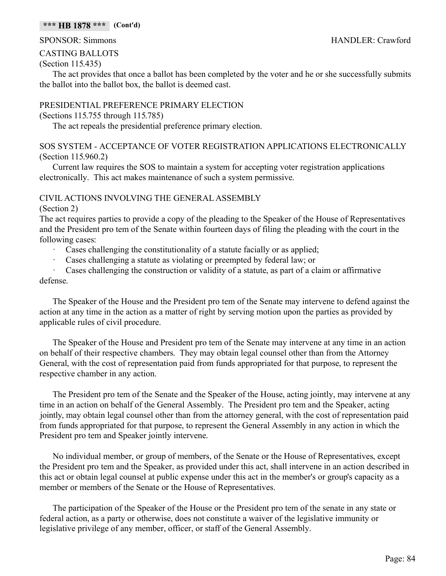## CASTING BALLOTS

(Section 115.435)

The act provides that once a ballot has been completed by the voter and he or she successfully submits the ballot into the ballot box, the ballot is deemed cast.

## PRESIDENTIAL PREFERENCE PRIMARY ELECTION

(Sections 115.755 through 115.785)

The act repeals the presidential preference primary election.

## SOS SYSTEM - ACCEPTANCE OF VOTER REGISTRATION APPLICATIONS ELECTRONICALLY (Section 115.960.2)

Current law requires the SOS to maintain a system for accepting voter registration applications electronically. This act makes maintenance of such a system permissive.

## CIVIL ACTIONS INVOLVING THE GENERAL ASSEMBLY

### (Section 2)

The act requires parties to provide a copy of the pleading to the Speaker of the House of Representatives and the President pro tem of the Senate within fourteen days of filing the pleading with the court in the following cases:

- Cases challenging the constitutionality of a statute facially or as applied;
- Cases challenging a statute as violating or preempted by federal law; or

Cases challenging the construction or validity of a statute, as part of a claim or affirmative defense.

The Speaker of the House and the President pro tem of the Senate may intervene to defend against the action at any time in the action as a matter of right by serving motion upon the parties as provided by applicable rules of civil procedure.

The Speaker of the House and President pro tem of the Senate may intervene at any time in an action on behalf of their respective chambers. They may obtain legal counsel other than from the Attorney General, with the cost of representation paid from funds appropriated for that purpose, to represent the respective chamber in any action.

The President pro tem of the Senate and the Speaker of the House, acting jointly, may intervene at any time in an action on behalf of the General Assembly. The President pro tem and the Speaker, acting jointly, may obtain legal counsel other than from the attorney general, with the cost of representation paid from funds appropriated for that purpose, to represent the General Assembly in any action in which the President pro tem and Speaker jointly intervene.

No individual member, or group of members, of the Senate or the House of Representatives, except the President pro tem and the Speaker, as provided under this act, shall intervene in an action described in this act or obtain legal counsel at public expense under this act in the member's or group's capacity as a member or members of the Senate or the House of Representatives.

The participation of the Speaker of the House or the President pro tem of the senate in any state or federal action, as a party or otherwise, does not constitute a waiver of the legislative immunity or legislative privilege of any member, officer, or staff of the General Assembly.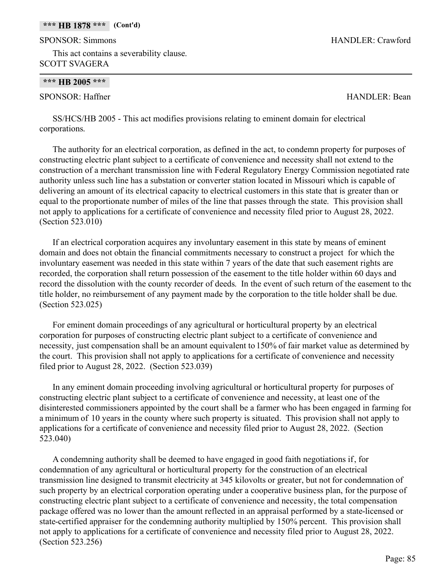This act contains a severability clause. SCOTT SVAGERA

### **\*\*\* HB 2005 \*\*\***

## SPONSOR: Haffner HANDLER: Bean

SPONSOR: Simmons HANDLER: Crawford

SS/HCS/HB 2005 - This act modifies provisions relating to eminent domain for electrical corporations.

The authority for an electrical corporation, as defined in the act, to condemn property for purposes of constructing electric plant subject to a certificate of convenience and necessity shall not extend to the construction of a merchant transmission line with Federal Regulatory Energy Commission negotiated rate authority unless such line has a substation or converter station located in Missouri which is capable of delivering an amount of its electrical capacity to electrical customers in this state that is greater than or equal to the proportionate number of miles of the line that passes through the state. This provision shall not apply to applications for a certificate of convenience and necessity filed prior to August 28, 2022. (Section 523.010)

If an electrical corporation acquires any involuntary easement in this state by means of eminent domain and does not obtain the financial commitments necessary to construct a project for which the involuntary easement was needed in this state within 7 years of the date that such easement rights are recorded, the corporation shall return possession of the easement to the title holder within 60 days and record the dissolution with the county recorder of deeds. In the event of such return of the easement to the title holder, no reimbursement of any payment made by the corporation to the title holder shall be due. (Section 523.025)

For eminent domain proceedings of any agricultural or horticultural property by an electrical corporation for purposes of constructing electric plant subject to a certificate of convenience and necessity, just compensation shall be an amount equivalent to 150% of fair market value as determined by the court. This provision shall not apply to applications for a certificate of convenience and necessity filed prior to August 28, 2022. (Section 523.039)

In any eminent domain proceeding involving agricultural or horticultural property for purposes of constructing electric plant subject to a certificate of convenience and necessity, at least one of the disinterested commissioners appointed by the court shall be a farmer who has been engaged in farming for a minimum of 10 years in the county where such property is situated. This provision shall not apply to applications for a certificate of convenience and necessity filed prior to August 28, 2022. (Section 523.040)

A condemning authority shall be deemed to have engaged in good faith negotiations if, for condemnation of any agricultural or horticultural property for the construction of an electrical transmission line designed to transmit electricity at 345 kilovolts or greater, but not for condemnation of such property by an electrical corporation operating under a cooperative business plan, for the purpose of constructing electric plant subject to a certificate of convenience and necessity, the total compensation package offered was no lower than the amount reflected in an appraisal performed by a state-licensed or state-certified appraiser for the condemning authority multiplied by 150% percent. This provision shall not apply to applications for a certificate of convenience and necessity filed prior to August 28, 2022. (Section 523.256)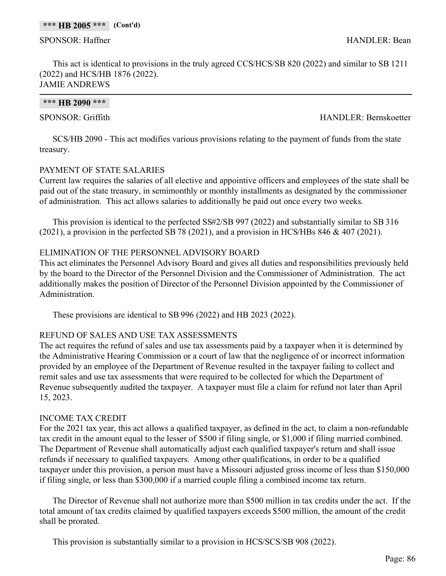### SPONSOR: Haffner HANDLER: Bean

This act is identical to provisions in the truly agreed CCS/HCS/SB 820 (2022) and similar to SB 1211 (2022) and HCS/HB 1876 (2022). JAMIE ANDREWS

### **\*\*\* HB 2090 \*\*\***

SPONSOR: Griffith HANDLER: Bernskoetter

SCS/HB 2090 - This act modifies various provisions relating to the payment of funds from the state treasury.

## PAYMENT OF STATE SALARIES

Current law requires the salaries of all elective and appointive officers and employees of the state shall be paid out of the state treasury, in semimonthly or monthly installments as designated by the commissioner of administration. This act allows salaries to additionally be paid out once every two weeks.

This provision is identical to the perfected SS#2/SB 997 (2022) and substantially similar to SB 316 (2021), a provision in the perfected SB 78 (2021), and a provision in HCS/HBs 846 & 407 (2021).

## ELIMINATION OF THE PERSONNEL ADVISORY BOARD

This act eliminates the Personnel Advisory Board and gives all duties and responsibilities previously held by the board to the Director of the Personnel Division and the Commissioner of Administration. The act additionally makes the position of Director of the Personnel Division appointed by the Commissioner of Administration.

These provisions are identical to SB 996 (2022) and HB 2023 (2022).

## REFUND OF SALES AND USE TAX ASSESSMENTS

The act requires the refund of sales and use tax assessments paid by a taxpayer when it is determined by the Administrative Hearing Commission or a court of law that the negligence of or incorrect information provided by an employee of the Department of Revenue resulted in the taxpayer failing to collect and remit sales and use tax assessments that were required to be collected for which the Department of Revenue subsequently audited the taxpayer. A taxpayer must file a claim for refund not later than April 15, 2023.

## INCOME TAX CREDIT

For the 2021 tax year, this act allows a qualified taxpayer, as defined in the act, to claim a non-refundable tax credit in the amount equal to the lesser of \$500 if filing single, or \$1,000 if filing married combined. The Department of Revenue shall automatically adjust each qualified taxpayer's return and shall issue refunds if necessary to qualified taxpayers. Among other qualifications, in order to be a qualified taxpayer under this provision, a person must have a Missouri adjusted gross income of less than \$150,000 if filing single, or less than \$300,000 if a married couple filing a combined income tax return.

The Director of Revenue shall not authorize more than \$500 million in tax credits under the act. If the total amount of tax credits claimed by qualified taxpayers exceeds \$500 million, the amount of the credit shall be prorated.

This provision is substantially similar to a provision in HCS/SCS/SB 908 (2022).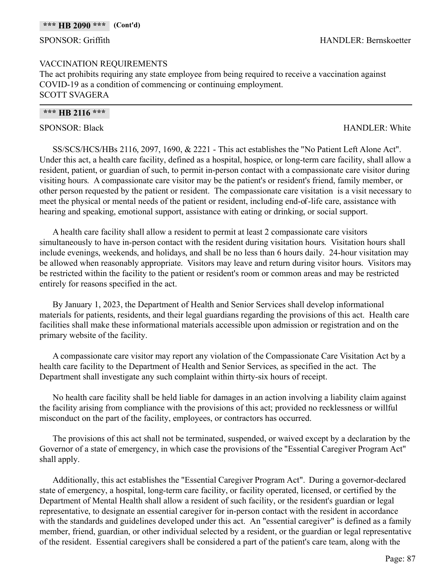## VACCINATION REQUIREMENTS

The act prohibits requiring any state employee from being required to receive a vaccination against COVID-19 as a condition of commencing or continuing employment. SCOTT SVAGERA

### **\*\*\* HB 2116 \*\*\***

SPONSOR: Black HANDLER: White

SS/SCS/HCS/HBs 2116, 2097, 1690, & 2221 - This act establishes the "No Patient Left Alone Act". Under this act, a health care facility, defined as a hospital, hospice, or long-term care facility, shall allow a resident, patient, or guardian of such, to permit in-person contact with a compassionate care visitor during visiting hours. A compassionate care visitor may be the patient's or resident's friend, family member, or other person requested by the patient or resident. The compassionate care visitation is a visit necessary to meet the physical or mental needs of the patient or resident, including end-of-life care, assistance with hearing and speaking, emotional support, assistance with eating or drinking, or social support.

A health care facility shall allow a resident to permit at least 2 compassionate care visitors simultaneously to have in-person contact with the resident during visitation hours. Visitation hours shall include evenings, weekends, and holidays, and shall be no less than 6 hours daily. 24-hour visitation may be allowed when reasonably appropriate. Visitors may leave and return during visitor hours. Visitors may be restricted within the facility to the patient or resident's room or common areas and may be restricted entirely for reasons specified in the act.

By January 1, 2023, the Department of Health and Senior Services shall develop informational materials for patients, residents, and their legal guardians regarding the provisions of this act. Health care facilities shall make these informational materials accessible upon admission or registration and on the primary website of the facility.

A compassionate care visitor may report any violation of the Compassionate Care Visitation Act by a health care facility to the Department of Health and Senior Services, as specified in the act. The Department shall investigate any such complaint within thirty-six hours of receipt.

No health care facility shall be held liable for damages in an action involving a liability claim against the facility arising from compliance with the provisions of this act; provided no recklessness or willful misconduct on the part of the facility, employees, or contractors has occurred.

The provisions of this act shall not be terminated, suspended, or waived except by a declaration by the Governor of a state of emergency, in which case the provisions of the "Essential Caregiver Program Act" shall apply.

Additionally, this act establishes the "Essential Caregiver Program Act". During a governor-declared state of emergency, a hospital, long-term care facility, or facility operated, licensed, or certified by the Department of Mental Health shall allow a resident of such facility, or the resident's guardian or legal representative, to designate an essential caregiver for in-person contact with the resident in accordance with the standards and guidelines developed under this act. An "essential caregiver" is defined as a family member, friend, guardian, or other individual selected by a resident, or the guardian or legal representative of the resident. Essential caregivers shall be considered a part of the patient's care team, along with the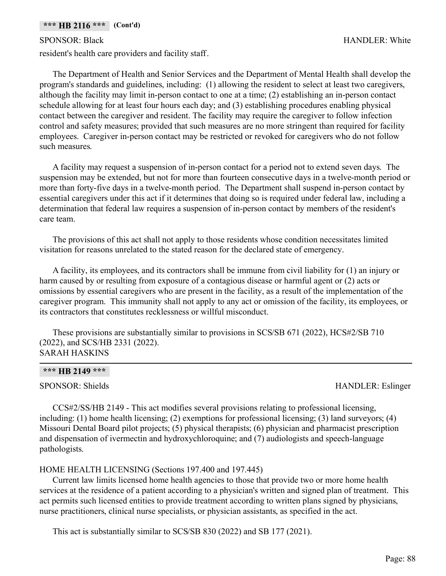## **\*\*\* HB 2116 \*\*\* (Cont'd)**

resident's health care providers and facility staff.

The Department of Health and Senior Services and the Department of Mental Health shall develop the program's standards and guidelines, including: (1) allowing the resident to select at least two caregivers, although the facility may limit in-person contact to one at a time; (2) establishing an in-person contact schedule allowing for at least four hours each day; and (3) establishing procedures enabling physical contact between the caregiver and resident. The facility may require the caregiver to follow infection control and safety measures; provided that such measures are no more stringent than required for facility employees. Caregiver in-person contact may be restricted or revoked for caregivers who do not follow such measures.

A facility may request a suspension of in-person contact for a period not to extend seven days. The suspension may be extended, but not for more than fourteen consecutive days in a twelve-month period or more than forty-five days in a twelve-month period. The Department shall suspend in-person contact by essential caregivers under this act if it determines that doing so is required under federal law, including a determination that federal law requires a suspension of in-person contact by members of the resident's care team.

The provisions of this act shall not apply to those residents whose condition necessitates limited visitation for reasons unrelated to the stated reason for the declared state of emergency.

A facility, its employees, and its contractors shall be immune from civil liability for (1) an injury or harm caused by or resulting from exposure of a contagious disease or harmful agent or (2) acts or omissions by essential caregivers who are present in the facility, as a result of the implementation of the caregiver program. This immunity shall not apply to any act or omission of the facility, its employees, or its contractors that constitutes recklessness or willful misconduct.

These provisions are substantially similar to provisions in SCS/SB 671 (2022), HCS#2/SB 710 (2022), and SCS/HB 2331 (2022). SARAH HASKINS

### **\*\*\* HB 2149 \*\*\***

SPONSOR: Shields HANDLER: Eslinger

CCS#2/SS/HB 2149 - This act modifies several provisions relating to professional licensing, including: (1) home health licensing; (2) exemptions for professional licensing; (3) land surveyors; (4) Missouri Dental Board pilot projects; (5) physical therapists; (6) physician and pharmacist prescription and dispensation of ivermectin and hydroxychloroquine; and (7) audiologists and speech-language pathologists.

## HOME HEALTH LICENSING (Sections 197.400 and 197.445)

Current law limits licensed home health agencies to those that provide two or more home health services at the residence of a patient according to a physician's written and signed plan of treatment. This act permits such licensed entities to provide treatment according to written plans signed by physicians, nurse practitioners, clinical nurse specialists, or physician assistants, as specified in the act.

This act is substantially similar to SCS/SB 830 (2022) and SB 177 (2021).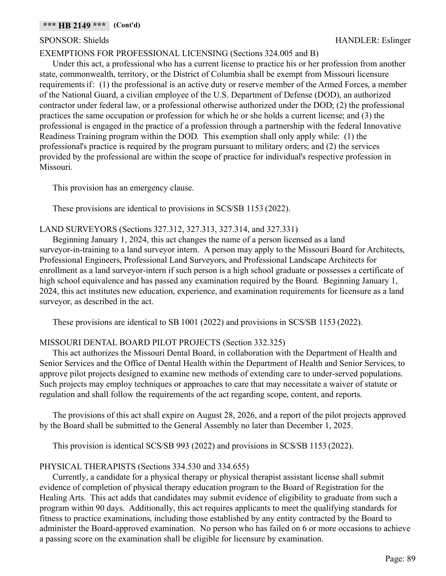## EXEMPTIONS FOR PROFESSIONAL LICENSING (Sections 324.005 and B)

Under this act, a professional who has a current license to practice his or her profession from another state, commonwealth, territory, or the District of Columbia shall be exempt from Missouri licensure requirements if: (1) the professional is an active duty or reserve member of the Armed Forces, a member of the National Guard, a civilian employee of the U.S. Department of Defense (DOD), an authorized contractor under federal law, or a professional otherwise authorized under the DOD; (2) the professional practices the same occupation or profession for which he or she holds a current license; and (3) the professional is engaged in the practice of a profession through a partnership with the federal Innovative Readiness Training program within the DOD. This exemption shall only apply while: (1) the professional's practice is required by the program pursuant to military orders; and (2) the services provided by the professional are within the scope of practice for individual's respective profession in Missouri.

This provision has an emergency clause.

These provisions are identical to provisions in SCS/SB 1153 (2022).

## LAND SURVEYORS (Sections 327.312, 327.313, 327.314, and 327.331)

Beginning January 1, 2024, this act changes the name of a person licensed as a land surveyor-in-training to a land surveyor intern. A person may apply to the Missouri Board for Architects, Professional Engineers, Professional Land Surveyors, and Professional Landscape Architects for enrollment as a land surveyor-intern if such person is a high school graduate or possesses a certificate of high school equivalence and has passed any examination required by the Board. Beginning January 1, 2024, this act institutes new education, experience, and examination requirements for licensure as a land surveyor, as described in the act.

These provisions are identical to SB 1001 (2022) and provisions in SCS/SB 1153 (2022).

## MISSOURI DENTAL BOARD PILOT PROJECTS (Section 332.325)

This act authorizes the Missouri Dental Board, in collaboration with the Department of Health and Senior Services and the Office of Dental Health within the Department of Health and Senior Services, to approve pilot projects designed to examine new methods of extending care to under-served populations. Such projects may employ techniques or approaches to care that may necessitate a waiver of statute or regulation and shall follow the requirements of the act regarding scope, content, and reports.

The provisions of this act shall expire on August 28, 2026, and a report of the pilot projects approved by the Board shall be submitted to the General Assembly no later than December 1, 2025.

This provision is identical SCS/SB 993 (2022) and provisions in SCS/SB 1153 (2022).

## PHYSICAL THERAPISTS (Sections 334.530 and 334.655)

Currently, a candidate for a physical therapy or physical therapist assistant license shall submit evidence of completion of physical therapy education program to the Board of Registration for the Healing Arts. This act adds that candidates may submit evidence of eligibility to graduate from such a program within 90 days. Additionally, this act requires applicants to meet the qualifying standards for fitness to practice examinations, including those established by any entity contracted by the Board to administer the Board-approved examination. No person who has failed on 6 or more occasions to achieve a passing score on the examination shall be eligible for licensure by examination.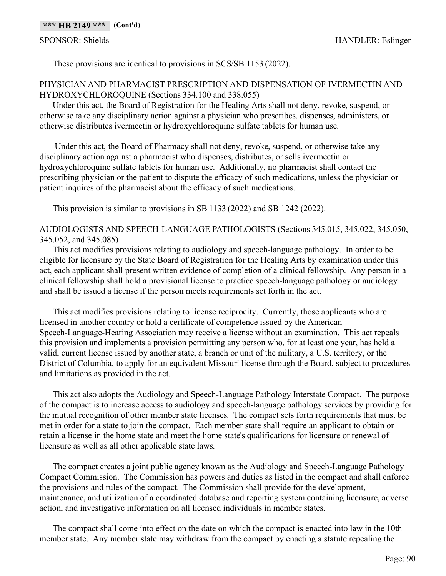These provisions are identical to provisions in SCS/SB 1153 (2022).

## PHYSICIAN AND PHARMACIST PRESCRIPTION AND DISPENSATION OF IVERMECTIN AND HYDROXYCHLOROQUINE (Sections 334.100 and 338.055)

Under this act, the Board of Registration for the Healing Arts shall not deny, revoke, suspend, or otherwise take any disciplinary action against a physician who prescribes, dispenses, administers, or otherwise distributes ivermectin or hydroxychloroquine sulfate tablets for human use.

 Under this act, the Board of Pharmacy shall not deny, revoke, suspend, or otherwise take any disciplinary action against a pharmacist who dispenses, distributes, or sells ivermectin or hydroxychloroquine sulfate tablets for human use. Additionally, no pharmacist shall contact the prescribing physician or the patient to dispute the efficacy of such medications, unless the physician or patient inquires of the pharmacist about the efficacy of such medications.

This provision is similar to provisions in SB 1133 (2022) and SB 1242 (2022).

## AUDIOLOGISTS AND SPEECH-LANGUAGE PATHOLOGISTS (Sections 345.015, 345.022, 345.050, 345.052, and 345.085)

This act modifies provisions relating to audiology and speech-language pathology. In order to be eligible for licensure by the State Board of Registration for the Healing Arts by examination under this act, each applicant shall present written evidence of completion of a clinical fellowship. Any person in a clinical fellowship shall hold a provisional license to practice speech-language pathology or audiology and shall be issued a license if the person meets requirements set forth in the act.

This act modifies provisions relating to license reciprocity. Currently, those applicants who are licensed in another country or hold a certificate of competence issued by the American Speech-Language-Hearing Association may receive a license without an examination. This act repeals this provision and implements a provision permitting any person who, for at least one year, has held a valid, current license issued by another state, a branch or unit of the military, a U.S. territory, or the District of Columbia, to apply for an equivalent Missouri license through the Board, subject to procedures and limitations as provided in the act.

This act also adopts the Audiology and Speech-Language Pathology Interstate Compact. The purpose of the compact is to increase access to audiology and speech-language pathology services by providing for the mutual recognition of other member state licenses. The compact sets forth requirements that must be met in order for a state to join the compact. Each member state shall require an applicant to obtain or retain a license in the home state and meet the home state's qualifications for licensure or renewal of licensure as well as all other applicable state laws.

The compact creates a joint public agency known as the Audiology and Speech-Language Pathology Compact Commission. The Commission has powers and duties as listed in the compact and shall enforce the provisions and rules of the compact. The Commission shall provide for the development, maintenance, and utilization of a coordinated database and reporting system containing licensure, adverse action, and investigative information on all licensed individuals in member states.

The compact shall come into effect on the date on which the compact is enacted into law in the 10th member state. Any member state may withdraw from the compact by enacting a statute repealing the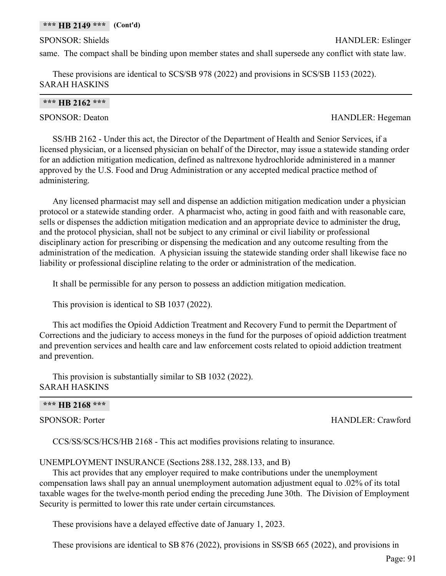SPONSOR: Shields HANDLER: Eslinger

same. The compact shall be binding upon member states and shall supersede any conflict with state law.

These provisions are identical to SCS/SB 978 (2022) and provisions in SCS/SB 1153 (2022). SARAH HASKINS

| *** HB 2162 *** |  |
|-----------------|--|

SPONSOR: Deaton HANDLER: Hegeman

SS/HB 2162 - Under this act, the Director of the Department of Health and Senior Services, if a licensed physician, or a licensed physician on behalf of the Director, may issue a statewide standing order for an addiction mitigation medication, defined as naltrexone hydrochloride administered in a manner approved by the U.S. Food and Drug Administration or any accepted medical practice method of administering.

Any licensed pharmacist may sell and dispense an addiction mitigation medication under a physician protocol or a statewide standing order. A pharmacist who, acting in good faith and with reasonable care, sells or dispenses the addiction mitigation medication and an appropriate device to administer the drug, and the protocol physician, shall not be subject to any criminal or civil liability or professional disciplinary action for prescribing or dispensing the medication and any outcome resulting from the administration of the medication. A physician issuing the statewide standing order shall likewise face no liability or professional discipline relating to the order or administration of the medication.

It shall be permissible for any person to possess an addiction mitigation medication.

This provision is identical to SB 1037 (2022).

This act modifies the Opioid Addiction Treatment and Recovery Fund to permit the Department of Corrections and the judiciary to access moneys in the fund for the purposes of opioid addiction treatment and prevention services and health care and law enforcement costs related to opioid addiction treatment and prevention.

This provision is substantially similar to SB 1032 (2022). SARAH HASKINS

CCS/SS/SCS/HCS/HB 2168 - This act modifies provisions relating to insurance.

## UNEMPLOYMENT INSURANCE (Sections 288.132, 288.133, and B)

This act provides that any employer required to make contributions under the unemployment compensation laws shall pay an annual unemployment automation adjustment equal to .02% of its total taxable wages for the twelve-month period ending the preceding June 30th. The Division of Employment Security is permitted to lower this rate under certain circumstances.

These provisions have a delayed effective date of January 1, 2023.

These provisions are identical to SB 876 (2022), provisions in SS/SB 665 (2022), and provisions in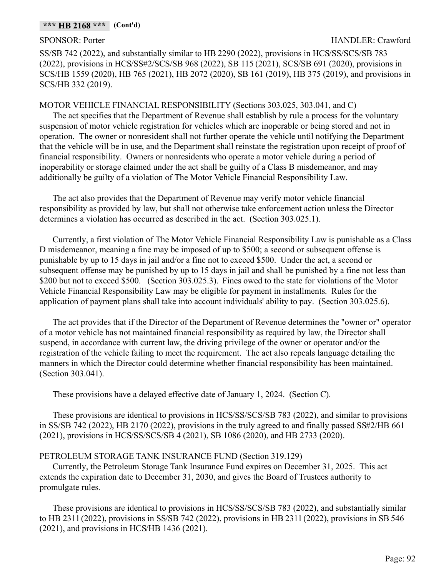## SPONSOR: Porter **HANDLER:** Crawford

SS/SB 742 (2022), and substantially similar to HB 2290 (2022), provisions in HCS/SS/SCS/SB 783 (2022), provisions in HCS/SS#2/SCS/SB 968 (2022), SB 115 (2021), SCS/SB 691 (2020), provisions in SCS/HB 1559 (2020), HB 765 (2021), HB 2072 (2020), SB 161 (2019), HB 375 (2019), and provisions in SCS/HB 332 (2019).

## MOTOR VEHICLE FINANCIAL RESPONSIBILITY (Sections 303.025, 303.041, and C)

The act specifies that the Department of Revenue shall establish by rule a process for the voluntary suspension of motor vehicle registration for vehicles which are inoperable or being stored and not in operation. The owner or nonresident shall not further operate the vehicle until notifying the Department that the vehicle will be in use, and the Department shall reinstate the registration upon receipt of proof of financial responsibility. Owners or nonresidents who operate a motor vehicle during a period of inoperability or storage claimed under the act shall be guilty of a Class B misdemeanor, and may additionally be guilty of a violation of The Motor Vehicle Financial Responsibility Law.

The act also provides that the Department of Revenue may verify motor vehicle financial responsibility as provided by law, but shall not otherwise take enforcement action unless the Director determines a violation has occurred as described in the act. (Section 303.025.1).

Currently, a first violation of The Motor Vehicle Financial Responsibility Law is punishable as a Class D misdemeanor, meaning a fine may be imposed of up to \$500; a second or subsequent offense is punishable by up to 15 days in jail and/or a fine not to exceed \$500. Under the act, a second or subsequent offense may be punished by up to 15 days in jail and shall be punished by a fine not less than \$200 but not to exceed \$500. (Section 303.025.3). Fines owed to the state for violations of the Motor Vehicle Financial Responsibility Law may be eligible for payment in installments. Rules for the application of payment plans shall take into account individuals' ability to pay. (Section 303.025.6).

The act provides that if the Director of the Department of Revenue determines the "owner or" operator of a motor vehicle has not maintained financial responsibility as required by law, the Director shall suspend, in accordance with current law, the driving privilege of the owner or operator and/or the registration of the vehicle failing to meet the requirement. The act also repeals language detailing the manners in which the Director could determine whether financial responsibility has been maintained. (Section 303.041).

These provisions have a delayed effective date of January 1, 2024. (Section C).

These provisions are identical to provisions in HCS/SS/SCS/SB 783 (2022), and similar to provisions in SS/SB 742 (2022), HB 2170 (2022), provisions in the truly agreed to and finally passed SS#2/HB 661 (2021), provisions in HCS/SS/SCS/SB 4 (2021), SB 1086 (2020), and HB 2733 (2020).

## PETROLEUM STORAGE TANK INSURANCE FUND (Section 319.129)

Currently, the Petroleum Storage Tank Insurance Fund expires on December 31, 2025. This act extends the expiration date to December 31, 2030, and gives the Board of Trustees authority to promulgate rules.

These provisions are identical to provisions in HCS/SS/SCS/SB 783 (2022), and substantially similar to HB 2311 (2022), provisions in SS/SB 742 (2022), provisions in HB 2311 (2022), provisions in SB 546 (2021), and provisions in HCS/HB 1436 (2021).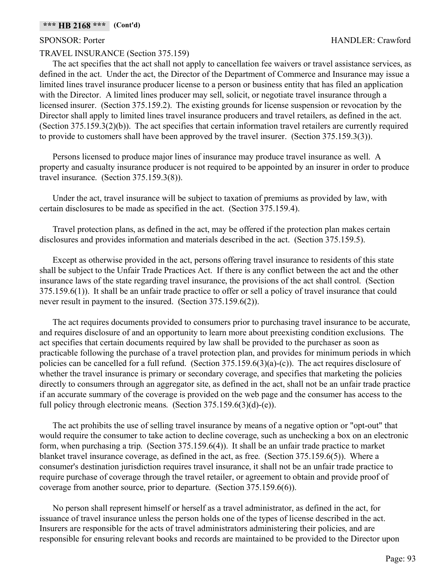### TRAVEL INSURANCE (Section 375.159)

The act specifies that the act shall not apply to cancellation fee waivers or travel assistance services, as defined in the act. Under the act, the Director of the Department of Commerce and Insurance may issue a limited lines travel insurance producer license to a person or business entity that has filed an application with the Director. A limited lines producer may sell, solicit, or negotiate travel insurance through a licensed insurer. (Section 375.159.2). The existing grounds for license suspension or revocation by the Director shall apply to limited lines travel insurance producers and travel retailers, as defined in the act. (Section 375.159.3(2)(b)). The act specifies that certain information travel retailers are currently required to provide to customers shall have been approved by the travel insurer. (Section 375.159.3(3)).

Persons licensed to produce major lines of insurance may produce travel insurance as well. A property and casualty insurance producer is not required to be appointed by an insurer in order to produce travel insurance. (Section 375.159.3(8)).

Under the act, travel insurance will be subject to taxation of premiums as provided by law, with certain disclosures to be made as specified in the act. (Section 375.159.4).

Travel protection plans, as defined in the act, may be offered if the protection plan makes certain disclosures and provides information and materials described in the act. (Section 375.159.5).

Except as otherwise provided in the act, persons offering travel insurance to residents of this state shall be subject to the Unfair Trade Practices Act. If there is any conflict between the act and the other insurance laws of the state regarding travel insurance, the provisions of the act shall control. (Section 375.159.6(1)). It shall be an unfair trade practice to offer or sell a policy of travel insurance that could never result in payment to the insured. (Section 375.159.6(2)).

The act requires documents provided to consumers prior to purchasing travel insurance to be accurate, and requires disclosure of and an opportunity to learn more about preexisting condition exclusions. The act specifies that certain documents required by law shall be provided to the purchaser as soon as practicable following the purchase of a travel protection plan, and provides for minimum periods in which policies can be cancelled for a full refund. (Section 375.159.6(3)(a)-(c)). The act requires disclosure of whether the travel insurance is primary or secondary coverage, and specifies that marketing the policies directly to consumers through an aggregator site, as defined in the act, shall not be an unfair trade practice if an accurate summary of the coverage is provided on the web page and the consumer has access to the full policy through electronic means. (Section 375.159.6(3)(d)-(e)).

The act prohibits the use of selling travel insurance by means of a negative option or "opt-out" that would require the consumer to take action to decline coverage, such as unchecking a box on an electronic form, when purchasing a trip. (Section 375.159.6(4)). It shall be an unfair trade practice to market blanket travel insurance coverage, as defined in the act, as free. (Section 375.159.6(5)). Where a consumer's destination jurisdiction requires travel insurance, it shall not be an unfair trade practice to require purchase of coverage through the travel retailer, or agreement to obtain and provide proof of coverage from another source, prior to departure. (Section 375.159.6(6)).

No person shall represent himself or herself as a travel administrator, as defined in the act, for issuance of travel insurance unless the person holds one of the types of license described in the act. Insurers are responsible for the acts of travel administrators administering their policies, and are responsible for ensuring relevant books and records are maintained to be provided to the Director upon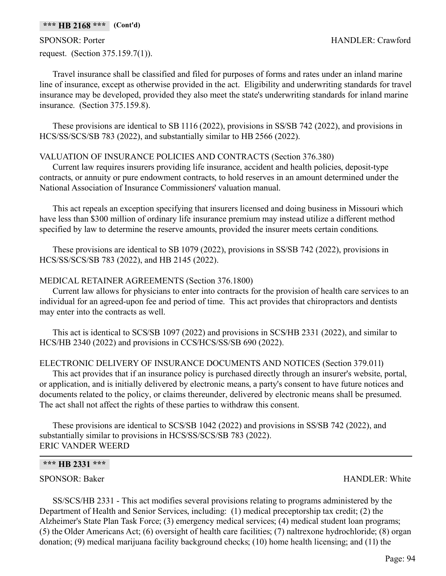request. (Section 375.159.7(1)).

Travel insurance shall be classified and filed for purposes of forms and rates under an inland marine line of insurance, except as otherwise provided in the act. Eligibility and underwriting standards for travel insurance may be developed, provided they also meet the state's underwriting standards for inland marine insurance. (Section 375.159.8).

These provisions are identical to SB 1116 (2022), provisions in SS/SB 742 (2022), and provisions in HCS/SS/SCS/SB 783 (2022), and substantially similar to HB 2566 (2022).

## VALUATION OF INSURANCE POLICIES AND CONTRACTS (Section 376.380)

Current law requires insurers providing life insurance, accident and health policies, deposit-type contracts, or annuity or pure endowment contracts, to hold reserves in an amount determined under the National Association of Insurance Commissioners' valuation manual.

This act repeals an exception specifying that insurers licensed and doing business in Missouri which have less than \$300 million of ordinary life insurance premium may instead utilize a different method specified by law to determine the reserve amounts, provided the insurer meets certain conditions.

These provisions are identical to SB 1079 (2022), provisions in SS/SB 742 (2022), provisions in HCS/SS/SCS/SB 783 (2022), and HB 2145 (2022).

## MEDICAL RETAINER AGREEMENTS (Section 376.1800)

Current law allows for physicians to enter into contracts for the provision of health care services to an individual for an agreed-upon fee and period of time. This act provides that chiropractors and dentists may enter into the contracts as well.

This act is identical to SCS/SB 1097 (2022) and provisions in SCS/HB 2331 (2022), and similar to HCS/HB 2340 (2022) and provisions in CCS/HCS/SS/SB 690 (2022).

## ELECTRONIC DELIVERY OF INSURANCE DOCUMENTS AND NOTICES (Section 379.011)

This act provides that if an insurance policy is purchased directly through an insurer's website, portal, or application, and is initially delivered by electronic means, a party's consent to have future notices and documents related to the policy, or claims thereunder, delivered by electronic means shall be presumed. The act shall not affect the rights of these parties to withdraw this consent.

These provisions are identical to SCS/SB 1042 (2022) and provisions in SS/SB 742 (2022), and substantially similar to provisions in HCS/SS/SCS/SB 783 (2022). ERIC VANDER WEERD

### **\*\*\* HB 2331 \*\*\***

SPONSOR: Baker HANDLER: White

SS/SCS/HB 2331 - This act modifies several provisions relating to programs administered by the Department of Health and Senior Services, including: (1) medical preceptorship tax credit; (2) the Alzheimer's State Plan Task Force; (3) emergency medical services; (4) medical student loan programs; (5) the Older Americans Act; (6) oversight of health care facilities; (7) naltrexone hydrochloride; (8) organ donation; (9) medical marijuana facility background checks; (10) home health licensing; and (11) the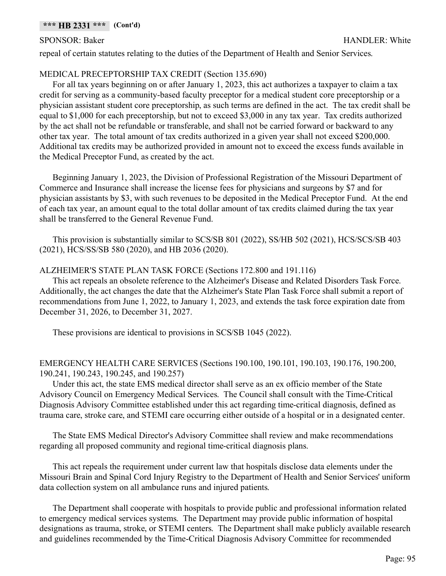### **\*\*\* HB 2331 \*\*\* (Cont'd)**

repeal of certain statutes relating to the duties of the Department of Health and Senior Services.

## MEDICAL PRECEPTORSHIP TAX CREDIT (Section 135.690)

For all tax years beginning on or after January 1, 2023, this act authorizes a taxpayer to claim a tax credit for serving as a community-based faculty preceptor for a medical student core preceptorship or a physician assistant student core preceptorship, as such terms are defined in the act. The tax credit shall be equal to \$1,000 for each preceptorship, but not to exceed \$3,000 in any tax year. Tax credits authorized by the act shall not be refundable or transferable, and shall not be carried forward or backward to any other tax year. The total amount of tax credits authorized in a given year shall not exceed \$200,000. Additional tax credits may be authorized provided in amount not to exceed the excess funds available in the Medical Preceptor Fund, as created by the act.

Beginning January 1, 2023, the Division of Professional Registration of the Missouri Department of Commerce and Insurance shall increase the license fees for physicians and surgeons by \$7 and for physician assistants by \$3, with such revenues to be deposited in the Medical Preceptor Fund. At the end of each tax year, an amount equal to the total dollar amount of tax credits claimed during the tax year shall be transferred to the General Revenue Fund.

This provision is substantially similar to SCS/SB 801 (2022), SS/HB 502 (2021), HCS/SCS/SB 403 (2021), HCS/SS/SB 580 (2020), and HB 2036 (2020).

### ALZHEIMER'S STATE PLAN TASK FORCE (Sections 172.800 and 191.116)

This act repeals an obsolete reference to the Alzheimer's Disease and Related Disorders Task Force. Additionally, the act changes the date that the Alzheimer's State Plan Task Force shall submit a report of recommendations from June 1, 2022, to January 1, 2023, and extends the task force expiration date from December 31, 2026, to December 31, 2027.

These provisions are identical to provisions in SCS/SB 1045 (2022).

## EMERGENCY HEALTH CARE SERVICES (Sections 190.100, 190.101, 190.103, 190.176, 190.200, 190.241, 190.243, 190.245, and 190.257)

Under this act, the state EMS medical director shall serve as an ex officio member of the State Advisory Council on Emergency Medical Services. The Council shall consult with the Time-Critical Diagnosis Advisory Committee established under this act regarding time-critical diagnosis, defined as trauma care, stroke care, and STEMI care occurring either outside of a hospital or in a designated center.

The State EMS Medical Director's Advisory Committee shall review and make recommendations regarding all proposed community and regional time-critical diagnosis plans.

This act repeals the requirement under current law that hospitals disclose data elements under the Missouri Brain and Spinal Cord Injury Registry to the Department of Health and Senior Services' uniform data collection system on all ambulance runs and injured patients.

The Department shall cooperate with hospitals to provide public and professional information related to emergency medical services systems. The Department may provide public information of hospital designations as trauma, stroke, or STEMI centers. The Department shall make publicly available research and guidelines recommended by the Time-Critical Diagnosis Advisory Committee for recommended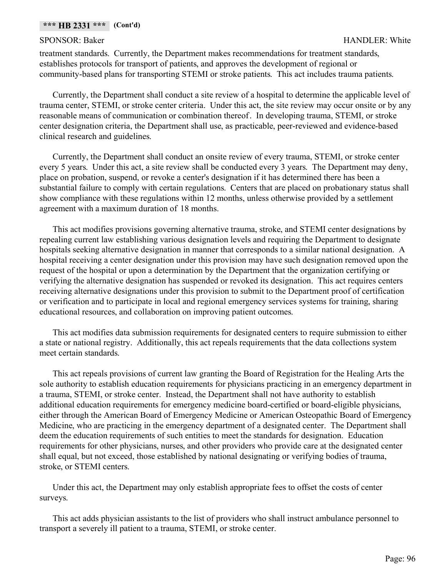### **\*\*\* HB 2331 \*\*\* (Cont'd)**

treatment standards. Currently, the Department makes recommendations for treatment standards, establishes protocols for transport of patients, and approves the development of regional or community-based plans for transporting STEMI or stroke patients. This act includes trauma patients.

Currently, the Department shall conduct a site review of a hospital to determine the applicable level of trauma center, STEMI, or stroke center criteria. Under this act, the site review may occur onsite or by any reasonable means of communication or combination thereof. In developing trauma, STEMI, or stroke center designation criteria, the Department shall use, as practicable, peer-reviewed and evidence-based clinical research and guidelines.

Currently, the Department shall conduct an onsite review of every trauma, STEMI, or stroke center every 5 years. Under this act, a site review shall be conducted every 3 years. The Department may deny, place on probation, suspend, or revoke a center's designation if it has determined there has been a substantial failure to comply with certain regulations. Centers that are placed on probationary status shall show compliance with these regulations within 12 months, unless otherwise provided by a settlement agreement with a maximum duration of 18 months.

This act modifies provisions governing alternative trauma, stroke, and STEMI center designations by repealing current law establishing various designation levels and requiring the Department to designate hospitals seeking alternative designation in manner that corresponds to a similar national designation. A hospital receiving a center designation under this provision may have such designation removed upon the request of the hospital or upon a determination by the Department that the organization certifying or verifying the alternative designation has suspended or revoked its designation. This act requires centers receiving alternative designations under this provision to submit to the Department proof of certification or verification and to participate in local and regional emergency services systems for training, sharing educational resources, and collaboration on improving patient outcomes.

This act modifies data submission requirements for designated centers to require submission to either a state or national registry. Additionally, this act repeals requirements that the data collections system meet certain standards.

This act repeals provisions of current law granting the Board of Registration for the Healing Arts the sole authority to establish education requirements for physicians practicing in an emergency department in a trauma, STEMI, or stroke center. Instead, the Department shall not have authority to establish additional education requirements for emergency medicine board-certified or board-eligible physicians, either through the American Board of Emergency Medicine or American Osteopathic Board of Emergency Medicine, who are practicing in the emergency department of a designated center. The Department shall deem the education requirements of such entities to meet the standards for designation. Education requirements for other physicians, nurses, and other providers who provide care at the designated center shall equal, but not exceed, those established by national designating or verifying bodies of trauma, stroke, or STEMI centers.

Under this act, the Department may only establish appropriate fees to offset the costs of center surveys.

This act adds physician assistants to the list of providers who shall instruct ambulance personnel to transport a severely ill patient to a trauma, STEMI, or stroke center.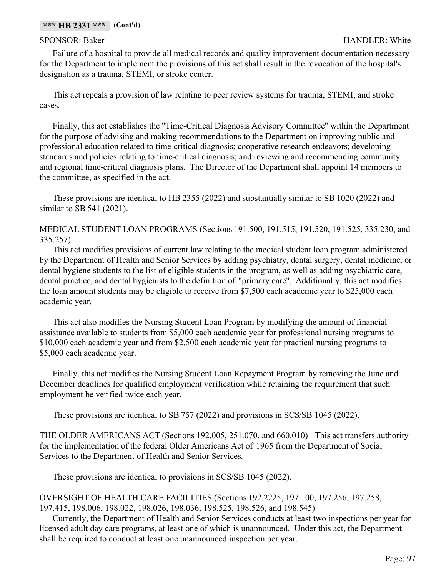Failure of a hospital to provide all medical records and quality improvement documentation necessary for the Department to implement the provisions of this act shall result in the revocation of the hospital's designation as a trauma, STEMI, or stroke center.

This act repeals a provision of law relating to peer review systems for trauma, STEMI, and stroke cases.

Finally, this act establishes the "Time-Critical Diagnosis Advisory Committee" within the Department for the purpose of advising and making recommendations to the Department on improving public and professional education related to time-critical diagnosis; cooperative research endeavors; developing standards and policies relating to time-critical diagnosis; and reviewing and recommending community and regional time-critical diagnosis plans. The Director of the Department shall appoint 14 members to the committee, as specified in the act.

These provisions are identical to HB 2355 (2022) and substantially similar to SB 1020 (2022) and similar to SB 541 (2021).

## MEDICAL STUDENT LOAN PROGRAMS (Sections 191.500, 191.515, 191.520, 191.525, 335.230, and 335.257)

This act modifies provisions of current law relating to the medical student loan program administered by the Department of Health and Senior Services by adding psychiatry, dental surgery, dental medicine, or dental hygiene students to the list of eligible students in the program, as well as adding psychiatric care, dental practice, and dental hygienists to the definition of "primary care". Additionally, this act modifies the loan amount students may be eligible to receive from \$7,500 each academic year to \$25,000 each academic year.

This act also modifies the Nursing Student Loan Program by modifying the amount of financial assistance available to students from \$5,000 each academic year for professional nursing programs to \$10,000 each academic year and from \$2,500 each academic year for practical nursing programs to \$5,000 each academic year.

Finally, this act modifies the Nursing Student Loan Repayment Program by removing the June and December deadlines for qualified employment verification while retaining the requirement that such employment be verified twice each year.

These provisions are identical to SB 757 (2022) and provisions in SCS/SB 1045 (2022).

THE OLDER AMERICANS ACT (Sections 192.005, 251.070, and 660.010) This act transfers authority for the implementation of the federal Older Americans Act of 1965 from the Department of Social Services to the Department of Health and Senior Services.

These provisions are identical to provisions in SCS/SB 1045 (2022).

## OVERSIGHT OF HEALTH CARE FACILITIES (Sections 192.2225, 197.100, 197.256, 197.258, 197.415, 198.006, 198.022, 198.026, 198.036, 198.525, 198.526, and 198.545)

Currently, the Department of Health and Senior Services conducts at least two inspections per year for licensed adult day care programs, at least one of which is unannounced. Under this act, the Department shall be required to conduct at least one unannounced inspection per year.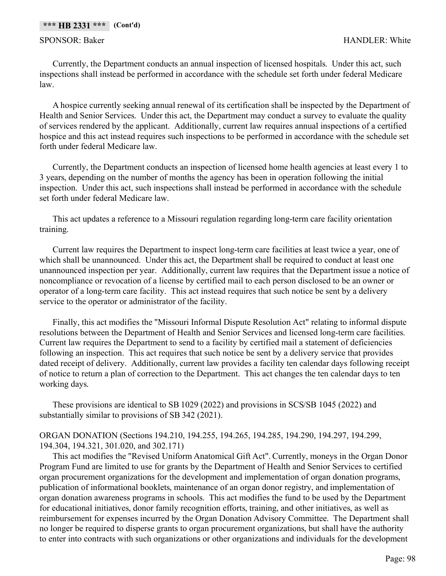Currently, the Department conducts an annual inspection of licensed hospitals. Under this act, such inspections shall instead be performed in accordance with the schedule set forth under federal Medicare law.

A hospice currently seeking annual renewal of its certification shall be inspected by the Department of Health and Senior Services. Under this act, the Department may conduct a survey to evaluate the quality of services rendered by the applicant. Additionally, current law requires annual inspections of a certified hospice and this act instead requires such inspections to be performed in accordance with the schedule set forth under federal Medicare law.

Currently, the Department conducts an inspection of licensed home health agencies at least every 1 to 3 years, depending on the number of months the agency has been in operation following the initial inspection. Under this act, such inspections shall instead be performed in accordance with the schedule set forth under federal Medicare law.

This act updates a reference to a Missouri regulation regarding long-term care facility orientation training.

Current law requires the Department to inspect long-term care facilities at least twice a year, one of which shall be unannounced. Under this act, the Department shall be required to conduct at least one unannounced inspection per year. Additionally, current law requires that the Department issue a notice of noncompliance or revocation of a license by certified mail to each person disclosed to be an owner or operator of a long-term care facility. This act instead requires that such notice be sent by a delivery service to the operator or administrator of the facility.

Finally, this act modifies the "Missouri Informal Dispute Resolution Act" relating to informal dispute resolutions between the Department of Health and Senior Services and licensed long-term care facilities. Current law requires the Department to send to a facility by certified mail a statement of deficiencies following an inspection. This act requires that such notice be sent by a delivery service that provides dated receipt of delivery. Additionally, current law provides a facility ten calendar days following receipt of notice to return a plan of correction to the Department. This act changes the ten calendar days to ten working days.

These provisions are identical to SB 1029 (2022) and provisions in SCS/SB 1045 (2022) and substantially similar to provisions of SB 342 (2021).

## ORGAN DONATION (Sections 194.210, 194.255, 194.265, 194.285, 194.290, 194.297, 194.299, 194.304, 194.321, 301.020, and 302.171)

This act modifies the "Revised Uniform Anatomical Gift Act". Currently, moneys in the Organ Donor Program Fund are limited to use for grants by the Department of Health and Senior Services to certified organ procurement organizations for the development and implementation of organ donation programs, publication of informational booklets, maintenance of an organ donor registry, and implementation of organ donation awareness programs in schools. This act modifies the fund to be used by the Department for educational initiatives, donor family recognition efforts, training, and other initiatives, as well as reimbursement for expenses incurred by the Organ Donation Advisory Committee. The Department shall no longer be required to disperse grants to organ procurement organizations, but shall have the authority to enter into contracts with such organizations or other organizations and individuals for the development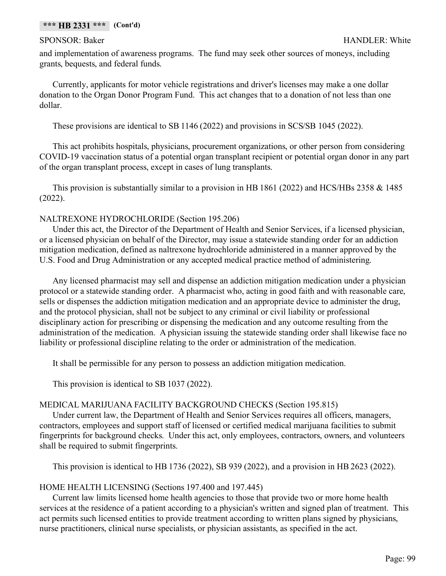and implementation of awareness programs. The fund may seek other sources of moneys, including grants, bequests, and federal funds.

Currently, applicants for motor vehicle registrations and driver's licenses may make a one dollar donation to the Organ Donor Program Fund. This act changes that to a donation of not less than one dollar.

These provisions are identical to SB 1146 (2022) and provisions in SCS/SB 1045 (2022).

This act prohibits hospitals, physicians, procurement organizations, or other person from considering COVID-19 vaccination status of a potential organ transplant recipient or potential organ donor in any part of the organ transplant process, except in cases of lung transplants.

This provision is substantially similar to a provision in HB 1861 (2022) and HCS/HBs 2358 & 1485 (2022).

## NALTREXONE HYDROCHLORIDE (Section 195.206)

Under this act, the Director of the Department of Health and Senior Services, if a licensed physician, or a licensed physician on behalf of the Director, may issue a statewide standing order for an addiction mitigation medication, defined as naltrexone hydrochloride administered in a manner approved by the U.S. Food and Drug Administration or any accepted medical practice method of administering.

Any licensed pharmacist may sell and dispense an addiction mitigation medication under a physician protocol or a statewide standing order. A pharmacist who, acting in good faith and with reasonable care, sells or dispenses the addiction mitigation medication and an appropriate device to administer the drug, and the protocol physician, shall not be subject to any criminal or civil liability or professional disciplinary action for prescribing or dispensing the medication and any outcome resulting from the administration of the medication. A physician issuing the statewide standing order shall likewise face no liability or professional discipline relating to the order or administration of the medication.

It shall be permissible for any person to possess an addiction mitigation medication.

This provision is identical to SB 1037 (2022).

## MEDICAL MARIJUANA FACILITY BACKGROUND CHECKS (Section 195.815)

Under current law, the Department of Health and Senior Services requires all officers, managers, contractors, employees and support staff of licensed or certified medical marijuana facilities to submit fingerprints for background checks. Under this act, only employees, contractors, owners, and volunteers shall be required to submit fingerprints.

This provision is identical to HB 1736 (2022), SB 939 (2022), and a provision in HB 2623 (2022).

## HOME HEALTH LICENSING (Sections 197.400 and 197.445)

Current law limits licensed home health agencies to those that provide two or more home health services at the residence of a patient according to a physician's written and signed plan of treatment. This act permits such licensed entities to provide treatment according to written plans signed by physicians, nurse practitioners, clinical nurse specialists, or physician assistants, as specified in the act.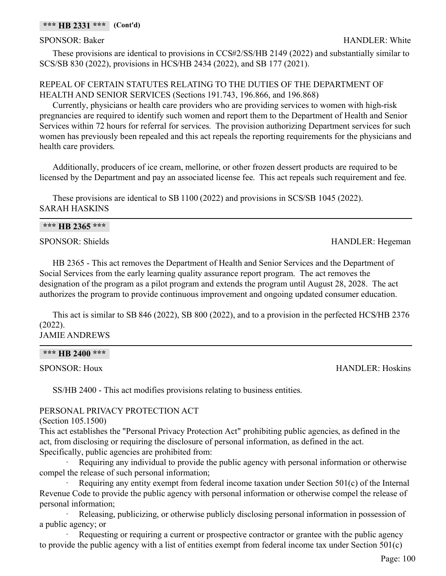### **\*\*\* HB 2331 \*\*\* (Cont'd)**

These provisions are identical to provisions in CCS#2/SS/HB 2149 (2022) and substantially similar to SCS/SB 830 (2022), provisions in HCS/HB 2434 (2022), and SB 177 (2021).

## REPEAL OF CERTAIN STATUTES RELATING TO THE DUTIES OF THE DEPARTMENT OF HEALTH AND SENIOR SERVICES (Sections 191.743, 196.866, and 196.868)

Currently, physicians or health care providers who are providing services to women with high-risk pregnancies are required to identify such women and report them to the Department of Health and Senior Services within 72 hours for referral for services. The provision authorizing Department services for such women has previously been repealed and this act repeals the reporting requirements for the physicians and health care providers.

Additionally, producers of ice cream, mellorine, or other frozen dessert products are required to be licensed by the Department and pay an associated license fee. This act repeals such requirement and fee.

These provisions are identical to SB 1100 (2022) and provisions in SCS/SB 1045 (2022). SARAH HASKINS

## **\*\*\* HB 2365 \*\*\***

SPONSOR: Shields HANDLER: Hegeman

HB 2365 - This act removes the Department of Health and Senior Services and the Department of Social Services from the early learning quality assurance report program. The act removes the designation of the program as a pilot program and extends the program until August 28, 2028. The act authorizes the program to provide continuous improvement and ongoing updated consumer education.

This act is similar to SB 846 (2022), SB 800 (2022), and to a provision in the perfected HCS/HB 2376 (2022). JAMIE ANDREWS

### **\*\*\* HB 2400 \*\*\***

SPONSOR: Houx HANDLER: Hoskins

SS/HB 2400 - This act modifies provisions relating to business entities.

### PERSONAL PRIVACY PROTECTION ACT

(Section 105.1500)

This act establishes the "Personal Privacy Protection Act" prohibiting public agencies, as defined in the act, from disclosing or requiring the disclosure of personal information, as defined in the act. Specifically, public agencies are prohibited from:

Requiring any individual to provide the public agency with personal information or otherwise compel the release of such personal information;

Requiring any entity exempt from federal income taxation under Section  $501(c)$  of the Internal Revenue Code to provide the public agency with personal information or otherwise compel the release of personal information;

Releasing, publicizing, or otherwise publicly disclosing personal information in possession of a public agency; or

Requesting or requiring a current or prospective contractor or grantee with the public agency to provide the public agency with a list of entities exempt from federal income tax under Section 501(c)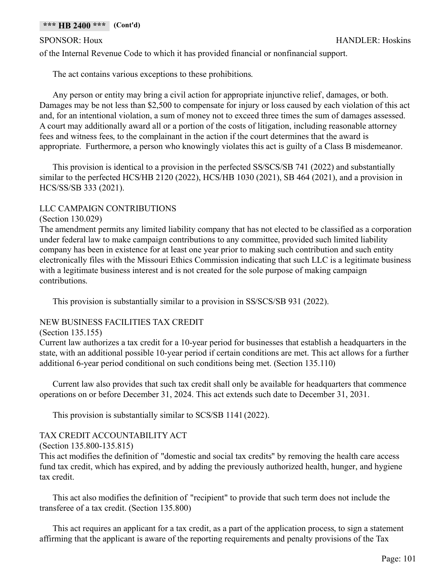of the Internal Revenue Code to which it has provided financial or nonfinancial support.

The act contains various exceptions to these prohibitions.

Any person or entity may bring a civil action for appropriate injunctive relief, damages, or both. Damages may be not less than \$2,500 to compensate for injury or loss caused by each violation of this act and, for an intentional violation, a sum of money not to exceed three times the sum of damages assessed. A court may additionally award all or a portion of the costs of litigation, including reasonable attorney fees and witness fees, to the complainant in the action if the court determines that the award is appropriate. Furthermore, a person who knowingly violates this act is guilty of a Class B misdemeanor.

This provision is identical to a provision in the perfected SS/SCS/SB 741 (2022) and substantially similar to the perfected HCS/HB 2120 (2022), HCS/HB 1030 (2021), SB 464 (2021), and a provision in HCS/SS/SB 333 (2021).

## LLC CAMPAIGN CONTRIBUTIONS

(Section 130.029)

The amendment permits any limited liability company that has not elected to be classified as a corporation under federal law to make campaign contributions to any committee, provided such limited liability company has been in existence for at least one year prior to making such contribution and such entity electronically files with the Missouri Ethics Commission indicating that such LLC is a legitimate business with a legitimate business interest and is not created for the sole purpose of making campaign contributions.

This provision is substantially similar to a provision in SS/SCS/SB 931 (2022).

## NEW BUSINESS FACILITIES TAX CREDIT

(Section 135.155)

Current law authorizes a tax credit for a 10-year period for businesses that establish a headquarters in the state, with an additional possible 10-year period if certain conditions are met. This act allows for a further additional 6-year period conditional on such conditions being met. (Section 135.110)

Current law also provides that such tax credit shall only be available for headquarters that commence operations on or before December 31, 2024. This act extends such date to December 31, 2031.

This provision is substantially similar to SCS/SB 1141 (2022).

## TAX CREDIT ACCOUNTABILITY ACT

(Section 135.800-135.815)

This act modifies the definition of "domestic and social tax credits" by removing the health care access fund tax credit, which has expired, and by adding the previously authorized health, hunger, and hygiene tax credit.

This act also modifies the definition of "recipient" to provide that such term does not include the transferee of a tax credit. (Section 135.800)

This act requires an applicant for a tax credit, as a part of the application process, to sign a statement affirming that the applicant is aware of the reporting requirements and penalty provisions of the Tax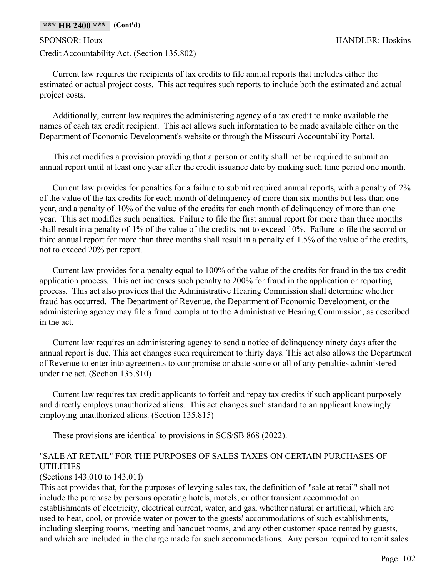### SPONSOR: Houx HANDLER: Hoskins

Credit Accountability Act. (Section 135.802)

Current law requires the recipients of tax credits to file annual reports that includes either the estimated or actual project costs. This act requires such reports to include both the estimated and actual project costs.

Additionally, current law requires the administering agency of a tax credit to make available the names of each tax credit recipient. This act allows such information to be made available either on the Department of Economic Development's website or through the Missouri Accountability Portal.

This act modifies a provision providing that a person or entity shall not be required to submit an annual report until at least one year after the credit issuance date by making such time period one month.

Current law provides for penalties for a failure to submit required annual reports, with a penalty of 2% of the value of the tax credits for each month of delinquency of more than six months but less than one year, and a penalty of 10% of the value of the credits for each month of delinquency of more than one year. This act modifies such penalties. Failure to file the first annual report for more than three months shall result in a penalty of 1% of the value of the credits, not to exceed 10%. Failure to file the second or third annual report for more than three months shall result in a penalty of 1.5% of the value of the credits, not to exceed 20% per report.

Current law provides for a penalty equal to 100% of the value of the credits for fraud in the tax credit application process. This act increases such penalty to 200% for fraud in the application or reporting process. This act also provides that the Administrative Hearing Commission shall determine whether fraud has occurred. The Department of Revenue, the Department of Economic Development, or the administering agency may file a fraud complaint to the Administrative Hearing Commission, as described in the act.

Current law requires an administering agency to send a notice of delinquency ninety days after the annual report is due. This act changes such requirement to thirty days. This act also allows the Department of Revenue to enter into agreements to compromise or abate some or all of any penalties administered under the act. (Section 135.810)

Current law requires tax credit applicants to forfeit and repay tax credits if such applicant purposely and directly employs unauthorized aliens. This act changes such standard to an applicant knowingly employing unauthorized aliens. (Section 135.815)

These provisions are identical to provisions in SCS/SB 868 (2022).

## "SALE AT RETAIL" FOR THE PURPOSES OF SALES TAXES ON CERTAIN PURCHASES OF UTILITIES

## (Sections 143.010 to 143.011)

This act provides that, for the purposes of levying sales tax, the definition of "sale at retail" shall not include the purchase by persons operating hotels, motels, or other transient accommodation establishments of electricity, electrical current, water, and gas, whether natural or artificial, which are used to heat, cool, or provide water or power to the guests' accommodations of such establishments, including sleeping rooms, meeting and banquet rooms, and any other customer space rented by guests, and which are included in the charge made for such accommodations. Any person required to remit sales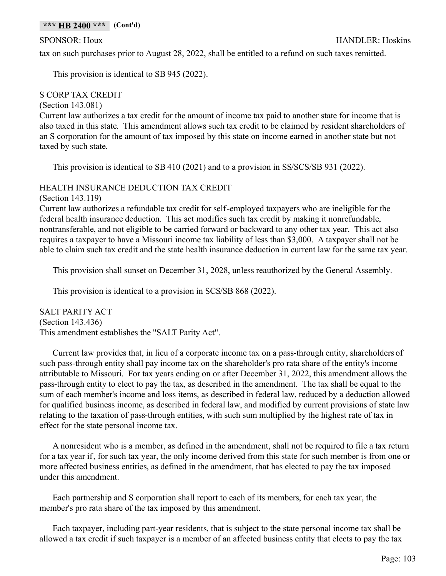tax on such purchases prior to August 28, 2022, shall be entitled to a refund on such taxes remitted.

This provision is identical to SB 945 (2022).

## S CORP TAX CREDIT

(Section 143.081)

Current law authorizes a tax credit for the amount of income tax paid to another state for income that is also taxed in this state. This amendment allows such tax credit to be claimed by resident shareholders of an S corporation for the amount of tax imposed by this state on income earned in another state but not taxed by such state.

This provision is identical to SB 410 (2021) and to a provision in SS/SCS/SB 931 (2022).

## HEALTH INSURANCE DEDUCTION TAX CREDIT

(Section 143.119)

Current law authorizes a refundable tax credit for self-employed taxpayers who are ineligible for the federal health insurance deduction. This act modifies such tax credit by making it nonrefundable, nontransferable, and not eligible to be carried forward or backward to any other tax year. This act also requires a taxpayer to have a Missouri income tax liability of less than \$3,000. A taxpayer shall not be able to claim such tax credit and the state health insurance deduction in current law for the same tax year.

This provision shall sunset on December 31, 2028, unless reauthorized by the General Assembly.

This provision is identical to a provision in SCS/SB 868 (2022).

SALT PARITY ACT (Section 143.436) This amendment establishes the "SALT Parity Act".

Current law provides that, in lieu of a corporate income tax on a pass-through entity, shareholders of such pass-through entity shall pay income tax on the shareholder's pro rata share of the entity's income attributable to Missouri. For tax years ending on or after December 31, 2022, this amendment allows the pass-through entity to elect to pay the tax, as described in the amendment. The tax shall be equal to the sum of each member's income and loss items, as described in federal law, reduced by a deduction allowed for qualified business income, as described in federal law, and modified by current provisions of state law relating to the taxation of pass-through entities, with such sum multiplied by the highest rate of tax in effect for the state personal income tax.

A nonresident who is a member, as defined in the amendment, shall not be required to file a tax return for a tax year if, for such tax year, the only income derived from this state for such member is from one or more affected business entities, as defined in the amendment, that has elected to pay the tax imposed under this amendment.

Each partnership and S corporation shall report to each of its members, for each tax year, the member's pro rata share of the tax imposed by this amendment.

Each taxpayer, including part-year residents, that is subject to the state personal income tax shall be allowed a tax credit if such taxpayer is a member of an affected business entity that elects to pay the tax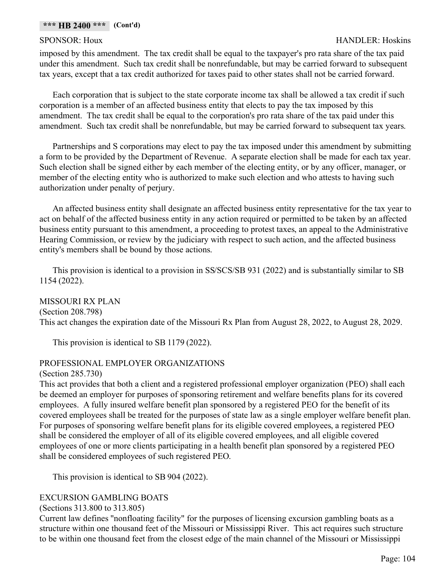imposed by this amendment. The tax credit shall be equal to the taxpayer's pro rata share of the tax paid under this amendment. Such tax credit shall be nonrefundable, but may be carried forward to subsequent tax years, except that a tax credit authorized for taxes paid to other states shall not be carried forward.

Each corporation that is subject to the state corporate income tax shall be allowed a tax credit if such corporation is a member of an affected business entity that elects to pay the tax imposed by this amendment. The tax credit shall be equal to the corporation's pro rata share of the tax paid under this amendment. Such tax credit shall be nonrefundable, but may be carried forward to subsequent tax years.

Partnerships and S corporations may elect to pay the tax imposed under this amendment by submitting a form to be provided by the Department of Revenue. A separate election shall be made for each tax year. Such election shall be signed either by each member of the electing entity, or by any officer, manager, or member of the electing entity who is authorized to make such election and who attests to having such authorization under penalty of perjury.

An affected business entity shall designate an affected business entity representative for the tax year to act on behalf of the affected business entity in any action required or permitted to be taken by an affected business entity pursuant to this amendment, a proceeding to protest taxes, an appeal to the Administrative Hearing Commission, or review by the judiciary with respect to such action, and the affected business entity's members shall be bound by those actions.

This provision is identical to a provision in SS/SCS/SB 931 (2022) and is substantially similar to SB 1154 (2022).

MISSOURI RX PLAN (Section 208.798) This act changes the expiration date of the Missouri Rx Plan from August 28, 2022, to August 28, 2029.

This provision is identical to SB 1179 (2022).

## PROFESSIONAL EMPLOYER ORGANIZATIONS

(Section 285.730)

This act provides that both a client and a registered professional employer organization (PEO) shall each be deemed an employer for purposes of sponsoring retirement and welfare benefits plans for its covered employees. A fully insured welfare benefit plan sponsored by a registered PEO for the benefit of its covered employees shall be treated for the purposes of state law as a single employer welfare benefit plan. For purposes of sponsoring welfare benefit plans for its eligible covered employees, a registered PEO shall be considered the employer of all of its eligible covered employees, and all eligible covered employees of one or more clients participating in a health benefit plan sponsored by a registered PEO shall be considered employees of such registered PEO.

This provision is identical to SB 904 (2022).

## EXCURSION GAMBLING BOATS

(Sections 313.800 to 313.805)

Current law defines "nonfloating facility" for the purposes of licensing excursion gambling boats as a structure within one thousand feet of the Missouri or Mississippi River. This act requires such structure to be within one thousand feet from the closest edge of the main channel of the Missouri or Mississippi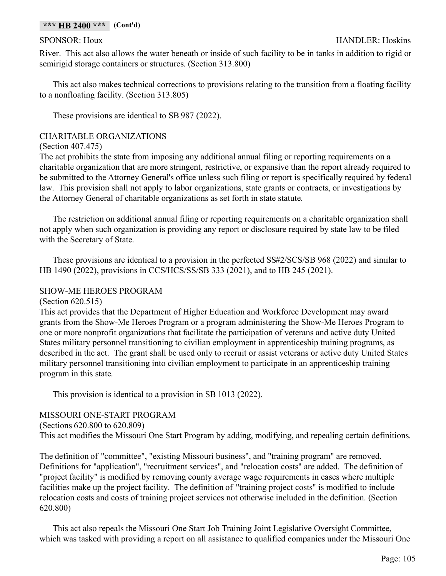River. This act also allows the water beneath or inside of such facility to be in tanks in addition to rigid or semirigid storage containers or structures. (Section 313.800)

This act also makes technical corrections to provisions relating to the transition from a floating facility to a nonfloating facility. (Section 313.805)

These provisions are identical to SB 987 (2022).

## CHARITABLE ORGANIZATIONS

### (Section 407.475)

The act prohibits the state from imposing any additional annual filing or reporting requirements on a charitable organization that are more stringent, restrictive, or expansive than the report already required to be submitted to the Attorney General's office unless such filing or report is specifically required by federal law. This provision shall not apply to labor organizations, state grants or contracts, or investigations by the Attorney General of charitable organizations as set forth in state statute.

The restriction on additional annual filing or reporting requirements on a charitable organization shall not apply when such organization is providing any report or disclosure required by state law to be filed with the Secretary of State.

These provisions are identical to a provision in the perfected SS#2/SCS/SB 968 (2022) and similar to HB 1490 (2022), provisions in CCS/HCS/SS/SB 333 (2021), and to HB 245 (2021).

### SHOW-ME HEROES PROGRAM

(Section 620.515)

This act provides that the Department of Higher Education and Workforce Development may award grants from the Show-Me Heroes Program or a program administering the Show-Me Heroes Program to one or more nonprofit organizations that facilitate the participation of veterans and active duty United States military personnel transitioning to civilian employment in apprenticeship training programs, as described in the act. The grant shall be used only to recruit or assist veterans or active duty United States military personnel transitioning into civilian employment to participate in an apprenticeship training program in this state.

This provision is identical to a provision in SB 1013 (2022).

## MISSOURI ONE-START PROGRAM

### (Sections 620.800 to 620.809)

This act modifies the Missouri One Start Program by adding, modifying, and repealing certain definitions.

The definition of "committee", "existing Missouri business", and "training program" are removed. Definitions for "application", "recruitment services", and "relocation costs" are added. The definition of "project facility" is modified by removing county average wage requirements in cases where multiple facilities make up the project facility. The definition of "training project costs" is modified to include relocation costs and costs of training project services not otherwise included in the definition. (Section 620.800)

This act also repeals the Missouri One Start Job Training Joint Legislative Oversight Committee, which was tasked with providing a report on all assistance to qualified companies under the Missouri One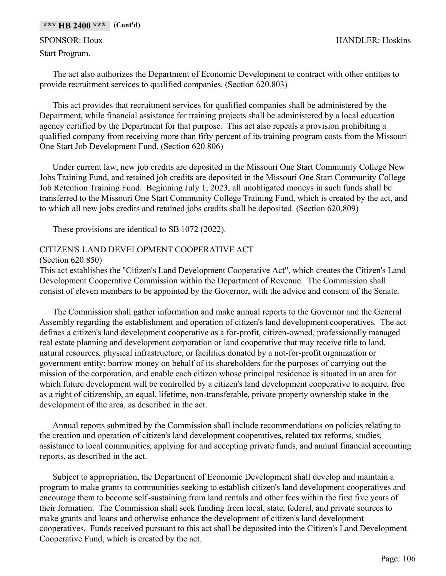Start Program.

The act also authorizes the Department of Economic Development to contract with other entities to provide recruitment services to qualified companies. (Section 620.803)

This act provides that recruitment services for qualified companies shall be administered by the Department, while financial assistance for training projects shall be administered by a local education agency certified by the Department for that purpose. This act also repeals a provision prohibiting a qualified company from receiving more than fifty percent of its training program costs from the Missouri One Start Job Development Fund. (Section 620.806)

Under current law, new job credits are deposited in the Missouri One Start Community College New Jobs Training Fund, and retained job credits are deposited in the Missouri One Start Community College Job Retention Training Fund. Beginning July 1, 2023, all unobligated moneys in such funds shall be transferred to the Missouri One Start Community College Training Fund, which is created by the act, and to which all new jobs credits and retained jobs credits shall be deposited. (Section 620.809)

These provisions are identical to SB 1072 (2022).

## CITIZEN'S LAND DEVELOPMENT COOPERATIVE ACT

(Section 620.850)

This act establishes the "Citizen's Land Development Cooperative Act", which creates the Citizen's Land Development Cooperative Commission within the Department of Revenue. The Commission shall consist of eleven members to be appointed by the Governor, with the advice and consent of the Senate.

The Commission shall gather information and make annual reports to the Governor and the General Assembly regarding the establishment and operation of citizen's land development cooperatives. The act defines a citizen's land development cooperative as a for-profit, citizen-owned, professionally managed real estate planning and development corporation or land cooperative that may receive title to land, natural resources, physical infrastructure, or facilities donated by a not-for-profit organization or government entity; borrow money on behalf of its shareholders for the purposes of carrying out the mission of the corporation, and enable each citizen whose principal residence is situated in an area for which future development will be controlled by a citizen's land development cooperative to acquire, free as a right of citizenship, an equal, lifetime, non-transferable, private property ownership stake in the development of the area, as described in the act.

Annual reports submitted by the Commission shall include recommendations on policies relating to the creation and operation of citizen's land development cooperatives, related tax reforms, studies, assistance to local communities, applying for and accepting private funds, and annual financial accounting reports, as described in the act.

Subject to appropriation, the Department of Economic Development shall develop and maintain a program to make grants to communities seeking to establish citizen's land development cooperatives and encourage them to become self-sustaining from land rentals and other fees within the first five years of their formation. The Commission shall seek funding from local, state, federal, and private sources to make grants and loans and otherwise enhance the development of citizen's land development cooperatives. Funds received pursuant to this act shall be deposited into the Citizen's Land Development Cooperative Fund, which is created by the act.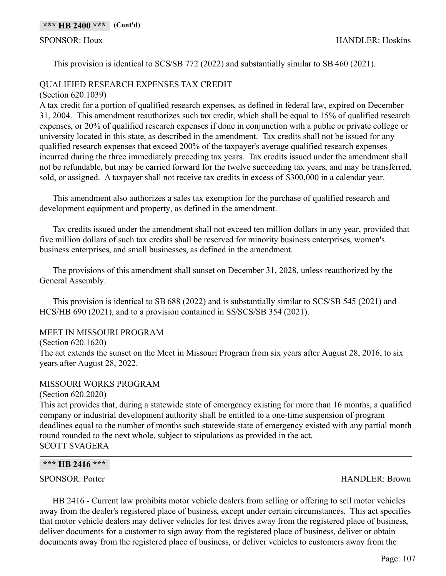This provision is identical to SCS/SB 772 (2022) and substantially similar to SB 460 (2021).

## QUALIFIED RESEARCH EXPENSES TAX CREDIT

## (Section 620.1039)

A tax credit for a portion of qualified research expenses, as defined in federal law, expired on December 31, 2004. This amendment reauthorizes such tax credit, which shall be equal to 15% of qualified research expenses, or 20% of qualified research expenses if done in conjunction with a public or private college or university located in this state, as described in the amendment. Tax credits shall not be issued for any qualified research expenses that exceed 200% of the taxpayer's average qualified research expenses incurred during the three immediately preceding tax years. Tax credits issued under the amendment shall not be refundable, but may be carried forward for the twelve succeeding tax years, and may be transferred, sold, or assigned. A taxpayer shall not receive tax credits in excess of \$300,000 in a calendar year.

This amendment also authorizes a sales tax exemption for the purchase of qualified research and development equipment and property, as defined in the amendment.

Tax credits issued under the amendment shall not exceed ten million dollars in any year, provided that five million dollars of such tax credits shall be reserved for minority business enterprises, women's business enterprises, and small businesses, as defined in the amendment.

The provisions of this amendment shall sunset on December 31, 2028, unless reauthorized by the General Assembly.

This provision is identical to SB 688 (2022) and is substantially similar to SCS/SB 545 (2021) and HCS/HB 690 (2021), and to a provision contained in SS/SCS/SB 354 (2021).

## MEET IN MISSOURI PROGRAM

(Section 620.1620)

The act extends the sunset on the Meet in Missouri Program from six years after August 28, 2016, to six years after August 28, 2022.

## MISSOURI WORKS PROGRAM

(Section 620.2020)

This act provides that, during a statewide state of emergency existing for more than 16 months, a qualified company or industrial development authority shall be entitled to a one-time suspension of program deadlines equal to the number of months such statewide state of emergency existed with any partial month round rounded to the next whole, subject to stipulations as provided in the act. SCOTT SVAGERA

### **\*\*\* HB 2416 \*\*\***

SPONSOR: Porter HANDLER: Brown

HB 2416 - Current law prohibits motor vehicle dealers from selling or offering to sell motor vehicles away from the dealer's registered place of business, except under certain circumstances. This act specifies that motor vehicle dealers may deliver vehicles for test drives away from the registered place of business, deliver documents for a customer to sign away from the registered place of business, deliver or obtain documents away from the registered place of business, or deliver vehicles to customers away from the

Page: 107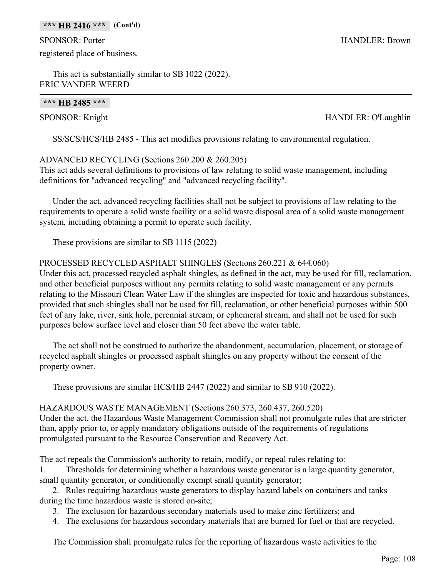#### **\*\*\* HB 2416 \*\*\* (Cont'd)**

SPONSOR: Porter HANDLER: Brown registered place of business.

This act is substantially similar to SB 1022 (2022). ERIC VANDER WEERD

#### **\*\*\* HB 2485 \*\*\***

SPONSOR: Knight HANDLER: O'Laughlin

SS/SCS/HCS/HB 2485 - This act modifies provisions relating to environmental regulation.

#### ADVANCED RECYCLING (Sections 260.200 & 260.205)

This act adds several definitions to provisions of law relating to solid waste management, including definitions for "advanced recycling" and "advanced recycling facility".

Under the act, advanced recycling facilities shall not be subject to provisions of law relating to the requirements to operate a solid waste facility or a solid waste disposal area of a solid waste management system, including obtaining a permit to operate such facility.

These provisions are similar to SB 1115 (2022)

#### PROCESSED RECYCLED ASPHALT SHINGLES (Sections 260.221 & 644.060)

Under this act, processed recycled asphalt shingles, as defined in the act, may be used for fill, reclamation, and other beneficial purposes without any permits relating to solid waste management or any permits relating to the Missouri Clean Water Law if the shingles are inspected for toxic and hazardous substances, provided that such shingles shall not be used for fill, reclamation, or other beneficial purposes within 500 feet of any lake, river, sink hole, perennial stream, or ephemeral stream, and shall not be used for such purposes below surface level and closer than 50 feet above the water table.

The act shall not be construed to authorize the abandonment, accumulation, placement, or storage of recycled asphalt shingles or processed asphalt shingles on any property without the consent of the property owner.

These provisions are similar HCS/HB 2447 (2022) and similar to SB 910 (2022).

# HAZARDOUS WASTE MANAGEMENT (Sections 260.373, 260.437, 260.520)

Under the act, the Hazardous Waste Management Commission shall not promulgate rules that are stricter than, apply prior to, or apply mandatory obligations outside of the requirements of regulations promulgated pursuant to the Resource Conservation and Recovery Act.

The act repeals the Commission's authority to retain, modify, or repeal rules relating to:

1. Thresholds for determining whether a hazardous waste generator is a large quantity generator, small quantity generator, or conditionally exempt small quantity generator;

2. Rules requiring hazardous waste generators to display hazard labels on containers and tanks during the time hazardous waste is stored on-site;

- 3. The exclusion for hazardous secondary materials used to make zinc fertilizers; and
- 4. The exclusions for hazardous secondary materials that are burned for fuel or that are recycled.

The Commission shall promulgate rules for the reporting of hazardous waste activities to the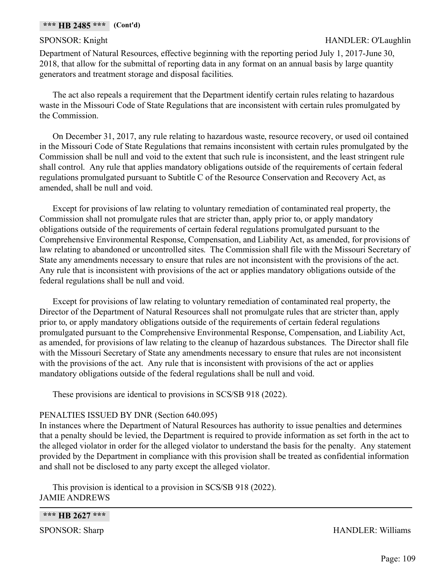Department of Natural Resources, effective beginning with the reporting period July 1, 2017-June 30, 2018, that allow for the submittal of reporting data in any format on an annual basis by large quantity generators and treatment storage and disposal facilities.

The act also repeals a requirement that the Department identify certain rules relating to hazardous waste in the Missouri Code of State Regulations that are inconsistent with certain rules promulgated by the Commission.

On December 31, 2017, any rule relating to hazardous waste, resource recovery, or used oil contained in the Missouri Code of State Regulations that remains inconsistent with certain rules promulgated by the Commission shall be null and void to the extent that such rule is inconsistent, and the least stringent rule shall control. Any rule that applies mandatory obligations outside of the requirements of certain federal regulations promulgated pursuant to Subtitle C of the Resource Conservation and Recovery Act, as amended, shall be null and void.

Except for provisions of law relating to voluntary remediation of contaminated real property, the Commission shall not promulgate rules that are stricter than, apply prior to, or apply mandatory obligations outside of the requirements of certain federal regulations promulgated pursuant to the Comprehensive Environmental Response, Compensation, and Liability Act, as amended, for provisions of law relating to abandoned or uncontrolled sites. The Commission shall file with the Missouri Secretary of State any amendments necessary to ensure that rules are not inconsistent with the provisions of the act. Any rule that is inconsistent with provisions of the act or applies mandatory obligations outside of the federal regulations shall be null and void.

Except for provisions of law relating to voluntary remediation of contaminated real property, the Director of the Department of Natural Resources shall not promulgate rules that are stricter than, apply prior to, or apply mandatory obligations outside of the requirements of certain federal regulations promulgated pursuant to the Comprehensive Environmental Response, Compensation, and Liability Act, as amended, for provisions of law relating to the cleanup of hazardous substances. The Director shall file with the Missouri Secretary of State any amendments necessary to ensure that rules are not inconsistent with the provisions of the act. Any rule that is inconsistent with provisions of the act or applies mandatory obligations outside of the federal regulations shall be null and void.

These provisions are identical to provisions in SCS/SB 918 (2022).

#### PENALTIES ISSUED BY DNR (Section 640.095)

In instances where the Department of Natural Resources has authority to issue penalties and determines that a penalty should be levied, the Department is required to provide information as set forth in the act to the alleged violator in order for the alleged violator to understand the basis for the penalty. Any statement provided by the Department in compliance with this provision shall be treated as confidential information and shall not be disclosed to any party except the alleged violator.

This provision is identical to a provision in SCS/SB 918 (2022). JAMIE ANDREWS

**\*\*\* HB 2627 \*\*\***

SPONSOR: Sharp HANDLER: Williams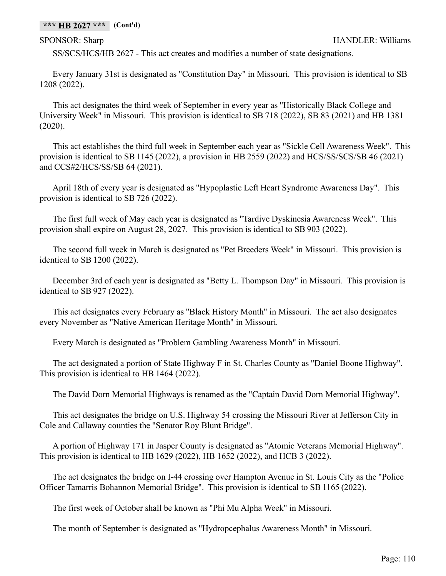#### **\*\*\* HB 2627 \*\*\* (Cont'd)**

SS/SCS/HCS/HB 2627 - This act creates and modifies a number of state designations.

Every January 31st is designated as "Constitution Day" in Missouri. This provision is identical to SB 1208 (2022).

This act designates the third week of September in every year as "Historically Black College and University Week" in Missouri. This provision is identical to SB 718 (2022), SB 83 (2021) and HB 1381 (2020).

This act establishes the third full week in September each year as "Sickle Cell Awareness Week". This provision is identical to SB 1145 (2022), a provision in HB 2559 (2022) and HCS/SS/SCS/SB 46 (2021) and CCS#2/HCS/SS/SB 64 (2021).

April 18th of every year is designated as "Hypoplastic Left Heart Syndrome Awareness Day". This provision is identical to SB 726 (2022).

The first full week of May each year is designated as "Tardive Dyskinesia Awareness Week". This provision shall expire on August 28, 2027. This provision is identical to SB 903 (2022).

The second full week in March is designated as "Pet Breeders Week" in Missouri. This provision is identical to SB 1200 (2022).

December 3rd of each year is designated as "Betty L. Thompson Day" in Missouri. This provision is identical to SB 927 (2022).

This act designates every February as "Black History Month" in Missouri. The act also designates every November as "Native American Heritage Month" in Missouri.

Every March is designated as "Problem Gambling Awareness Month" in Missouri.

The act designated a portion of State Highway F in St. Charles County as "Daniel Boone Highway". This provision is identical to HB 1464 (2022).

The David Dorn Memorial Highways is renamed as the "Captain David Dorn Memorial Highway".

This act designates the bridge on U.S. Highway 54 crossing the Missouri River at Jefferson City in Cole and Callaway counties the "Senator Roy Blunt Bridge".

A portion of Highway 171 in Jasper County is designated as "Atomic Veterans Memorial Highway". This provision is identical to HB 1629 (2022), HB 1652 (2022), and HCB 3 (2022).

The act designates the bridge on I-44 crossing over Hampton Avenue in St. Louis City as the "Police Officer Tamarris Bohannon Memorial Bridge". This provision is identical to SB 1165 (2022).

The first week of October shall be known as "Phi Mu Alpha Week" in Missouri.

The month of September is designated as "Hydropcephalus Awareness Month" in Missouri.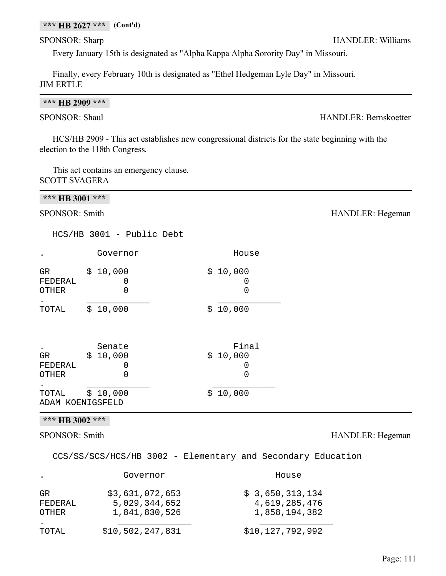#### **\*\*\* HB 2627 \*\*\* (Cont'd)**

Every January 15th is designated as "Alpha Kappa Alpha Sorority Day" in Missouri.

Finally, every February 10th is designated as "Ethel Hedgeman Lyle Day" in Missouri. JIM ERTLE

SPONSOR: Shaul HANDLER: Bernskoetter

HCS/HB 2909 - This act establishes new congressional districts for the state beginning with the election to the 118th Congress.

This act contains an emergency clause. SCOTT SVAGERA

**\*\*\* HB 3001 \*\*\*** SPONSOR: Smith HANDLER: Hegeman

HCS/HB 3001 - Public Debt

|                               | Governor                | House                  |
|-------------------------------|-------------------------|------------------------|
| GR<br>FEDERAL<br><b>OTHER</b> | \$10,000<br>U           | \$10,000               |
| TOTAL                         | \$10,000                | \$10,000               |
| GR<br>FEDERAL<br><b>OTHER</b> | Senate<br>\$10,000<br>O | Final<br>\$10,000<br>0 |
| TOTAL<br>ADAM KOENIGSFELD     | \$10,000                | \$10,000               |

#### **\*\*\* HB 3002 \*\*\***

#### SPONSOR: Smith HANDLER: Hegeman

CCS/SS/SCS/HCS/HB 3002 - Elementary and Secondary Education

|                         | Governor                                          | House                                             |
|-------------------------|---------------------------------------------------|---------------------------------------------------|
| GR.<br>FEDERAL<br>OTHER | \$3,631,072,653<br>5,029,344,652<br>1,841,830,526 | \$3,650,313,134<br>4,619,285,476<br>1,858,194,382 |
| TOTAL                   | \$10,502,247,831                                  | \$10, 127, 792, 992                               |

SPONSOR: Sharp HANDLER: Williams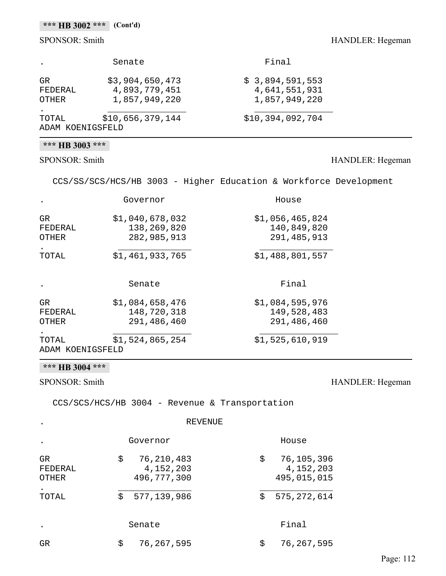#### **\*\*\* HB 3002 \*\*\* (Cont'd)**

#### SPONSOR: Smith HANDLER: Hegeman

|                           | Senate                                            | Final                                             |
|---------------------------|---------------------------------------------------|---------------------------------------------------|
| GR<br>FEDERAL<br>OTHER    | \$3,904,650,473<br>4,893,779,451<br>1,857,949,220 | \$3,894,591,553<br>4,641,551,931<br>1,857,949,220 |
| TOTAL<br>ADAM KOENIGSFELD | \$10,656,379,144                                  | \$10,394,092,704                                  |

#### **\*\*\* HB 3003 \*\*\***

# SPONSOR: Smith HANDLER: Hegeman

CCS/SS/SCS/HCS/HB 3003 - Higher Education & Workforce Development

|                                | Governor                                      | House                                         |
|--------------------------------|-----------------------------------------------|-----------------------------------------------|
| GR.<br>FEDERAL<br>OTHER        | \$1,040,678,032<br>138,269,820<br>282,985,913 | \$1,056,465,824<br>140,849,820<br>291,485,913 |
| TOTAL                          | \$1,461,933,765                               | \$1,488,801,557                               |
|                                | Senate                                        | Final                                         |
| GR.<br>FEDERAL<br><b>OTHER</b> | \$1,084,658,476<br>148,720,318<br>291,486,460 | \$1,084,595,976<br>149,528,483<br>291,486,460 |
| TOTAL<br>ADAM KOENIGSFELD      | \$1,524,865,254                               | \$1,525,610,919                               |

# **\*\*\* HB 3004 \*\*\***

# SPONSOR: Smith HANDLER: Hegeman

CCS/SCS/HCS/HB 3004 - Revenue & Transportation

|                                        | REVENUE                                                           |                                                                     |  |
|----------------------------------------|-------------------------------------------------------------------|---------------------------------------------------------------------|--|
|                                        | Governor                                                          | House                                                               |  |
| GR<br>FEDERAL<br><b>OTHER</b><br>TOTAL | \$<br>76,210,483<br>4,152,203<br>496,777,300<br>\$<br>577,139,986 | \$<br>76,105,396<br>4,152,203<br>495,015,015<br>\$<br>575, 272, 614 |  |
|                                        | Senate                                                            | Final                                                               |  |
| GR                                     | \$<br>76, 267, 595                                                | \$<br>76,267,595                                                    |  |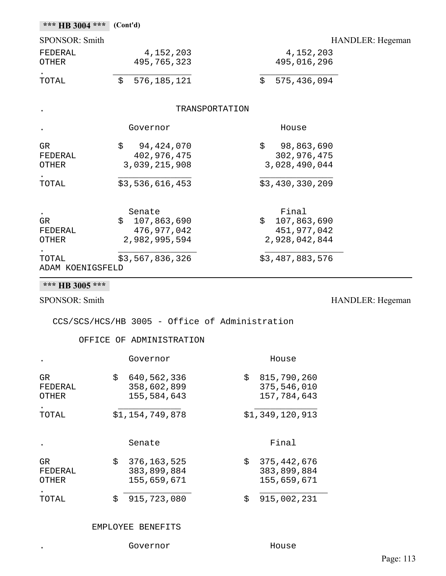| *** HB 3004 ***               | (Cont'd)                                                |                                                            |
|-------------------------------|---------------------------------------------------------|------------------------------------------------------------|
| SPONSOR: Smith                |                                                         | HANDLER: Hegeman                                           |
| FEDERAL<br>OTHER              | 4,152,203<br>495,765,323                                | 4,152,203<br>495,016,296                                   |
| TOTAL                         | \$<br>576, 185, 121                                     | \$<br>575,436,094                                          |
|                               |                                                         | TRANSPORTATION                                             |
|                               | Governor                                                | House                                                      |
| GR<br>FEDERAL<br><b>OTHER</b> | \$<br>94, 424, 070<br>402,976,475<br>3,039,215,908      | \$<br>98,863,690<br>302,976,475<br>3,028,490,044           |
| TOTAL                         | \$3,536,616,453                                         | \$3,430,330,209                                            |
| <b>GR</b><br>FEDERAL<br>OTHER | Senate<br>\$107,863,690<br>476,977,042<br>2,982,995,594 | Final<br>\$<br>107,863,690<br>451,977,042<br>2,928,042,844 |
| TOTAL                         | \$3,567,836,326                                         | \$3,487,883,576                                            |

ADAM KOENIGSFELD

#### **\*\*\* HB 3005 \*\*\***

SPONSOR: Smith HANDLER: Hegeman

CCS/SCS/HCS/HB 3005 - Office of Administration

#### OFFICE OF ADMINISTRATION

|                                | Governor                                        | House                                             |
|--------------------------------|-------------------------------------------------|---------------------------------------------------|
| GR<br>FEDERAL<br><b>OTHER</b>  | \$<br>640,562,336<br>358,602,899<br>155,584,643 | \$<br>815,790,260<br>375,546,010<br>157,784,643   |
| TOTAL                          | \$1,154,749,878                                 | \$1,349,120,913                                   |
|                                | Senate                                          | Final                                             |
| GR.<br>FEDERAL<br><b>OTHER</b> | \$<br>376,163,525<br>383,899,884<br>155,659,671 | \$<br>375, 442, 676<br>383,899,884<br>155,659,671 |
| TOTAL                          | \$<br>915,723,080                               | \$<br>915,002,231                                 |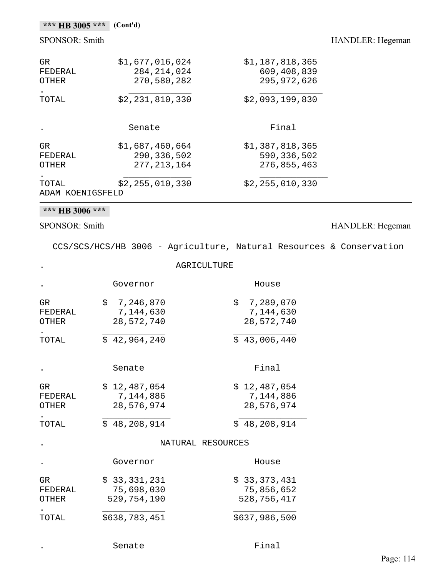# **\*\*\* HB 3005 \*\*\* (Cont'd)**

# SPONSOR: Smith HANDLER: Hegeman

| GR<br>FEDERAL<br>OTHER    | \$1,677,016,024<br>284, 214, 024<br>270,580,282 | \$1,187,818,365<br>609,408,839<br>295,972,626 |
|---------------------------|-------------------------------------------------|-----------------------------------------------|
| TOTAL                     | \$2,231,810,330                                 | \$2,093,199,830                               |
|                           | Senate                                          | Final                                         |
| GR.<br>FEDERAL<br>OTHER   | \$1,687,460,664<br>290,336,502<br>277, 213, 164 | \$1,387,818,365<br>590,336,502<br>276,855,463 |
| TOTAL<br>ADAM KOENIGSFELD | \$2,255,010,330                                 | \$2,255,010,330                               |

# **\*\*\* HB 3006 \*\*\***

# SPONSOR: Smith HANDLER: Hegeman

CCS/SCS/HCS/HB 3006 - Agriculture, Natural Resources & Conservation

|                                      | AGRICULTURE                               |                                           |  |
|--------------------------------------|-------------------------------------------|-------------------------------------------|--|
|                                      | Governor                                  | House                                     |  |
| <b>GR</b><br>FEDERAL<br><b>OTHER</b> | \$7,246,870<br>7,144,630<br>28,572,740    | \$7,289,070<br>7,144,630<br>28,572,740    |  |
| TOTAL                                | \$42,964,240                              | \$43,006,440                              |  |
|                                      | Senate                                    | Final                                     |  |
| <b>GR</b><br>FEDERAL<br><b>OTHER</b> | \$12,487,054<br>7,144,886<br>28,576,974   | \$12,487,054<br>7,144,886<br>28,576,974   |  |
| TOTAL                                | \$48, 208, 914                            | \$48, 208, 914                            |  |
|                                      |                                           | NATURAL RESOURCES                         |  |
|                                      | Governor                                  | House                                     |  |
| GR.<br>FEDERAL<br><b>OTHER</b>       | \$33,331,231<br>75,698,030<br>529,754,190 | \$33,373,431<br>75,856,652<br>528,756,417 |  |
| TOTAL                                | \$638,783,451                             | \$637,986,500                             |  |
|                                      |                                           |                                           |  |

. Senate Final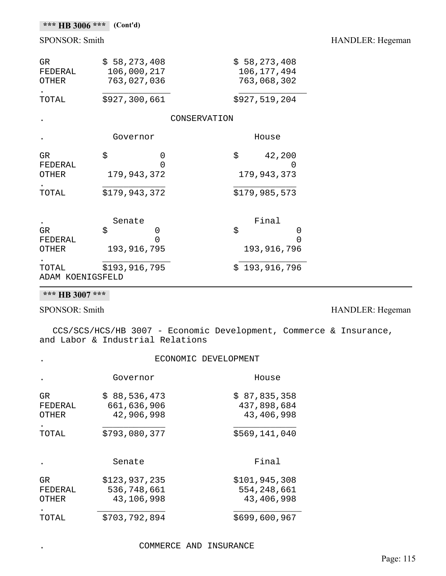|                                 | $***$ HB 3006 $***$ (Cont'd)               |                                              |                  |
|---------------------------------|--------------------------------------------|----------------------------------------------|------------------|
| SPONSOR: Smith                  |                                            |                                              | HANDLER: Hegeman |
| GR<br>FEDERAL<br>OTHER          | \$58,273,408<br>106,000,217<br>763,027,036 | \$58,273,408<br>106, 177, 494<br>763,068,302 |                  |
| TOTAL                           | \$927,300,661                              | \$927,519,204                                |                  |
|                                 |                                            | CONSERVATION                                 |                  |
|                                 | Governor                                   | House                                        |                  |
| GR<br>FEDERAL<br>OTHER<br>TOTAL | \$<br>0<br>179,943,372<br>\$179,943,372    | \$<br>42,200<br>179,943,373<br>\$179,985,573 |                  |
|                                 |                                            |                                              |                  |
| GR<br>FEDERAL<br><b>OTHER</b>   | Senate<br>\$<br>0<br>193, 916, 795         | Final<br>\$<br>0<br>193,916,796              |                  |

. \_\_\_\_\_\_\_\_\_\_\_\_\_ \_\_\_\_\_\_\_\_\_\_\_\_\_ TOTAL \$193,916,795 \$ 193,916,796

ADAM KOENIGSFELD

**\*\*\* HB 3007 \*\*\***

# SPONSOR: Smith HANDLER: Hegeman

CCS/SCS/HCS/HB 3007 - Economic Development, Commerce & Insurance, and Labor & Industrial Relations

#### . ECONOMIC DEVELOPMENT

|                               | Governor                                   | House                                        |
|-------------------------------|--------------------------------------------|----------------------------------------------|
| GR<br>FEDERAL<br><b>OTHER</b> | \$88,536,473<br>661,636,906<br>42,906,998  | \$87,835,358<br>437,898,684<br>43,406,998    |
| TOTAL                         | \$793,080,377                              | \$569,141,040                                |
|                               | Senate                                     | Final                                        |
| GR<br>FEDERAL<br><b>OTHER</b> | \$123,937,235<br>536,748,661<br>43,106,998 | \$101,945,308<br>554, 248, 661<br>43,406,998 |
| TOTAL                         | \$703,792,894                              | \$699,600,967                                |

#### . COMMERCE AND INSURANCE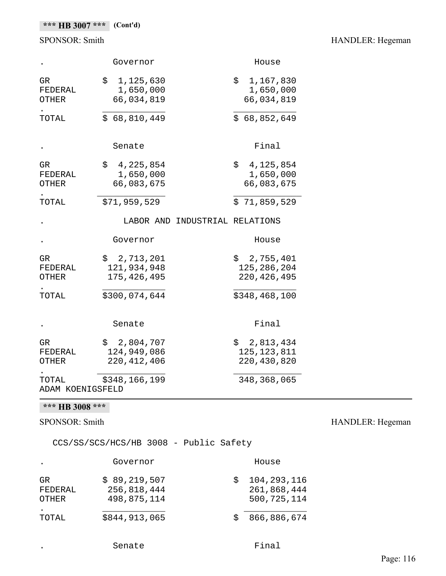# SPONSOR: Smith HANDLER: Hegeman

|                               | Governor                                    | House                                         |
|-------------------------------|---------------------------------------------|-----------------------------------------------|
| GR<br>FEDERAL<br>OTHER        | \$<br>1,125,630<br>1,650,000<br>66,034,819  | \$<br>1,167,830<br>1,650,000<br>66,034,819    |
| TOTAL                         | \$68,810,449                                | \$68,852,649                                  |
|                               | Senate                                      | Final                                         |
| GR<br>FEDERAL<br><b>OTHER</b> | 4,225,854<br>\$<br>1,650,000<br>66,083,675  | 4,125,854<br>\$<br>1,650,000<br>66,083,675    |
| TOTAL                         | \$71,959,529                                | \$71,859,529                                  |
|                               | LABOR AND INDUSTRIAL RELATIONS              |                                               |
|                               | Governor                                    | House                                         |
| GR<br>FEDERAL<br>OTHER        | \$2,713,201<br>121,934,948<br>175, 426, 495 | \$2,755,401<br>125, 286, 204<br>220, 426, 495 |
| TOTAL                         | \$300,074,644                               | \$348,468,100                                 |
|                               | Senate                                      | Final                                         |
| GR<br>FEDERAL<br><b>OTHER</b> | \$2,804,707<br>124,949,086<br>220, 412, 406 | \$2,813,434<br>125, 123, 811<br>220,430,820   |
| TOTAL<br>ADAM KOENIGSFELD     | \$348,166,199                               | 348,368,065                                   |

# **\*\*\* HB 3008 \*\*\***

# SPONSOR: Smith HANDLER: Hegeman

CCS/SS/SCS/HCS/HB 3008 - Public Safety

|                         | Governor                                   |   | House                                     |
|-------------------------|--------------------------------------------|---|-------------------------------------------|
| GR.<br>FEDERAL<br>OTHER | \$89,219,507<br>256,818,444<br>498,875,114 | S | 104,293,116<br>261,868,444<br>500,725,114 |
| TOTAL                   | \$844,913,065                              |   | 866,886,674                               |

| Final<br>Senate |
|-----------------|
|-----------------|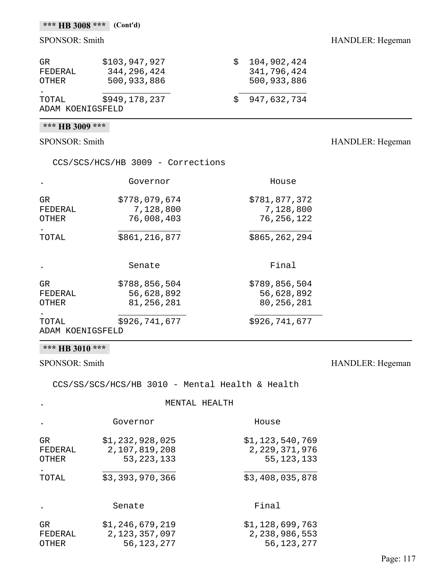#### **\*\*\* HB 3008 \*\*\* (Cont'd)**

# SPONSOR: Smith HANDLER: Hegeman

| GR                        | \$103,947,927 | 104,902,424   |
|---------------------------|---------------|---------------|
| FEDERAL                   | 344,296,424   | 341,796,424   |
| OTHER                     | 500,933,886   | 500,933,886   |
| TOTAL<br>ADAM KOENIGSFELD | \$949,178,237 | \$947,632,734 |

# **\*\*\* HB 3009 \*\*\***

SPONSOR: Smith HANDLER: Hegeman

| CCS/SCS/HCS/HB 3009 - Corrections |  |  |
|-----------------------------------|--|--|
|-----------------------------------|--|--|

|                        | Governor                                 | House                                    |
|------------------------|------------------------------------------|------------------------------------------|
| GR<br>FEDERAL<br>OTHER | \$778,079,674<br>7,128,800<br>76,008,403 | \$781,877,372<br>7,128,800<br>76,256,122 |
|                        |                                          |                                          |
| TOTAL                  | \$861,216,877                            | \$865,262,294                            |
|                        | Senate                                   | Final                                    |
| GR                     | \$788,856,504                            | \$789,856,504                            |
| FEDERAL                | 56,628,892                               | 56,628,892                               |
| OTHER                  | 81,256,281                               | 80, 256, 281                             |
|                        |                                          |                                          |
| TOTAL                  | \$926,741,677                            | \$926,741,677                            |
| ADAM KOENIGSFELD       |                                          |                                          |

# **\*\*\* HB 3010 \*\*\***

# SPONSOR: Smith HANDLER: Hegeman

CCS/SS/SCS/HCS/HB 3010 - Mental Health & Health

#### . MENTAL HEALTH

|                               | Governor                                            | House                                               |
|-------------------------------|-----------------------------------------------------|-----------------------------------------------------|
| GR<br>FEDERAL<br><b>OTHER</b> | \$1,232,928,025<br>2,107,819,208<br>53, 223, 133    | \$1,123,540,769<br>2, 229, 371, 976<br>55, 123, 133 |
| TOTAL                         | \$3,393,970,366                                     | \$3,408,035,878                                     |
|                               | Senate                                              | Final                                               |
| GR<br>FEDERAL<br><b>OTHER</b> | \$1,246,679,219<br>2, 123, 357, 097<br>56, 123, 277 | \$1,128,699,763<br>2,238,986,553<br>56, 123, 277    |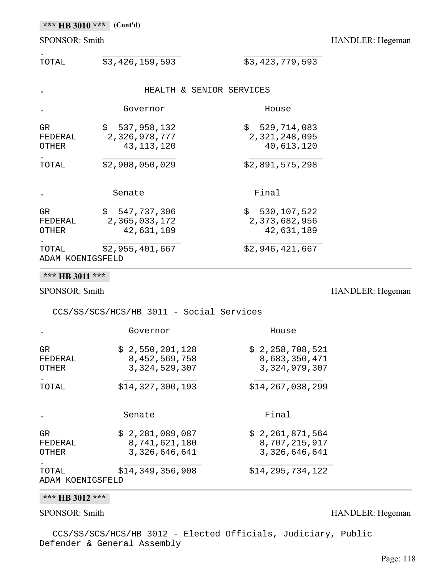#### **\*\*\* HB 3010 \*\*\* (Cont'd)**

| TOTAL                         | \$3,426,159,593                                | \$3,423,779,593                              |
|-------------------------------|------------------------------------------------|----------------------------------------------|
|                               |                                                |                                              |
|                               |                                                | HEALTH & SENIOR SERVICES                     |
|                               | Governor                                       | House                                        |
| GR<br>FEDERAL<br><b>OTHER</b> | \$537,958,132<br>2,326,978,777<br>43, 113, 120 | \$529,714,083<br>2,321,248,095<br>40,613,120 |
| TOTAL                         | \$2,908,050,029                                | \$2,891,575,298                              |
|                               | Senate                                         | Final                                        |
| <b>GR</b><br>FEDERAL<br>OTHER | \$547,737,306<br>2,365,033,172<br>42,631,189   | \$530,107,522<br>2,373,682,956<br>42,631,189 |
| TOTAL<br>ADAM KOENIGSFELD     | \$2,955,401,667                                | \$2,946,421,667                              |

#### **\*\*\* HB 3011 \*\*\***

SPONSOR: Smith HANDLER: Hegeman

CCS/SS/SCS/HCS/HB 3011 - Social Services

|                                | Governor                                                | House                                                |
|--------------------------------|---------------------------------------------------------|------------------------------------------------------|
| GR.<br>FEDERAL<br><b>OTHER</b> | \$2,550,201,128<br>8, 452, 569, 758<br>3, 324, 529, 307 | \$2,258,708,521<br>8,683,350,471<br>3, 324, 979, 307 |
| TOTAL                          | \$14,327,300,193                                        | \$14, 267, 038, 299                                  |
|                                |                                                         |                                                      |
|                                |                                                         |                                                      |
|                                | Senate                                                  | Final                                                |
| GR.<br>FEDERAL<br>OTHER        | \$2,281,089,087<br>8,741,621,180<br>3,326,646,641       | \$2,261,871,564<br>8,707,215,917<br>3,326,646,641    |

#### **\*\*\* HB 3012 \*\*\***

SPONSOR: Smith HANDLER: Hegeman

CCS/SS/SCS/HCS/HB 3012 - Elected Officials, Judiciary, Public Defender & General Assembly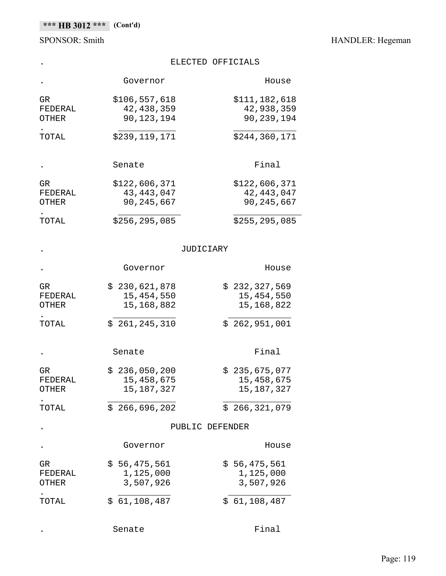# SPONSOR: Smith HANDLER: Hegeman

|                                | ELECTED OFFICIALS                             |                 |                                               |
|--------------------------------|-----------------------------------------------|-----------------|-----------------------------------------------|
|                                | Governor                                      |                 | House                                         |
| GR.<br>FEDERAL<br>OTHER        | \$106,557,618<br>42, 438, 359<br>90, 123, 194 |                 | \$111,182,618<br>42,938,359<br>90,239,194     |
| TOTAL                          | \$239,119,171                                 |                 | \$244,360,171                                 |
|                                | Senate                                        |                 | Final                                         |
| GR.<br>FEDERAL<br><b>OTHER</b> | \$122,606,371<br>43, 443, 047<br>90, 245, 667 |                 | \$122,606,371<br>42, 443, 047<br>90, 245, 667 |
| TOTAL                          | \$256,295,085                                 |                 | \$255,295,085                                 |
|                                |                                               | JUDICIARY       |                                               |
|                                | Governor                                      |                 | House                                         |
| GR.<br>FEDERAL<br>OTHER        | \$230,621,878<br>15, 454, 550<br>15,168,882   |                 | \$232,327,569<br>15, 454, 550<br>15, 168, 822 |
| TOTAL                          | \$261, 245, 310                               |                 | \$262,951,001                                 |
|                                | Senate                                        |                 | Final                                         |
| GR<br>FEDERAL<br>OTHER         | \$236,050,200<br>15,458,675<br>15, 187, 327   |                 | \$235,675,077<br>15,458,675<br>15, 187, 327   |
| TOTAL                          | \$266,696,202                                 |                 | \$266,321,079                                 |
|                                |                                               | PUBLIC DEFENDER |                                               |
|                                | Governor                                      |                 | House                                         |
| GR<br>FEDERAL<br>OTHER         | \$56,475,561<br>1,125,000<br>3,507,926        |                 | \$56,475,561<br>1,125,000<br>3,507,926        |
| TOTAL                          | 61,108,487<br>S.                              |                 | \$61,108,487                                  |

. Senate Final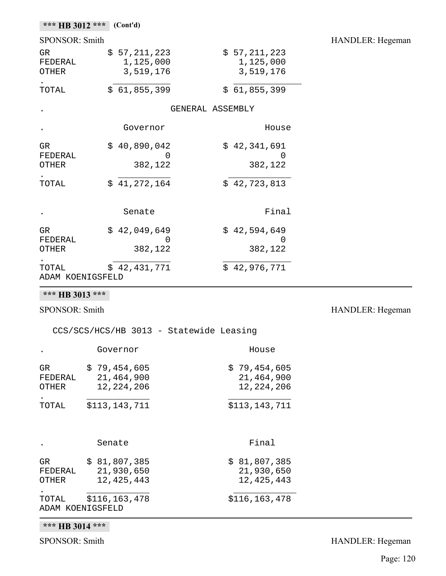| *** HB 3012 ***               | (Cont'd)                               |                  |                                        |
|-------------------------------|----------------------------------------|------------------|----------------------------------------|
| <b>SPONSOR: Smith</b>         |                                        |                  |                                        |
| GR<br>FEDERAL<br><b>OTHER</b> | \$57,211,223<br>1,125,000<br>3,519,176 |                  | \$57,211,223<br>1,125,000<br>3,519,176 |
| TOTAL                         | \$61,855,399                           |                  | \$61,855,399                           |
|                               |                                        | GENERAL ASSEMBLY |                                        |
|                               | Governor                               |                  | House                                  |
| GR<br>FEDERAL<br><b>OTHER</b> | \$40,890,042<br>0<br>382,122           |                  | \$42,341,691<br>0<br>382,122           |
| TOTAL                         | \$41,272,164                           |                  | \$42,723,813                           |
|                               | Senate                                 |                  | Final                                  |
| GR<br>FEDERAL<br>OTHER        | \$42,049,649<br>0<br>382,122           |                  | \$42,594,649<br>0<br>382,122           |
| TOTAL<br>ADAM KOENIGSFELD     | \$42,431,771                           |                  | \$42,976,771                           |

**\*\*\* HB 3013 \*\*\***

SPONSOR: Smith HANDLER: Hegeman

HANDLER: Hegeman

CCS/SCS/HCS/HB 3013 - Statewide Leasing

|                               | Governor                                   | House                                      |
|-------------------------------|--------------------------------------------|--------------------------------------------|
| GR<br>FEDERAL<br><b>OTHER</b> | \$79,454,605<br>21,464,900<br>12, 224, 206 | \$79,454,605<br>21,464,900<br>12, 224, 206 |
| TOTAL                         | \$113,143,711                              | \$113, 143, 711                            |
|                               | Senate                                     | Final                                      |
| GR<br>FEDERAL<br><b>OTHER</b> | \$81,807,385<br>21,930,650<br>12, 425, 443 | \$81,807,385<br>21,930,650<br>12, 425, 443 |
| TOTAL<br>ADAM KOENIGSFELD     | \$116, 163, 478                            | \$116,163,478                              |

**\*\*\* HB 3014 \*\*\***

SPONSOR: Smith HANDLER: Hegeman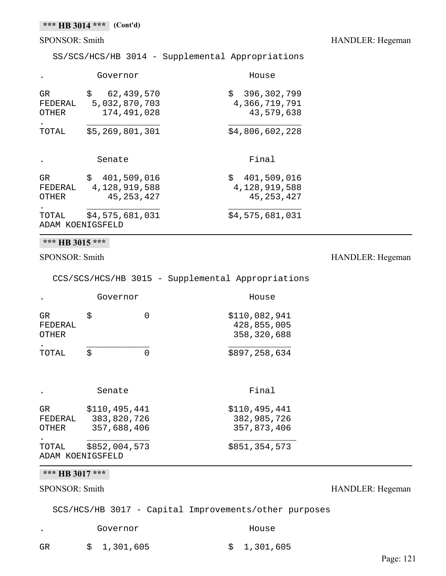# **\*\*\* HB 3014 \*\*\* (Cont'd)**

SS/SCS/HCS/HB 3014 - Supplemental Appropriations

|                                | Governor                                          | House                                            |
|--------------------------------|---------------------------------------------------|--------------------------------------------------|
| GR<br>FEDERAL<br>OTHER         | \$<br>62,439,570<br>5,032,870,703<br>174,491,028  | \$<br>396,302,799<br>4,366,719,791<br>43,579,638 |
| TOTAL                          | \$5,269,801,301                                   | \$4,806,602,228                                  |
|                                | Senate                                            | Final                                            |
| GR.<br>FEDERAL<br><b>OTHER</b> | \$401,509,016<br>4, 128, 919, 588<br>45, 253, 427 | \$401,509,016<br>4,128,919,588<br>45, 253, 427   |
| TOTAL<br>ADAM KOENIGSFELD      | \$4,575,681,031                                   | \$4,575,681,031                                  |

# **\*\*\* HB 3015 \*\*\***

#### SPONSOR: Smith HANDLER: Hegeman

CCS/SCS/HCS/HB 3015 - Supplemental Appropriations

|                        | Governor | House                                         |
|------------------------|----------|-----------------------------------------------|
| GR<br>FEDERAL<br>OTHER |          | \$110,082,941<br>428,855,005<br>358, 320, 688 |
| TOTAL                  |          | \$897,258,634                                 |

| $\ddot{\phantom{a}}$           | Senate                                      | Final                                       |
|--------------------------------|---------------------------------------------|---------------------------------------------|
| GR.<br>FEDERAL<br><b>OTHER</b> | \$110,495,441<br>383,820,726<br>357,688,406 | \$110,495,441<br>382,985,726<br>357,873,406 |
| TOTAL                          | \$852,004,573<br>ADAM KOENIGSFELD           | \$851,354,573                               |

#### **\*\*\* HB 3017 \*\*\***

#### SPONSOR: Smith HANDLER: Hegeman

SCS/HCS/HB 3017 - Capital Improvements/other purposes

. Governor House GR \$ 1,301,605 \$ 1,301,605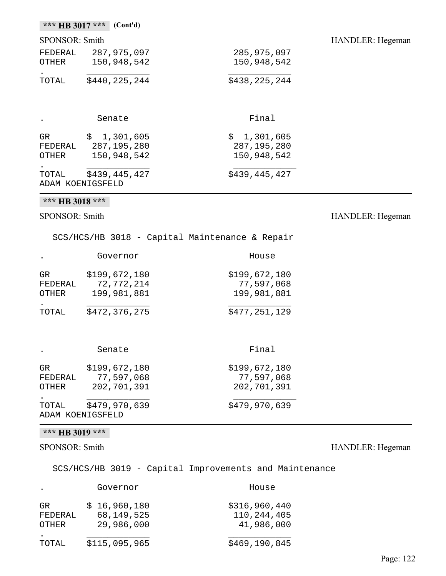|                           | *** HB 3017 *** (Cont'd)                  |                                             |                  |
|---------------------------|-------------------------------------------|---------------------------------------------|------------------|
| SPONSOR: Smith            |                                           |                                             | HANDLER: Hegeman |
| FEDERAL<br>OTHER          | 287,975,097<br>150,948,542                | 285,975,097<br>150,948,542                  |                  |
| TOTAL                     | \$440,225,244                             | \$438,225,244                               |                  |
|                           | Senate                                    | Final                                       |                  |
| GR<br>FEDERAL<br>OTHER    | \$1,301,605<br>287,195,280<br>150,948,542 | \$1,301,605<br>287, 195, 280<br>150,948,542 |                  |
| TOTAL<br>ADAM KOENIGSFELD | \$439,445,427                             | \$439,445,427                               |                  |

# **\*\*\* HB 3018 \*\*\***

# SPONSOR: Smith HANDLER: Hegeman

SCS/HCS/HB 3018 - Capital Maintenance & Repair

| $\bullet$ | Governor      | House         |
|-----------|---------------|---------------|
| GR.       | \$199,672,180 | \$199,672,180 |
| FEDERAL   | 72,772,214    | 77,597,068    |
| OTHER     | 199,981,881   | 199,981,881   |
|           |               |               |
| TOTAL     | \$472,376,275 | \$477,251,129 |

|                                | Senate                                     | Final                                      |
|--------------------------------|--------------------------------------------|--------------------------------------------|
| GR.<br>FEDERAL<br><b>OTHER</b> | \$199,672,180<br>77,597,068<br>202,701,391 | \$199,672,180<br>77,597,068<br>202,701,391 |
| TOTAL                          | \$479,970,639<br>ADAM KOENIGSFELD          | \$479,970,639                              |

#### **\*\*\* HB 3019 \*\*\***

#### SPONSOR: Smith HANDLER: Hegeman

SCS/HCS/HB 3019 - Capital Improvements and Maintenance

| $\cdot$                        | Governor                                   | House                                        |
|--------------------------------|--------------------------------------------|----------------------------------------------|
| GR.<br>FEDERAL<br><b>OTHER</b> | \$16,960,180<br>68, 149, 525<br>29,986,000 | \$316,960,440<br>110, 244, 405<br>41,986,000 |
| TOTAL                          | \$115,095,965                              | \$469,190,845                                |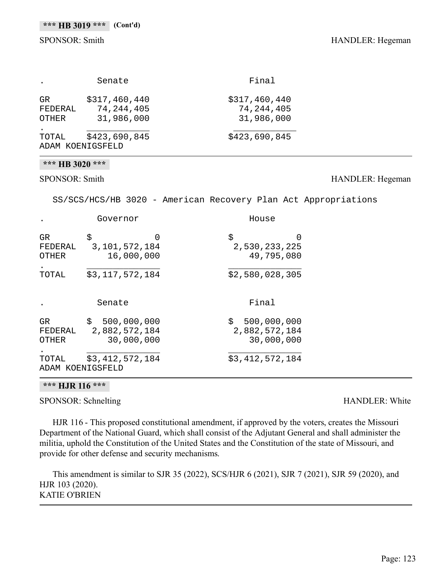|                  | Senate        | Final         |
|------------------|---------------|---------------|
| GR.              | \$317,460,440 | \$317,460,440 |
| FEDERAL          | 74, 244, 405  | 74, 244, 405  |
| OTHER            | 31,986,000    | 31,986,000    |
| TOTAL            | \$423,690,845 | \$423,690,845 |
| ADAM KOENIGSFELD |               |               |

#### **\*\*\* HB 3020 \*\*\***

#### SPONSOR: Smith HANDLER: Hegeman

SS/SCS/HCS/HB 3020 - American Recovery Plan Act Appropriations

|                                | Governor                                     | House                                            |  |
|--------------------------------|----------------------------------------------|--------------------------------------------------|--|
| GR.<br>FEDERAL<br><b>OTHER</b> | \$<br>3,101,572,184<br>16,000,000            | \$<br>$\cup$<br>2,530,233,225<br>49,795,080      |  |
| TOTAL                          | \$3,117,572,184                              | \$2,580,028,305                                  |  |
|                                | Senate                                       | Final                                            |  |
| GR.<br>FEDERAL<br><b>OTHER</b> | \$500,000,000<br>2,882,572,184<br>30,000,000 | \$<br>500,000,000<br>2,882,572,184<br>30,000,000 |  |
| TOTAL                          | \$3,412,572,184<br>ADAM KOENIGSFELD          | \$3,412,572,184                                  |  |

#### **\*\*\* HJR 116 \*\*\***

SPONSOR: Schnelting HANDLER: White

HJR 116 - This proposed constitutional amendment, if approved by the voters, creates the Missouri Department of the National Guard, which shall consist of the Adjutant General and shall administer the militia, uphold the Constitution of the United States and the Constitution of the state of Missouri, and provide for other defense and security mechanisms.

This amendment is similar to SJR 35 (2022), SCS/HJR 6 (2021), SJR 7 (2021), SJR 59 (2020), and HJR 103 (2020). KATIE O'BRIEN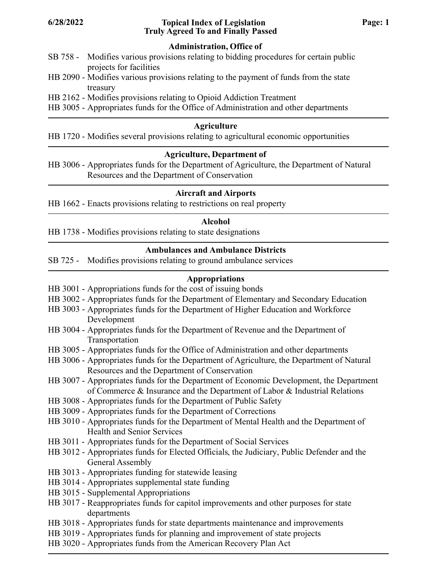#### **Topical Index of Legislation 6/28/2022 Page: 1 Truly Agreed To and Finally Passed**

#### **Administration, Office of**

- SB 758 Modifies various provisions relating to bidding procedures for certain public projects for facilities
- HB 2090 Modifies various provisions relating to the payment of funds from the state treasury
- HB 2162 Modifies provisions relating to Opioid Addiction Treatment
- HB 3005 Appropriates funds for the Office of Administration and other departments

#### **Agriculture**

HB 1720 - Modifies several provisions relating to agricultural economic opportunities

#### **Agriculture, Department of**

HB 3006 - Appropriates funds for the Department of Agriculture, the Department of Natural Resources and the Department of Conservation

#### **Aircraft and Airports**

HB 1662 - Enacts provisions relating to restrictions on real property

#### **Alcohol**

HB 1738 - Modifies provisions relating to state designations

#### **Ambulances and Ambulance Districts**

SB 725 - Modifies provisions relating to ground ambulance services

#### **Appropriations**

- HB 3001 Appropriations funds for the cost of issuing bonds
- HB 3002 Appropriates funds for the Department of Elementary and Secondary Education
- HB 3003 Appropriates funds for the Department of Higher Education and Workforce Development
- HB 3004 Appropriates funds for the Department of Revenue and the Department of Transportation
- HB 3005 Appropriates funds for the Office of Administration and other departments
- HB 3006 Appropriates funds for the Department of Agriculture, the Department of Natural Resources and the Department of Conservation
- HB 3007 Appropriates funds for the Department of Economic Development, the Department of Commerce & Insurance and the Department of Labor & Industrial Relations
- HB 3008 Appropriates funds for the Department of Public Safety
- HB 3009 Appropriates funds for the Department of Corrections
- HB 3010 Appropriates funds for the Department of Mental Health and the Department of Health and Senior Services
- HB 3011 Appropriates funds for the Department of Social Services
- HB 3012 Appropriates funds for Elected Officials, the Judiciary, Public Defender and the General Assembly
- HB 3013 Appropriates funding for statewide leasing
- HB 3014 Appropriates supplemental state funding
- HB 3015 Supplemental Appropriations
- HB 3017 Reappropriates funds for capitol improvements and other purposes for state departments
- HB 3018 Appropriates funds for state departments maintenance and improvements
- HB 3019 Appropriates funds for planning and improvement of state projects
- HB 3020 Appropriates funds from the American Recovery Plan Act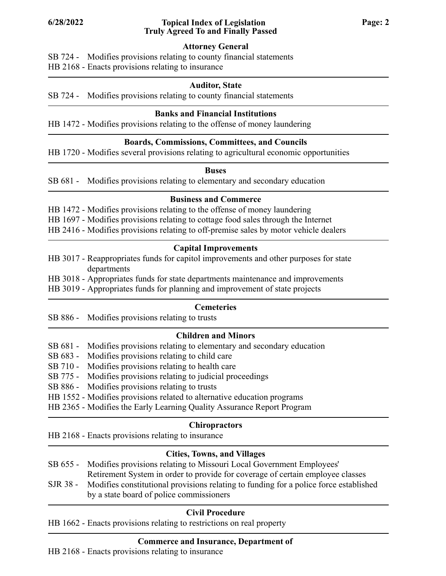#### **Topical Index of Legislation 6/28/2022 Page: 2 Truly Agreed To and Finally Passed**

#### **Attorney General**

SB 724 - Modifies provisions relating to county financial statements HB 2168 - Enacts provisions relating to insurance

#### **Auditor, State**

SB 724 - Modifies provisions relating to county financial statements

#### **Banks and Financial Institutions**

HB 1472 - Modifies provisions relating to the offense of money laundering

#### **Boards, Commissions, Committees, and Councils**

HB 1720 - Modifies several provisions relating to agricultural economic opportunities

#### **Buses**

SB 681 - Modifies provisions relating to elementary and secondary education

#### **Business and Commerce**

- HB 1472 Modifies provisions relating to the offense of money laundering
- HB 1697 Modifies provisions relating to cottage food sales through the Internet
- HB 2416 Modifies provisions relating to off-premise sales by motor vehicle dealers

# **Capital Improvements**

HB 3017 - Reappropriates funds for capitol improvements and other purposes for state departments

HB 3018 - Appropriates funds for state departments maintenance and improvements

HB 3019 - Appropriates funds for planning and improvement of state projects

#### **Cemeteries**

SB 886 - Modifies provisions relating to trusts

#### **Children and Minors**

- SB 681 Modifies provisions relating to elementary and secondary education
- SB 683 Modifies provisions relating to child care
- SB 710 Modifies provisions relating to health care
- SB 775 Modifies provisions relating to judicial proceedings
- SB 886 Modifies provisions relating to trusts
- HB 1552 Modifies provisions related to alternative education programs
- HB 2365 Modifies the Early Learning Quality Assurance Report Program

#### **Chiropractors**

HB 2168 - Enacts provisions relating to insurance

#### **Cities, Towns, and Villages**

- Modifies provisions relating to Missouri Local Government Employees' Retirement System in order to provide for coverage of certain employee classes SB 655 -
- SJR 38 Modifies constitutional provisions relating to funding for a police force established by a state board of police commissioners

# **Civil Procedure**

HB 1662 - Enacts provisions relating to restrictions on real property

#### **Commerce and Insurance, Department of**

HB 2168 - Enacts provisions relating to insurance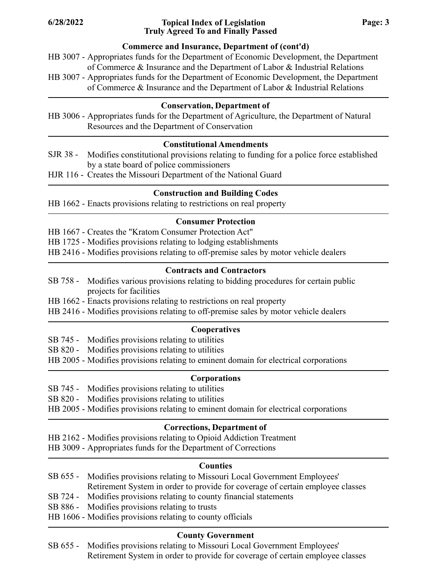#### **Topical Index of Legislation 6/28/2022 Page: 3 Truly Agreed To and Finally Passed**

# **Commerce and Insurance, Department of (cont'd)**

HB 3007 - Appropriates funds for the Department of Economic Development, the Department of Commerce & Insurance and the Department of Labor & Industrial Relations HB 3007 - Appropriates funds for the Department of Economic Development, the Department

of Commerce & Insurance and the Department of Labor & Industrial Relations

#### **Conservation, Department of**

HB 3006 - Appropriates funds for the Department of Agriculture, the Department of Natural Resources and the Department of Conservation

#### **Constitutional Amendments**

- Modifies constitutional provisions relating to funding for a police force established by a state board of police commissioners SJR 38 -
- HJR 116 Creates the Missouri Department of the National Guard

# **Construction and Building Codes**

HB 1662 - Enacts provisions relating to restrictions on real property

# **Consumer Protection**

- HB 1667 Creates the "Kratom Consumer Protection Act"
- HB 1725 Modifies provisions relating to lodging establishments

HB 2416 - Modifies provisions relating to off-premise sales by motor vehicle dealers

# **Contracts and Contractors**

- SB 758 Modifies various provisions relating to bidding procedures for certain public projects for facilities
- HB 1662 Enacts provisions relating to restrictions on real property
- HB 2416 Modifies provisions relating to off-premise sales by motor vehicle dealers

# **Cooperatives**

- SB 745 Modifies provisions relating to utilities
- SB 820 Modifies provisions relating to utilities
- HB 2005 Modifies provisions relating to eminent domain for electrical corporations

# **Corporations**

- SB 745 Modifies provisions relating to utilities
- SB 820 Modifies provisions relating to utilities
- HB 2005 Modifies provisions relating to eminent domain for electrical corporations

# **Corrections, Department of**

- HB 2162 Modifies provisions relating to Opioid Addiction Treatment
- HB 3009 Appropriates funds for the Department of Corrections

# **Counties**

- Modifies provisions relating to Missouri Local Government Employees' Retirement System in order to provide for coverage of certain employee classes SB 655 -
- SB 724 Modifies provisions relating to county financial statements
- SB 886 Modifies provisions relating to trusts
- HB 1606 Modifies provisions relating to county officials

# **County Government**

Modifies provisions relating to Missouri Local Government Employees' Retirement System in order to provide for coverage of certain employee classes SB 655 -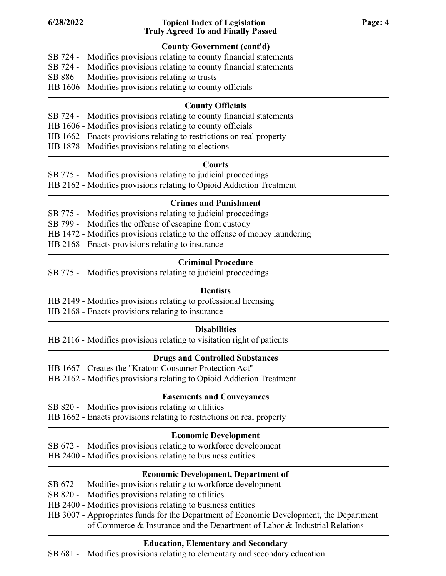#### **Topical Index of Legislation 6/28/2022 Page: 4 Truly Agreed To and Finally Passed**

# **County Government (cont'd)**

- SB 724 Modifies provisions relating to county financial statements
- SB 724 Modifies provisions relating to county financial statements
- SB 886 Modifies provisions relating to trusts
- HB 1606 Modifies provisions relating to county officials

# **County Officials**

- SB 724 Modifies provisions relating to county financial statements
- HB 1606 Modifies provisions relating to county officials
- HB 1662 Enacts provisions relating to restrictions on real property
- HB 1878 Modifies provisions relating to elections

# **Courts**

- SB 775 Modifies provisions relating to judicial proceedings
- HB 2162 Modifies provisions relating to Opioid Addiction Treatment

# **Crimes and Punishment**

- SB 775 Modifies provisions relating to judicial proceedings
- SB 799 Modifies the offense of escaping from custody
- HB 1472 Modifies provisions relating to the offense of money laundering
- HB 2168 Enacts provisions relating to insurance

# **Criminal Procedure**

SB 775 - Modifies provisions relating to judicial proceedings

# **Dentists**

HB 2149 - Modifies provisions relating to professional licensing

HB 2168 - Enacts provisions relating to insurance

# **Disabilities**

HB 2116 - Modifies provisions relating to visitation right of patients

# **Drugs and Controlled Substances**

HB 1667 - Creates the "Kratom Consumer Protection Act"

HB 2162 - Modifies provisions relating to Opioid Addiction Treatment

# **Easements and Conveyances**

SB 820 - Modifies provisions relating to utilities

HB 1662 - Enacts provisions relating to restrictions on real property

# **Economic Development**

- SB 672 Modifies provisions relating to workforce development
- HB 2400 Modifies provisions relating to business entities

# **Economic Development, Department of**

- SB 672 Modifies provisions relating to workforce development
- SB 820 Modifies provisions relating to utilities
- HB 2400 Modifies provisions relating to business entities
- HB 3007 Appropriates funds for the Department of Economic Development, the Department of Commerce & Insurance and the Department of Labor & Industrial Relations

# **Education, Elementary and Secondary**

SB 681 - Modifies provisions relating to elementary and secondary education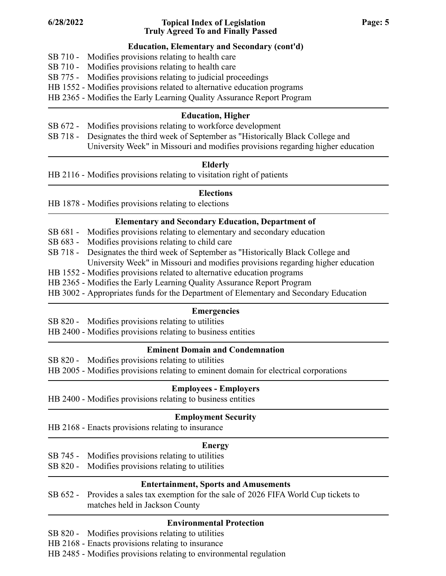#### **Topical Index of Legislation 6/28/2022 Page: 5 Truly Agreed To and Finally Passed**

#### **Education, Elementary and Secondary (cont'd)**

- SB 710 Modifies provisions relating to health care
- SB 710 Modifies provisions relating to health care
- SB 775 Modifies provisions relating to judicial proceedings
- HB 1552 Modifies provisions related to alternative education programs
- HB 2365 Modifies the Early Learning Quality Assurance Report Program

# **Education, Higher**

- SB 672 Modifies provisions relating to workforce development
- SB 718 Designates the third week of September as "Historically Black College and University Week" in Missouri and modifies provisions regarding higher education

#### **Elderly**

HB 2116 - Modifies provisions relating to visitation right of patients

#### **Elections**

HB 1878 - Modifies provisions relating to elections

# **Elementary and Secondary Education, Department of**

- SB 681 Modifies provisions relating to elementary and secondary education
- SB 683 Modifies provisions relating to child care
- SB 718 Designates the third week of September as "Historically Black College and University Week" in Missouri and modifies provisions regarding higher education
- HB 1552 Modifies provisions related to alternative education programs
- HB 2365 Modifies the Early Learning Quality Assurance Report Program
- HB 3002 Appropriates funds for the Department of Elementary and Secondary Education

# **Emergencies**

- SB 820 Modifies provisions relating to utilities
- HB 2400 Modifies provisions relating to business entities

# **Eminent Domain and Condemnation**

- SB 820 Modifies provisions relating to utilities
- HB 2005 Modifies provisions relating to eminent domain for electrical corporations

# **Employees - Employers**

HB 2400 - Modifies provisions relating to business entities

# **Employment Security**

HB 2168 - Enacts provisions relating to insurance

# **Energy**

- SB 745 Modifies provisions relating to utilities
- SB 820 Modifies provisions relating to utilities

# **Entertainment, Sports and Amusements**

SB 652 - Provides a sales tax exemption for the sale of 2026 FIFA World Cup tickets to matches held in Jackson County

# **Environmental Protection**

- SB 820 Modifies provisions relating to utilities
- HB 2168 Enacts provisions relating to insurance
- HB 2485 Modifies provisions relating to environmental regulation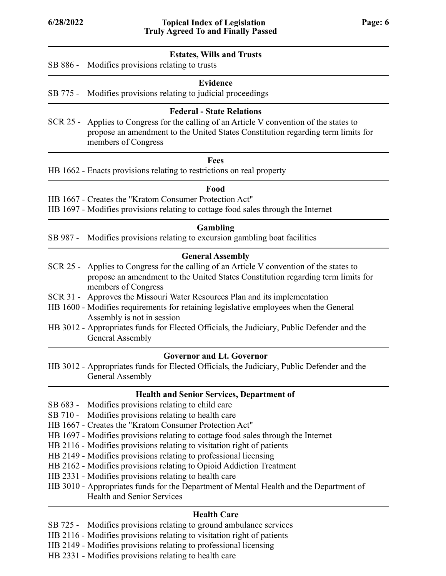#### **Estates, Wills and Trusts**

SB 886 - Modifies provisions relating to trusts

#### **Evidence**

SB 775 - Modifies provisions relating to judicial proceedings

#### **Federal - State Relations**

SCR 25 - Applies to Congress for the calling of an Article V convention of the states to propose an amendment to the United States Constitution regarding term limits for members of Congress

#### **Fees**

HB 1662 - Enacts provisions relating to restrictions on real property

#### **Food**

HB 1667 - Creates the "Kratom Consumer Protection Act"

HB 1697 - Modifies provisions relating to cottage food sales through the Internet

#### **Gambling**

SB 987 - Modifies provisions relating to excursion gambling boat facilities

#### **General Assembly**

- SCR 25 Applies to Congress for the calling of an Article V convention of the states to propose an amendment to the United States Constitution regarding term limits for members of Congress
- SCR 31 Approves the Missouri Water Resources Plan and its implementation
- HB 1600 Modifies requirements for retaining legislative employees when the General Assembly is not in session
- HB 3012 Appropriates funds for Elected Officials, the Judiciary, Public Defender and the General Assembly

#### **Governor and Lt. Governor**

HB 3012 - Appropriates funds for Elected Officials, the Judiciary, Public Defender and the General Assembly

#### **Health and Senior Services, Department of**

- SB 683 Modifies provisions relating to child care
- SB 710 Modifies provisions relating to health care
- HB 1667 Creates the "Kratom Consumer Protection Act"
- HB 1697 Modifies provisions relating to cottage food sales through the Internet
- HB 2116 Modifies provisions relating to visitation right of patients
- HB 2149 Modifies provisions relating to professional licensing
- HB 2162 Modifies provisions relating to Opioid Addiction Treatment
- HB 2331 Modifies provisions relating to health care
- HB 3010 Appropriates funds for the Department of Mental Health and the Department of Health and Senior Services

#### **Health Care**

- SB 725 Modifies provisions relating to ground ambulance services
- HB 2116 Modifies provisions relating to visitation right of patients
- HB 2149 Modifies provisions relating to professional licensing
- HB 2331 Modifies provisions relating to health care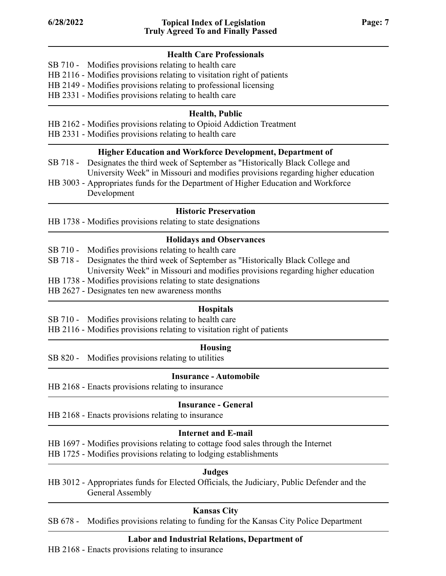#### **Health Care Professionals**

SB 710 - Modifies provisions relating to health care HB 2116 - Modifies provisions relating to visitation right of patients HB 2149 - Modifies provisions relating to professional licensing HB 2331 - Modifies provisions relating to health care

#### **Health, Public**

- HB 2162 Modifies provisions relating to Opioid Addiction Treatment
- HB 2331 Modifies provisions relating to health care

#### **Higher Education and Workforce Development, Department of**

- Designates the third week of September as "Historically Black College and University Week" in Missouri and modifies provisions regarding higher education SB 718 -
- HB 3003 Appropriates funds for the Department of Higher Education and Workforce Development

#### **Historic Preservation**

HB 1738 - Modifies provisions relating to state designations

#### **Holidays and Observances**

- SB 710 Modifies provisions relating to health care
- SB 718 Designates the third week of September as "Historically Black College and University Week" in Missouri and modifies provisions regarding higher education
- HB 1738 Modifies provisions relating to state designations
- HB 2627 Designates ten new awareness months

#### **Hospitals**

- SB 710 Modifies provisions relating to health care
- HB 2116 Modifies provisions relating to visitation right of patients

#### **Housing**

SB 820 - Modifies provisions relating to utilities

#### **Insurance - Automobile**

HB 2168 - Enacts provisions relating to insurance

#### **Insurance - General**

HB 2168 - Enacts provisions relating to insurance

# **Internet and E-mail**

- HB 1697 Modifies provisions relating to cottage food sales through the Internet
- HB 1725 Modifies provisions relating to lodging establishments

#### **Judges**

HB 3012 - Appropriates funds for Elected Officials, the Judiciary, Public Defender and the General Assembly

# **Kansas City**

SB 678 - Modifies provisions relating to funding for the Kansas City Police Department

#### **Labor and Industrial Relations, Department of**

HB 2168 - Enacts provisions relating to insurance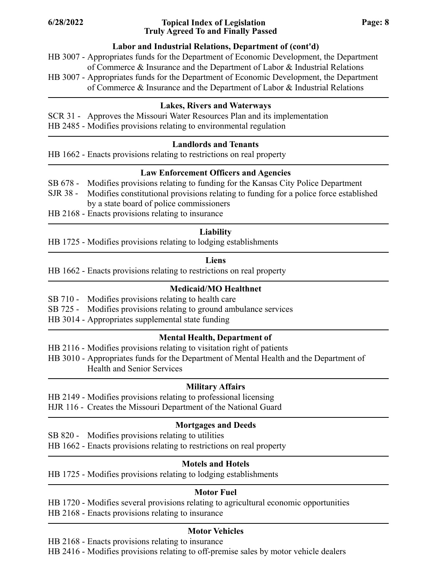#### **Topical Index of Legislation 6/28/2022 Page: 8 Truly Agreed To and Finally Passed**

# **Labor and Industrial Relations, Department of (cont'd)**

HB 3007 - Appropriates funds for the Department of Economic Development, the Department of Commerce & Insurance and the Department of Labor & Industrial Relations

HB 3007 - Appropriates funds for the Department of Economic Development, the Department of Commerce & Insurance and the Department of Labor & Industrial Relations

# **Lakes, Rivers and Waterways**

SCR 31 - Approves the Missouri Water Resources Plan and its implementation HB 2485 - Modifies provisions relating to environmental regulation

# **Landlords and Tenants**

HB 1662 - Enacts provisions relating to restrictions on real property

# **Law Enforcement Officers and Agencies**

- SB 678 Modifies provisions relating to funding for the Kansas City Police Department
- SJR 38 Modifies constitutional provisions relating to funding for a police force established by a state board of police commissioners
- HB 2168 Enacts provisions relating to insurance

# **Liability**

HB 1725 - Modifies provisions relating to lodging establishments

#### **Liens**

HB 1662 - Enacts provisions relating to restrictions on real property

# **Medicaid/MO Healthnet**

- SB 710 Modifies provisions relating to health care
- SB 725 Modifies provisions relating to ground ambulance services
- HB 3014 Appropriates supplemental state funding

# **Mental Health, Department of**

- HB 2116 Modifies provisions relating to visitation right of patients
- HB 3010 Appropriates funds for the Department of Mental Health and the Department of Health and Senior Services

# **Military Affairs**

- HB 2149 Modifies provisions relating to professional licensing
- HJR 116 Creates the Missouri Department of the National Guard

# **Mortgages and Deeds**

SB 820 - Modifies provisions relating to utilities

HB 1662 - Enacts provisions relating to restrictions on real property

# **Motels and Hotels**

HB 1725 - Modifies provisions relating to lodging establishments

# **Motor Fuel**

HB 1720 - Modifies several provisions relating to agricultural economic opportunities HB 2168 - Enacts provisions relating to insurance

# **Motor Vehicles**

HB 2168 - Enacts provisions relating to insurance

HB 2416 - Modifies provisions relating to off-premise sales by motor vehicle dealers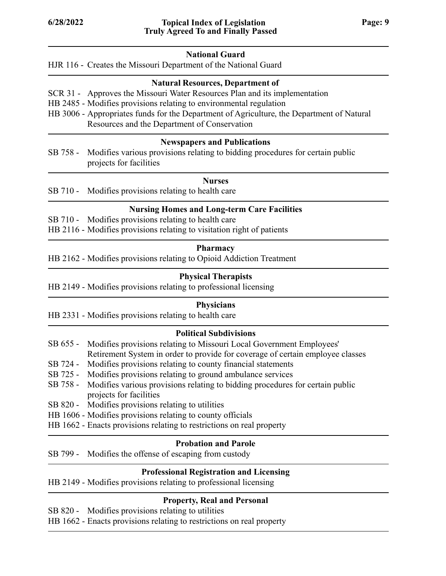#### **National Guard**

HJR 116 - Creates the Missouri Department of the National Guard

#### **Natural Resources, Department of**

- SCR 31 Approves the Missouri Water Resources Plan and its implementation
- HB 2485 Modifies provisions relating to environmental regulation
- HB 3006 Appropriates funds for the Department of Agriculture, the Department of Natural Resources and the Department of Conservation

#### **Newspapers and Publications**

Modifies various provisions relating to bidding procedures for certain public projects for facilities SB 758 -

#### **Nurses**

SB 710 - Modifies provisions relating to health care

#### **Nursing Homes and Long-term Care Facilities**

- SB 710 Modifies provisions relating to health care
- HB 2116 Modifies provisions relating to visitation right of patients

# **Pharmacy**

HB 2162 - Modifies provisions relating to Opioid Addiction Treatment

# **Physical Therapists**

HB 2149 - Modifies provisions relating to professional licensing

# **Physicians**

HB 2331 - Modifies provisions relating to health care

# **Political Subdivisions**

- Modifies provisions relating to Missouri Local Government Employees' SB 655 -
- Retirement System in order to provide for coverage of certain employee classes
- SB 724 Modifies provisions relating to county financial statements
- SB 725 Modifies provisions relating to ground ambulance services
- SB 758 Modifies various provisions relating to bidding procedures for certain public projects for facilities
- SB 820 Modifies provisions relating to utilities
- HB 1606 Modifies provisions relating to county officials
- HB 1662 Enacts provisions relating to restrictions on real property

# **Probation and Parole**

SB 799 - Modifies the offense of escaping from custody

# **Professional Registration and Licensing**

HB 2149 - Modifies provisions relating to professional licensing

# **Property, Real and Personal**

- SB 820 Modifies provisions relating to utilities
- HB 1662 Enacts provisions relating to restrictions on real property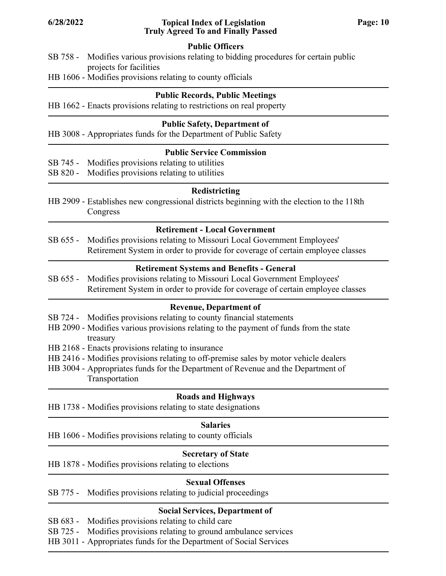#### **Topical Index of Legislation 6/28/2022 Page: 10 Truly Agreed To and Finally Passed**

#### **Public Officers**

- SB 758 Modifies various provisions relating to bidding procedures for certain public projects for facilities
- HB 1606 Modifies provisions relating to county officials

#### **Public Records, Public Meetings**

HB 1662 - Enacts provisions relating to restrictions on real property

#### **Public Safety, Department of**

HB 3008 - Appropriates funds for the Department of Public Safety

#### **Public Service Commission**

- SB 745 Modifies provisions relating to utilities
- SB 820 Modifies provisions relating to utilities

#### **Redistricting**

HB 2909 - Establishes new congressional districts beginning with the election to the 118th Congress

#### **Retirement - Local Government**

Modifies provisions relating to Missouri Local Government Employees' Retirement System in order to provide for coverage of certain employee classes SB 655 -

#### **Retirement Systems and Benefits - General**

Modifies provisions relating to Missouri Local Government Employees' Retirement System in order to provide for coverage of certain employee classes SB 655 -

#### **Revenue, Department of**

- SB 724 Modifies provisions relating to county financial statements
- HB 2090 Modifies various provisions relating to the payment of funds from the state treasury
- HB 2168 Enacts provisions relating to insurance
- HB 2416 Modifies provisions relating to off-premise sales by motor vehicle dealers
- HB 3004 Appropriates funds for the Department of Revenue and the Department of Transportation

#### **Roads and Highways**

HB 1738 - Modifies provisions relating to state designations

#### **Salaries**

HB 1606 - Modifies provisions relating to county officials

#### **Secretary of State**

HB 1878 - Modifies provisions relating to elections

#### **Sexual Offenses**

SB 775 - Modifies provisions relating to judicial proceedings

#### **Social Services, Department of**

SB 683 - Modifies provisions relating to child care

SB 725 - Modifies provisions relating to ground ambulance services

HB 3011 - Appropriates funds for the Department of Social Services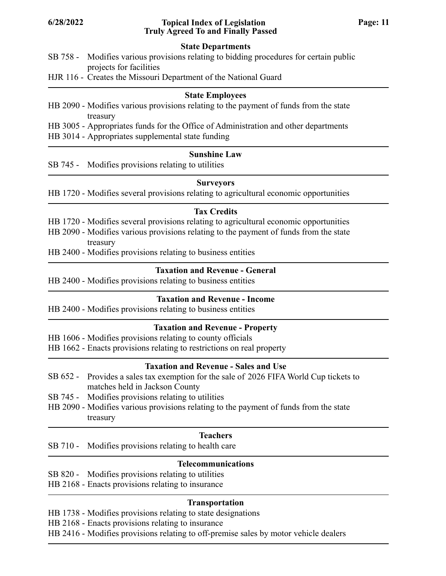#### **Topical Index of Legislation 6/28/2022 Page: 11 Truly Agreed To and Finally Passed**

#### **State Departments**

- SB 758 Modifies various provisions relating to bidding procedures for certain public projects for facilities
- HJR 116 Creates the Missouri Department of the National Guard

#### **State Employees**

- HB 2090 Modifies various provisions relating to the payment of funds from the state treasury
- HB 3005 Appropriates funds for the Office of Administration and other departments
- HB 3014 Appropriates supplemental state funding

#### **Sunshine Law**

SB 745 - Modifies provisions relating to utilities

#### **Surveyors**

HB 1720 - Modifies several provisions relating to agricultural economic opportunities

#### **Tax Credits**

- HB 1720 Modifies several provisions relating to agricultural economic opportunities
- HB 2090 Modifies various provisions relating to the payment of funds from the state treasury

HB 2400 - Modifies provisions relating to business entities

#### **Taxation and Revenue - General**

HB 2400 - Modifies provisions relating to business entities

#### **Taxation and Revenue - Income**

HB 2400 - Modifies provisions relating to business entities

#### **Taxation and Revenue - Property**

- HB 1606 Modifies provisions relating to county officials
- HB 1662 Enacts provisions relating to restrictions on real property

#### **Taxation and Revenue - Sales and Use**

- SB 652 Provides a sales tax exemption for the sale of 2026 FIFA World Cup tickets to matches held in Jackson County
- SB 745 Modifies provisions relating to utilities
- HB 2090 Modifies various provisions relating to the payment of funds from the state treasury

#### **Teachers**

SB 710 - Modifies provisions relating to health care

#### **Telecommunications**

- SB 820 Modifies provisions relating to utilities
- HB 2168 Enacts provisions relating to insurance

# **Transportation**

HB 1738 - Modifies provisions relating to state designations

HB 2168 - Enacts provisions relating to insurance

HB 2416 - Modifies provisions relating to off-premise sales by motor vehicle dealers